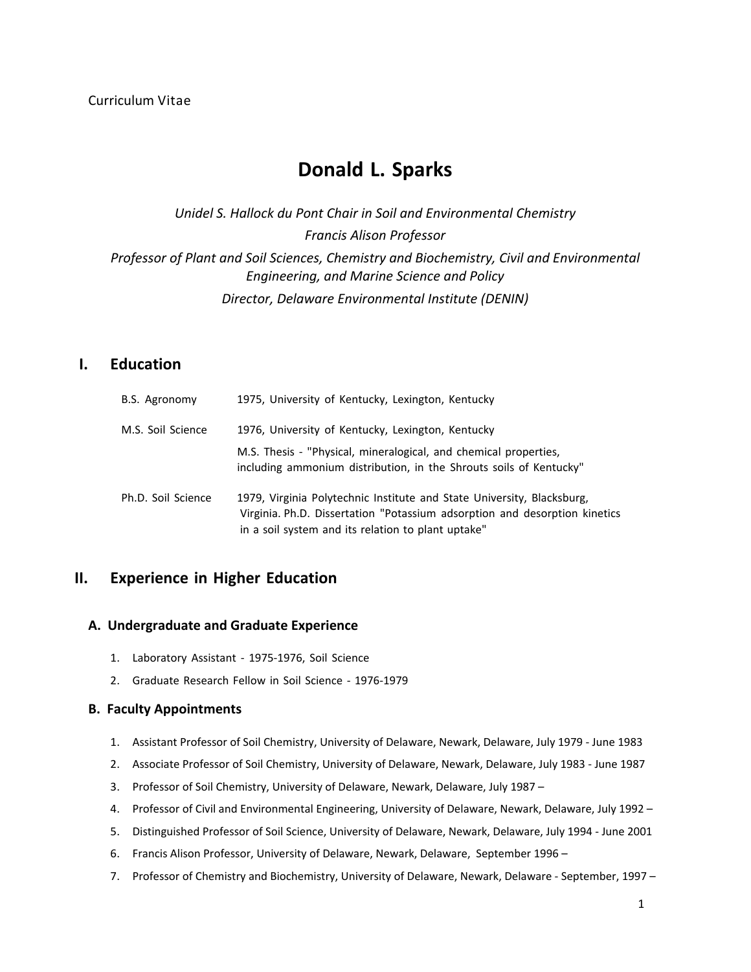# **Donald L. Sparks**

*Unidel S. Hallock du Pont Chair in Soil and Environmental Chemistry Francis Alison Professor Professor of Plant and Soil Sciences, Chemistry and Biochemistry, Civil and Environmental Engineering, and Marine Science and Policy Director, Delaware Environmental Institute (DENIN)*

## **I. Education**

| B.S. Agronomy      | 1975, University of Kentucky, Lexington, Kentucky                                                                                                                                                          |
|--------------------|------------------------------------------------------------------------------------------------------------------------------------------------------------------------------------------------------------|
| M.S. Soil Science  | 1976, University of Kentucky, Lexington, Kentucky                                                                                                                                                          |
|                    | M.S. Thesis - "Physical, mineralogical, and chemical properties,<br>including ammonium distribution, in the Shrouts soils of Kentucky"                                                                     |
| Ph.D. Soil Science | 1979, Virginia Polytechnic Institute and State University, Blacksburg,<br>Virginia. Ph.D. Dissertation "Potassium adsorption and desorption kinetics<br>in a soil system and its relation to plant uptake" |

## **II. Experience in Higher Education**

## **A. Undergraduate and Graduate Experience**

- 1. Laboratory Assistant 1975-1976, Soil Science
- 2. Graduate Research Fellow in Soil Science ‐ 1976‐1979

## **B. Faculty Appointments**

- 1. Assistant Professor of Soil Chemistry, University of Delaware, Newark, Delaware, July 1979 ‐ June 1983
- 2. Associate Professor of Soil Chemistry, University of Delaware, Newark, Delaware, July 1983 ‐ June 1987
- 3. Professor of Soil Chemistry, University of Delaware, Newark, Delaware, July 1987 –
- 4. Professor of Civil and Environmental Engineering, University of Delaware, Newark, Delaware, July 1992 –
- 5. Distinguished Professor of Soil Science, University of Delaware, Newark, Delaware, July 1994 ‐ June 2001
- 6. Francis Alison Professor, University of Delaware, Newark, Delaware, September 1996 -
- 7. Professor of Chemistry and Biochemistry, University of Delaware, Newark, Delaware September, 1997 –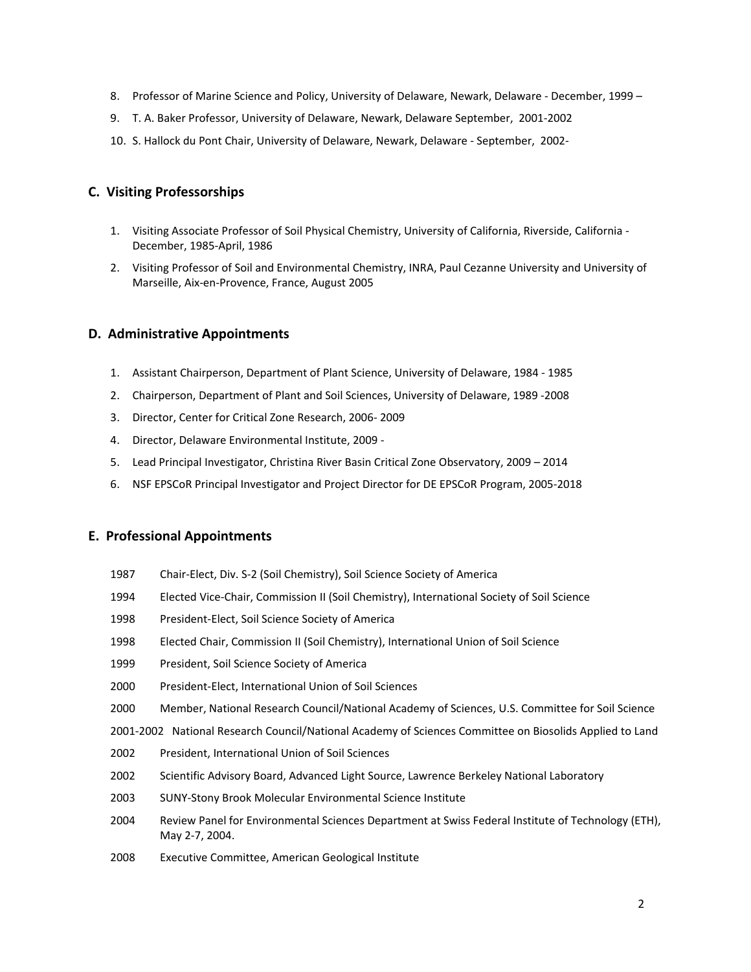- 8. Professor of Marine Science and Policy, University of Delaware, Newark, Delaware December, 1999 –
- 9. T. A. Baker Professor, University of Delaware, Newark, Delaware September, 2001‐2002
- 10. S. Hallock du Pont Chair, University of Delaware, Newark, Delaware ‐ September, 2002‐

## **C. Visiting Professorships**

- 1. Visiting Associate Professor of Soil Physical Chemistry, University of California, Riverside, California ‐ December, 1985‐April, 1986
- 2. Visiting Professor of Soil and Environmental Chemistry, INRA, Paul Cezanne University and University of Marseille, Aix‐en‐Provence, France, August 2005

## **D. Administrative Appointments**

- 1. Assistant Chairperson, Department of Plant Science, University of Delaware, 1984 ‐ 1985
- 2. Chairperson, Department of Plant and Soil Sciences, University of Delaware, 1989 ‐2008
- 3. Director, Center for Critical Zone Research, 2006‐ 2009
- 4. Director, Delaware Environmental Institute, 2009 ‐
- 5. Lead Principal Investigator, Christina River Basin Critical Zone Observatory, 2009 2014
- 6. NSF EPSCoR Principal Investigator and Project Director for DE EPSCoR Program, 2005‐2018

## **E. Professional Appointments**

- 1987 Chair-Elect, Div. S-2 (Soil Chemistry), Soil Science Society of America
- 1994 Elected Vice-Chair, Commission II (Soil Chemistry), International Society of Soil Science
- 1998 President-Elect, Soil Science Society of America
- 1998 Elected Chair, Commission II (Soil Chemistry), International Union of Soil Science
- 1999 President, Soil Science Society of America
- 2000 President‐Elect, International Union of Soil Sciences
- 2000 Member, National Research Council/National Academy of Sciences, U.S. Committee for Soil Science
- 2001-2002 National Research Council/National Academy of Sciences Committee on Biosolids Applied to Land
- 2002 President, International Union of Soil Sciences
- 2002 Scientific Advisory Board, Advanced Light Source, Lawrence Berkeley National Laboratory
- 2003 SUNY‐Stony Brook Molecular Environmental Science Institute
- 2004 Review Panel for Environmental Sciences Department at Swiss Federal Institute of Technology (ETH), May 2‐7, 2004.
- 2008 Executive Committee, American Geological Institute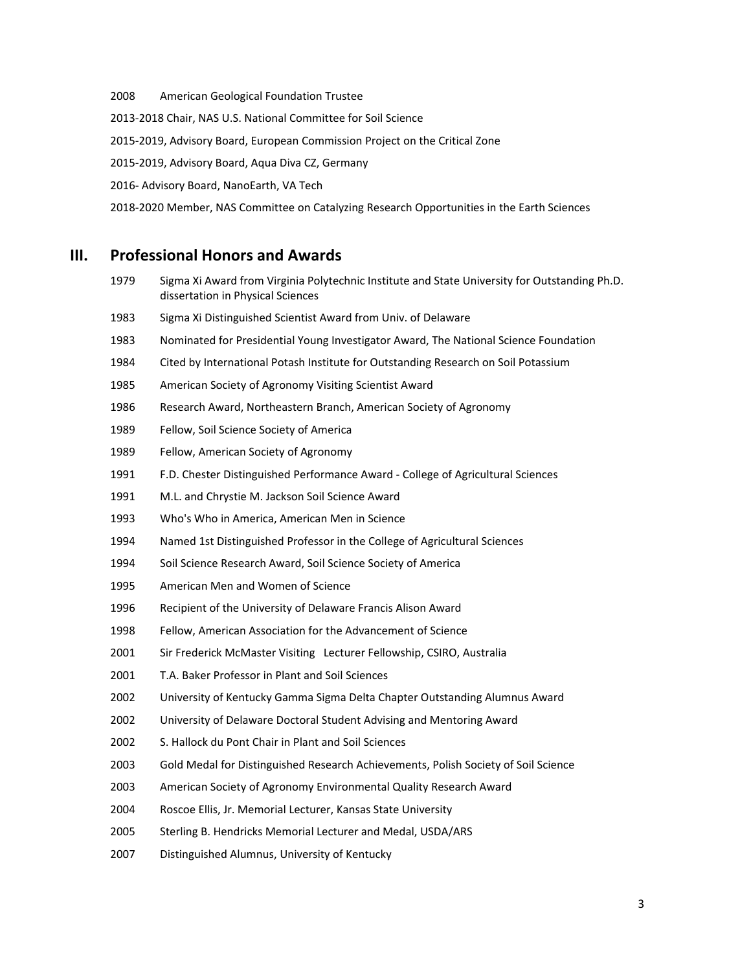American Geological Foundation Trustee ‐2018 Chair, NAS U.S. National Committee for Soil Science ‐2019, Advisory Board, European Commission Project on the Critical Zone ‐2019, Advisory Board, Aqua Diva CZ, Germany ‐ Advisory Board, NanoEarth, VA Tech ‐2020 Member, NAS Committee on Catalyzing Research Opportunities in the Earth Sciences

## **III. Professional Honors and Awards**

- Sigma Xi Award from Virginia Polytechnic Institute and State University for Outstanding Ph.D. dissertation in Physical Sciences
- Sigma Xi Distinguished Scientist Award from Univ. of Delaware
- Nominated for Presidential Young Investigator Award, The National Science Foundation
- Cited by International Potash Institute for Outstanding Research on Soil Potassium
- American Society of Agronomy Visiting Scientist Award
- Research Award, Northeastern Branch, American Society of Agronomy
- Fellow, Soil Science Society of America
- Fellow, American Society of Agronomy
- F.D. Chester Distinguished Performance Award ‐ College of Agricultural Sciences
- M.L. and Chrystie M. Jackson Soil Science Award
- Who's Who in America, American Men in Science
- Named 1st Distinguished Professor in the College of Agricultural Sciences
- Soil Science Research Award, Soil Science Society of America
- American Men and Women of Science
- Recipient of the University of Delaware Francis Alison Award
- Fellow, American Association for the Advancement of Science
- Sir Frederick McMaster Visiting Lecturer Fellowship, CSIRO, Australia
- T.A. Baker Professor in Plant and Soil Sciences
- University of Kentucky Gamma Sigma Delta Chapter Outstanding Alumnus Award
- University of Delaware Doctoral Student Advising and Mentoring Award
- S. Hallock du Pont Chair in Plant and Soil Sciences
- Gold Medal for Distinguished Research Achievements, Polish Society of Soil Science
- American Society of Agronomy Environmental Quality Research Award
- Roscoe Ellis, Jr. Memorial Lecturer, Kansas State University
- Sterling B. Hendricks Memorial Lecturer and Medal, USDA/ARS
- Distinguished Alumnus, University of Kentucky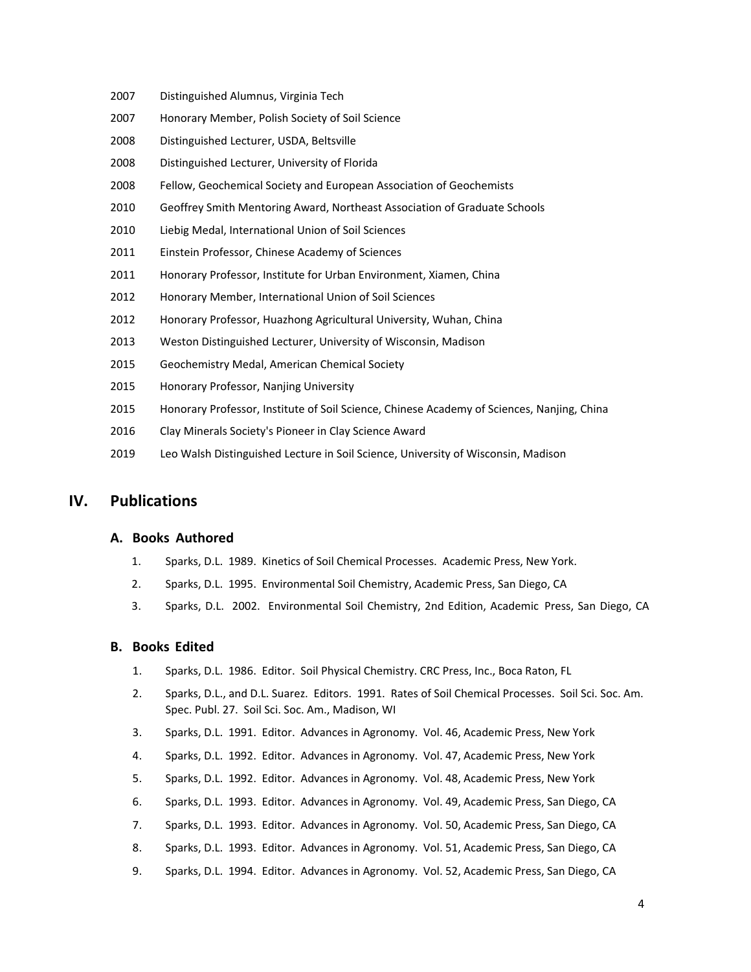- 2007 Distinguished Alumnus, Virginia Tech
- 2007 Honorary Member, Polish Society of Soil Science
- 2008 Distinguished Lecturer, USDA, Beltsville
- 2008 Distinguished Lecturer, University of Florida
- 2008 Fellow, Geochemical Society and European Association of Geochemists
- 2010 Geoffrey Smith Mentoring Award, Northeast Association of Graduate Schools
- 2010 Liebig Medal, International Union of Soil Sciences
- 2011 Einstein Professor, Chinese Academy of Sciences
- 2011 Honorary Professor, Institute for Urban Environment, Xiamen, China
- 2012 Honorary Member, International Union of Soil Sciences
- 2012 Honorary Professor, Huazhong Agricultural University, Wuhan, China
- 2013 Weston Distinguished Lecturer, University of Wisconsin, Madison
- 2015 Geochemistry Medal, American Chemical Society
- 2015 Honorary Professor, Nanjing University
- 2015 Honorary Professor, Institute of Soil Science, Chinese Academy of Sciences, Nanjing, China
- 2016 Clay Minerals Society's Pioneer in Clay Science Award
- 2019 Leo Walsh Distinguished Lecture in Soil Science, University of Wisconsin, Madison

## **IV. Publications**

#### **A. Books Authored**

- 1. Sparks, D.L. 1989. Kinetics of Soil Chemical Processes. Academic Press, New York.
- 2. Sparks, D.L. 1995. Environmental Soil Chemistry, Academic Press, San Diego, CA
- 3. Sparks, D.L. 2002. Environmental Soil Chemistry, 2nd Edition, Academic Press, San Diego, CA

#### **B. Books Edited**

- 1. Sparks, D.L. 1986. Editor. Soil Physical Chemistry. CRC Press, Inc., Boca Raton, FL
- 2. Sparks, D.L., and D.L. Suarez. Editors. 1991. Rates of Soil Chemical Processes. Soil Sci. Soc. Am. Spec. Publ. 27. Soil Sci. Soc. Am., Madison, WI
- 3. Sparks, D.L. 1991. Editor. Advances in Agronomy. Vol. 46, Academic Press, New York
- 4. Sparks, D.L. 1992. Editor. Advances in Agronomy. Vol. 47, Academic Press, New York
- 5. Sparks, D.L. 1992. Editor. Advances in Agronomy. Vol. 48, Academic Press, New York
- 6. Sparks, D.L. 1993. Editor. Advances in Agronomy. Vol. 49, Academic Press, San Diego, CA
- 7. Sparks, D.L. 1993. Editor. Advances in Agronomy. Vol. 50, Academic Press, San Diego, CA
- 8. Sparks, D.L. 1993. Editor. Advances in Agronomy. Vol. 51, Academic Press, San Diego, CA
- 9. Sparks, D.L. 1994. Editor. Advances in Agronomy. Vol. 52, Academic Press, San Diego, CA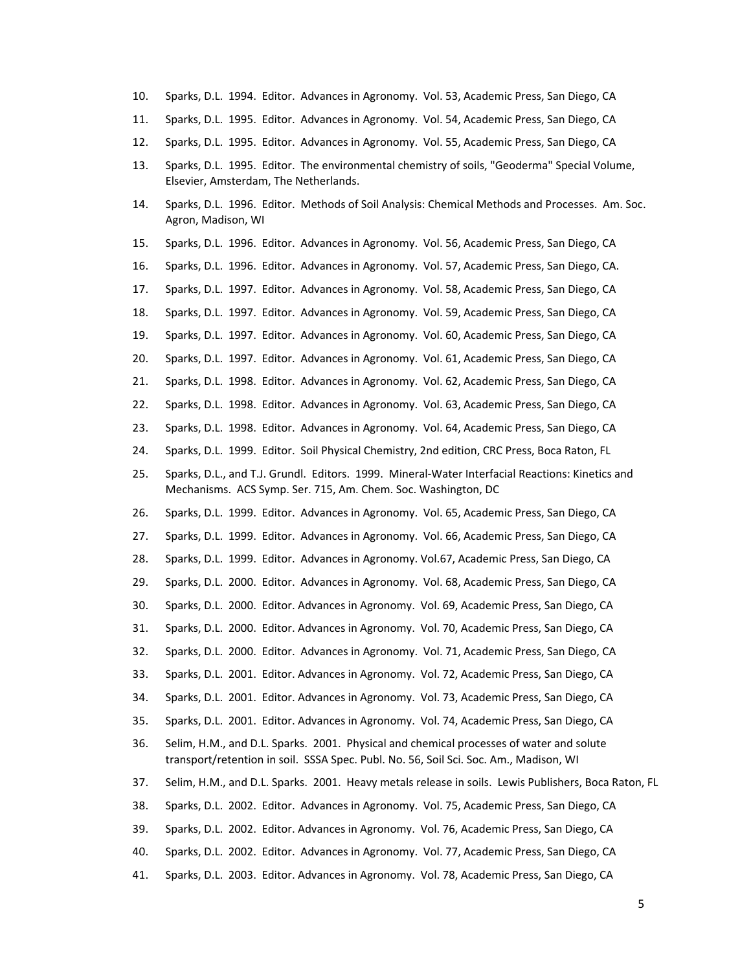- 10. Sparks, D.L. 1994. Editor. Advances in Agronomy. Vol. 53, Academic Press, San Diego, CA
- 11. Sparks, D.L. 1995. Editor. Advances in Agronomy. Vol. 54, Academic Press, San Diego, CA
- 12. Sparks, D.L. 1995. Editor. Advances in Agronomy. Vol. 55, Academic Press, San Diego, CA
- 13. Sparks, D.L. 1995. Editor. The environmental chemistry of soils, "Geoderma" Special Volume, Elsevier, Amsterdam, The Netherlands.
- 14. Sparks, D.L. 1996. Editor. Methods of Soil Analysis: Chemical Methods and Processes. Am. Soc. Agron, Madison, WI
- 15. Sparks, D.L. 1996. Editor. Advances in Agronomy. Vol. 56, Academic Press, San Diego, CA
- 16. Sparks, D.L. 1996. Editor. Advances in Agronomy. Vol. 57, Academic Press, San Diego, CA.
- 17. Sparks, D.L. 1997. Editor. Advances in Agronomy. Vol. 58, Academic Press, San Diego, CA
- 18. Sparks, D.L. 1997. Editor. Advances in Agronomy. Vol. 59, Academic Press, San Diego, CA
- 19. Sparks, D.L. 1997. Editor. Advances in Agronomy. Vol. 60, Academic Press, San Diego, CA
- 20. Sparks, D.L. 1997. Editor. Advances in Agronomy. Vol. 61, Academic Press, San Diego, CA
- 21. Sparks, D.L. 1998. Editor. Advances in Agronomy. Vol. 62, Academic Press, San Diego, CA
- 22. Sparks, D.L. 1998. Editor. Advances in Agronomy. Vol. 63, Academic Press, San Diego, CA
- 23. Sparks, D.L. 1998. Editor. Advances in Agronomy. Vol. 64, Academic Press, San Diego, CA
- 24. Sparks, D.L. 1999. Editor. Soil Physical Chemistry, 2nd edition, CRC Press, Boca Raton, FL
- 25. Sparks, D.L., and T.J. Grundl. Editors. 1999. Mineral‐Water Interfacial Reactions: Kinetics and Mechanisms. ACS Symp. Ser. 715, Am. Chem. Soc. Washington, DC
- 26. Sparks, D.L. 1999. Editor. Advances in Agronomy. Vol. 65, Academic Press, San Diego, CA
- 27. Sparks, D.L. 1999. Editor. Advances in Agronomy. Vol. 66, Academic Press, San Diego, CA
- 28. Sparks, D.L. 1999. Editor. Advances in Agronomy. Vol.67, Academic Press, San Diego, CA
- 29. Sparks, D.L. 2000. Editor. Advances in Agronomy. Vol. 68, Academic Press, San Diego, CA
- 30. Sparks, D.L. 2000. Editor. Advances in Agronomy. Vol. 69, Academic Press, San Diego, CA
- 31. Sparks, D.L. 2000. Editor. Advances in Agronomy. Vol. 70, Academic Press, San Diego, CA
- 32. Sparks, D.L. 2000. Editor. Advances in Agronomy. Vol. 71, Academic Press, San Diego, CA
- 33. Sparks, D.L. 2001. Editor. Advances in Agronomy. Vol. 72, Academic Press, San Diego, CA
- 34. Sparks, D.L. 2001. Editor. Advances in Agronomy. Vol. 73, Academic Press, San Diego, CA
- 35. Sparks, D.L. 2001. Editor. Advances in Agronomy. Vol. 74, Academic Press, San Diego, CA
- 36. Selim, H.M., and D.L. Sparks. 2001. Physical and chemical processes of water and solute transport/retention in soil. SSSA Spec. Publ. No. 56, Soil Sci. Soc. Am., Madison, WI
- 37. Selim, H.M., and D.L. Sparks. 2001. Heavy metals release in soils. Lewis Publishers, Boca Raton, FL
- 38. Sparks, D.L. 2002. Editor. Advances in Agronomy. Vol. 75, Academic Press, San Diego, CA
- 39. Sparks, D.L. 2002. Editor. Advances in Agronomy. Vol. 76, Academic Press, San Diego, CA
- 40. Sparks, D.L. 2002. Editor. Advances in Agronomy. Vol. 77, Academic Press, San Diego, CA
- 41. Sparks, D.L. 2003. Editor. Advances in Agronomy. Vol. 78, Academic Press, San Diego, CA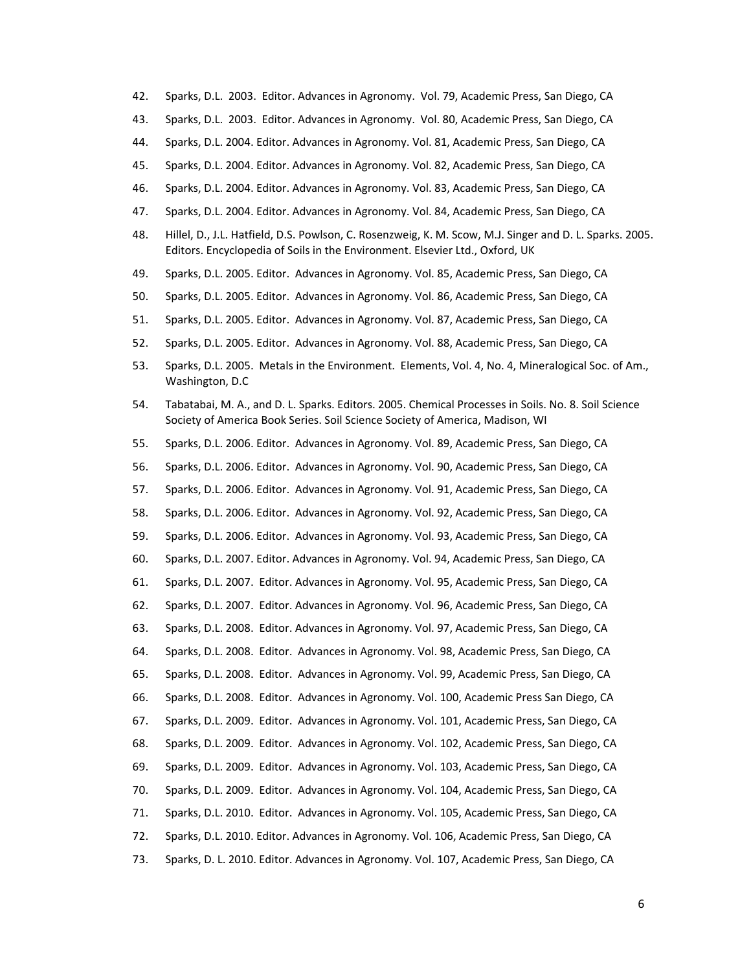- 42. Sparks, D.L. 2003. Editor. Advances in Agronomy. Vol. 79, Academic Press, San Diego, CA
- 43. Sparks, D.L. 2003. Editor. Advances in Agronomy. Vol. 80, Academic Press, San Diego, CA
- 44. Sparks, D.L. 2004. Editor. Advances in Agronomy. Vol. 81, Academic Press, San Diego, CA
- 45. Sparks, D.L. 2004. Editor. Advances in Agronomy. Vol. 82, Academic Press, San Diego, CA
- 46. Sparks, D.L. 2004. Editor. Advances in Agronomy. Vol. 83, Academic Press, San Diego, CA
- 47. Sparks, D.L. 2004. Editor. Advances in Agronomy. Vol. 84, Academic Press, San Diego, CA
- 48. Hillel, D., J.L. Hatfield, D.S. Powlson, C. Rosenzweig, K. M. Scow, M.J. Singer and D. L. Sparks. 2005. Editors. Encyclopedia of Soils in the Environment. Elsevier Ltd., Oxford, UK
- 49. Sparks, D.L. 2005. Editor. Advances in Agronomy. Vol. 85, Academic Press, San Diego, CA
- 50. Sparks, D.L. 2005. Editor. Advances in Agronomy. Vol. 86, Academic Press, San Diego, CA
- 51. Sparks, D.L. 2005. Editor. Advances in Agronomy. Vol. 87, Academic Press, San Diego, CA
- 52. Sparks, D.L. 2005. Editor. Advances in Agronomy. Vol. 88, Academic Press, San Diego, CA
- 53. Sparks, D.L. 2005. Metals in the Environment. Elements, Vol. 4, No. 4, Mineralogical Soc. of Am., Washington, D.C
- 54. Tabatabai, M. A., and D. L. Sparks. Editors. 2005. Chemical Processes in Soils. No. 8. Soil Science Society of America Book Series. Soil Science Society of America, Madison, WI
- 55. Sparks, D.L. 2006. Editor. Advances in Agronomy. Vol. 89, Academic Press, San Diego, CA
- 56. Sparks, D.L. 2006. Editor. Advances in Agronomy. Vol. 90, Academic Press, San Diego, CA
- 57. Sparks, D.L. 2006. Editor. Advances in Agronomy. Vol. 91, Academic Press, San Diego, CA
- 58. Sparks, D.L. 2006. Editor. Advances in Agronomy. Vol. 92, Academic Press, San Diego, CA
- 59. Sparks, D.L. 2006. Editor. Advances in Agronomy. Vol. 93, Academic Press, San Diego, CA
- 60. Sparks, D.L. 2007. Editor. Advances in Agronomy. Vol. 94, Academic Press, San Diego, CA
- 61. Sparks, D.L. 2007. Editor. Advances in Agronomy. Vol. 95, Academic Press, San Diego, CA
- 62. Sparks, D.L. 2007. Editor. Advances in Agronomy. Vol. 96, Academic Press, San Diego, CA
- 63. Sparks, D.L. 2008. Editor. Advances in Agronomy. Vol. 97, Academic Press, San Diego, CA
- 64. Sparks, D.L. 2008. Editor. Advances in Agronomy. Vol. 98, Academic Press, San Diego, CA
- 65. Sparks, D.L. 2008. Editor. Advances in Agronomy. Vol. 99, Academic Press, San Diego, CA
- 66. Sparks, D.L. 2008. Editor. Advances in Agronomy. Vol. 100, Academic Press San Diego, CA
- 67. Sparks, D.L. 2009. Editor. Advances in Agronomy. Vol. 101, Academic Press, San Diego, CA
- 68. Sparks, D.L. 2009. Editor. Advances in Agronomy. Vol. 102, Academic Press, San Diego, CA
- 69. Sparks, D.L. 2009. Editor. Advances in Agronomy. Vol. 103, Academic Press, San Diego, CA
- 70. Sparks, D.L. 2009. Editor. Advances in Agronomy. Vol. 104, Academic Press, San Diego, CA
- 71. Sparks, D.L. 2010. Editor. Advances in Agronomy. Vol. 105, Academic Press, San Diego, CA
- 72. Sparks, D.L. 2010. Editor. Advances in Agronomy. Vol. 106, Academic Press, San Diego, CA
- 73. Sparks, D. L. 2010. Editor. Advances in Agronomy. Vol. 107, Academic Press, San Diego, CA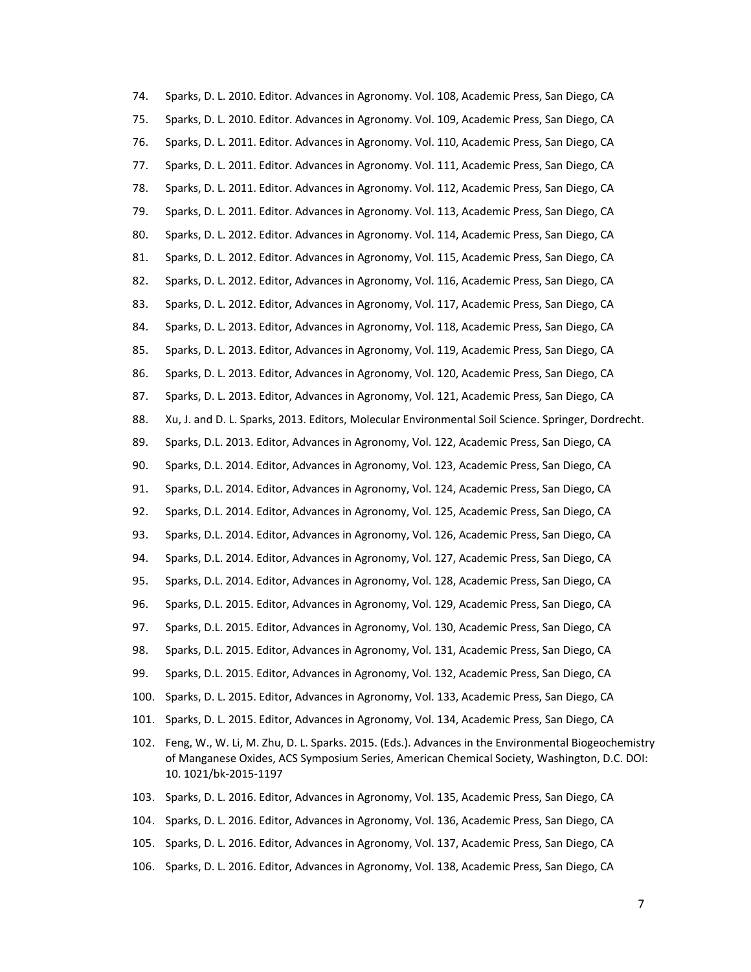74. Sparks, D. L. 2010. Editor. Advances in Agronomy. Vol. 108, Academic Press, San Diego, CA 75. Sparks, D. L. 2010. Editor. Advances in Agronomy. Vol. 109, Academic Press, San Diego, CA 76. Sparks, D. L. 2011. Editor. Advances in Agronomy. Vol. 110, Academic Press, San Diego, CA 77. Sparks, D. L. 2011. Editor. Advances in Agronomy. Vol. 111, Academic Press, San Diego, CA 78. Sparks, D. L. 2011. Editor. Advances in Agronomy. Vol. 112, Academic Press, San Diego, CA 79. Sparks, D. L. 2011. Editor. Advances in Agronomy. Vol. 113, Academic Press, San Diego, CA 80. Sparks, D. L. 2012. Editor. Advances in Agronomy. Vol. 114, Academic Press, San Diego, CA 81. Sparks, D. L. 2012. Editor. Advances in Agronomy, Vol. 115, Academic Press, San Diego, CA 82. Sparks, D. L. 2012. Editor, Advances in Agronomy, Vol. 116, Academic Press, San Diego, CA 83. Sparks, D. L. 2012. Editor, Advances in Agronomy, Vol. 117, Academic Press, San Diego, CA 84. Sparks, D. L. 2013. Editor, Advances in Agronomy, Vol. 118, Academic Press, San Diego, CA 85. Sparks, D. L. 2013. Editor, Advances in Agronomy, Vol. 119, Academic Press, San Diego, CA 86. Sparks, D. L. 2013. Editor, Advances in Agronomy, Vol. 120, Academic Press, San Diego, CA 87. Sparks, D. L. 2013. Editor, Advances in Agronomy, Vol. 121, Academic Press, San Diego, CA 88. Xu, J. and D. L. Sparks, 2013. Editors, Molecular Environmental Soil Science. Springer, Dordrecht. 89. Sparks, D.L. 2013. Editor, Advances in Agronomy, Vol. 122, Academic Press, San Diego, CA 90. Sparks, D.L. 2014. Editor, Advances in Agronomy, Vol. 123, Academic Press, San Diego, CA 91. Sparks, D.L. 2014. Editor, Advances in Agronomy, Vol. 124, Academic Press, San Diego, CA 92. Sparks, D.L. 2014. Editor, Advances in Agronomy, Vol. 125, Academic Press, San Diego, CA 93. Sparks, D.L. 2014. Editor, Advances in Agronomy, Vol. 126, Academic Press, San Diego, CA 94. Sparks, D.L. 2014. Editor, Advances in Agronomy, Vol. 127, Academic Press, San Diego, CA 95. Sparks, D.L. 2014. Editor, Advances in Agronomy, Vol. 128, Academic Press, San Diego, CA 96. Sparks, D.L. 2015. Editor, Advances in Agronomy, Vol. 129, Academic Press, San Diego, CA 97. Sparks, D.L. 2015. Editor, Advances in Agronomy, Vol. 130, Academic Press, San Diego, CA 98. Sparks, D.L. 2015. Editor, Advances in Agronomy, Vol. 131, Academic Press, San Diego, CA 99. Sparks, D.L. 2015. Editor, Advances in Agronomy, Vol. 132, Academic Press, San Diego, CA 100. Sparks, D. L. 2015. Editor, Advances in Agronomy, Vol. 133, Academic Press, San Diego, CA 101. Sparks, D. L. 2015. Editor, Advances in Agronomy, Vol. 134, Academic Press, San Diego, CA 102. Feng, W., W. Li, M. Zhu, D. L. Sparks. 2015. (Eds.). Advances in the Environmental Biogeochemistry of Manganese Oxides, ACS Symposium Series, American Chemical Society, Washington, D.C. DOI: 10. 1021/bk‐2015‐1197 103. Sparks, D. L. 2016. Editor, Advances in Agronomy, Vol. 135, Academic Press, San Diego, CA 104. Sparks, D. L. 2016. Editor, Advances in Agronomy, Vol. 136, Academic Press, San Diego, CA 105. Sparks, D. L. 2016. Editor, Advances in Agronomy, Vol. 137, Academic Press, San Diego, CA

106. Sparks, D. L. 2016. Editor, Advances in Agronomy, Vol. 138, Academic Press, San Diego, CA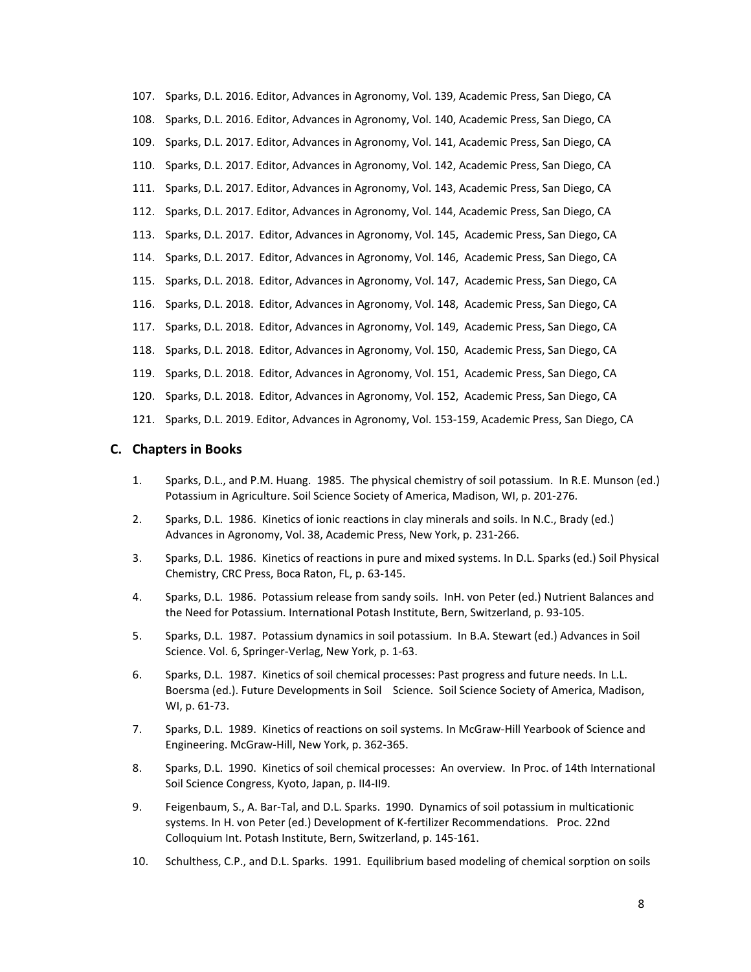107. Sparks, D.L. 2016. Editor, Advances in Agronomy, Vol. 139, Academic Press, San Diego, CA 108. Sparks, D.L. 2016. Editor, Advances in Agronomy, Vol. 140, Academic Press, San Diego, CA 109. Sparks, D.L. 2017. Editor, Advances in Agronomy, Vol. 141, Academic Press, San Diego, CA 110. Sparks, D.L. 2017. Editor, Advances in Agronomy, Vol. 142, Academic Press, San Diego, CA 111. Sparks, D.L. 2017. Editor, Advances in Agronomy, Vol. 143, Academic Press, San Diego, CA 112. Sparks, D.L. 2017. Editor, Advances in Agronomy, Vol. 144, Academic Press, San Diego, CA 113. Sparks, D.L. 2017. Editor, Advances in Agronomy, Vol. 145, Academic Press, San Diego, CA 114. Sparks, D.L. 2017. Editor, Advances in Agronomy, Vol. 146, Academic Press, San Diego, CA 115. Sparks, D.L. 2018. Editor, Advances in Agronomy, Vol. 147, Academic Press, San Diego, CA 116. Sparks, D.L. 2018. Editor, Advances in Agronomy, Vol. 148, Academic Press, San Diego, CA 117. Sparks, D.L. 2018. Editor, Advances in Agronomy, Vol. 149, Academic Press, San Diego, CA 118. Sparks, D.L. 2018. Editor, Advances in Agronomy, Vol. 150, Academic Press, San Diego, CA 119. Sparks, D.L. 2018. Editor, Advances in Agronomy, Vol. 151, Academic Press, San Diego, CA 120. Sparks, D.L. 2018. Editor, Advances in Agronomy, Vol. 152, Academic Press, San Diego, CA 121. Sparks, D.L. 2019. Editor, Advances in Agronomy, Vol. 153‐159, Academic Press, San Diego, CA

## **C. Chapters in Books**

- 1. Sparks, D.L., and P.M. Huang. 1985. The physical chemistry of soil potassium. In R.E. Munson (ed.) Potassium in Agriculture. Soil Science Society of America, Madison, WI, p. 201‐276.
- 2. Sparks, D.L. 1986. Kinetics of ionic reactions in clay minerals and soils. In N.C., Brady (ed.) Advances in Agronomy, Vol. 38, Academic Press, New York, p. 231‐266.
- 3. Sparks, D.L. 1986. Kinetics of reactions in pure and mixed systems. In D.L. Sparks (ed.) Soil Physical Chemistry, CRC Press, Boca Raton, FL, p. 63‐145.
- 4. Sparks, D.L. 1986. Potassium release from sandy soils. InH. von Peter (ed.) Nutrient Balances and the Need for Potassium. International Potash Institute, Bern, Switzerland, p. 93‐105.
- 5. Sparks, D.L. 1987. Potassium dynamics in soil potassium. In B.A. Stewart (ed.) Advances in Soil Science. Vol. 6, Springer‐Verlag, New York, p. 1‐63.
- 6. Sparks, D.L. 1987. Kinetics of soil chemical processes: Past progress and future needs. In L.L. Boersma (ed.). Future Developments in Soil Science. Soil Science Society of America, Madison, WI, p. 61‐73.
- 7. Sparks, D.L. 1989. Kinetics of reactions on soil systems. In McGraw‐Hill Yearbook of Science and Engineering. McGraw‐Hill, New York, p. 362‐365.
- 8. Sparks, D.L. 1990. Kinetics of soil chemical processes: An overview. In Proc. of 14th International Soil Science Congress, Kyoto, Japan, p. II4‐II9.
- 9. Feigenbaum, S., A. Bar‐Tal, and D.L. Sparks. 1990. Dynamics of soil potassium in multicationic systems. In H. von Peter (ed.) Development of K-fertilizer Recommendations. Proc. 22nd Colloquium Int. Potash Institute, Bern, Switzerland, p. 145‐161.
- 10. Schulthess, C.P., and D.L. Sparks. 1991. Equilibrium based modeling of chemical sorption on soils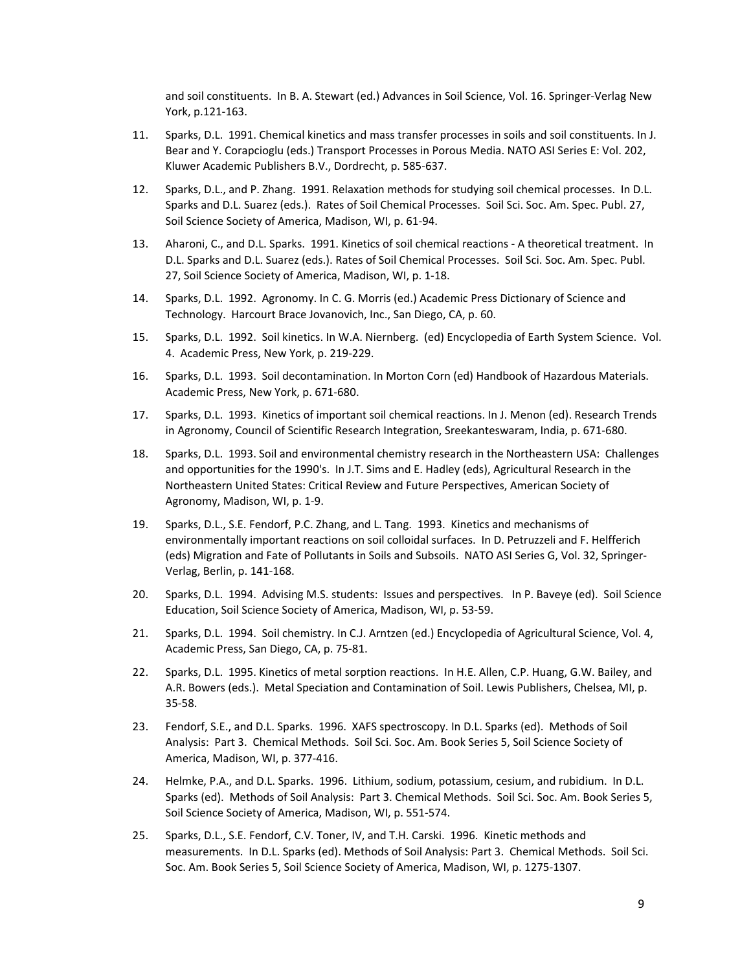and soil constituents. In B. A. Stewart (ed.) Advances in Soil Science, Vol. 16. Springer‐Verlag New York, p.121‐163.

- 11. Sparks, D.L. 1991. Chemical kinetics and mass transfer processes in soils and soil constituents. In J. Bear and Y. Corapcioglu (eds.) Transport Processes in Porous Media. NATO ASI Series E: Vol. 202, Kluwer Academic Publishers B.V., Dordrecht, p. 585‐637.
- 12. Sparks, D.L., and P. Zhang. 1991. Relaxation methods for studying soil chemical processes. In D.L. Sparks and D.L. Suarez (eds.). Rates of Soil Chemical Processes. Soil Sci. Soc. Am. Spec. Publ. 27, Soil Science Society of America, Madison, WI, p. 61‐94.
- 13. Aharoni, C., and D.L. Sparks. 1991. Kinetics of soil chemical reactions ‐ A theoretical treatment. In D.L. Sparks and D.L. Suarez (eds.). Rates of Soil Chemical Processes. Soil Sci. Soc. Am. Spec. Publ. 27, Soil Science Society of America, Madison, WI, p. 1‐18.
- 14. Sparks, D.L. 1992. Agronomy. In C. G. Morris (ed.) Academic Press Dictionary of Science and Technology. Harcourt Brace Jovanovich, Inc., San Diego, CA, p. 60.
- 15. Sparks, D.L. 1992. Soil kinetics. In W.A. Niernberg. (ed) Encyclopedia of Earth System Science. Vol. 4. Academic Press, New York, p. 219‐229.
- 16. Sparks, D.L. 1993. Soil decontamination. In Morton Corn (ed) Handbook of Hazardous Materials. Academic Press, New York, p. 671‐680.
- 17. Sparks, D.L. 1993. Kinetics of important soil chemical reactions. In J. Menon (ed). Research Trends in Agronomy, Council of Scientific Research Integration, Sreekanteswaram, India, p. 671‐680.
- 18. Sparks, D.L. 1993. Soil and environmental chemistry research in the Northeastern USA: Challenges and opportunities for the 1990's. In J.T. Sims and E. Hadley (eds), Agricultural Research in the Northeastern United States: Critical Review and Future Perspectives, American Society of Agronomy, Madison, WI, p. 1‐9.
- 19. Sparks, D.L., S.E. Fendorf, P.C. Zhang, and L. Tang. 1993. Kinetics and mechanisms of environmentally important reactions on soil colloidal surfaces. In D. Petruzzeli and F. Helfferich (eds) Migration and Fate of Pollutants in Soils and Subsoils. NATO ASI Series G, Vol. 32, Springer‐ Verlag, Berlin, p. 141‐168.
- 20. Sparks, D.L. 1994. Advising M.S. students: Issues and perspectives. In P. Baveye (ed). Soil Science Education, Soil Science Society of America, Madison, WI, p. 53‐59.
- 21. Sparks, D.L. 1994. Soil chemistry. In C.J. Arntzen (ed.) Encyclopedia of Agricultural Science, Vol. 4, Academic Press, San Diego, CA, p. 75‐81.
- 22. Sparks, D.L. 1995. Kinetics of metal sorption reactions. In H.E. Allen, C.P. Huang, G.W. Bailey, and A.R. Bowers (eds.). Metal Speciation and Contamination of Soil. Lewis Publishers, Chelsea, MI, p. 35‐58.
- 23. Fendorf, S.E., and D.L. Sparks. 1996. XAFS spectroscopy. In D.L. Sparks (ed). Methods of Soil Analysis: Part 3. Chemical Methods. Soil Sci. Soc. Am. Book Series 5, Soil Science Society of America, Madison, WI, p. 377‐416.
- 24. Helmke, P.A., and D.L. Sparks. 1996. Lithium, sodium, potassium, cesium, and rubidium. In D.L. Sparks (ed). Methods of Soil Analysis: Part 3. Chemical Methods. Soil Sci. Soc. Am. Book Series 5, Soil Science Society of America, Madison, WI, p. 551‐574.
- 25. Sparks, D.L., S.E. Fendorf, C.V. Toner, IV, and T.H. Carski. 1996. Kinetic methods and measurements. In D.L. Sparks (ed). Methods of Soil Analysis: Part 3. Chemical Methods. Soil Sci. Soc. Am. Book Series 5, Soil Science Society of America, Madison, WI, p. 1275‐1307.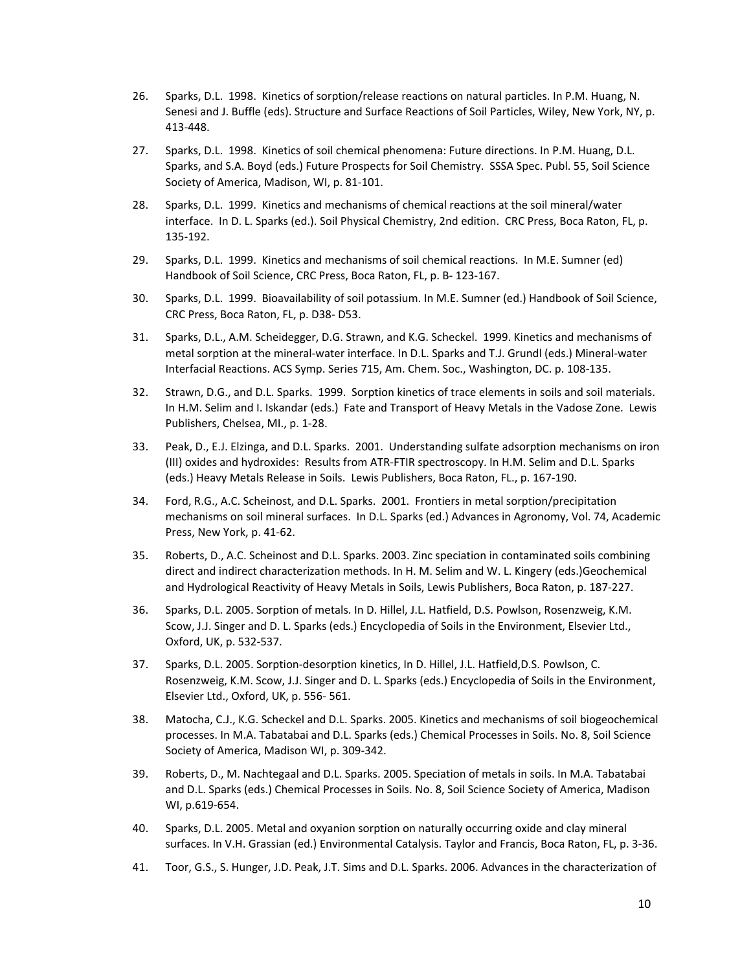- 26. Sparks, D.L. 1998. Kinetics of sorption/release reactions on natural particles. In P.M. Huang, N. Senesi and J. Buffle (eds). Structure and Surface Reactions of Soil Particles, Wiley, New York, NY, p. 413‐448.
- 27. Sparks, D.L. 1998. Kinetics of soil chemical phenomena: Future directions. In P.M. Huang, D.L. Sparks, and S.A. Boyd (eds.) Future Prospects for Soil Chemistry. SSSA Spec. Publ. 55, Soil Science Society of America, Madison, WI, p. 81‐101.
- 28. Sparks, D.L. 1999. Kinetics and mechanisms of chemical reactions at the soil mineral/water interface. In D. L. Sparks (ed.). Soil Physical Chemistry, 2nd edition. CRC Press, Boca Raton, FL, p. 135‐192.
- 29. Sparks, D.L. 1999. Kinetics and mechanisms of soil chemical reactions. In M.E. Sumner (ed) Handbook of Soil Science, CRC Press, Boca Raton, FL, p. B‐ 123‐167.
- 30. Sparks, D.L. 1999. Bioavailability of soil potassium. In M.E. Sumner (ed.) Handbook of Soil Science, CRC Press, Boca Raton, FL, p. D38‐ D53.
- 31. Sparks, D.L., A.M. Scheidegger, D.G. Strawn, and K.G. Scheckel. 1999. Kinetics and mechanisms of metal sorption at the mineral‐water interface. In D.L. Sparks and T.J. Grundl (eds.) Mineral‐water Interfacial Reactions. ACS Symp. Series 715, Am. Chem. Soc., Washington, DC. p. 108‐135.
- 32. Strawn, D.G., and D.L. Sparks. 1999. Sorption kinetics of trace elements in soils and soil materials. In H.M. Selim and I. Iskandar (eds.) Fate and Transport of Heavy Metals in the Vadose Zone. Lewis Publishers, Chelsea, MI., p. 1‐28.
- 33. Peak, D., E.J. Elzinga, and D.L. Sparks. 2001. Understanding sulfate adsorption mechanisms on iron (III) oxides and hydroxides: Results from ATR‐FTIR spectroscopy. In H.M. Selim and D.L. Sparks (eds.) Heavy Metals Release in Soils. Lewis Publishers, Boca Raton, FL., p. 167‐190.
- 34. Ford, R.G., A.C. Scheinost, and D.L. Sparks. 2001. Frontiers in metal sorption/precipitation mechanisms on soil mineral surfaces. In D.L. Sparks (ed.) Advances in Agronomy, Vol. 74, Academic Press, New York, p. 41‐62.
- 35. Roberts, D., A.C. Scheinost and D.L. Sparks. 2003. Zinc speciation in contaminated soils combining direct and indirect characterization methods. In H. M. Selim and W. L. Kingery (eds.)Geochemical and Hydrological Reactivity of Heavy Metals in Soils, Lewis Publishers, Boca Raton, p. 187‐227.
- 36. Sparks, D.L. 2005. Sorption of metals. In D. Hillel, J.L. Hatfield, D.S. Powlson, Rosenzweig, K.M. Scow, J.J. Singer and D. L. Sparks (eds.) Encyclopedia of Soils in the Environment, Elsevier Ltd., Oxford, UK, p. 532‐537.
- 37. Sparks, D.L. 2005. Sorption‐desorption kinetics, In D. Hillel, J.L. Hatfield,D.S. Powlson, C. Rosenzweig, K.M. Scow, J.J. Singer and D. L. Sparks (eds.) Encyclopedia of Soils in the Environment, Elsevier Ltd., Oxford, UK, p. 556‐ 561.
- 38. Matocha, C.J., K.G. Scheckel and D.L. Sparks. 2005. Kinetics and mechanisms of soil biogeochemical processes. In M.A. Tabatabai and D.L. Sparks (eds.) Chemical Processes in Soils. No. 8, Soil Science Society of America, Madison WI, p. 309‐342.
- 39. Roberts, D., M. Nachtegaal and D.L. Sparks. 2005. Speciation of metals in soils. In M.A. Tabatabai and D.L. Sparks (eds.) Chemical Processes in Soils. No. 8, Soil Science Society of America, Madison WI, p.619‐654.
- 40. Sparks, D.L. 2005. Metal and oxyanion sorption on naturally occurring oxide and clay mineral surfaces. In V.H. Grassian (ed.) Environmental Catalysis. Taylor and Francis, Boca Raton, FL, p. 3‐36.
- 41. Toor, G.S., S. Hunger, J.D. Peak, J.T. Sims and D.L. Sparks. 2006. Advances in the characterization of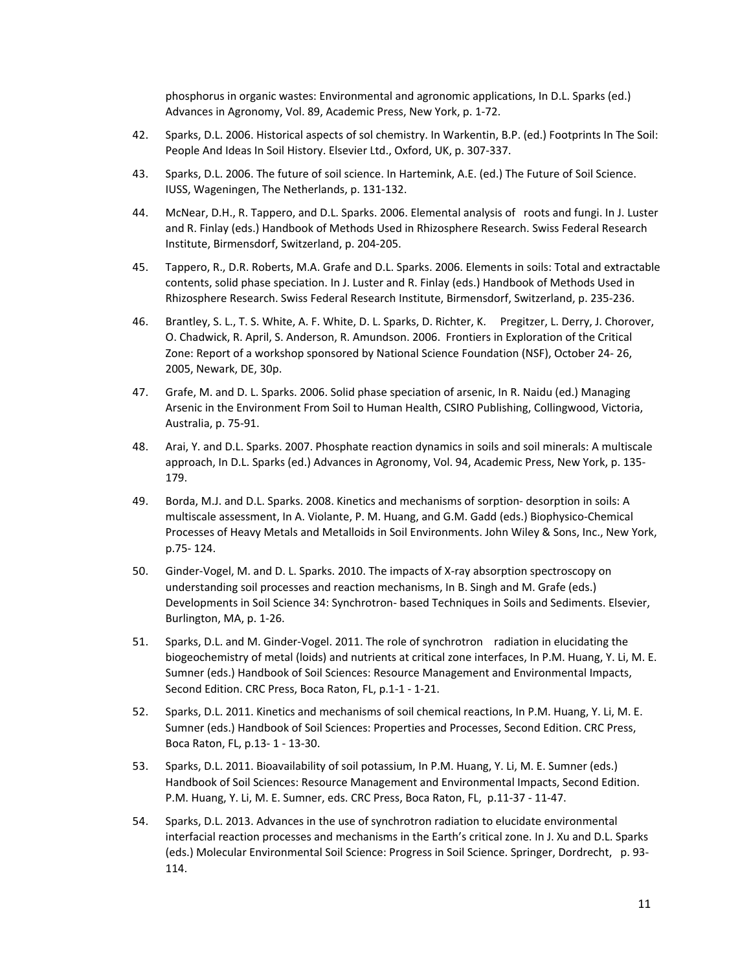phosphorus in organic wastes: Environmental and agronomic applications, In D.L. Sparks (ed.) Advances in Agronomy, Vol. 89, Academic Press, New York, p. 1‐72.

- 42. Sparks, D.L. 2006. Historical aspects of sol chemistry. In Warkentin, B.P. (ed.) Footprints In The Soil: People And Ideas In Soil History. Elsevier Ltd., Oxford, UK, p. 307‐337.
- 43. Sparks, D.L. 2006. The future of soil science. In Hartemink, A.E. (ed.) The Future of Soil Science. IUSS, Wageningen, The Netherlands, p. 131‐132.
- 44. McNear, D.H., R. Tappero, and D.L. Sparks. 2006. Elemental analysis of roots and fungi. In J. Luster and R. Finlay (eds.) Handbook of Methods Used in Rhizosphere Research. Swiss Federal Research Institute, Birmensdorf, Switzerland, p. 204‐205.
- 45. Tappero, R., D.R. Roberts, M.A. Grafe and D.L. Sparks. 2006. Elements in soils: Total and extractable contents, solid phase speciation. In J. Luster and R. Finlay (eds.) Handbook of Methods Used in Rhizosphere Research. Swiss Federal Research Institute, Birmensdorf, Switzerland, p. 235‐236.
- 46. Brantley, S. L., T. S. White, A. F. White, D. L. Sparks, D. Richter, K. Pregitzer, L. Derry, J. Chorover, O. Chadwick, R. April, S. Anderson, R. Amundson. 2006. Frontiers in Exploration of the Critical Zone: Report of a workshop sponsored by National Science Foundation (NSF), October 24‐ 26, 2005, Newark, DE, 30p.
- 47. Grafe, M. and D. L. Sparks. 2006. Solid phase speciation of arsenic, In R. Naidu (ed.) Managing Arsenic in the Environment From Soil to Human Health, CSIRO Publishing, Collingwood, Victoria, Australia, p. 75‐91.
- 48. Arai, Y. and D.L. Sparks. 2007. Phosphate reaction dynamics in soils and soil minerals: A multiscale approach, In D.L. Sparks (ed.) Advances in Agronomy, Vol. 94, Academic Press, New York, p. 135‐ 179.
- 49. Borda, M.J. and D.L. Sparks. 2008. Kinetics and mechanisms of sorption‐ desorption in soils: A multiscale assessment, In A. Violante, P. M. Huang, and G.M. Gadd (eds.) Biophysico‐Chemical Processes of Heavy Metals and Metalloids in Soil Environments. John Wiley & Sons, Inc., New York, p.75‐ 124.
- 50. Ginder-Vogel, M. and D. L. Sparks. 2010. The impacts of X-ray absorption spectroscopy on understanding soil processes and reaction mechanisms, In B. Singh and M. Grafe (eds.) Developments in Soil Science 34: Synchrotron‐ based Techniques in Soils and Sediments. Elsevier, Burlington, MA, p. 1‐26.
- 51. Sparks, D.L. and M. Ginder-Vogel. 2011. The role of synchrotron radiation in elucidating the biogeochemistry of metal (loids) and nutrients at critical zone interfaces, In P.M. Huang, Y. Li, M. E. Sumner (eds.) Handbook of Soil Sciences: Resource Management and Environmental Impacts, Second Edition. CRC Press, Boca Raton, FL, p.1‐1 ‐ 1‐21.
- 52. Sparks, D.L. 2011. Kinetics and mechanisms of soil chemical reactions, In P.M. Huang, Y. Li, M. E. Sumner (eds.) Handbook of Soil Sciences: Properties and Processes, Second Edition. CRC Press, Boca Raton, FL, p.13‐ 1 ‐ 13‐30.
- 53. Sparks, D.L. 2011. Bioavailability of soil potassium, In P.M. Huang, Y. Li, M. E. Sumner (eds.) Handbook of Soil Sciences: Resource Management and Environmental Impacts, Second Edition. P.M. Huang, Y. Li, M. E. Sumner, eds. CRC Press, Boca Raton, FL, p.11‐37 ‐ 11‐47.
- 54. Sparks, D.L. 2013. Advances in the use of synchrotron radiation to elucidate environmental interfacial reaction processes and mechanisms in the Earth's critical zone. In J. Xu and D.L. Sparks (eds.) Molecular Environmental Soil Science: Progress in Soil Science. Springer, Dordrecht, p. 93‐ 114.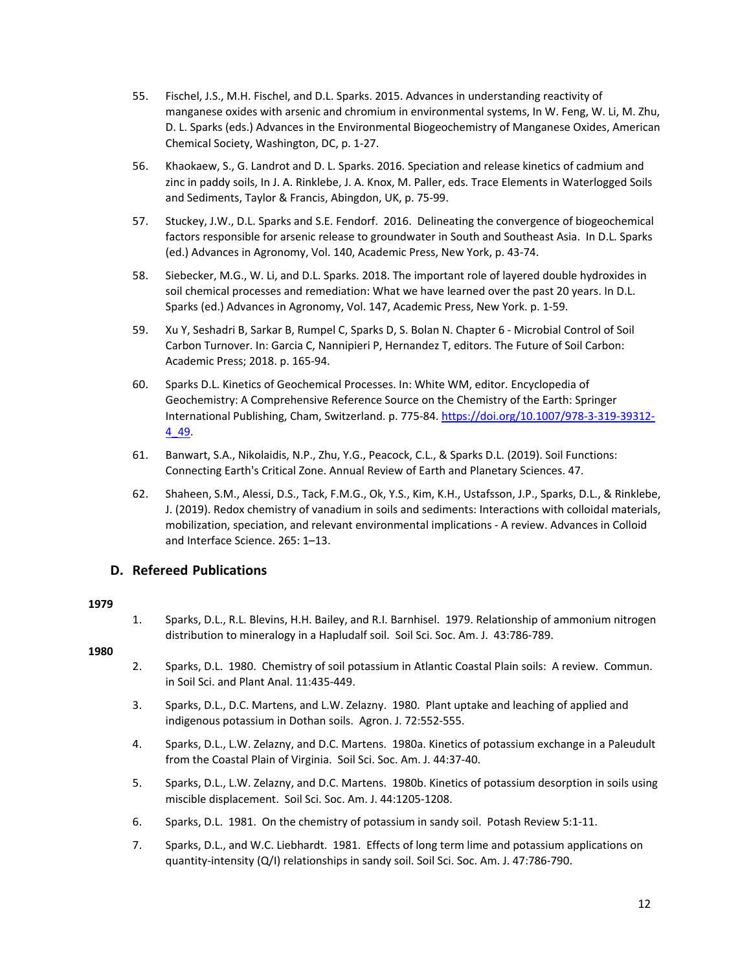- 55. Fischel, J.S., M.H. Fischel, and D.L. Sparks. 2015. Advances in understanding reactivity of manganese oxides with arsenic and chromium in environmental systems, In W. Feng, W. Li, M. Zhu, D. L. Sparks (eds.) Advances in the Environmental Biogeochemistry of Manganese Oxides, American Chemical Society, Washington, DC, p. 1‐27.
- 56. Khaokaew, S., G. Landrot and D. L. Sparks. 2016. Speciation and release kinetics of cadmium and zinc in paddy soils, In J. A. Rinklebe, J. A. Knox, M. Paller, eds. Trace Elements in Waterlogged Soils and Sediments, Taylor & Francis, Abingdon, UK, p. 75‐99.
- 57. Stuckey, J.W., D.L. Sparks and S.E. Fendorf. 2016. Delineating the convergence of biogeochemical factors responsible for arsenic release to groundwater in South and Southeast Asia. In D.L. Sparks (ed.) Advances in Agronomy, Vol. 140, Academic Press, New York, p. 43‐74.
- 58. Siebecker, M.G., W. Li, and D.L. Sparks. 2018. The important role of layered double hydroxides in soil chemical processes and remediation: What we have learned over the past 20 years. In D.L. Sparks (ed.) Advances in Agronomy, Vol. 147, Academic Press, New York. p. 1‐59.
- 59. Xu Y, Seshadri B, Sarkar B, Rumpel C, Sparks D, S. Bolan N. Chapter 6 ‐ Microbial Control of Soil Carbon Turnover. In: Garcia C, Nannipieri P, Hernandez T, editors. The Future of Soil Carbon: Academic Press; 2018. p. 165‐94.
- 60. Sparks D.L. Kinetics of Geochemical Processes. In: White WM, editor. Encyclopedia of Geochemistry: A Comprehensive Reference Source on the Chemistry of the Earth: Springer International Publishing, Cham, Switzerland. p. 775‐84. https://doi.org/10.1007/978‐3‐319‐39312‐ 4\_49.
- 61. Banwart, S.A., Nikolaidis, N.P., Zhu, Y.G., Peacock, C.L., & Sparks D.L. (2019). Soil Functions: Connecting Earth's Critical Zone. Annual Review of Earth and Planetary Sciences. 47.
- 62. Shaheen, S.M., Alessi, D.S., Tack, F.M.G., Ok, Y.S., Kim, K.H., Ustafsson, J.P., Sparks, D.L., & Rinklebe, J. (2019). Redox chemistry of vanadium in soils and sediments: Interactions with colloidal materials, mobilization, speciation, and relevant environmental implications ‐ A review. Advances in Colloid and Interface Science. 265: 1–13.

## **D. Refereed Publications**

## **1979**

1. Sparks, D.L., R.L. Blevins, H.H. Bailey, and R.I. Barnhisel. 1979. Relationship of ammonium nitrogen distribution to mineralogy in a Hapludalf soil. Soil Sci. Soc. Am. J. 43:786-789.

- 2. Sparks, D.L. 1980. Chemistry of soil potassium in Atlantic Coastal Plain soils: A review. Commun. in Soil Sci. and Plant Anal. 11:435‐449.
- 3. Sparks, D.L., D.C. Martens, and L.W. Zelazny. 1980. Plant uptake and leaching of applied and indigenous potassium in Dothan soils. Agron. J. 72:552‐555.
- 4. Sparks, D.L., L.W. Zelazny, and D.C. Martens. 1980a. Kinetics of potassium exchange in a Paleudult from the Coastal Plain of Virginia. Soil Sci. Soc. Am. J. 44:37‐40.
- 5. Sparks, D.L., L.W. Zelazny, and D.C. Martens. 1980b. Kinetics of potassium desorption in soils using miscible displacement. Soil Sci. Soc. Am. J. 44:1205‐1208.
- 6. Sparks, D.L. 1981. On the chemistry of potassium in sandy soil. Potash Review 5:1‐11.
- 7. Sparks, D.L., and W.C. Liebhardt. 1981. Effects of long term lime and potassium applications on quantity‐intensity (Q/I) relationships in sandy soil. Soil Sci. Soc. Am. J. 47:786‐790.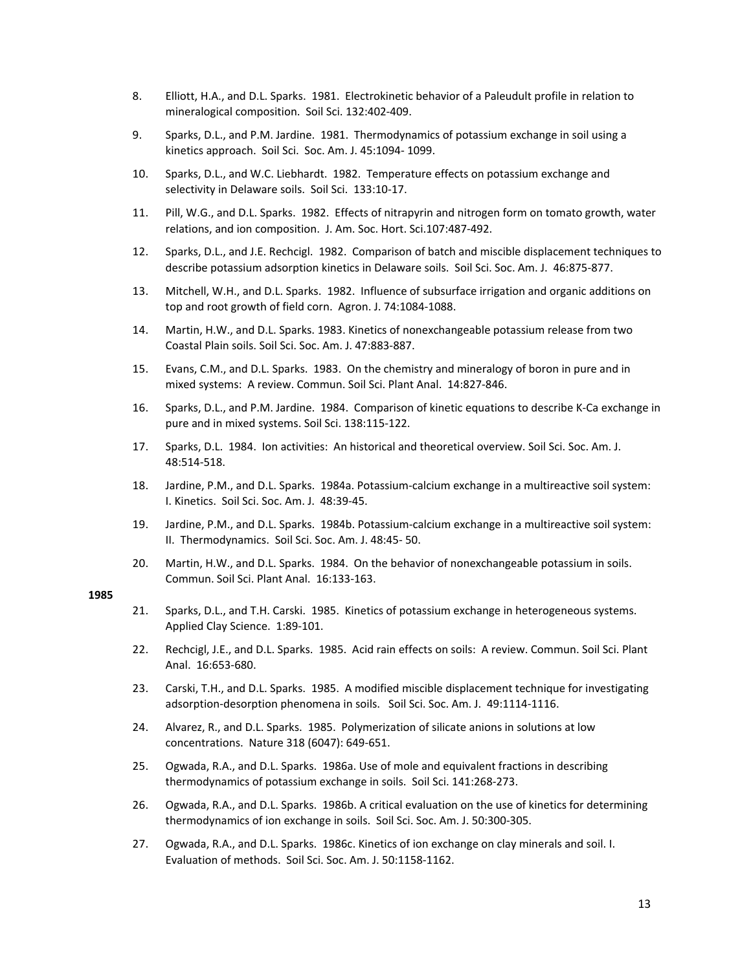- 8. Elliott, H.A., and D.L. Sparks. 1981. Electrokinetic behavior of a Paleudult profile in relation to mineralogical composition. Soil Sci. 132:402‐409.
- 9. Sparks, D.L., and P.M. Jardine. 1981. Thermodynamics of potassium exchange in soil using a kinetics approach. Soil Sci. Soc. Am. J. 45:1094‐ 1099.
- 10. Sparks, D.L., and W.C. Liebhardt. 1982. Temperature effects on potassium exchange and selectivity in Delaware soils. Soil Sci. 133:10-17.
- 11. Pill, W.G., and D.L. Sparks. 1982. Effects of nitrapyrin and nitrogen form on tomato growth, water relations, and ion composition. J. Am. Soc. Hort. Sci.107:487‐492.
- 12. Sparks, D.L., and J.E. Rechcigl. 1982. Comparison of batch and miscible displacement techniques to describe potassium adsorption kinetics in Delaware soils. Soil Sci. Soc. Am. J. 46:875‐877.
- 13. Mitchell, W.H., and D.L. Sparks. 1982. Influence of subsurface irrigation and organic additions on top and root growth of field corn. Agron. J. 74:1084‐1088.
- 14. Martin, H.W., and D.L. Sparks. 1983. Kinetics of nonexchangeable potassium release from two Coastal Plain soils. Soil Sci. Soc. Am. J. 47:883‐887.
- 15. Evans, C.M., and D.L. Sparks. 1983. On the chemistry and mineralogy of boron in pure and in mixed systems: A review. Commun. Soil Sci. Plant Anal. 14:827‐846.
- 16. Sparks, D.L., and P.M. Jardine. 1984. Comparison of kinetic equations to describe K‐Ca exchange in pure and in mixed systems. Soil Sci. 138:115‐122.
- 17. Sparks, D.L. 1984. Ion activities: An historical and theoretical overview. Soil Sci. Soc. Am. J. 48:514‐518.
- 18. Jardine, P.M., and D.L. Sparks. 1984a. Potassium‐calcium exchange in a multireactive soil system: I. Kinetics. Soil Sci. Soc. Am. J. 48:39‐45.
- 19. Jardine, P.M., and D.L. Sparks. 1984b. Potassium‐calcium exchange in a multireactive soil system: II. Thermodynamics. Soil Sci. Soc. Am. J. 48:45‐ 50.
- 20. Martin, H.W., and D.L. Sparks. 1984. On the behavior of nonexchangeable potassium in soils. Commun. Soil Sci. Plant Anal. 16:133‐163.

- 21. Sparks, D.L., and T.H. Carski. 1985. Kinetics of potassium exchange in heterogeneous systems. Applied Clay Science. 1:89‐101.
- 22. Rechcigl, J.E., and D.L. Sparks. 1985. Acid rain effects on soils: A review. Commun. Soil Sci. Plant Anal. 16:653‐680.
- 23. Carski, T.H., and D.L. Sparks. 1985. A modified miscible displacement technique for investigating adsorption‐desorption phenomena in soils. Soil Sci. Soc. Am. J. 49:1114‐1116.
- 24. Alvarez, R., and D.L. Sparks. 1985. Polymerization of silicate anions in solutions at low concentrations. Nature 318 (6047): 649‐651.
- 25. Ogwada, R.A., and D.L. Sparks. 1986a. Use of mole and equivalent fractions in describing thermodynamics of potassium exchange in soils. Soil Sci. 141:268‐273.
- 26. Ogwada, R.A., and D.L. Sparks. 1986b. A critical evaluation on the use of kinetics for determining thermodynamics of ion exchange in soils. Soil Sci. Soc. Am. J. 50:300‐305.
- 27. Ogwada, R.A., and D.L. Sparks. 1986c. Kinetics of ion exchange on clay minerals and soil. I. Evaluation of methods. Soil Sci. Soc. Am. J. 50:1158‐1162.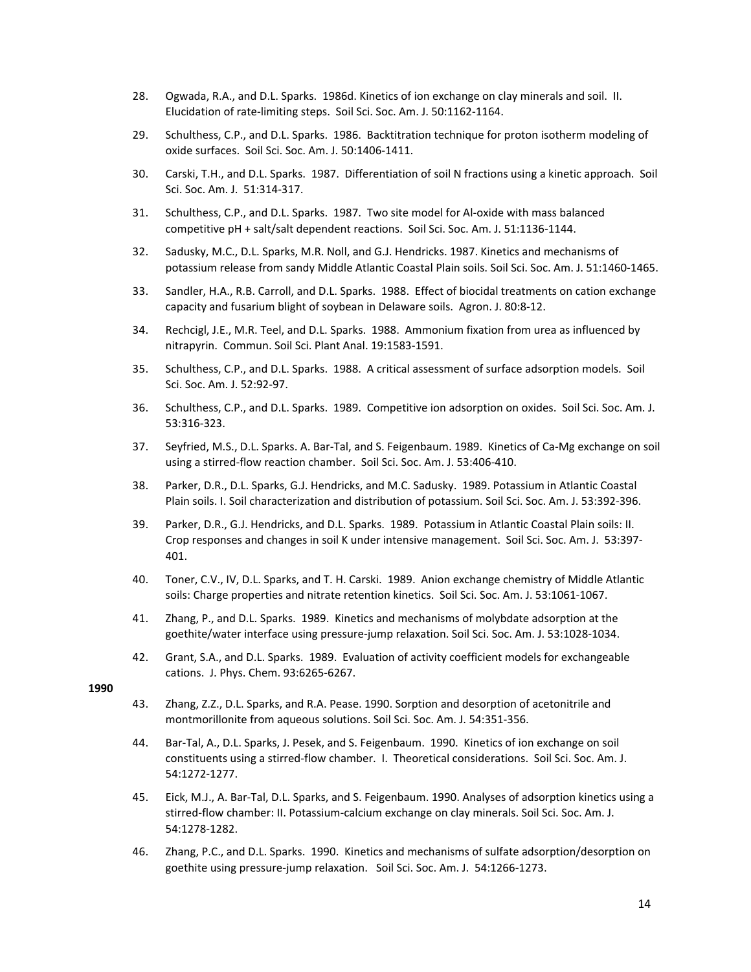- 28. Ogwada, R.A., and D.L. Sparks. 1986d. Kinetics of ion exchange on clay minerals and soil. II. Elucidation of rate‐limiting steps. Soil Sci. Soc. Am. J. 50:1162‐1164.
- 29. Schulthess, C.P., and D.L. Sparks. 1986. Backtitration technique for proton isotherm modeling of oxide surfaces. Soil Sci. Soc. Am. J. 50:1406‐1411.
- 30. Carski, T.H., and D.L. Sparks. 1987. Differentiation of soil N fractions using a kinetic approach. Soil Sci. Soc. Am. J. 51:314‐317.
- 31. Schulthess, C.P., and D.L. Sparks. 1987. Two site model for Al‐oxide with mass balanced competitive pH + salt/salt dependent reactions. Soil Sci. Soc. Am. J. 51:1136‐1144.
- 32. Sadusky, M.C., D.L. Sparks, M.R. Noll, and G.J. Hendricks. 1987. Kinetics and mechanisms of potassium release from sandy Middle Atlantic Coastal Plain soils. Soil Sci. Soc. Am. J. 51:1460‐1465.
- 33. Sandler, H.A., R.B. Carroll, and D.L. Sparks. 1988. Effect of biocidal treatments on cation exchange capacity and fusarium blight of soybean in Delaware soils. Agron. J. 80:8‐12.
- 34. Rechcigl, J.E., M.R. Teel, and D.L. Sparks. 1988. Ammonium fixation from urea as influenced by nitrapyrin. Commun. Soil Sci. Plant Anal. 19:1583‐1591.
- 35. Schulthess, C.P., and D.L. Sparks. 1988. A critical assessment of surface adsorption models. Soil Sci. Soc. Am. J. 52:92‐97.
- 36. Schulthess, C.P., and D.L. Sparks. 1989. Competitive ion adsorption on oxides. Soil Sci. Soc. Am. J. 53:316‐323.
- 37. Seyfried, M.S., D.L. Sparks. A. Bar-Tal, and S. Feigenbaum. 1989. Kinetics of Ca-Mg exchange on soil using a stirred‐flow reaction chamber. Soil Sci. Soc. Am. J. 53:406‐410.
- 38. Parker, D.R., D.L. Sparks, G.J. Hendricks, and M.C. Sadusky. 1989. Potassium in Atlantic Coastal Plain soils. I. Soil characterization and distribution of potassium. Soil Sci. Soc. Am. J. 53:392‐396.
- 39. Parker, D.R., G.J. Hendricks, and D.L. Sparks. 1989. Potassium in Atlantic Coastal Plain soils: II. Crop responses and changes in soil K under intensive management. Soil Sci. Soc. Am. J. 53:397‐ 401.
- 40. Toner, C.V., IV, D.L. Sparks, and T. H. Carski. 1989. Anion exchange chemistry of Middle Atlantic soils: Charge properties and nitrate retention kinetics. Soil Sci. Soc. Am. J. 53:1061‐1067.
- 41. Zhang, P., and D.L. Sparks. 1989. Kinetics and mechanisms of molybdate adsorption at the goethite/water interface using pressure‐jump relaxation. Soil Sci. Soc. Am. J. 53:1028‐1034.
- 42. Grant, S.A., and D.L. Sparks. 1989. Evaluation of activity coefficient models for exchangeable cations. J. Phys. Chem. 93:6265‐6267.

- 43. Zhang, Z.Z., D.L. Sparks, and R.A. Pease. 1990. Sorption and desorption of acetonitrile and montmorillonite from aqueous solutions. Soil Sci. Soc. Am. J. 54:351‐356.
- 44. Bar-Tal, A., D.L. Sparks, J. Pesek, and S. Feigenbaum. 1990. Kinetics of ion exchange on soil constituents using a stirred‐flow chamber. I. Theoretical considerations. Soil Sci. Soc. Am. J. 54:1272‐1277.
- 45. Eick, M.J., A. Bar‐Tal, D.L. Sparks, and S. Feigenbaum. 1990. Analyses of adsorption kinetics using a stirred-flow chamber: II. Potassium-calcium exchange on clay minerals. Soil Sci. Soc. Am. J. 54:1278‐1282.
- 46. Zhang, P.C., and D.L. Sparks. 1990. Kinetics and mechanisms of sulfate adsorption/desorption on goethite using pressure‐jump relaxation. Soil Sci. Soc. Am. J. 54:1266‐1273.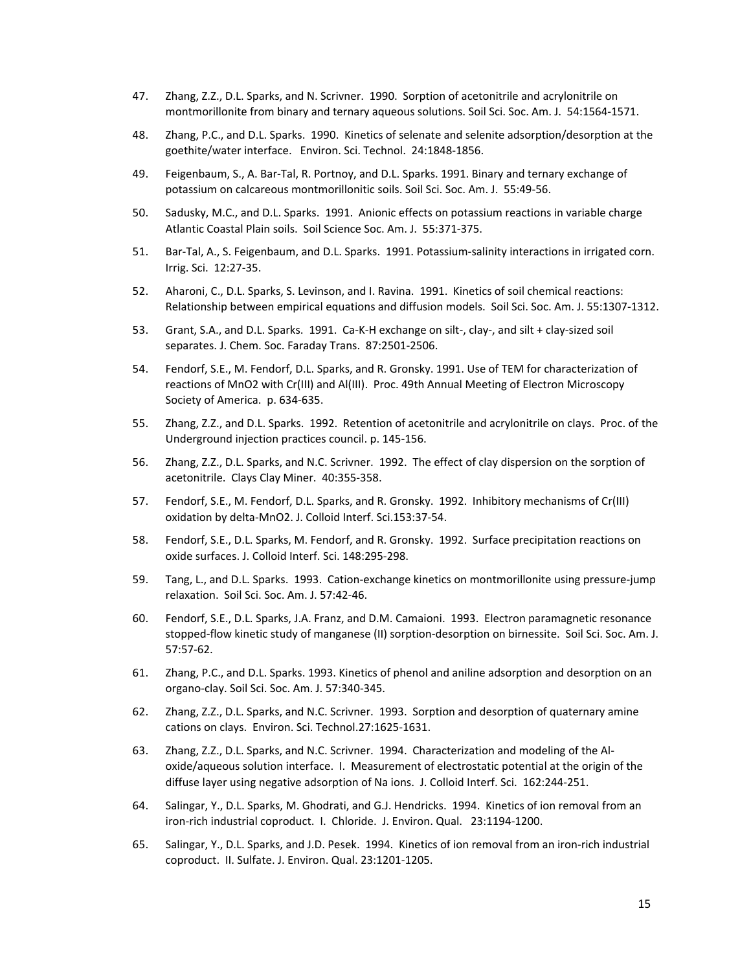- 47. Zhang, Z.Z., D.L. Sparks, and N. Scrivner. 1990. Sorption of acetonitrile and acrylonitrile on montmorillonite from binary and ternary aqueous solutions. Soil Sci. Soc. Am. J. 54:1564‐1571.
- 48. Zhang, P.C., and D.L. Sparks. 1990. Kinetics of selenate and selenite adsorption/desorption at the goethite/water interface. Environ. Sci. Technol. 24:1848‐1856.
- 49. Feigenbaum, S., A. Bar-Tal, R. Portnoy, and D.L. Sparks. 1991. Binary and ternary exchange of potassium on calcareous montmorillonitic soils. Soil Sci. Soc. Am. J. 55:49‐56.
- 50. Sadusky, M.C., and D.L. Sparks. 1991. Anionic effects on potassium reactions in variable charge Atlantic Coastal Plain soils. Soil Science Soc. Am. J. 55:371‐375.
- 51. Bar-Tal, A., S. Feigenbaum, and D.L. Sparks. 1991. Potassium-salinity interactions in irrigated corn. Irrig. Sci. 12:27‐35.
- 52. Aharoni, C., D.L. Sparks, S. Levinson, and I. Ravina. 1991. Kinetics of soil chemical reactions: Relationship between empirical equations and diffusion models. Soil Sci. Soc. Am. J. 55:1307‐1312.
- 53. Grant, S.A., and D.L. Sparks. 1991. Ca-K-H exchange on silt-, clay-, and silt + clay-sized soil separates. J. Chem. Soc. Faraday Trans. 87:2501‐2506.
- 54. Fendorf, S.E., M. Fendorf, D.L. Sparks, and R. Gronsky. 1991. Use of TEM for characterization of reactions of MnO2 with Cr(III) and Al(III). Proc. 49th Annual Meeting of Electron Microscopy Society of America. p. 634-635.
- 55. Zhang, Z.Z., and D.L. Sparks. 1992. Retention of acetonitrile and acrylonitrile on clays. Proc. of the Underground injection practices council. p. 145‐156.
- 56. Zhang, Z.Z., D.L. Sparks, and N.C. Scrivner. 1992. The effect of clay dispersion on the sorption of acetonitrile. Clays Clay Miner. 40:355‐358.
- 57. Fendorf, S.E., M. Fendorf, D.L. Sparks, and R. Gronsky. 1992. Inhibitory mechanisms of Cr(III) oxidation by delta‐MnO2. J. Colloid Interf. Sci.153:37‐54.
- 58. Fendorf, S.E., D.L. Sparks, M. Fendorf, and R. Gronsky. 1992. Surface precipitation reactions on oxide surfaces. J. Colloid Interf. Sci. 148:295‐298.
- 59. Tang, L., and D.L. Sparks. 1993. Cation-exchange kinetics on montmorillonite using pressure-jump relaxation. Soil Sci. Soc. Am. J. 57:42‐46.
- 60. Fendorf, S.E., D.L. Sparks, J.A. Franz, and D.M. Camaioni. 1993. Electron paramagnetic resonance stopped-flow kinetic study of manganese (II) sorption-desorption on birnessite. Soil Sci. Soc. Am. J. 57:57‐62.
- 61. Zhang, P.C., and D.L. Sparks. 1993. Kinetics of phenol and aniline adsorption and desorption on an organo‐clay. Soil Sci. Soc. Am. J. 57:340‐345.
- 62. Zhang, Z.Z., D.L. Sparks, and N.C. Scrivner. 1993. Sorption and desorption of quaternary amine cations on clays. Environ. Sci. Technol.27:1625‐1631.
- 63. Zhang, Z.Z., D.L. Sparks, and N.C. Scrivner. 1994. Characterization and modeling of the Al‐ oxide/aqueous solution interface. I. Measurement of electrostatic potential at the origin of the diffuse layer using negative adsorption of Na ions. J. Colloid Interf. Sci. 162:244‐251.
- 64. Salingar, Y., D.L. Sparks, M. Ghodrati, and G.J. Hendricks. 1994. Kinetics of ion removal from an iron‐rich industrial coproduct. I. Chloride. J. Environ. Qual. 23:1194‐1200.
- 65. Salingar, Y., D.L. Sparks, and J.D. Pesek. 1994. Kinetics of ion removal from an iron‐rich industrial coproduct. II. Sulfate. J. Environ. Qual. 23:1201‐1205.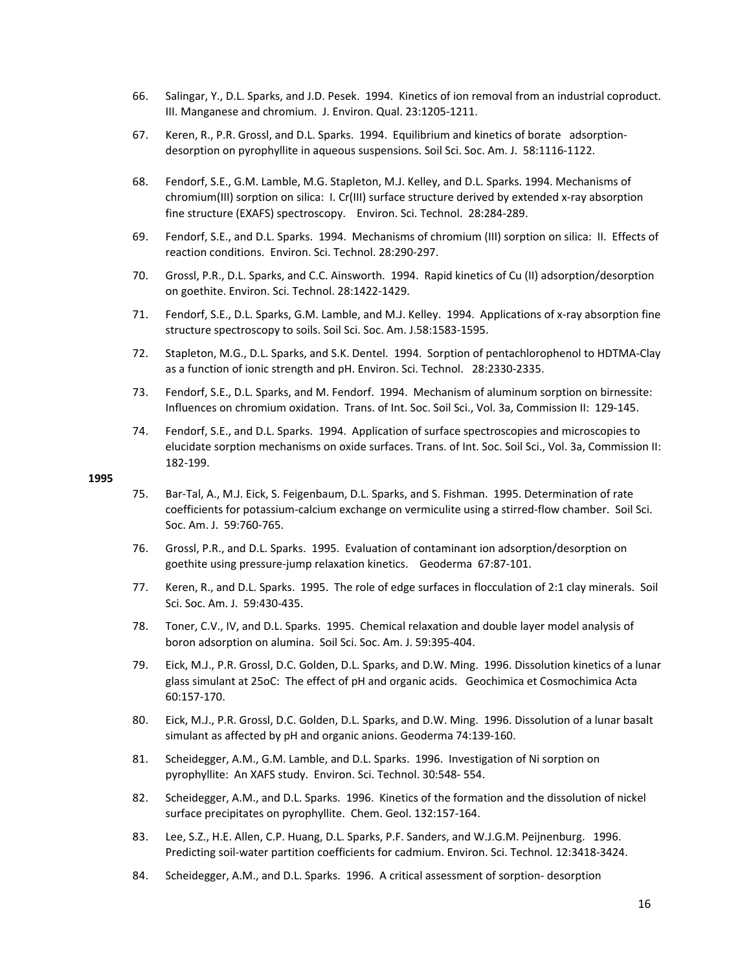- 66. Salingar, Y., D.L. Sparks, and J.D. Pesek. 1994. Kinetics of ion removal from an industrial coproduct. III. Manganese and chromium. J. Environ. Qual. 23:1205‐1211.
- 67. Keren, R., P.R. Grossl, and D.L. Sparks. 1994. Equilibrium and kinetics of borate adsorption‐ desorption on pyrophyllite in aqueous suspensions. Soil Sci. Soc. Am. J. 58:1116‐1122.
- 68. Fendorf, S.E., G.M. Lamble, M.G. Stapleton, M.J. Kelley, and D.L. Sparks. 1994. Mechanisms of chromium(III) sorption on silica: I. Cr(III) surface structure derived by extended x‐ray absorption fine structure (EXAFS) spectroscopy. Environ. Sci. Technol. 28:284‐289.
- 69. Fendorf, S.E., and D.L. Sparks. 1994. Mechanisms of chromium (III) sorption on silica: II. Effects of reaction conditions. Environ. Sci. Technol. 28:290‐297.
- 70. Grossl, P.R., D.L. Sparks, and C.C. Ainsworth. 1994. Rapid kinetics of Cu (II) adsorption/desorption on goethite. Environ. Sci. Technol. 28:1422‐1429.
- 71. Fendorf, S.E., D.L. Sparks, G.M. Lamble, and M.J. Kelley. 1994. Applications of x‐ray absorption fine structure spectroscopy to soils. Soil Sci. Soc. Am. J.58:1583‐1595.
- 72. Stapleton, M.G., D.L. Sparks, and S.K. Dentel. 1994. Sorption of pentachlorophenol to HDTMA‐Clay as a function of ionic strength and pH. Environ. Sci. Technol. 28:2330‐2335.
- 73. Fendorf, S.E., D.L. Sparks, and M. Fendorf. 1994. Mechanism of aluminum sorption on birnessite: Influences on chromium oxidation. Trans. of Int. Soc. Soil Sci., Vol. 3a, Commission II: 129‐145.
- 74. Fendorf, S.E., and D.L. Sparks. 1994. Application of surface spectroscopies and microscopies to elucidate sorption mechanisms on oxide surfaces. Trans. of Int. Soc. Soil Sci., Vol. 3a, Commission II: 182‐199.

- 75. Bar‐Tal, A., M.J. Eick, S. Feigenbaum, D.L. Sparks, and S. Fishman. 1995. Determination of rate coefficients for potassium-calcium exchange on vermiculite using a stirred-flow chamber. Soil Sci. Soc. Am. J. 59:760‐765.
- 76. Grossl, P.R., and D.L. Sparks. 1995. Evaluation of contaminant ion adsorption/desorption on goethite using pressure‐jump relaxation kinetics. Geoderma 67:87‐101.
- 77. Keren, R., and D.L. Sparks. 1995. The role of edge surfaces in flocculation of 2:1 clay minerals. Soil Sci. Soc. Am. J. 59:430‐435.
- 78. Toner, C.V., IV, and D.L. Sparks. 1995. Chemical relaxation and double layer model analysis of boron adsorption on alumina. Soil Sci. Soc. Am. J. 59:395‐404.
- 79. Eick, M.J., P.R. Grossl, D.C. Golden, D.L. Sparks, and D.W. Ming. 1996. Dissolution kinetics of a lunar glass simulant at 25oC: The effect of pH and organic acids. Geochimica et Cosmochimica Acta 60:157‐170.
- 80. Eick, M.J., P.R. Grossl, D.C. Golden, D.L. Sparks, and D.W. Ming. 1996. Dissolution of a lunar basalt simulant as affected by pH and organic anions. Geoderma 74:139‐160.
- 81. Scheidegger, A.M., G.M. Lamble, and D.L. Sparks. 1996. Investigation of Ni sorption on pyrophyllite: An XAFS study. Environ. Sci. Technol. 30:548‐ 554.
- 82. Scheidegger, A.M., and D.L. Sparks. 1996. Kinetics of the formation and the dissolution of nickel surface precipitates on pyrophyllite. Chem. Geol. 132:157‐164.
- 83. Lee, S.Z., H.E. Allen, C.P. Huang, D.L. Sparks, P.F. Sanders, and W.J.G.M. Peijnenburg. 1996. Predicting soil‐water partition coefficients for cadmium. Environ. Sci. Technol. 12:3418‐3424.
- 84. Scheidegger, A.M., and D.L. Sparks. 1996. A critical assessment of sorption- desorption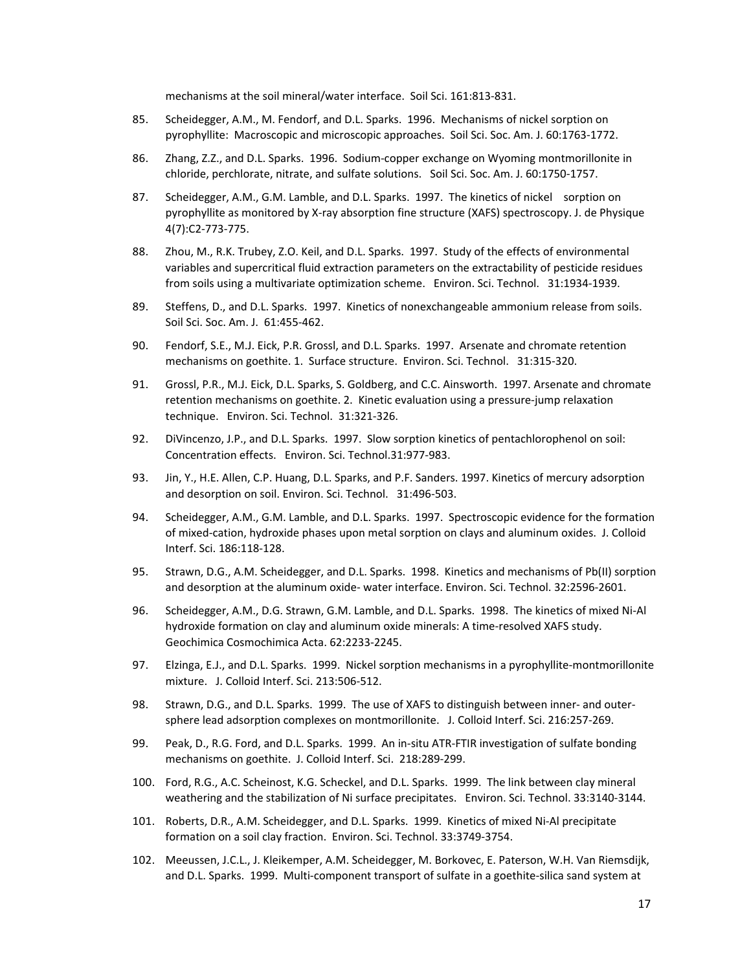mechanisms at the soil mineral/water interface. Soil Sci. 161:813‐831.

- 85. Scheidegger, A.M., M. Fendorf, and D.L. Sparks. 1996. Mechanisms of nickel sorption on pyrophyllite: Macroscopic and microscopic approaches. Soil Sci. Soc. Am. J. 60:1763‐1772.
- 86. Zhang, Z.Z., and D.L. Sparks. 1996. Sodium‐copper exchange on Wyoming montmorillonite in chloride, perchlorate, nitrate, and sulfate solutions. Soil Sci. Soc. Am. J. 60:1750‐1757.
- 87. Scheidegger, A.M., G.M. Lamble, and D.L. Sparks. 1997. The kinetics of nickel sorption on pyrophyllite as monitored by X‐ray absorption fine structure (XAFS) spectroscopy. J. de Physique 4(7):C2‐773‐775.
- 88. Zhou, M., R.K. Trubey, Z.O. Keil, and D.L. Sparks. 1997. Study of the effects of environmental variables and supercritical fluid extraction parameters on the extractability of pesticide residues from soils using a multivariate optimization scheme. Environ. Sci. Technol. 31:1934‐1939.
- 89. Steffens, D., and D.L. Sparks. 1997. Kinetics of nonexchangeable ammonium release from soils. Soil Sci. Soc. Am. J. 61:455‐462.
- 90. Fendorf, S.E., M.J. Eick, P.R. Grossl, and D.L. Sparks. 1997. Arsenate and chromate retention mechanisms on goethite. 1. Surface structure. Environ. Sci. Technol. 31:315‐320.
- 91. Grossl, P.R., M.J. Eick, D.L. Sparks, S. Goldberg, and C.C. Ainsworth. 1997. Arsenate and chromate retention mechanisms on goethite. 2. Kinetic evaluation using a pressure‐jump relaxation technique. Environ. Sci. Technol. 31:321‐326.
- 92. DiVincenzo, J.P., and D.L. Sparks. 1997. Slow sorption kinetics of pentachlorophenol on soil: Concentration effects. Environ. Sci. Technol.31:977‐983.
- 93. Jin, Y., H.E. Allen, C.P. Huang, D.L. Sparks, and P.F. Sanders. 1997. Kinetics of mercury adsorption and desorption on soil. Environ. Sci. Technol. 31:496‐503.
- 94. Scheidegger, A.M., G.M. Lamble, and D.L. Sparks. 1997. Spectroscopic evidence for the formation of mixed‐cation, hydroxide phases upon metal sorption on clays and aluminum oxides. J. Colloid Interf. Sci. 186:118‐128.
- 95. Strawn, D.G., A.M. Scheidegger, and D.L. Sparks. 1998. Kinetics and mechanisms of Pb(II) sorption and desorption at the aluminum oxide‐ water interface. Environ. Sci. Technol. 32:2596‐2601.
- 96. Scheidegger, A.M., D.G. Strawn, G.M. Lamble, and D.L. Sparks. 1998. The kinetics of mixed Ni‐Al hydroxide formation on clay and aluminum oxide minerals: A time‐resolved XAFS study. Geochimica Cosmochimica Acta. 62:2233‐2245.
- 97. Elzinga, E.J., and D.L. Sparks. 1999. Nickel sorption mechanisms in a pyrophyllite-montmorillonite mixture. J. Colloid Interf. Sci. 213:506‐512.
- 98. Strawn, D.G., and D.L. Sparks. 1999. The use of XAFS to distinguish between inner- and outersphere lead adsorption complexes on montmorillonite. J. Colloid Interf. Sci. 216:257-269.
- 99. Peak, D., R.G. Ford, and D.L. Sparks. 1999. An in-situ ATR-FTIR investigation of sulfate bonding mechanisms on goethite. J. Colloid Interf. Sci. 218:289‐299.
- 100. Ford, R.G., A.C. Scheinost, K.G. Scheckel, and D.L. Sparks. 1999. The link between clay mineral weathering and the stabilization of Ni surface precipitates. Environ. Sci. Technol. 33:3140‐3144.
- 101. Roberts, D.R., A.M. Scheidegger, and D.L. Sparks. 1999. Kinetics of mixed Ni-Al precipitate formation on a soil clay fraction. Environ. Sci. Technol. 33:3749‐3754.
- 102. Meeussen, J.C.L., J. Kleikemper, A.M. Scheidegger, M. Borkovec, E. Paterson, W.H. Van Riemsdijk, and D.L. Sparks. 1999. Multi-component transport of sulfate in a goethite-silica sand system at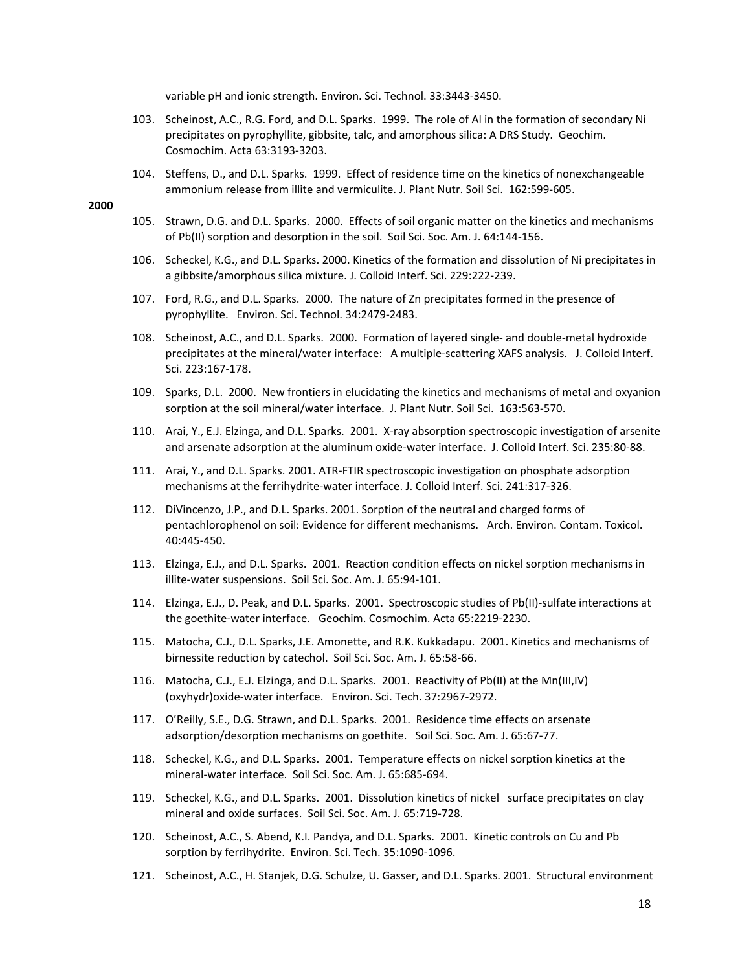variable pH and ionic strength. Environ. Sci. Technol. 33:3443‐3450.

- 103. Scheinost, A.C., R.G. Ford, and D.L. Sparks. 1999. The role of Al in the formation of secondary Ni precipitates on pyrophyllite, gibbsite, talc, and amorphous silica: A DRS Study. Geochim. Cosmochim. Acta 63:3193‐3203.
- 104. Steffens, D., and D.L. Sparks. 1999. Effect of residence time on the kinetics of nonexchangeable ammonium release from illite and vermiculite. J. Plant Nutr. Soil Sci. 162:599‐605.

- 105. Strawn, D.G. and D.L. Sparks. 2000. Effects of soil organic matter on the kinetics and mechanisms of Pb(II) sorption and desorption in the soil. Soil Sci. Soc. Am. J. 64:144‐156.
- 106. Scheckel, K.G., and D.L. Sparks. 2000. Kinetics of the formation and dissolution of Ni precipitates in a gibbsite/amorphous silica mixture. J. Colloid Interf. Sci. 229:222‐239.
- 107. Ford, R.G., and D.L. Sparks. 2000. The nature of Zn precipitates formed in the presence of pyrophyllite. Environ. Sci. Technol. 34:2479‐2483.
- 108. Scheinost, A.C., and D.L. Sparks. 2000. Formation of layered single- and double-metal hydroxide precipitates at the mineral/water interface: A multiple‐scattering XAFS analysis. J. Colloid Interf. Sci. 223:167‐178.
- 109. Sparks, D.L. 2000. New frontiers in elucidating the kinetics and mechanisms of metal and oxyanion sorption at the soil mineral/water interface. J. Plant Nutr. Soil Sci. 163:563‐570.
- 110. Arai, Y., E.J. Elzinga, and D.L. Sparks. 2001. X-ray absorption spectroscopic investigation of arsenite and arsenate adsorption at the aluminum oxide‐water interface. J. Colloid Interf. Sci. 235:80‐88.
- 111. Arai, Y., and D.L. Sparks. 2001. ATR‐FTIR spectroscopic investigation on phosphate adsorption mechanisms at the ferrihydrite‐water interface. J. Colloid Interf. Sci. 241:317‐326.
- 112. DiVincenzo, J.P., and D.L. Sparks. 2001. Sorption of the neutral and charged forms of pentachlorophenol on soil: Evidence for different mechanisms. Arch. Environ. Contam. Toxicol. 40:445‐450.
- 113. Elzinga, E.J., and D.L. Sparks. 2001. Reaction condition effects on nickel sorption mechanisms in illite‐water suspensions. Soil Sci. Soc. Am. J. 65:94‐101.
- 114. Elzinga, E.J., D. Peak, and D.L. Sparks. 2001. Spectroscopic studies of Pb(II)‐sulfate interactions at the goethite‐water interface. Geochim. Cosmochim. Acta 65:2219‐2230.
- 115. Matocha, C.J., D.L. Sparks, J.E. Amonette, and R.K. Kukkadapu. 2001. Kinetics and mechanisms of birnessite reduction by catechol. Soil Sci. Soc. Am. J. 65:58‐66.
- 116. Matocha, C.J., E.J. Elzinga, and D.L. Sparks. 2001. Reactivity of Pb(II) at the Mn(III,IV) (oxyhydr)oxide‐water interface. Environ. Sci. Tech. 37:2967‐2972.
- 117. O'Reilly, S.E., D.G. Strawn, and D.L. Sparks. 2001. Residence time effects on arsenate adsorption/desorption mechanisms on goethite. Soil Sci. Soc. Am. J. 65:67-77.
- 118. Scheckel, K.G., and D.L. Sparks. 2001. Temperature effects on nickel sorption kinetics at the mineral‐water interface. Soil Sci. Soc. Am. J. 65:685‐694.
- 119. Scheckel, K.G., and D.L. Sparks. 2001. Dissolution kinetics of nickel surface precipitates on clay mineral and oxide surfaces. Soil Sci. Soc. Am. J. 65:719‐728.
- 120. Scheinost, A.C., S. Abend, K.I. Pandya, and D.L. Sparks. 2001. Kinetic controls on Cu and Pb sorption by ferrihydrite. Environ. Sci. Tech. 35:1090-1096.
- 121. Scheinost, A.C., H. Stanjek, D.G. Schulze, U. Gasser, and D.L. Sparks. 2001. Structural environment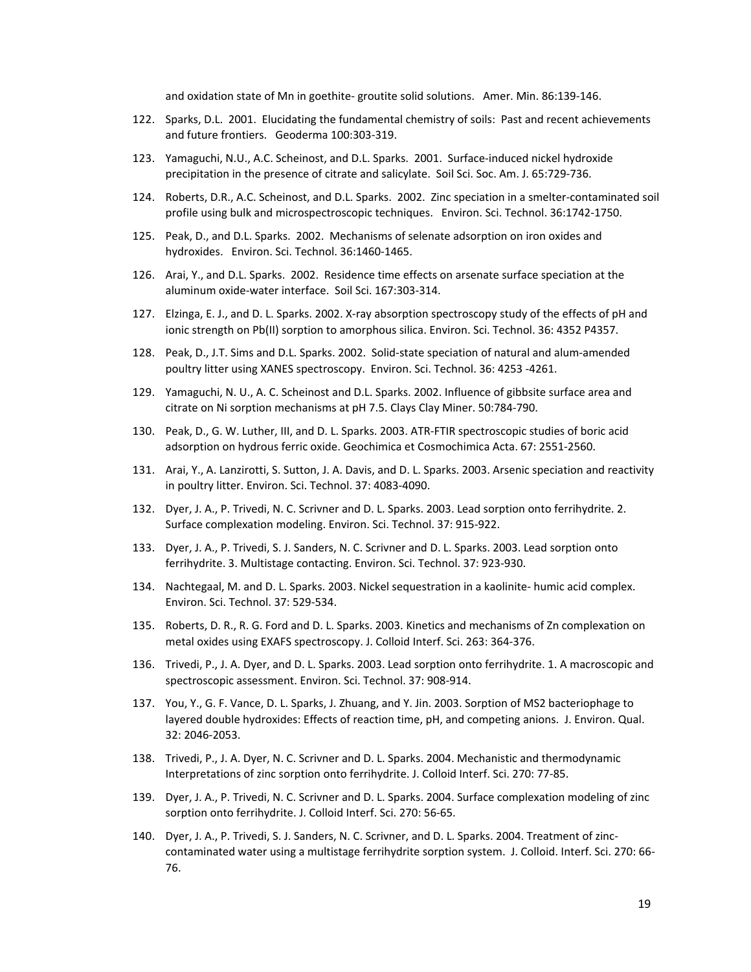and oxidation state of Mn in goethite-groutite solid solutions. Amer. Min. 86:139-146.

- 122. Sparks, D.L. 2001. Elucidating the fundamental chemistry of soils: Past and recent achievements and future frontiers. Geoderma 100:303‐319.
- 123. Yamaguchi, N.U., A.C. Scheinost, and D.L. Sparks. 2001. Surface-induced nickel hydroxide precipitation in the presence of citrate and salicylate. Soil Sci. Soc. Am. J. 65:729-736.
- 124. Roberts, D.R., A.C. Scheinost, and D.L. Sparks. 2002. Zinc speciation in a smelter‐contaminated soil profile using bulk and microspectroscopic techniques. Environ. Sci. Technol. 36:1742‐1750.
- 125. Peak, D., and D.L. Sparks. 2002. Mechanisms of selenate adsorption on iron oxides and hydroxides. Environ. Sci. Technol. 36:1460‐1465.
- 126. Arai, Y., and D.L. Sparks. 2002. Residence time effects on arsenate surface speciation at the aluminum oxide‐water interface. Soil Sci. 167:303‐314.
- 127. Elzinga, E. J., and D. L. Sparks. 2002. X‐ray absorption spectroscopy study of the effects of pH and ionic strength on Pb(II) sorption to amorphous silica. Environ. Sci. Technol. 36: 4352 P4357.
- 128. Peak, D., J.T. Sims and D.L. Sparks. 2002. Solid-state speciation of natural and alum-amended poultry litter using XANES spectroscopy. Environ. Sci. Technol. 36: 4253 ‐4261.
- 129. Yamaguchi, N. U., A. C. Scheinost and D.L. Sparks. 2002. Influence of gibbsite surface area and citrate on Ni sorption mechanisms at pH 7.5. Clays Clay Miner. 50:784‐790.
- 130. Peak, D., G. W. Luther, III, and D. L. Sparks. 2003. ATR‐FTIR spectroscopic studies of boric acid adsorption on hydrous ferric oxide. Geochimica et Cosmochimica Acta. 67: 2551‐2560.
- 131. Arai, Y., A. Lanzirotti, S. Sutton, J. A. Davis, and D. L. Sparks. 2003. Arsenic speciation and reactivity in poultry litter. Environ. Sci. Technol. 37: 4083‐4090.
- 132. Dyer, J. A., P. Trivedi, N. C. Scrivner and D. L. Sparks. 2003. Lead sorption onto ferrihydrite. 2. Surface complexation modeling. Environ. Sci. Technol. 37: 915‐922.
- 133. Dyer, J. A., P. Trivedi, S. J. Sanders, N. C. Scrivner and D. L. Sparks. 2003. Lead sorption onto ferrihydrite. 3. Multistage contacting. Environ. Sci. Technol. 37: 923‐930.
- 134. Nachtegaal, M. and D. L. Sparks. 2003. Nickel sequestration in a kaolinite- humic acid complex. Environ. Sci. Technol. 37: 529‐534.
- 135. Roberts, D. R., R. G. Ford and D. L. Sparks. 2003. Kinetics and mechanisms of Zn complexation on metal oxides using EXAFS spectroscopy. J. Colloid Interf. Sci. 263: 364‐376.
- 136. Trivedi, P., J. A. Dyer, and D. L. Sparks. 2003. Lead sorption onto ferrihydrite. 1. A macroscopic and spectroscopic assessment. Environ. Sci. Technol. 37: 908‐914.
- 137. You, Y., G. F. Vance, D. L. Sparks, J. Zhuang, and Y. Jin. 2003. Sorption of MS2 bacteriophage to layered double hydroxides: Effects of reaction time, pH, and competing anions. J. Environ. Qual. 32: 2046‐2053.
- 138. Trivedi, P., J. A. Dyer, N. C. Scrivner and D. L. Sparks. 2004. Mechanistic and thermodynamic Interpretations of zinc sorption onto ferrihydrite. J. Colloid Interf. Sci. 270: 77‐85.
- 139. Dyer, J. A., P. Trivedi, N. C. Scrivner and D. L. Sparks. 2004. Surface complexation modeling of zinc sorption onto ferrihydrite. J. Colloid Interf. Sci. 270: 56‐65.
- 140. Dyer, J. A., P. Trivedi, S. J. Sanders, N. C. Scrivner, and D. L. Sparks. 2004. Treatment of zinc‐ contaminated water using a multistage ferrihydrite sorption system. J. Colloid. Interf. Sci. 270: 66‐ 76.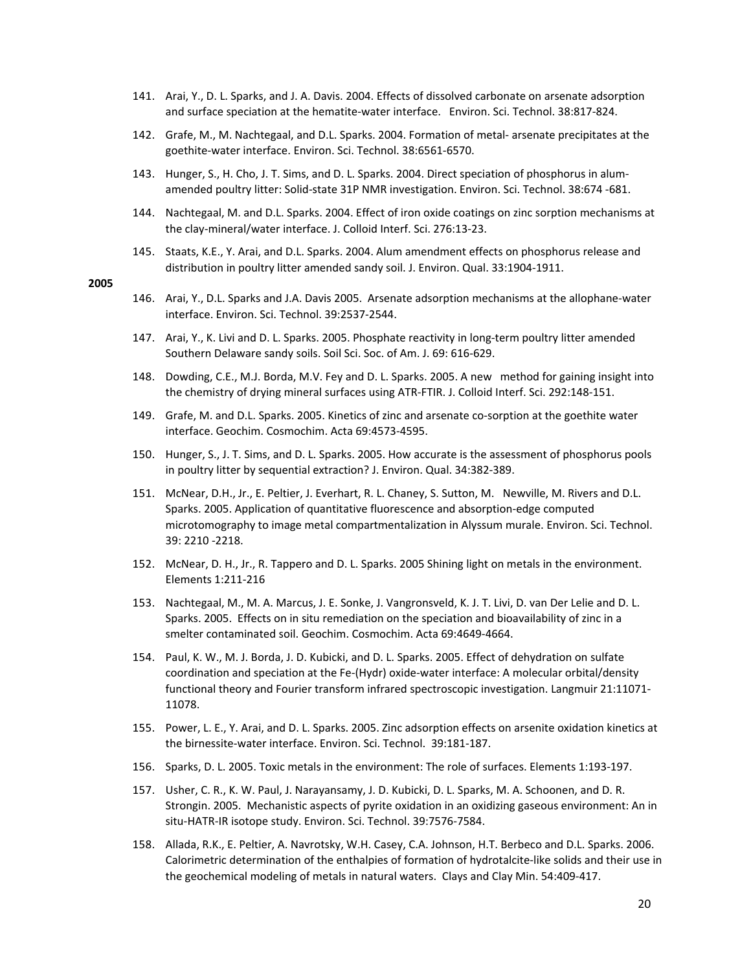- 141. Arai, Y., D. L. Sparks, and J. A. Davis. 2004. Effects of dissolved carbonate on arsenate adsorption and surface speciation at the hematite-water interface. Environ. Sci. Technol. 38:817-824.
- 142. Grafe, M., M. Nachtegaal, and D.L. Sparks. 2004. Formation of metal‐ arsenate precipitates at the goethite‐water interface. Environ. Sci. Technol. 38:6561‐6570.
- 143. Hunger, S., H. Cho, J. T. Sims, and D. L. Sparks. 2004. Direct speciation of phosphorus in alum‐ amended poultry litter: Solid‐state 31P NMR investigation. Environ. Sci. Technol. 38:674 ‐681.
- 144. Nachtegaal, M. and D.L. Sparks. 2004. Effect of iron oxide coatings on zinc sorption mechanisms at the clay‐mineral/water interface. J. Colloid Interf. Sci. 276:13‐23.
- 145. Staats, K.E., Y. Arai, and D.L. Sparks. 2004. Alum amendment effects on phosphorus release and distribution in poultry litter amended sandy soil. J. Environ. Qual. 33:1904‐1911.

- 146. Arai, Y., D.L. Sparks and J.A. Davis 2005. Arsenate adsorption mechanisms at the allophane‐water interface. Environ. Sci. Technol. 39:2537‐2544.
- 147. Arai, Y., K. Livi and D. L. Sparks. 2005. Phosphate reactivity in long-term poultry litter amended Southern Delaware sandy soils. Soil Sci. Soc. of Am. J. 69: 616‐629.
- 148. Dowding, C.E., M.J. Borda, M.V. Fey and D. L. Sparks. 2005. A new method for gaining insight into the chemistry of drying mineral surfaces using ATR‐FTIR. J. Colloid Interf. Sci. 292:148‐151.
- 149. Grafe, M. and D.L. Sparks. 2005. Kinetics of zinc and arsenate co-sorption at the goethite water interface. Geochim. Cosmochim. Acta 69:4573‐4595.
- 150. Hunger, S., J. T. Sims, and D. L. Sparks. 2005. How accurate is the assessment of phosphorus pools in poultry litter by sequential extraction? J. Environ. Qual. 34:382‐389.
- 151. McNear, D.H., Jr., E. Peltier, J. Everhart, R. L. Chaney, S. Sutton, M. Newville, M. Rivers and D.L. Sparks. 2005. Application of quantitative fluorescence and absorption‐edge computed microtomography to image metal compartmentalization in Alyssum murale. Environ. Sci. Technol. 39: 2210 ‐2218.
- 152. McNear, D. H., Jr., R. Tappero and D. L. Sparks. 2005 Shining light on metals in the environment. Elements 1:211‐216
- 153. Nachtegaal, M., M. A. Marcus, J. E. Sonke, J. Vangronsveld, K. J. T. Livi, D. van Der Lelie and D. L. Sparks. 2005. Effects on in situ remediation on the speciation and bioavailability of zinc in a smelter contaminated soil. Geochim. Cosmochim. Acta 69:4649‐4664.
- 154. Paul, K. W., M. J. Borda, J. D. Kubicki, and D. L. Sparks. 2005. Effect of dehydration on sulfate coordination and speciation at the Fe‐(Hydr) oxide‐water interface: A molecular orbital/density functional theory and Fourier transform infrared spectroscopic investigation. Langmuir 21:11071‐ 11078.
- 155. Power, L. E., Y. Arai, and D. L. Sparks. 2005. Zinc adsorption effects on arsenite oxidation kinetics at the birnessite‐water interface. Environ. Sci. Technol. 39:181‐187.
- 156. Sparks, D. L. 2005. Toxic metals in the environment: The role of surfaces. Elements 1:193‐197.
- 157. Usher, C. R., K. W. Paul, J. Narayansamy, J. D. Kubicki, D. L. Sparks, M. A. Schoonen, and D. R. Strongin. 2005. Mechanistic aspects of pyrite oxidation in an oxidizing gaseous environment: An in situ‐HATR‐IR isotope study. Environ. Sci. Technol. 39:7576‐7584.
- 158. Allada, R.K., E. Peltier, A. Navrotsky, W.H. Casey, C.A. Johnson, H.T. Berbeco and D.L. Sparks. 2006. Calorimetric determination of the enthalpies of formation of hydrotalcite‐like solids and their use in the geochemical modeling of metals in natural waters. Clays and Clay Min. 54:409‐417.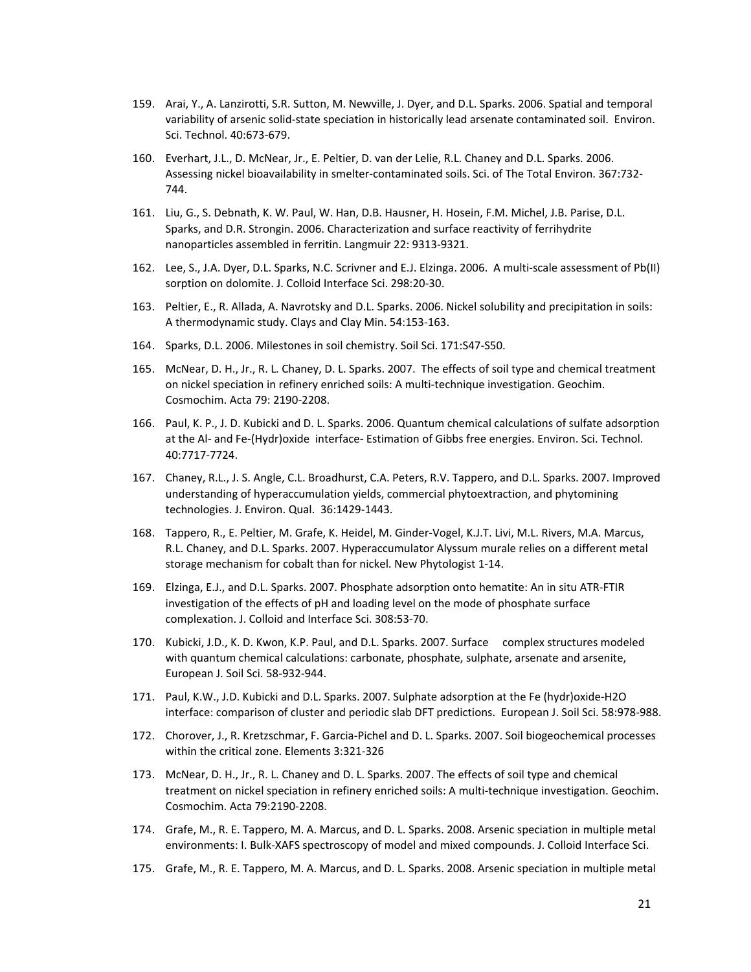- 159. Arai, Y., A. Lanzirotti, S.R. Sutton, M. Newville, J. Dyer, and D.L. Sparks. 2006. Spatial and temporal variability of arsenic solid-state speciation in historically lead arsenate contaminated soil. Environ. Sci. Technol. 40:673‐679.
- 160. Everhart, J.L., D. McNear, Jr., E. Peltier, D. van der Lelie, R.L. Chaney and D.L. Sparks. 2006. Assessing nickel bioavailability in smelter‐contaminated soils. Sci. of The Total Environ. 367:732‐ 744.
- 161. Liu, G., S. Debnath, K. W. Paul, W. Han, D.B. Hausner, H. Hosein, F.M. Michel, J.B. Parise, D.L. Sparks, and D.R. Strongin. 2006. Characterization and surface reactivity of ferrihydrite nanoparticles assembled in ferritin. Langmuir 22: 9313‐9321.
- 162. Lee, S., J.A. Dyer, D.L. Sparks, N.C. Scrivner and E.J. Elzinga. 2006. A multi‐scale assessment of Pb(II) sorption on dolomite. J. Colloid Interface Sci. 298:20‐30.
- 163. Peltier, E., R. Allada, A. Navrotsky and D.L. Sparks. 2006. Nickel solubility and precipitation in soils: A thermodynamic study. Clays and Clay Min. 54:153‐163.
- 164. Sparks, D.L. 2006. Milestones in soil chemistry. Soil Sci. 171:S47‐S50.
- 165. McNear, D. H., Jr., R. L. Chaney, D. L. Sparks. 2007. The effects of soil type and chemical treatment on nickel speciation in refinery enriched soils: A multi‐technique investigation. Geochim. Cosmochim. Acta 79: 2190‐2208.
- 166. Paul, K. P., J. D. Kubicki and D. L. Sparks. 2006. Quantum chemical calculations of sulfate adsorption at the Al- and Fe-(Hydr)oxide interface- Estimation of Gibbs free energies. Environ. Sci. Technol. 40:7717‐7724.
- 167. Chaney, R.L., J. S. Angle, C.L. Broadhurst, C.A. Peters, R.V. Tappero, and D.L. Sparks. 2007. Improved understanding of hyperaccumulation yields, commercial phytoextraction, and phytomining technologies. J. Environ. Qual. 36:1429‐1443.
- 168. Tappero, R., E. Peltier, M. Grafe, K. Heidel, M. Ginder‐Vogel, K.J.T. Livi, M.L. Rivers, M.A. Marcus, R.L. Chaney, and D.L. Sparks. 2007. Hyperaccumulator Alyssum murale relies on a different metal storage mechanism for cobalt than for nickel. New Phytologist 1‐14.
- 169. Elzinga, E.J., and D.L. Sparks. 2007. Phosphate adsorption onto hematite: An in situ ATR‐FTIR investigation of the effects of pH and loading level on the mode of phosphate surface complexation. J. Colloid and Interface Sci. 308:53‐70.
- 170. Kubicki, J.D., K. D. Kwon, K.P. Paul, and D.L. Sparks. 2007. Surface complex structures modeled with quantum chemical calculations: carbonate, phosphate, sulphate, arsenate and arsenite, European J. Soil Sci. 58‐932‐944.
- 171. Paul, K.W., J.D. Kubicki and D.L. Sparks. 2007. Sulphate adsorption at the Fe (hydr)oxide‐H2O interface: comparison of cluster and periodic slab DFT predictions. European J. Soil Sci. 58:978‐988.
- 172. Chorover, J., R. Kretzschmar, F. Garcia‐Pichel and D. L. Sparks. 2007. Soil biogeochemical processes within the critical zone. Elements 3:321‐326
- 173. McNear, D. H., Jr., R. L. Chaney and D. L. Sparks. 2007. The effects of soil type and chemical treatment on nickel speciation in refinery enriched soils: A multi-technique investigation. Geochim. Cosmochim. Acta 79:2190‐2208.
- 174. Grafe, M., R. E. Tappero, M. A. Marcus, and D. L. Sparks. 2008. Arsenic speciation in multiple metal environments: I. Bulk‐XAFS spectroscopy of model and mixed compounds. J. Colloid Interface Sci.
- 175. Grafe, M., R. E. Tappero, M. A. Marcus, and D. L. Sparks. 2008. Arsenic speciation in multiple metal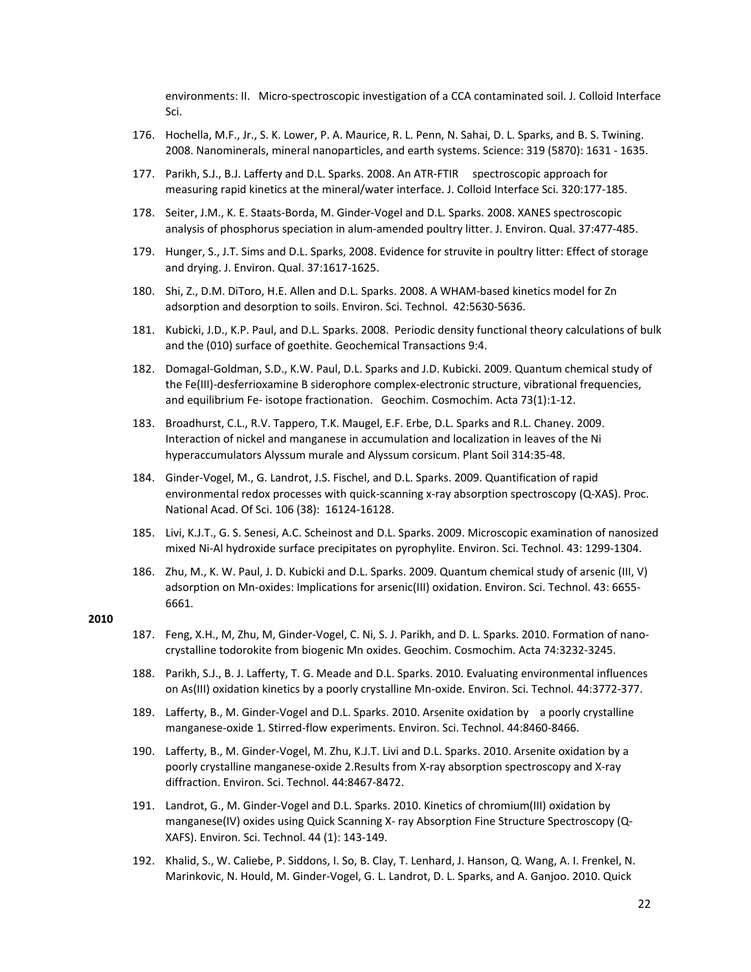environments: II. Micro‐spectroscopic investigation of a CCA contaminated soil. J. Colloid Interface Sci.

- 176. Hochella, M.F., Jr., S. K. Lower, P. A. Maurice, R. L. Penn, N. Sahai, D. L. Sparks, and B. S. Twining. 2008. Nanominerals, mineral nanoparticles, and earth systems. Science: 319 (5870): 1631 ‐ 1635.
- 177. Parikh, S.J., B.J. Lafferty and D.L. Sparks. 2008. An ATR‐FTIR spectroscopic approach for measuring rapid kinetics at the mineral/water interface. J. Colloid Interface Sci. 320:177-185.
- 178. Seiter, J.M., K. E. Staats‐Borda, M. Ginder‐Vogel and D.L. Sparks. 2008. XANES spectroscopic analysis of phosphorus speciation in alum‐amended poultry litter. J. Environ. Qual. 37:477‐485.
- 179. Hunger, S., J.T. Sims and D.L. Sparks, 2008. Evidence for struvite in poultry litter: Effect of storage and drying. J. Environ. Qual. 37:1617‐1625.
- 180. Shi, Z., D.M. DiToro, H.E. Allen and D.L. Sparks. 2008. A WHAM-based kinetics model for Zn adsorption and desorption to soils. Environ. Sci. Technol. 42:5630‐5636.
- 181. Kubicki, J.D., K.P. Paul, and D.L. Sparks. 2008. Periodic density functional theory calculations of bulk and the (010) surface of goethite. Geochemical Transactions 9:4.
- 182. Domagal‐Goldman, S.D., K.W. Paul, D.L. Sparks and J.D. Kubicki. 2009. Quantum chemical study of the Fe(III)‐desferrioxamine B siderophore complex‐electronic structure, vibrational frequencies, and equilibrium Fe‐ isotope fractionation. Geochim. Cosmochim. Acta 73(1):1‐12.
- 183. Broadhurst, C.L., R.V. Tappero, T.K. Maugel, E.F. Erbe, D.L. Sparks and R.L. Chaney. 2009. Interaction of nickel and manganese in accumulation and localization in leaves of the Ni hyperaccumulators Alyssum murale and Alyssum corsicum. Plant Soil 314:35‐48.
- 184. Ginder‐Vogel, M., G. Landrot, J.S. Fischel, and D.L. Sparks. 2009. Quantification of rapid environmental redox processes with quick-scanning x-ray absorption spectroscopy (Q-XAS). Proc. National Acad. Of Sci. 106 (38): 16124‐16128.
- 185. Livi, K.J.T., G. S. Senesi, A.C. Scheinost and D.L. Sparks. 2009. Microscopic examination of nanosized mixed Ni‐Al hydroxide surface precipitates on pyrophylite. Environ. Sci. Technol. 43: 1299‐1304.
- 186. Zhu, M., K. W. Paul, J. D. Kubicki and D.L. Sparks. 2009. Quantum chemical study of arsenic (III, V) adsorption on Mn-oxides: Implications for arsenic(III) oxidation. Environ. Sci. Technol. 43: 6655-6661.

- 187. Feng, X.H., M, Zhu, M, Ginder-Vogel, C. Ni, S. J. Parikh, and D. L. Sparks. 2010. Formation of nanocrystalline todorokite from biogenic Mn oxides. Geochim. Cosmochim. Acta 74:3232‐3245.
- 188. Parikh, S.J., B. J. Lafferty, T. G. Meade and D.L. Sparks. 2010. Evaluating environmental influences on As(III) oxidation kinetics by a poorly crystalline Mn‐oxide. Environ. Sci. Technol. 44:3772‐377.
- 189. Lafferty, B., M. Ginder‐Vogel and D.L. Sparks. 2010. Arsenite oxidation by a poorly crystalline manganese‐oxide 1. Stirred‐flow experiments. Environ. Sci. Technol. 44:8460‐8466.
- 190. Lafferty, B., M. Ginder‐Vogel, M. Zhu, K.J.T. Livi and D.L. Sparks. 2010. Arsenite oxidation by a poorly crystalline manganese‐oxide 2.Results from X‐ray absorption spectroscopy and X‐ray diffraction. Environ. Sci. Technol. 44:8467‐8472.
- 191. Landrot, G., M. Ginder‐Vogel and D.L. Sparks. 2010. Kinetics of chromium(III) oxidation by manganese(IV) oxides using Quick Scanning X- ray Absorption Fine Structure Spectroscopy (Q-XAFS). Environ. Sci. Technol. 44 (1): 143‐149.
- 192. Khalid, S., W. Caliebe, P. Siddons, I. So, B. Clay, T. Lenhard, J. Hanson, Q. Wang, A. I. Frenkel, N. Marinkovic, N. Hould, M. Ginder‐Vogel, G. L. Landrot, D. L. Sparks, and A. Ganjoo. 2010. Quick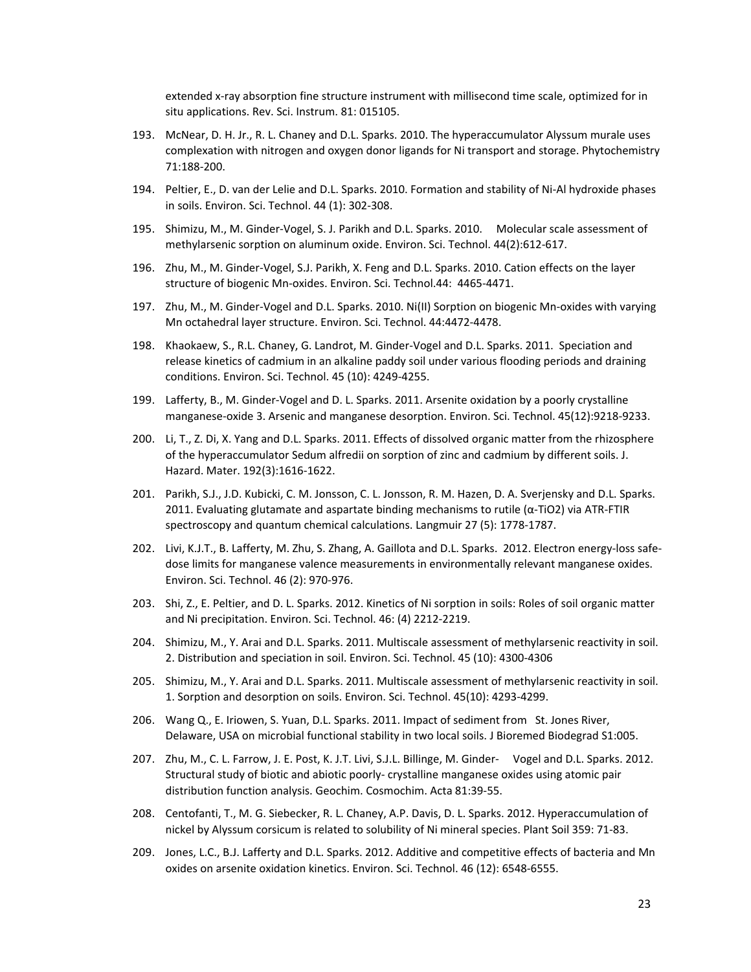extended x-ray absorption fine structure instrument with millisecond time scale, optimized for in situ applications. Rev. Sci. Instrum. 81: 015105.

- 193. McNear, D. H. Jr., R. L. Chaney and D.L. Sparks. 2010. The hyperaccumulator Alyssum murale uses complexation with nitrogen and oxygen donor ligands for Ni transport and storage. Phytochemistry 71:188‐200.
- 194. Peltier, E., D. van der Lelie and D.L. Sparks. 2010. Formation and stability of Ni‐Al hydroxide phases in soils. Environ. Sci. Technol. 44 (1): 302‐308.
- 195. Shimizu, M., M. Ginder‐Vogel, S. J. Parikh and D.L. Sparks. 2010. Molecular scale assessment of methylarsenic sorption on aluminum oxide. Environ. Sci. Technol. 44(2):612‐617.
- 196. Zhu, M., M. Ginder‐Vogel, S.J. Parikh, X. Feng and D.L. Sparks. 2010. Cation effects on the layer structure of biogenic Mn‐oxides. Environ. Sci. Technol.44: 4465‐4471.
- 197. Zhu, M., M. Ginder‐Vogel and D.L. Sparks. 2010. Ni(II) Sorption on biogenic Mn‐oxides with varying Mn octahedral layer structure. Environ. Sci. Technol. 44:4472‐4478.
- 198. Khaokaew, S., R.L. Chaney, G. Landrot, M. Ginder‐Vogel and D.L. Sparks. 2011. Speciation and release kinetics of cadmium in an alkaline paddy soil under various flooding periods and draining conditions. Environ. Sci. Technol. 45 (10): 4249‐4255.
- 199. Lafferty, B., M. Ginder‐Vogel and D. L. Sparks. 2011. Arsenite oxidation by a poorly crystalline manganese‐oxide 3. Arsenic and manganese desorption. Environ. Sci. Technol. 45(12):9218‐9233.
- 200. Li, T., Z. Di, X. Yang and D.L. Sparks. 2011. Effects of dissolved organic matter from the rhizosphere of the hyperaccumulator Sedum alfredii on sorption of zinc and cadmium by different soils. J. Hazard. Mater. 192(3):1616‐1622.
- 201. Parikh, S.J., J.D. Kubicki, C. M. Jonsson, C. L. Jonsson, R. M. Hazen, D. A. Sverjensky and D.L. Sparks. 2011. Evaluating glutamate and aspartate binding mechanisms to rutile ( $\alpha$ -TiO2) via ATR-FTIR spectroscopy and quantum chemical calculations. Langmuir 27 (5): 1778‐1787.
- 202. Livi, K.J.T., B. Lafferty, M. Zhu, S. Zhang, A. Gaillota and D.L. Sparks. 2012. Electron energy-loss safedose limits for manganese valence measurements in environmentally relevant manganese oxides. Environ. Sci. Technol. 46 (2): 970‐976.
- 203. Shi, Z., E. Peltier, and D. L. Sparks. 2012. Kinetics of Ni sorption in soils: Roles of soil organic matter and Ni precipitation. Environ. Sci. Technol. 46: (4) 2212‐2219.
- 204. Shimizu, M., Y. Arai and D.L. Sparks. 2011. Multiscale assessment of methylarsenic reactivity in soil. 2. Distribution and speciation in soil. Environ. Sci. Technol. 45 (10): 4300‐4306
- 205. Shimizu, M., Y. Arai and D.L. Sparks. 2011. Multiscale assessment of methylarsenic reactivity in soil. 1. Sorption and desorption on soils. Environ. Sci. Technol. 45(10): 4293‐4299.
- 206. Wang Q., E. Iriowen, S. Yuan, D.L. Sparks. 2011. Impact of sediment from St. Jones River, Delaware, USA on microbial functional stability in two local soils. J Bioremed Biodegrad S1:005.
- 207. Zhu, M., C. L. Farrow, J. E. Post, K. J.T. Livi, S.J.L. Billinge, M. Ginder‐ Vogel and D.L. Sparks. 2012. Structural study of biotic and abiotic poorly‐ crystalline manganese oxides using atomic pair distribution function analysis. Geochim. Cosmochim. Acta 81:39‐55.
- 208. Centofanti, T., M. G. Siebecker, R. L. Chaney, A.P. Davis, D. L. Sparks. 2012. Hyperaccumulation of nickel by Alyssum corsicum is related to solubility of Ni mineral species. Plant Soil 359: 71‐83.
- 209. Jones, L.C., B.J. Lafferty and D.L. Sparks. 2012. Additive and competitive effects of bacteria and Mn oxides on arsenite oxidation kinetics. Environ. Sci. Technol. 46 (12): 6548‐6555.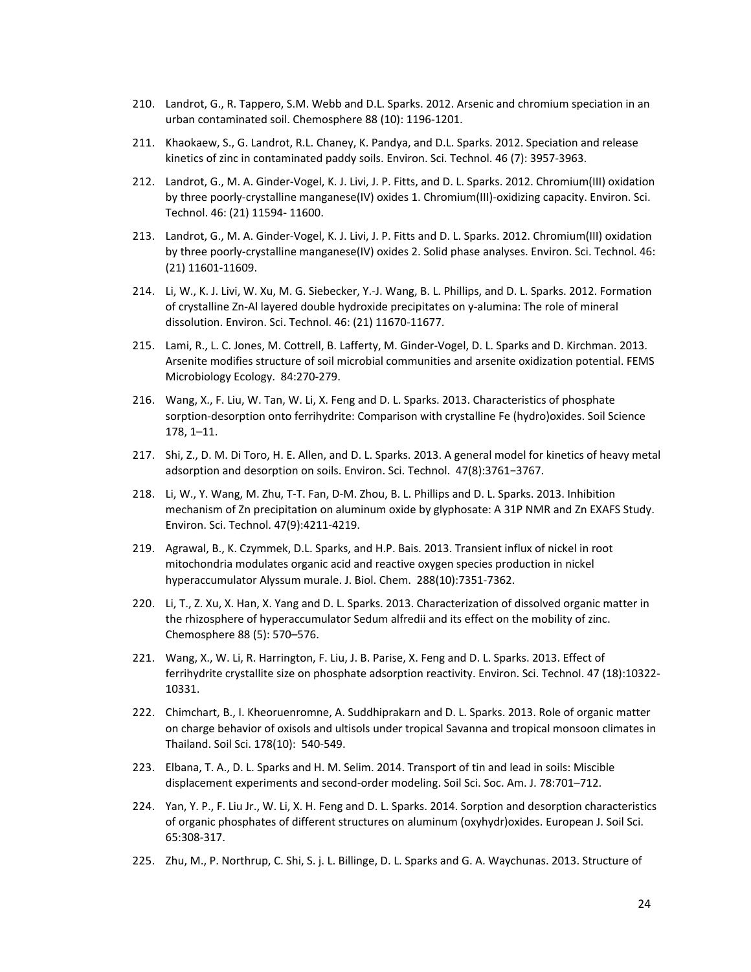- 210. Landrot, G., R. Tappero, S.M. Webb and D.L. Sparks. 2012. Arsenic and chromium speciation in an urban contaminated soil. Chemosphere 88 (10): 1196‐1201.
- 211. Khaokaew, S., G. Landrot, R.L. Chaney, K. Pandya, and D.L. Sparks. 2012. Speciation and release kinetics of zinc in contaminated paddy soils. Environ. Sci. Technol. 46 (7): 3957‐3963.
- 212. Landrot, G., M. A. Ginder‐Vogel, K. J. Livi, J. P. Fitts, and D. L. Sparks. 2012. Chromium(III) oxidation by three poorly‐crystalline manganese(IV) oxides 1. Chromium(III)‐oxidizing capacity. Environ. Sci. Technol. 46: (21) 11594‐ 11600.
- 213. Landrot, G., M. A. Ginder‐Vogel, K. J. Livi, J. P. Fitts and D. L. Sparks. 2012. Chromium(III) oxidation by three poorly‐crystalline manganese(IV) oxides 2. Solid phase analyses. Environ. Sci. Technol. 46: (21) 11601‐11609.
- 214. Li, W., K. J. Livi, W. Xu, M. G. Siebecker, Y.‐J. Wang, B. L. Phillips, and D. L. Sparks. 2012. Formation of crystalline Zn‐Al layered double hydroxide precipitates on y‐alumina: The role of mineral dissolution. Environ. Sci. Technol. 46: (21) 11670‐11677.
- 215. Lami, R., L. C. Jones, M. Cottrell, B. Lafferty, M. Ginder‐Vogel, D. L. Sparks and D. Kirchman. 2013. Arsenite modifies structure of soil microbial communities and arsenite oxidization potential. FEMS Microbiology Ecology. 84:270‐279.
- 216. Wang, X., F. Liu, W. Tan, W. Li, X. Feng and D. L. Sparks. 2013. Characteristics of phosphate sorption‐desorption onto ferrihydrite: Comparison with crystalline Fe (hydro)oxides. Soil Science 178, 1–11.
- 217. Shi, Z., D. M. Di Toro, H. E. Allen, and D. L. Sparks. 2013. A general model for kinetics of heavy metal adsorption and desorption on soils. Environ. Sci. Technol. 47(8):3761−3767.
- 218. Li, W., Y. Wang, M. Zhu, T-T. Fan, D-M. Zhou, B. L. Phillips and D. L. Sparks. 2013. Inhibition mechanism of Zn precipitation on aluminum oxide by glyphosate: A 31P NMR and Zn EXAFS Study. Environ. Sci. Technol. 47(9):4211‐4219.
- 219. Agrawal, B., K. Czymmek, D.L. Sparks, and H.P. Bais. 2013. Transient influx of nickel in root mitochondria modulates organic acid and reactive oxygen species production in nickel hyperaccumulator Alyssum murale. J. Biol. Chem. 288(10):7351‐7362.
- 220. Li, T., Z. Xu, X. Han, X. Yang and D. L. Sparks. 2013. Characterization of dissolved organic matter in the rhizosphere of hyperaccumulator Sedum alfredii and its effect on the mobility of zinc. Chemosphere 88 (5): 570–576.
- 221. Wang, X., W. Li, R. Harrington, F. Liu, J. B. Parise, X. Feng and D. L. Sparks. 2013. Effect of ferrihydrite crystallite size on phosphate adsorption reactivity. Environ. Sci. Technol. 47 (18):10322‐ 10331.
- 222. Chimchart, B., I. Kheoruenromne, A. Suddhiprakarn and D. L. Sparks. 2013. Role of organic matter on charge behavior of oxisols and ultisols under tropical Savanna and tropical monsoon climates in Thailand. Soil Sci. 178(10): 540‐549.
- 223. Elbana, T. A., D. L. Sparks and H. M. Selim. 2014. Transport of tin and lead in soils: Miscible displacement experiments and second‐order modeling. Soil Sci. Soc. Am. J. 78:701–712.
- 224. Yan, Y. P., F. Liu Jr., W. Li, X. H. Feng and D. L. Sparks. 2014. Sorption and desorption characteristics of organic phosphates of different structures on aluminum (oxyhydr)oxides. European J. Soil Sci. 65:308‐317.
- 225. Zhu, M., P. Northrup, C. Shi, S. j. L. Billinge, D. L. Sparks and G. A. Waychunas. 2013. Structure of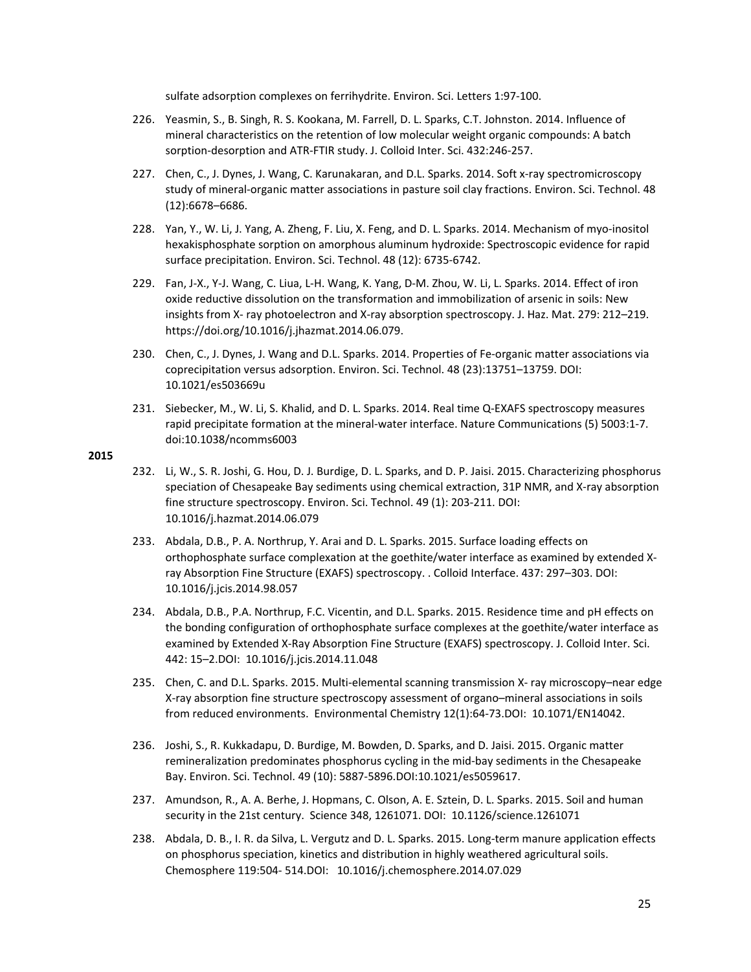sulfate adsorption complexes on ferrihydrite. Environ. Sci. Letters 1:97‐100.

- 226. Yeasmin, S., B. Singh, R. S. Kookana, M. Farrell, D. L. Sparks, C.T. Johnston. 2014. Influence of mineral characteristics on the retention of low molecular weight organic compounds: A batch sorption‐desorption and ATR‐FTIR study. J. Colloid Inter. Sci. 432:246‐257.
- 227. Chen, C., J. Dynes, J. Wang, C. Karunakaran, and D.L. Sparks. 2014. Soft x-ray spectromicroscopy study of mineral‐organic matter associations in pasture soil clay fractions. Environ. Sci. Technol. 48 (12):6678–6686.
- 228. Yan, Y., W. Li, J. Yang, A. Zheng, F. Liu, X. Feng, and D. L. Sparks. 2014. Mechanism of myo‐inositol hexakisphosphate sorption on amorphous aluminum hydroxide: Spectroscopic evidence for rapid surface precipitation. Environ. Sci. Technol. 48 (12): 6735‐6742.
- 229. Fan, J‐X., Y‐J. Wang, C. Liua, L‐H. Wang, K. Yang, D‐M. Zhou, W. Li, L. Sparks. 2014. Effect of iron oxide reductive dissolution on the transformation and immobilization of arsenic in soils: New insights from X‐ ray photoelectron and X‐ray absorption spectroscopy. J. Haz. Mat. 279: 212–219. https://doi.org/10.1016/j.jhazmat.2014.06.079.
- 230. Chen, C., J. Dynes, J. Wang and D.L. Sparks. 2014. Properties of Fe-organic matter associations via coprecipitation versus adsorption. Environ. Sci. Technol. 48 (23):13751–13759. DOI: 10.1021/es503669u
- 231. Siebecker, M., W. Li, S. Khalid, and D. L. Sparks. 2014. Real time Q-EXAFS spectroscopy measures rapid precipitate formation at the mineral‐water interface. Nature Communications (5) 5003:1‐7. doi:10.1038/ncomms6003

- 232. Li, W., S. R. Joshi, G. Hou, D. J. Burdige, D. L. Sparks, and D. P. Jaisi. 2015. Characterizing phosphorus speciation of Chesapeake Bay sediments using chemical extraction, 31P NMR, and X-ray absorption fine structure spectroscopy. Environ. Sci. Technol. 49 (1): 203-211. DOI: 10.1016/j.hazmat.2014.06.079
- 233. Abdala, D.B., P. A. Northrup, Y. Arai and D. L. Sparks. 2015. Surface loading effects on orthophosphate surface complexation at the goethite/water interface as examined by extended X‐ ray Absorption Fine Structure (EXAFS) spectroscopy. . Colloid Interface. 437: 297–303. DOI: 10.1016/j.jcis.2014.98.057
- 234. Abdala, D.B., P.A. Northrup, F.C. Vicentin, and D.L. Sparks. 2015. Residence time and pH effects on the bonding configuration of orthophosphate surface complexes at the goethite/water interface as examined by Extended X‐Ray Absorption Fine Structure (EXAFS) spectroscopy. J. Colloid Inter. Sci. 442: 15–2.DOI: 10.1016/j.jcis.2014.11.048
- 235. Chen, C. and D.L. Sparks. 2015. Multi‐elemental scanning transmission X‐ ray microscopy–near edge X‐ray absorption fine structure spectroscopy assessment of organo–mineral associations in soils from reduced environments. Environmental Chemistry 12(1):64‐73.DOI: 10.1071/EN14042.
- 236. Joshi, S., R. Kukkadapu, D. Burdige, M. Bowden, D. Sparks, and D. Jaisi. 2015. Organic matter remineralization predominates phosphorus cycling in the mid‐bay sediments in the Chesapeake Bay. Environ. Sci. Technol. 49 (10): 5887‐5896.DOI:10.1021/es5059617.
- 237. Amundson, R., A. A. Berhe, J. Hopmans, C. Olson, A. E. Sztein, D. L. Sparks. 2015. Soil and human security in the 21st century. Science 348, 1261071. DOI: 10.1126/science.1261071
- 238. Abdala, D. B., I. R. da Silva, L. Vergutz and D. L. Sparks. 2015. Long-term manure application effects on phosphorus speciation, kinetics and distribution in highly weathered agricultural soils. Chemosphere 119:504‐ 514.DOI: 10.1016/j.chemosphere.2014.07.029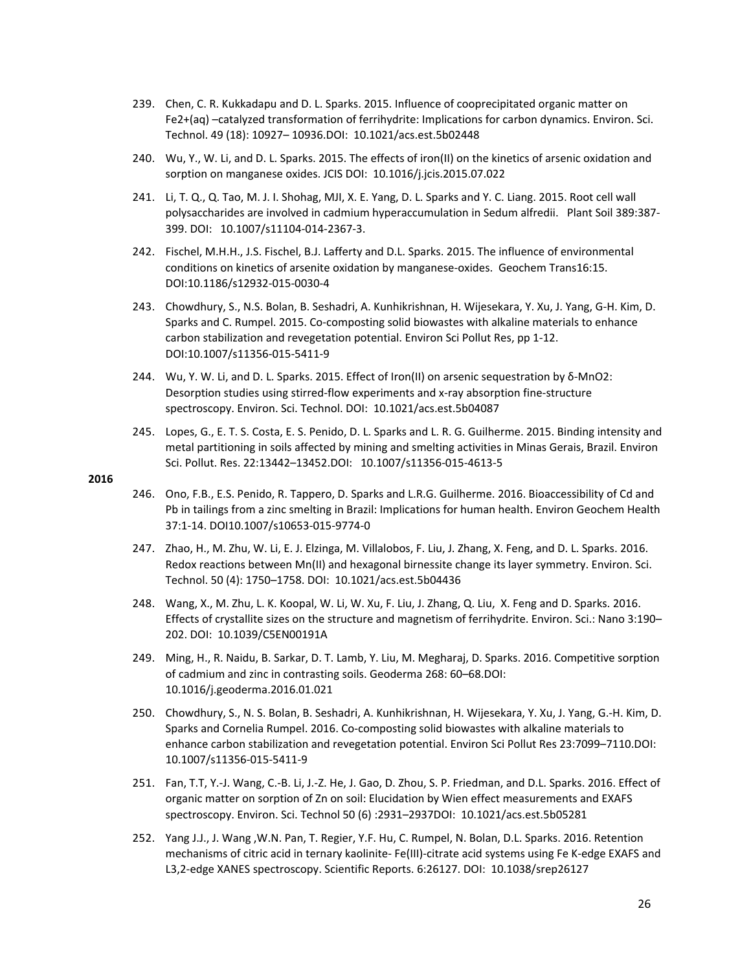- 239. Chen, C. R. Kukkadapu and D. L. Sparks. 2015. Influence of cooprecipitated organic matter on Fe2+(aq) –catalyzed transformation of ferrihydrite: Implications for carbon dynamics. Environ. Sci. Technol. 49 (18): 10927– 10936.DOI: 10.1021/acs.est.5b02448
- 240. Wu, Y., W. Li, and D. L. Sparks. 2015. The effects of iron(II) on the kinetics of arsenic oxidation and sorption on manganese oxides. JCIS DOI: 10.1016/j.jcis.2015.07.022
- 241. Li, T. Q., Q. Tao, M. J. I. Shohag, MJI, X. E. Yang, D. L. Sparks and Y. C. Liang. 2015. Root cell wall polysaccharides are involved in cadmium hyperaccumulation in Sedum alfredii. Plant Soil 389:387-399. DOI: 10.1007/s11104‐014‐2367‐3.
- 242. Fischel, M.H.H., J.S. Fischel, B.J. Lafferty and D.L. Sparks. 2015. The influence of environmental conditions on kinetics of arsenite oxidation by manganese-oxides. Geochem Trans16:15. DOI:10.1186/s12932‐015‐0030‐4
- 243. Chowdhury, S., N.S. Bolan, B. Seshadri, A. Kunhikrishnan, H. Wijesekara, Y. Xu, J. Yang, G‐H. Kim, D. Sparks and C. Rumpel. 2015. Co‐composting solid biowastes with alkaline materials to enhance carbon stabilization and revegetation potential. Environ Sci Pollut Res, pp 1‐12. DOI:10.1007/s11356‐015‐5411‐9
- 244. Wu, Y. W. Li, and D. L. Sparks. 2015. Effect of Iron(II) on arsenic sequestration by δ‐MnO2: Desorption studies using stirred‐flow experiments and x‐ray absorption fine‐structure spectroscopy. Environ. Sci. Technol. DOI: 10.1021/acs.est.5b04087
- 245. Lopes, G., E. T. S. Costa, E. S. Penido, D. L. Sparks and L. R. G. Guilherme. 2015. Binding intensity and metal partitioning in soils affected by mining and smelting activities in Minas Gerais, Brazil. Environ Sci. Pollut. Res. 22:13442–13452.DOI: 10.1007/s11356‐015‐4613‐5

- 246. Ono, F.B., E.S. Penido, R. Tappero, D. Sparks and L.R.G. Guilherme. 2016. Bioaccessibility of Cd and Pb in tailings from a zinc smelting in Brazil: Implications for human health. Environ Geochem Health 37:1‐14. DOI10.1007/s10653‐015‐9774‐0
- 247. Zhao, H., M. Zhu, W. Li, E. J. Elzinga, M. Villalobos, F. Liu, J. Zhang, X. Feng, and D. L. Sparks. 2016. Redox reactions between Mn(II) and hexagonal birnessite change its layer symmetry. Environ. Sci. Technol. 50 (4): 1750–1758. DOI: 10.1021/acs.est.5b04436
- 248. Wang, X., M. Zhu, L. K. Koopal, W. Li, W. Xu, F. Liu, J. Zhang, Q. Liu, X. Feng and D. Sparks. 2016. Effects of crystallite sizes on the structure and magnetism of ferrihydrite. Environ. Sci.: Nano 3:190– 202. DOI: 10.1039/C5EN00191A
- 249. Ming, H., R. Naidu, B. Sarkar, D. T. Lamb, Y. Liu, M. Megharaj, D. Sparks. 2016. Competitive sorption of cadmium and zinc in contrasting soils. Geoderma 268: 60–68.DOI: 10.1016/j.geoderma.2016.01.021
- 250. Chowdhury, S., N. S. Bolan, B. Seshadri, A. Kunhikrishnan, H. Wijesekara, Y. Xu, J. Yang, G.‐H. Kim, D. Sparks and Cornelia Rumpel. 2016. Co‐composting solid biowastes with alkaline materials to enhance carbon stabilization and revegetation potential. Environ Sci Pollut Res 23:7099–7110.DOI: 10.1007/s11356‐015‐5411‐9
- 251. Fan, T.T, Y.‐J. Wang, C.‐B. Li, J.‐Z. He, J. Gao, D. Zhou, S. P. Friedman, and D.L. Sparks. 2016. Effect of organic matter on sorption of Zn on soil: Elucidation by Wien effect measurements and EXAFS spectroscopy. Environ. Sci. Technol 50 (6) :2931–2937DOI: 10.1021/acs.est.5b05281
- 252. Yang J.J., J. Wang ,W.N. Pan, T. Regier, Y.F. Hu, C. Rumpel, N. Bolan, D.L. Sparks. 2016. Retention mechanisms of citric acid in ternary kaolinite‐ Fe(III)‐citrate acid systems using Fe K‐edge EXAFS and L3,2-edge XANES spectroscopy. Scientific Reports. 6:26127. DOI: 10.1038/srep26127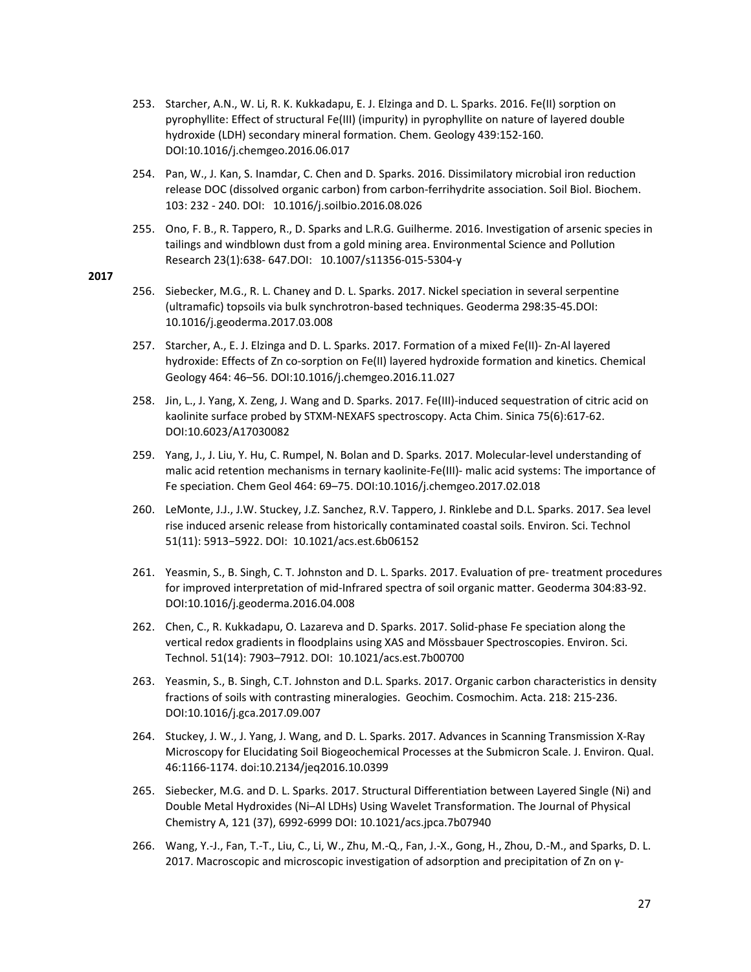- 253. Starcher, A.N., W. Li, R. K. Kukkadapu, E. J. Elzinga and D. L. Sparks. 2016. Fe(II) sorption on pyrophyllite: Effect of structural Fe(III) (impurity) in pyrophyllite on nature of layered double hydroxide (LDH) secondary mineral formation. Chem. Geology 439:152‐160. DOI:10.1016/j.chemgeo.2016.06.017
- 254. Pan, W., J. Kan, S. Inamdar, C. Chen and D. Sparks. 2016. Dissimilatory microbial iron reduction release DOC (dissolved organic carbon) from carbon‐ferrihydrite association. Soil Biol. Biochem. 103: 232 ‐ 240. DOI: 10.1016/j.soilbio.2016.08.026
- 255. Ono, F. B., R. Tappero, R., D. Sparks and L.R.G. Guilherme. 2016. Investigation of arsenic species in tailings and windblown dust from a gold mining area. Environmental Science and Pollution Research 23(1):638‐ 647.DOI: 10.1007/s11356‐015‐5304‐y

- 256. Siebecker, M.G., R. L. Chaney and D. L. Sparks. 2017. Nickel speciation in several serpentine (ultramafic) topsoils via bulk synchrotron‐based techniques. Geoderma 298:35‐45.DOI: 10.1016/j.geoderma.2017.03.008
- 257. Starcher, A., E. J. Elzinga and D. L. Sparks. 2017. Formation of a mixed Fe(II)‐ Zn‐Al layered hydroxide: Effects of Zn co-sorption on Fe(II) layered hydroxide formation and kinetics. Chemical Geology 464: 46–56. DOI:10.1016/j.chemgeo.2016.11.027
- 258. Jin, L., J. Yang, X. Zeng, J. Wang and D. Sparks. 2017. Fe(III)‐induced sequestration of citric acid on kaolinite surface probed by STXM-NEXAFS spectroscopy. Acta Chim. Sinica 75(6):617-62. DOI:10.6023/A17030082
- 259. Yang, J., J. Liu, Y. Hu, C. Rumpel, N. Bolan and D. Sparks. 2017. Molecular‐level understanding of malic acid retention mechanisms in ternary kaolinite‐Fe(III)‐ malic acid systems: The importance of Fe speciation. Chem Geol 464: 69–75. DOI:10.1016/j.chemgeo.2017.02.018
- 260. LeMonte, J.J., J.W. Stuckey, J.Z. Sanchez, R.V. Tappero, J. Rinklebe and D.L. Sparks. 2017. Sea level rise induced arsenic release from historically contaminated coastal soils. Environ. Sci. Technol 51(11): 5913−5922. DOI: 10.1021/acs.est.6b06152
- 261. Yeasmin, S., B. Singh, C. T. Johnston and D. L. Sparks. 2017. Evaluation of pre‐ treatment procedures for improved interpretation of mid-Infrared spectra of soil organic matter. Geoderma 304:83-92. DOI:10.1016/j.geoderma.2016.04.008
- 262. Chen, C., R. Kukkadapu, O. Lazareva and D. Sparks. 2017. Solid-phase Fe speciation along the vertical redox gradients in floodplains using XAS and Mössbauer Spectroscopies. Environ. Sci. Technol. 51(14): 7903–7912. DOI: 10.1021/acs.est.7b00700
- 263. Yeasmin, S., B. Singh, C.T. Johnston and D.L. Sparks. 2017. Organic carbon characteristics in density fractions of soils with contrasting mineralogies. Geochim. Cosmochim. Acta. 218: 215‐236. DOI:10.1016/j.gca.2017.09.007
- 264. Stuckey, J. W., J. Yang, J. Wang, and D. L. Sparks. 2017. Advances in Scanning Transmission X‐Ray Microscopy for Elucidating Soil Biogeochemical Processes at the Submicron Scale. J. Environ. Qual. 46:1166‐1174. doi:10.2134/jeq2016.10.0399
- 265. Siebecker, M.G. and D. L. Sparks. 2017. Structural Differentiation between Layered Single (Ni) and Double Metal Hydroxides (Ni–Al LDHs) Using Wavelet Transformation. The Journal of Physical Chemistry A, 121 (37), 6992‐6999 DOI: 10.1021/acs.jpca.7b07940
- 266. Wang, Y.‐J., Fan, T.‐T., Liu, C., Li, W., Zhu, M.‐Q., Fan, J.‐X., Gong, H., Zhou, D.‐M., and Sparks, D. L. 2017. Macroscopic and microscopic investigation of adsorption and precipitation of Zn on γ‐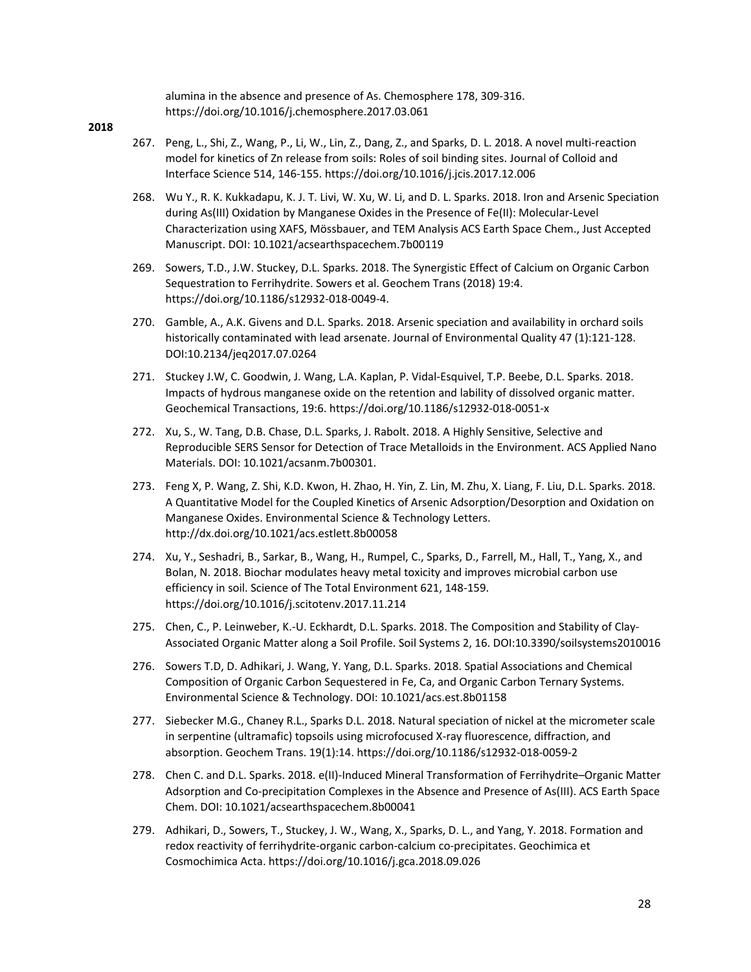alumina in the absence and presence of As. Chemosphere 178, 309‐316. https://doi.org/10.1016/j.chemosphere.2017.03.061

- 267. Peng, L., Shi, Z., Wang, P., Li, W., Lin, Z., Dang, Z., and Sparks, D. L. 2018. A novel multi‐reaction model for kinetics of Zn release from soils: Roles of soil binding sites. Journal of Colloid and Interface Science 514, 146‐155. https://doi.org/10.1016/j.jcis.2017.12.006
- 268. Wu Y., R. K. Kukkadapu, K. J. T. Livi, W. Xu, W. Li, and D. L. Sparks. 2018. Iron and Arsenic Speciation during As(III) Oxidation by Manganese Oxides in the Presence of Fe(II): Molecular‐Level Characterization using XAFS, Mössbauer, and TEM Analysis ACS Earth Space Chem., Just Accepted Manuscript. DOI: 10.1021/acsearthspacechem.7b00119
- 269. Sowers, T.D., J.W. Stuckey, D.L. Sparks. 2018. The Synergistic Effect of Calcium on Organic Carbon Sequestration to Ferrihydrite. Sowers et al. Geochem Trans (2018) 19:4. https://doi.org/10.1186/s12932‐018‐0049‐4.
- 270. Gamble, A., A.K. Givens and D.L. Sparks. 2018. Arsenic speciation and availability in orchard soils historically contaminated with lead arsenate. Journal of Environmental Quality 47 (1):121-128. DOI:10.2134/jeq2017.07.0264
- 271. Stuckey J.W, C. Goodwin, J. Wang, L.A. Kaplan, P. Vidal‐Esquivel, T.P. Beebe, D.L. Sparks. 2018. Impacts of hydrous manganese oxide on the retention and lability of dissolved organic matter. Geochemical Transactions, 19:6. https://doi.org/10.1186/s12932‐018‐0051‐x
- 272. Xu, S., W. Tang, D.B. Chase, D.L. Sparks, J. Rabolt. 2018. A Highly Sensitive, Selective and Reproducible SERS Sensor for Detection of Trace Metalloids in the Environment. ACS Applied Nano Materials. DOI: 10.1021/acsanm.7b00301.
- 273. Feng X, P. Wang, Z. Shi, K.D. Kwon, H. Zhao, H. Yin, Z. Lin, M. Zhu, X. Liang, F. Liu, D.L. Sparks. 2018. A Quantitative Model for the Coupled Kinetics of Arsenic Adsorption/Desorption and Oxidation on Manganese Oxides. Environmental Science & Technology Letters. http://dx.doi.org/10.1021/acs.estlett.8b00058
- 274. Xu, Y., Seshadri, B., Sarkar, B., Wang, H., Rumpel, C., Sparks, D., Farrell, M., Hall, T., Yang, X., and Bolan, N. 2018. Biochar modulates heavy metal toxicity and improves microbial carbon use efficiency in soil. Science of The Total Environment 621, 148‐159. https://doi.org/10.1016/j.scitotenv.2017.11.214
- 275. Chen, C., P. Leinweber, K.‐U. Eckhardt, D.L. Sparks. 2018. The Composition and Stability of Clay‐ Associated Organic Matter along a Soil Profile. Soil Systems 2, 16. DOI:10.3390/soilsystems2010016
- 276. Sowers T.D, D. Adhikari, J. Wang, Y. Yang, D.L. Sparks. 2018. Spatial Associations and Chemical Composition of Organic Carbon Sequestered in Fe, Ca, and Organic Carbon Ternary Systems. Environmental Science & Technology. DOI: 10.1021/acs.est.8b01158
- 277. Siebecker M.G., Chaney R.L., Sparks D.L. 2018. Natural speciation of nickel at the micrometer scale in serpentine (ultramafic) topsoils using microfocused X-ray fluorescence, diffraction, and absorption. Geochem Trans. 19(1):14. https://doi.org/10.1186/s12932‐018‐0059‐2
- 278. Chen C. and D.L. Sparks. 2018. e(II)-Induced Mineral Transformation of Ferrihydrite–Organic Matter Adsorption and Co‐precipitation Complexes in the Absence and Presence of As(III). ACS Earth Space Chem. DOI: 10.1021/acsearthspacechem.8b00041
- 279. Adhikari, D., Sowers, T., Stuckey, J. W., Wang, X., Sparks, D. L., and Yang, Y. 2018. Formation and redox reactivity of ferrihydrite‐organic carbon‐calcium co‐precipitates. Geochimica et Cosmochimica Acta. https://doi.org/10.1016/j.gca.2018.09.026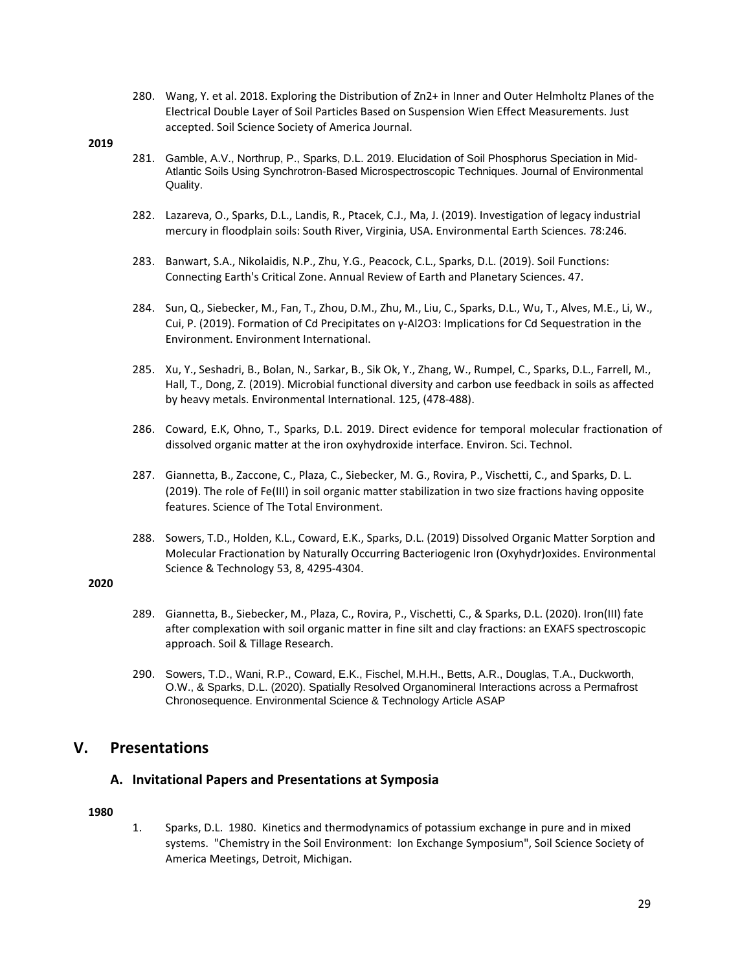- 280. Wang, Y. et al. 2018. Exploring the Distribution of Zn2+ in Inner and Outer Helmholtz Planes of the Electrical Double Layer of Soil Particles Based on Suspension Wien Effect Measurements. Just accepted. Soil Science Society of America Journal.
- **2019**
- 281. Gamble, A.V., Northrup, P., Sparks, D.L. 2019. Elucidation of Soil Phosphorus Speciation in Mid-Atlantic Soils Using Synchrotron-Based Microspectroscopic Techniques. Journal of Environmental Quality.
- 282. Lazareva, O., Sparks, D.L., Landis, R., Ptacek, C.J., Ma, J. (2019). Investigation of legacy industrial mercury in floodplain soils: South River, Virginia, USA. Environmental Earth Sciences. 78:246.
- 283. Banwart, S.A., Nikolaidis, N.P., Zhu, Y.G., Peacock, C.L., Sparks, D.L. (2019). Soil Functions: Connecting Earth's Critical Zone. Annual Review of Earth and Planetary Sciences. 47.
- 284. Sun, Q., Siebecker, M., Fan, T., Zhou, D.M., Zhu, M., Liu, C., Sparks, D.L., Wu, T., Alves, M.E., Li, W., Cui, P. (2019). Formation of Cd Precipitates on γ‐Al2O3: Implications for Cd Sequestration in the Environment. Environment International.
- 285. Xu, Y., Seshadri, B., Bolan, N., Sarkar, B., Sik Ok, Y., Zhang, W., Rumpel, C., Sparks, D.L., Farrell, M., Hall, T., Dong, Z. (2019). Microbial functional diversity and carbon use feedback in soils as affected by heavy metals. Environmental International. 125, (478‐488).
- 286. Coward, E.K, Ohno, T., Sparks, D.L. 2019. Direct evidence for temporal molecular fractionation of dissolved organic matter at the iron oxyhydroxide interface. Environ. Sci. Technol.
- 287. Giannetta, B., Zaccone, C., Plaza, C., Siebecker, M. G., Rovira, P., Vischetti, C., and Sparks, D. L. (2019). The role of Fe(III) in soil organic matter stabilization in two size fractions having opposite features. Science of The Total Environment.
- 288. Sowers, T.D., Holden, K.L., Coward, E.K., Sparks, D.L. (2019) Dissolved Organic Matter Sorption and Molecular Fractionation by Naturally Occurring Bacteriogenic Iron (Oxyhydr)oxides. Environmental Science & Technology 53, 8, 4295‐4304.

- 289. Giannetta, B., Siebecker, M., Plaza, C., Rovira, P., Vischetti, C., & Sparks, D.L. (2020). Iron(III) fate after complexation with soil organic matter in fine silt and clay fractions: an EXAFS spectroscopic approach. Soil & Tillage Research.
- 290. Sowers, T.D., Wani, R.P., Coward, E.K., Fischel, M.H.H., Betts, A.R., Douglas, T.A., Duckworth, O.W., & Sparks, D.L. (2020). Spatially Resolved Organomineral Interactions across a Permafrost Chronosequence. Environmental Science & Technology Article ASAP

## **V. Presentations**

## **A. Invitational Papers and Presentations at Symposia**

**1980**

1. Sparks, D.L. 1980. Kinetics and thermodynamics of potassium exchange in pure and in mixed systems. "Chemistry in the Soil Environment: Ion Exchange Symposium", Soil Science Society of America Meetings, Detroit, Michigan.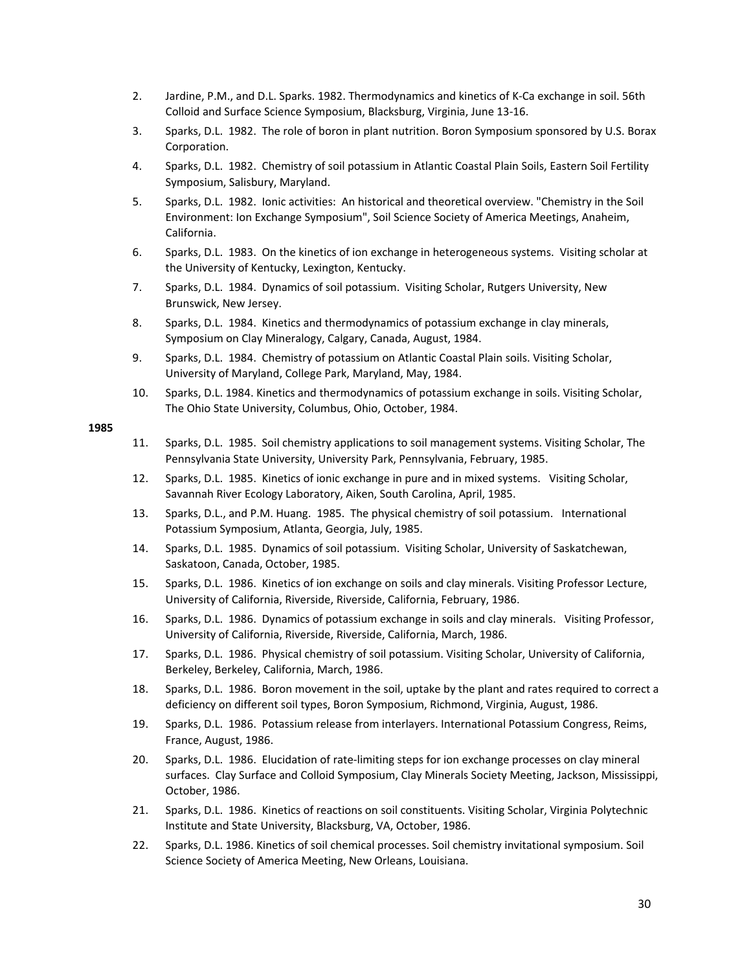- 2. Jardine, P.M., and D.L. Sparks. 1982. Thermodynamics and kinetics of K‐Ca exchange in soil. 56th Colloid and Surface Science Symposium, Blacksburg, Virginia, June 13‐16.
- 3. Sparks, D.L. 1982. The role of boron in plant nutrition. Boron Symposium sponsored by U.S. Borax Corporation.
- 4. Sparks, D.L. 1982. Chemistry of soil potassium in Atlantic Coastal Plain Soils, Eastern Soil Fertility Symposium, Salisbury, Maryland.
- 5. Sparks, D.L. 1982. Ionic activities: An historical and theoretical overview. "Chemistry in the Soil Environment: Ion Exchange Symposium", Soil Science Society of America Meetings, Anaheim, California.
- 6. Sparks, D.L. 1983. On the kinetics of ion exchange in heterogeneous systems. Visiting scholar at the University of Kentucky, Lexington, Kentucky.
- 7. Sparks, D.L. 1984. Dynamics of soil potassium. Visiting Scholar, Rutgers University, New Brunswick, New Jersey.
- 8. Sparks, D.L. 1984. Kinetics and thermodynamics of potassium exchange in clay minerals, Symposium on Clay Mineralogy, Calgary, Canada, August, 1984.
- 9. Sparks, D.L. 1984. Chemistry of potassium on Atlantic Coastal Plain soils. Visiting Scholar, University of Maryland, College Park, Maryland, May, 1984.
- 10. Sparks, D.L. 1984. Kinetics and thermodynamics of potassium exchange in soils. Visiting Scholar, The Ohio State University, Columbus, Ohio, October, 1984.

- 11. Sparks, D.L. 1985. Soil chemistry applications to soil management systems. Visiting Scholar, The Pennsylvania State University, University Park, Pennsylvania, February, 1985.
- 12. Sparks, D.L. 1985. Kinetics of ionic exchange in pure and in mixed systems. Visiting Scholar, Savannah River Ecology Laboratory, Aiken, South Carolina, April, 1985.
- 13. Sparks, D.L., and P.M. Huang. 1985. The physical chemistry of soil potassium. International Potassium Symposium, Atlanta, Georgia, July, 1985.
- 14. Sparks, D.L. 1985. Dynamics of soil potassium. Visiting Scholar, University of Saskatchewan, Saskatoon, Canada, October, 1985.
- 15. Sparks, D.L. 1986. Kinetics of ion exchange on soils and clay minerals. Visiting Professor Lecture, University of California, Riverside, Riverside, California, February, 1986.
- 16. Sparks, D.L. 1986. Dynamics of potassium exchange in soils and clay minerals. Visiting Professor, University of California, Riverside, Riverside, California, March, 1986.
- 17. Sparks, D.L. 1986. Physical chemistry of soil potassium. Visiting Scholar, University of California, Berkeley, Berkeley, California, March, 1986.
- 18. Sparks, D.L. 1986. Boron movement in the soil, uptake by the plant and rates required to correct a deficiency on different soil types, Boron Symposium, Richmond, Virginia, August, 1986.
- 19. Sparks, D.L. 1986. Potassium release from interlayers. International Potassium Congress, Reims, France, August, 1986.
- 20. Sparks, D.L. 1986. Elucidation of rate-limiting steps for ion exchange processes on clay mineral surfaces. Clay Surface and Colloid Symposium, Clay Minerals Society Meeting, Jackson, Mississippi, October, 1986.
- 21. Sparks, D.L. 1986. Kinetics of reactions on soil constituents. Visiting Scholar, Virginia Polytechnic Institute and State University, Blacksburg, VA, October, 1986.
- 22. Sparks, D.L. 1986. Kinetics of soil chemical processes. Soil chemistry invitational symposium. Soil Science Society of America Meeting, New Orleans, Louisiana.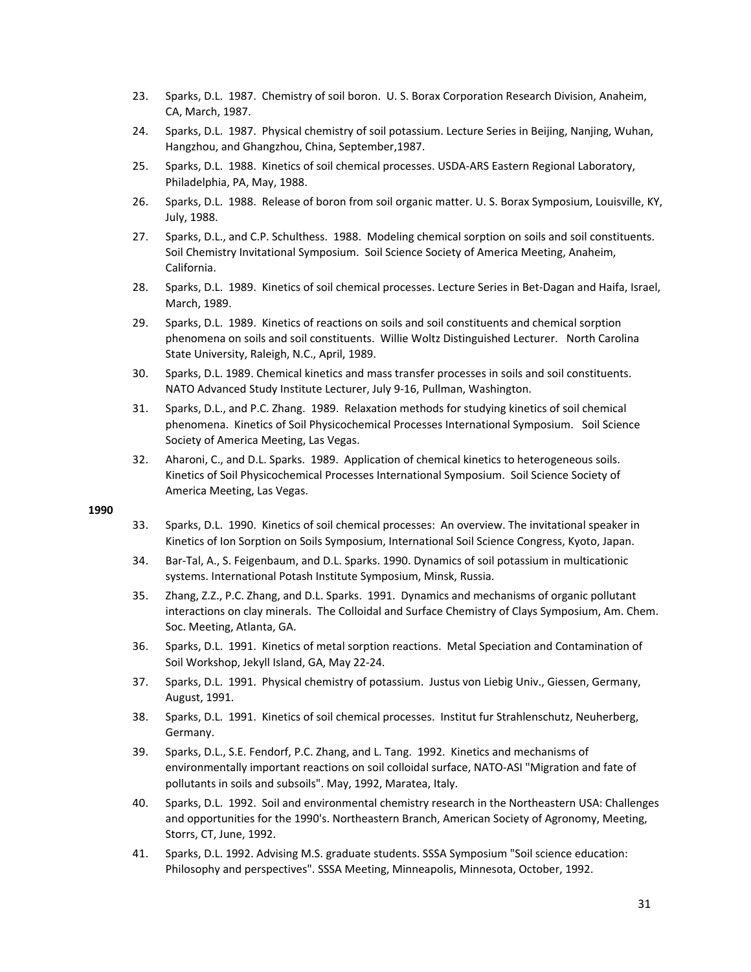- 23. Sparks, D.L. 1987. Chemistry of soil boron. U. S. Borax Corporation Research Division, Anaheim, CA, March, 1987.
- 24. Sparks, D.L. 1987. Physical chemistry of soil potassium. Lecture Series in Beijing, Nanjing, Wuhan, Hangzhou, and Ghangzhou, China, September,1987.
- 25. Sparks, D.L. 1988. Kinetics of soil chemical processes. USDA‐ARS Eastern Regional Laboratory, Philadelphia, PA, May, 1988.
- 26. Sparks, D.L. 1988. Release of boron from soil organic matter. U. S. Borax Symposium, Louisville, KY, July, 1988.
- 27. Sparks, D.L., and C.P. Schulthess. 1988. Modeling chemical sorption on soils and soil constituents. Soil Chemistry Invitational Symposium. Soil Science Society of America Meeting, Anaheim, California.
- 28. Sparks, D.L. 1989. Kinetics of soil chemical processes. Lecture Series in Bet‐Dagan and Haifa, Israel, March, 1989.
- 29. Sparks, D.L. 1989. Kinetics of reactions on soils and soil constituents and chemical sorption phenomena on soils and soil constituents. Willie Woltz Distinguished Lecturer. North Carolina State University, Raleigh, N.C., April, 1989.
- 30. Sparks, D.L. 1989. Chemical kinetics and mass transfer processes in soils and soil constituents. NATO Advanced Study Institute Lecturer, July 9‐16, Pullman, Washington.
- 31. Sparks, D.L., and P.C. Zhang. 1989. Relaxation methods for studying kinetics of soil chemical phenomena. Kinetics of Soil Physicochemical Processes International Symposium. Soil Science Society of America Meeting, Las Vegas.
- 32. Aharoni, C., and D.L. Sparks. 1989. Application of chemical kinetics to heterogeneous soils. Kinetics of Soil Physicochemical Processes International Symposium. Soil Science Society of America Meeting, Las Vegas.

- 33. Sparks, D.L. 1990. Kinetics of soil chemical processes: An overview. The invitational speaker in Kinetics of Ion Sorption on Soils Symposium, International Soil Science Congress, Kyoto, Japan.
- 34. Bar‐Tal, A., S. Feigenbaum, and D.L. Sparks. 1990. Dynamics of soil potassium in multicationic systems. International Potash Institute Symposium, Minsk, Russia.
- 35. Zhang, Z.Z., P.C. Zhang, and D.L. Sparks. 1991. Dynamics and mechanisms of organic pollutant interactions on clay minerals. The Colloidal and Surface Chemistry of Clays Symposium, Am. Chem. Soc. Meeting, Atlanta, GA.
- 36. Sparks, D.L. 1991. Kinetics of metal sorption reactions. Metal Speciation and Contamination of Soil Workshop, Jekyll Island, GA, May 22‐24.
- 37. Sparks, D.L. 1991. Physical chemistry of potassium. Justus von Liebig Univ., Giessen, Germany, August, 1991.
- 38. Sparks, D.L. 1991. Kinetics of soil chemical processes. Institut fur Strahlenschutz, Neuherberg, Germany.
- 39. Sparks, D.L., S.E. Fendorf, P.C. Zhang, and L. Tang. 1992. Kinetics and mechanisms of environmentally important reactions on soil colloidal surface, NATO‐ASI "Migration and fate of pollutants in soils and subsoils". May, 1992, Maratea, Italy.
- 40. Sparks, D.L. 1992. Soil and environmental chemistry research in the Northeastern USA: Challenges and opportunities for the 1990's. Northeastern Branch, American Society of Agronomy, Meeting, Storrs, CT, June, 1992.
- 41. Sparks, D.L. 1992. Advising M.S. graduate students. SSSA Symposium "Soil science education: Philosophy and perspectives". SSSA Meeting, Minneapolis, Minnesota, October, 1992.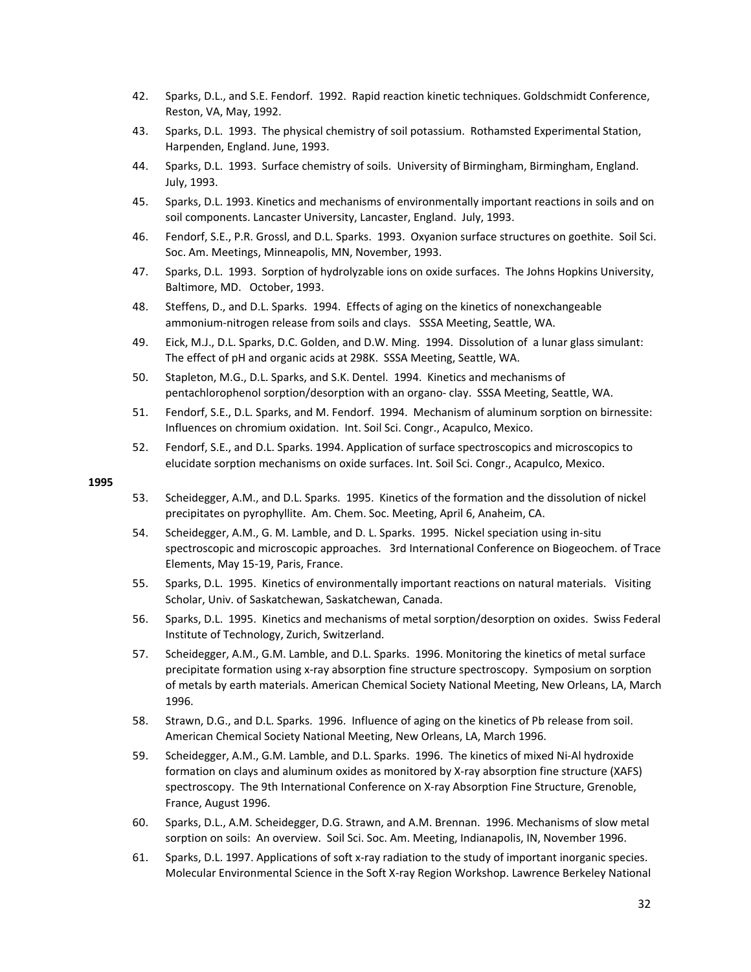- 42. Sparks, D.L., and S.E. Fendorf. 1992. Rapid reaction kinetic techniques. Goldschmidt Conference, Reston, VA, May, 1992.
- 43. Sparks, D.L. 1993. The physical chemistry of soil potassium. Rothamsted Experimental Station, Harpenden, England. June, 1993.
- 44. Sparks, D.L. 1993. Surface chemistry of soils. University of Birmingham, Birmingham, England. July, 1993.
- 45. Sparks, D.L. 1993. Kinetics and mechanisms of environmentally important reactions in soils and on soil components. Lancaster University, Lancaster, England. July, 1993.
- 46. Fendorf, S.E., P.R. Grossl, and D.L. Sparks. 1993. Oxyanion surface structures on goethite. Soil Sci. Soc. Am. Meetings, Minneapolis, MN, November, 1993.
- 47. Sparks, D.L. 1993. Sorption of hydrolyzable ions on oxide surfaces. The Johns Hopkins University, Baltimore, MD. October, 1993.
- 48. Steffens, D., and D.L. Sparks. 1994. Effects of aging on the kinetics of nonexchangeable ammonium-nitrogen release from soils and clays. SSSA Meeting, Seattle, WA.
- 49. Eick, M.J., D.L. Sparks, D.C. Golden, and D.W. Ming. 1994. Dissolution of a lunar glass simulant: The effect of pH and organic acids at 298K. SSSA Meeting, Seattle, WA.
- 50. Stapleton, M.G., D.L. Sparks, and S.K. Dentel. 1994. Kinetics and mechanisms of pentachlorophenol sorption/desorption with an organo‐ clay. SSSA Meeting, Seattle, WA.
- 51. Fendorf, S.E., D.L. Sparks, and M. Fendorf. 1994. Mechanism of aluminum sorption on birnessite: Influences on chromium oxidation. Int. Soil Sci. Congr., Acapulco, Mexico.
- 52. Fendorf, S.E., and D.L. Sparks. 1994. Application of surface spectroscopics and microscopics to elucidate sorption mechanisms on oxide surfaces. Int. Soil Sci. Congr., Acapulco, Mexico.

- 53. Scheidegger, A.M., and D.L. Sparks. 1995. Kinetics of the formation and the dissolution of nickel precipitates on pyrophyllite. Am. Chem. Soc. Meeting, April 6, Anaheim, CA.
- 54. Scheidegger, A.M., G. M. Lamble, and D. L. Sparks. 1995. Nickel speciation using in-situ spectroscopic and microscopic approaches. 3rd International Conference on Biogeochem. of Trace Elements, May 15‐19, Paris, France.
- 55. Sparks, D.L. 1995. Kinetics of environmentally important reactions on natural materials. Visiting Scholar, Univ. of Saskatchewan, Saskatchewan, Canada.
- 56. Sparks, D.L. 1995. Kinetics and mechanisms of metal sorption/desorption on oxides. Swiss Federal Institute of Technology, Zurich, Switzerland.
- 57. Scheidegger, A.M., G.M. Lamble, and D.L. Sparks. 1996. Monitoring the kinetics of metal surface precipitate formation using x‐ray absorption fine structure spectroscopy. Symposium on sorption of metals by earth materials. American Chemical Society National Meeting, New Orleans, LA, March 1996.
- 58. Strawn, D.G., and D.L. Sparks. 1996. Influence of aging on the kinetics of Pb release from soil. American Chemical Society National Meeting, New Orleans, LA, March 1996.
- 59. Scheidegger, A.M., G.M. Lamble, and D.L. Sparks. 1996. The kinetics of mixed Ni-Al hydroxide formation on clays and aluminum oxides as monitored by X‐ray absorption fine structure (XAFS) spectroscopy. The 9th International Conference on X-ray Absorption Fine Structure, Grenoble, France, August 1996.
- 60. Sparks, D.L., A.M. Scheidegger, D.G. Strawn, and A.M. Brennan. 1996. Mechanisms of slow metal sorption on soils: An overview. Soil Sci. Soc. Am. Meeting, Indianapolis, IN, November 1996.
- 61. Sparks, D.L. 1997. Applications of soft x-ray radiation to the study of important inorganic species. Molecular Environmental Science in the Soft X‐ray Region Workshop. Lawrence Berkeley National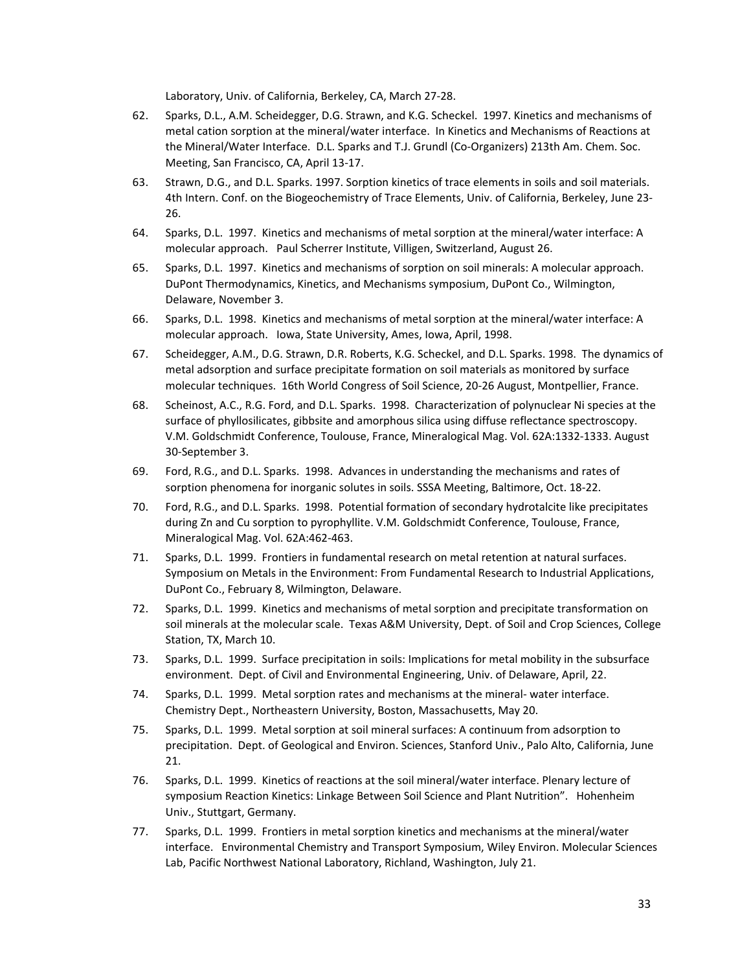Laboratory, Univ. of California, Berkeley, CA, March 27‐28.

- 62. Sparks, D.L., A.M. Scheidegger, D.G. Strawn, and K.G. Scheckel. 1997. Kinetics and mechanisms of metal cation sorption at the mineral/water interface. In Kinetics and Mechanisms of Reactions at the Mineral/Water Interface. D.L. Sparks and T.J. Grundl (Co-Organizers) 213th Am. Chem. Soc. Meeting, San Francisco, CA, April 13‐17.
- 63. Strawn, D.G., and D.L. Sparks. 1997. Sorption kinetics of trace elements in soils and soil materials. 4th Intern. Conf. on the Biogeochemistry of Trace Elements, Univ. of California, Berkeley, June 23‐ 26.
- 64. Sparks, D.L. 1997. Kinetics and mechanisms of metal sorption at the mineral/water interface: A molecular approach. Paul Scherrer Institute, Villigen, Switzerland, August 26.
- 65. Sparks, D.L. 1997. Kinetics and mechanisms of sorption on soil minerals: A molecular approach. DuPont Thermodynamics, Kinetics, and Mechanisms symposium, DuPont Co., Wilmington, Delaware, November 3.
- 66. Sparks, D.L. 1998. Kinetics and mechanisms of metal sorption at the mineral/water interface: A molecular approach. Iowa, State University, Ames, Iowa, April, 1998.
- 67. Scheidegger, A.M., D.G. Strawn, D.R. Roberts, K.G. Scheckel, and D.L. Sparks. 1998. The dynamics of metal adsorption and surface precipitate formation on soil materials as monitored by surface molecular techniques. 16th World Congress of Soil Science, 20‐26 August, Montpellier, France.
- 68. Scheinost, A.C., R.G. Ford, and D.L. Sparks. 1998. Characterization of polynuclear Ni species at the surface of phyllosilicates, gibbsite and amorphous silica using diffuse reflectance spectroscopy. V.M. Goldschmidt Conference, Toulouse, France, Mineralogical Mag. Vol. 62A:1332‐1333. August 30‐September 3.
- 69. Ford, R.G., and D.L. Sparks. 1998. Advances in understanding the mechanisms and rates of sorption phenomena for inorganic solutes in soils. SSSA Meeting, Baltimore, Oct. 18‐22.
- 70. Ford, R.G., and D.L. Sparks. 1998. Potential formation of secondary hydrotalcite like precipitates during Zn and Cu sorption to pyrophyllite. V.M. Goldschmidt Conference, Toulouse, France, Mineralogical Mag. Vol. 62A:462‐463.
- 71. Sparks, D.L. 1999. Frontiers in fundamental research on metal retention at natural surfaces. Symposium on Metals in the Environment: From Fundamental Research to Industrial Applications, DuPont Co., February 8, Wilmington, Delaware.
- 72. Sparks, D.L. 1999. Kinetics and mechanisms of metal sorption and precipitate transformation on soil minerals at the molecular scale. Texas A&M University, Dept. of Soil and Crop Sciences, College Station, TX, March 10.
- 73. Sparks, D.L. 1999. Surface precipitation in soils: Implications for metal mobility in the subsurface environment. Dept. of Civil and Environmental Engineering, Univ. of Delaware, April, 22.
- 74. Sparks, D.L. 1999. Metal sorption rates and mechanisms at the mineral- water interface. Chemistry Dept., Northeastern University, Boston, Massachusetts, May 20.
- 75. Sparks, D.L. 1999. Metal sorption at soil mineral surfaces: A continuum from adsorption to precipitation. Dept. of Geological and Environ. Sciences, Stanford Univ., Palo Alto, California, June 21.
- 76. Sparks, D.L. 1999. Kinetics of reactions at the soil mineral/water interface. Plenary lecture of symposium Reaction Kinetics: Linkage Between Soil Science and Plant Nutrition". Hohenheim Univ., Stuttgart, Germany.
- 77. Sparks, D.L. 1999. Frontiers in metal sorption kinetics and mechanisms at the mineral/water interface. Environmental Chemistry and Transport Symposium, Wiley Environ. Molecular Sciences Lab, Pacific Northwest National Laboratory, Richland, Washington, July 21.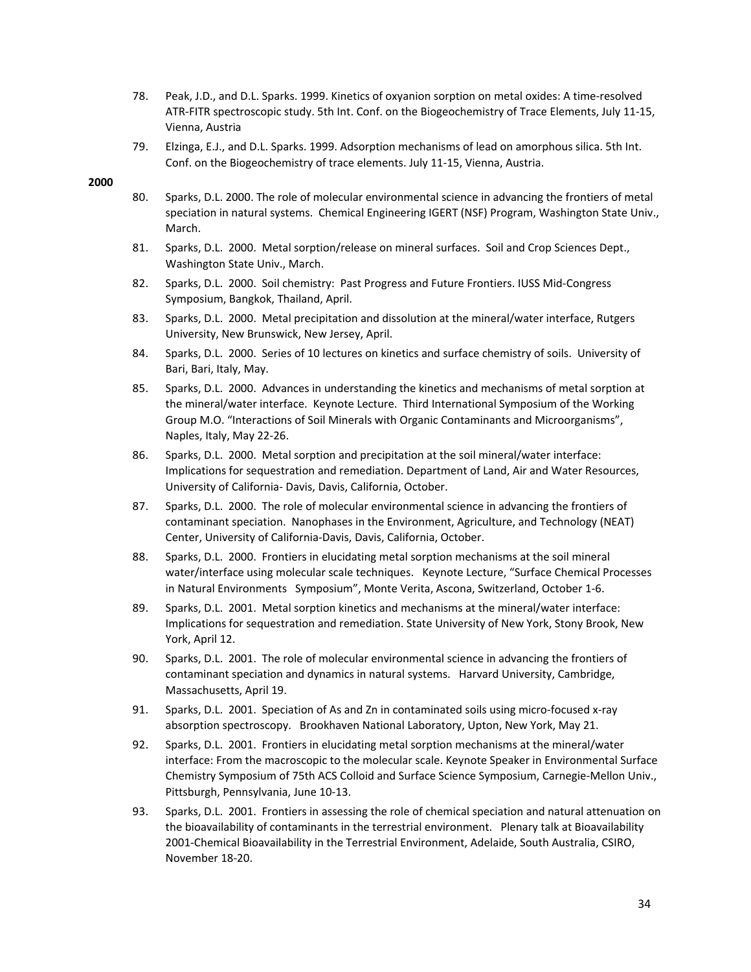- 78. Peak, J.D., and D.L. Sparks. 1999. Kinetics of oxyanion sorption on metal oxides: A time-resolved ATR‐FITR spectroscopic study. 5th Int. Conf. on the Biogeochemistry of Trace Elements, July 11‐15, Vienna, Austria
- 79. Elzinga, E.J., and D.L. Sparks. 1999. Adsorption mechanisms of lead on amorphous silica. 5th Int. Conf. on the Biogeochemistry of trace elements. July 11‐15, Vienna, Austria.

- 80. Sparks, D.L. 2000. The role of molecular environmental science in advancing the frontiers of metal speciation in natural systems. Chemical Engineering IGERT (NSF) Program, Washington State Univ., March.
- 81. Sparks, D.L. 2000. Metal sorption/release on mineral surfaces. Soil and Crop Sciences Dept., Washington State Univ., March.
- 82. Sparks, D.L. 2000. Soil chemistry: Past Progress and Future Frontiers. IUSS Mid-Congress Symposium, Bangkok, Thailand, April.
- 83. Sparks, D.L. 2000. Metal precipitation and dissolution at the mineral/water interface, Rutgers University, New Brunswick, New Jersey, April.
- 84. Sparks, D.L. 2000. Series of 10 lectures on kinetics and surface chemistry of soils. University of Bari, Bari, Italy, May.
- 85. Sparks, D.L. 2000. Advances in understanding the kinetics and mechanisms of metal sorption at the mineral/water interface. Keynote Lecture. Third International Symposium of the Working Group M.O. "Interactions of Soil Minerals with Organic Contaminants and Microorganisms", Naples, Italy, May 22‐26.
- 86. Sparks, D.L. 2000. Metal sorption and precipitation at the soil mineral/water interface: Implications for sequestration and remediation. Department of Land, Air and Water Resources, University of California‐ Davis, Davis, California, October.
- 87. Sparks, D.L. 2000. The role of molecular environmental science in advancing the frontiers of contaminant speciation. Nanophases in the Environment, Agriculture, and Technology (NEAT) Center, University of California‐Davis, Davis, California, October.
- 88. Sparks, D.L. 2000. Frontiers in elucidating metal sorption mechanisms at the soil mineral water/interface using molecular scale techniques. Keynote Lecture, "Surface Chemical Processes in Natural Environments Symposium", Monte Verita, Ascona, Switzerland, October 1‐6.
- 89. Sparks, D.L. 2001. Metal sorption kinetics and mechanisms at the mineral/water interface: Implications for sequestration and remediation. State University of New York, Stony Brook, New York, April 12.
- 90. Sparks, D.L. 2001. The role of molecular environmental science in advancing the frontiers of contaminant speciation and dynamics in natural systems. Harvard University, Cambridge, Massachusetts, April 19.
- 91. Sparks, D.L. 2001. Speciation of As and Zn in contaminated soils using micro-focused x-ray absorption spectroscopy. Brookhaven National Laboratory, Upton, New York, May 21.
- 92. Sparks, D.L. 2001. Frontiers in elucidating metal sorption mechanisms at the mineral/water interface: From the macroscopic to the molecular scale. Keynote Speaker in Environmental Surface Chemistry Symposium of 75th ACS Colloid and Surface Science Symposium, Carnegie‐Mellon Univ., Pittsburgh, Pennsylvania, June 10‐13.
- 93. Sparks, D.L. 2001. Frontiers in assessing the role of chemical speciation and natural attenuation on the bioavailability of contaminants in the terrestrial environment. Plenary talk at Bioavailability 2001-Chemical Bioavailability in the Terrestrial Environment, Adelaide, South Australia, CSIRO, November 18‐20.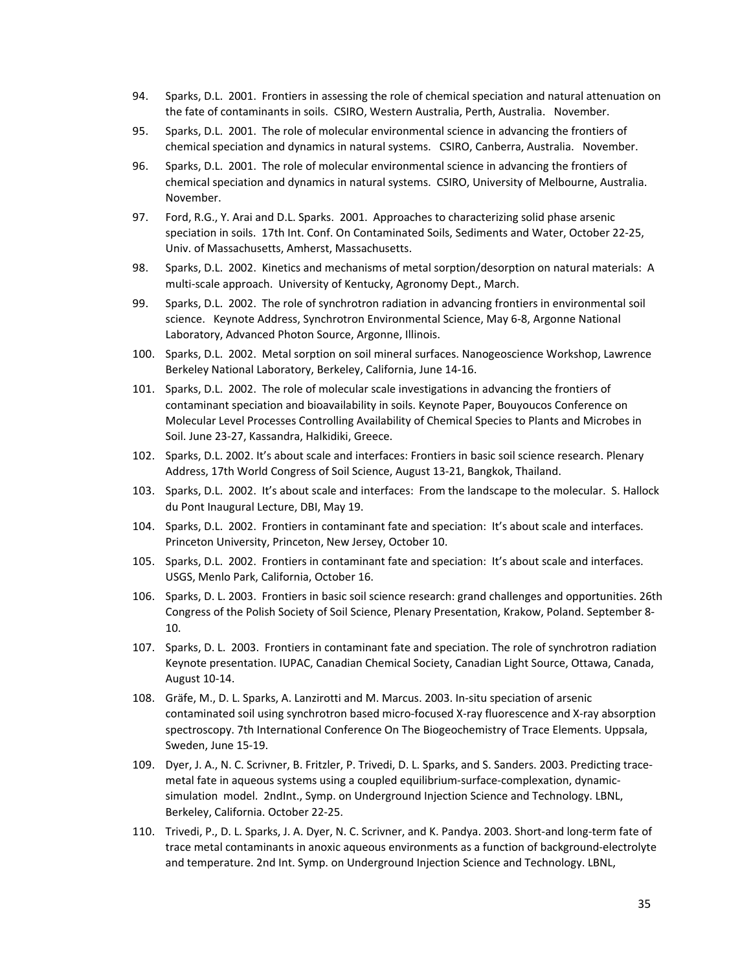- 94. Sparks, D.L. 2001. Frontiers in assessing the role of chemical speciation and natural attenuation on the fate of contaminants in soils. CSIRO, Western Australia, Perth, Australia. November.
- 95. Sparks, D.L. 2001. The role of molecular environmental science in advancing the frontiers of chemical speciation and dynamics in natural systems. CSIRO, Canberra, Australia. November.
- 96. Sparks, D.L. 2001. The role of molecular environmental science in advancing the frontiers of chemical speciation and dynamics in natural systems. CSIRO, University of Melbourne, Australia. November.
- 97. Ford, R.G., Y. Arai and D.L. Sparks. 2001. Approaches to characterizing solid phase arsenic speciation in soils. 17th Int. Conf. On Contaminated Soils, Sediments and Water, October 22‐25, Univ. of Massachusetts, Amherst, Massachusetts.
- 98. Sparks, D.L. 2002. Kinetics and mechanisms of metal sorption/desorption on natural materials: A multi‐scale approach. University of Kentucky, Agronomy Dept., March.
- 99. Sparks, D.L. 2002. The role of synchrotron radiation in advancing frontiers in environmental soil science. Keynote Address, Synchrotron Environmental Science, May 6‐8, Argonne National Laboratory, Advanced Photon Source, Argonne, Illinois.
- 100. Sparks, D.L. 2002. Metal sorption on soil mineral surfaces. Nanogeoscience Workshop, Lawrence Berkeley National Laboratory, Berkeley, California, June 14‐16.
- 101. Sparks, D.L. 2002. The role of molecular scale investigations in advancing the frontiers of contaminant speciation and bioavailability in soils. Keynote Paper, Bouyoucos Conference on Molecular Level Processes Controlling Availability of Chemical Species to Plants and Microbes in Soil. June 23‐27, Kassandra, Halkidiki, Greece.
- 102. Sparks, D.L. 2002. It's about scale and interfaces: Frontiers in basic soil science research. Plenary Address, 17th World Congress of Soil Science, August 13‐21, Bangkok, Thailand.
- 103. Sparks, D.L. 2002. It's about scale and interfaces: From the landscape to the molecular. S. Hallock du Pont Inaugural Lecture, DBI, May 19.
- 104. Sparks, D.L. 2002. Frontiers in contaminant fate and speciation: It's about scale and interfaces. Princeton University, Princeton, New Jersey, October 10.
- 105. Sparks, D.L. 2002. Frontiers in contaminant fate and speciation: It's about scale and interfaces. USGS, Menlo Park, California, October 16.
- 106. Sparks, D. L. 2003. Frontiers in basic soil science research: grand challenges and opportunities. 26th Congress of the Polish Society of Soil Science, Plenary Presentation, Krakow, Poland. September 8‐ 10.
- 107. Sparks, D. L. 2003. Frontiers in contaminant fate and speciation. The role of synchrotron radiation Keynote presentation. IUPAC, Canadian Chemical Society, Canadian Light Source, Ottawa, Canada, August 10‐14.
- 108. Gräfe, M., D. L. Sparks, A. Lanzirotti and M. Marcus. 2003. In‐situ speciation of arsenic contaminated soil using synchrotron based micro‐focused X‐ray fluorescence and X‐ray absorption spectroscopy. 7th International Conference On The Biogeochemistry of Trace Elements. Uppsala, Sweden, June 15‐19.
- 109. Dyer, J. A., N. C. Scrivner, B. Fritzler, P. Trivedi, D. L. Sparks, and S. Sanders. 2003. Predicting tracemetal fate in aqueous systems using a coupled equilibrium‐surface‐complexation, dynamic‐ simulation model. 2ndInt., Symp. on Underground Injection Science and Technology. LBNL, Berkeley, California. October 22‐25.
- 110. Trivedi, P., D. L. Sparks, J. A. Dyer, N. C. Scrivner, and K. Pandya. 2003. Short-and long-term fate of trace metal contaminants in anoxic aqueous environments as a function of background‐electrolyte and temperature. 2nd Int. Symp. on Underground Injection Science and Technology. LBNL,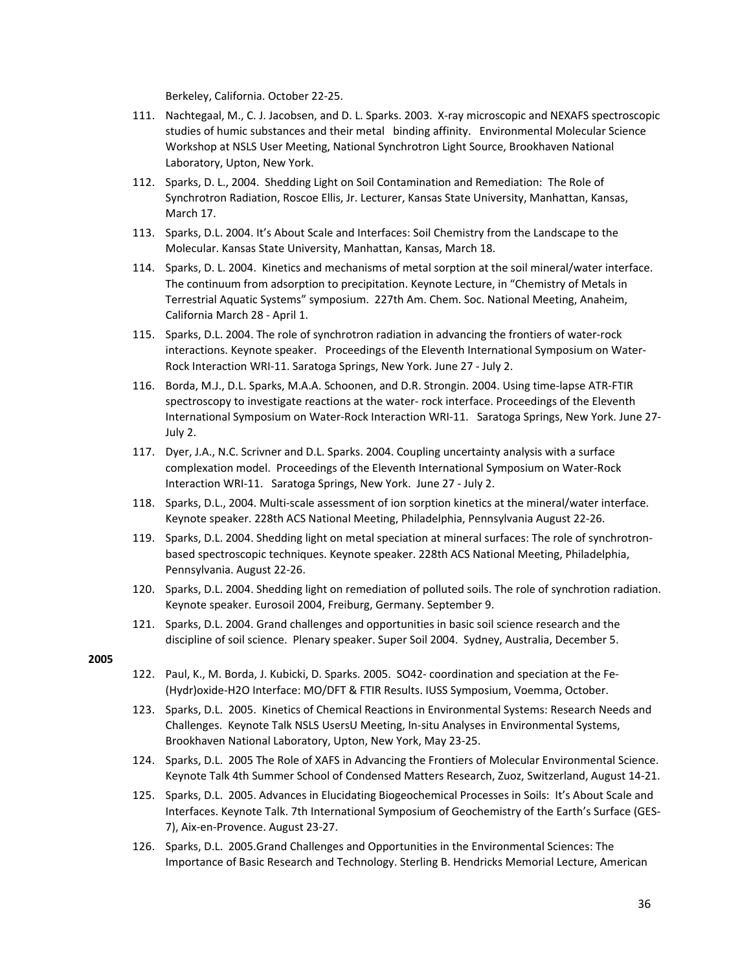Berkeley, California. October 22‐25.

- 111. Nachtegaal, M., C. J. Jacobsen, and D. L. Sparks. 2003. X‐ray microscopic and NEXAFS spectroscopic studies of humic substances and their metal binding affinity. Environmental Molecular Science Workshop at NSLS User Meeting, National Synchrotron Light Source, Brookhaven National Laboratory, Upton, New York.
- 112. Sparks, D. L., 2004. Shedding Light on Soil Contamination and Remediation: The Role of Synchrotron Radiation, Roscoe Ellis, Jr. Lecturer, Kansas State University, Manhattan, Kansas, March 17.
- 113. Sparks, D.L. 2004. It's About Scale and Interfaces: Soil Chemistry from the Landscape to the Molecular. Kansas State University, Manhattan, Kansas, March 18.
- 114. Sparks, D. L. 2004. Kinetics and mechanisms of metal sorption at the soil mineral/water interface. The continuum from adsorption to precipitation. Keynote Lecture, in "Chemistry of Metals in Terrestrial Aquatic Systems" symposium. 227th Am. Chem. Soc. National Meeting, Anaheim, California March 28 ‐ April 1.
- 115. Sparks, D.L. 2004. The role of synchrotron radiation in advancing the frontiers of water-rock interactions. Keynote speaker. Proceedings of the Eleventh International Symposium on Water-Rock Interaction WRI‐11. Saratoga Springs, New York. June 27 ‐ July 2.
- 116. Borda, M.J., D.L. Sparks, M.A.A. Schoonen, and D.R. Strongin. 2004. Using time‐lapse ATR‐FTIR spectroscopy to investigate reactions at the water‐ rock interface. Proceedings of the Eleventh International Symposium on Water‐Rock Interaction WRI‐11. Saratoga Springs, New York. June 27‐ July 2.
- 117. Dyer, J.A., N.C. Scrivner and D.L. Sparks. 2004. Coupling uncertainty analysis with a surface complexation model. Proceedings of the Eleventh International Symposium on Water‐Rock Interaction WRI‐11. Saratoga Springs, New York. June 27 ‐ July 2.
- 118. Sparks, D.L., 2004. Multi-scale assessment of ion sorption kinetics at the mineral/water interface. Keynote speaker. 228th ACS National Meeting, Philadelphia, Pennsylvania August 22‐26.
- 119. Sparks, D.L. 2004. Shedding light on metal speciation at mineral surfaces: The role of synchrotron‐ based spectroscopic techniques. Keynote speaker. 228th ACS National Meeting, Philadelphia, Pennsylvania. August 22‐26.
- 120. Sparks, D.L. 2004. Shedding light on remediation of polluted soils. The role of synchrotion radiation. Keynote speaker. Eurosoil 2004, Freiburg, Germany. September 9.
- 121. Sparks, D.L. 2004. Grand challenges and opportunities in basic soil science research and the discipline of soil science. Plenary speaker. Super Soil 2004. Sydney, Australia, December 5.

- 122. Paul, K., M. Borda, J. Kubicki, D. Sparks. 2005. SO42‐ coordination and speciation at the Fe‐ (Hydr)oxide‐H2O Interface: MO/DFT & FTIR Results. IUSS Symposium, Voemma, October.
- 123. Sparks, D.L. 2005. Kinetics of Chemical Reactions in Environmental Systems: Research Needs and Challenges. Keynote Talk NSLS UsersU Meeting, In‐situ Analyses in Environmental Systems, Brookhaven National Laboratory, Upton, New York, May 23‐25.
- 124. Sparks, D.L. 2005 The Role of XAFS in Advancing the Frontiers of Molecular Environmental Science. Keynote Talk 4th Summer School of Condensed Matters Research, Zuoz, Switzerland, August 14‐21.
- 125. Sparks, D.L. 2005. Advances in Elucidating Biogeochemical Processes in Soils: It's About Scale and Interfaces. Keynote Talk. 7th International Symposium of Geochemistry of the Earth's Surface (GES‐ 7), Aix‐en‐Provence. August 23‐27.
- 126. Sparks, D.L. 2005.Grand Challenges and Opportunities in the Environmental Sciences: The Importance of Basic Research and Technology. Sterling B. Hendricks Memorial Lecture, American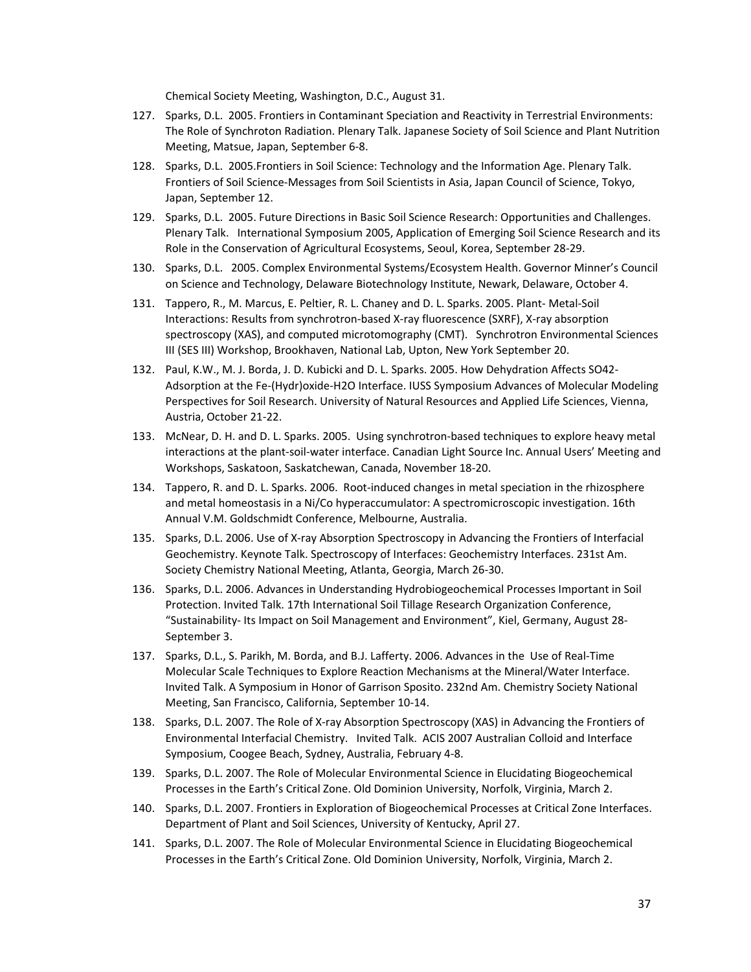Chemical Society Meeting, Washington, D.C., August 31.

- 127. Sparks, D.L. 2005. Frontiers in Contaminant Speciation and Reactivity in Terrestrial Environments: The Role of Synchroton Radiation. Plenary Talk. Japanese Society of Soil Science and Plant Nutrition Meeting, Matsue, Japan, September 6‐8.
- 128. Sparks, D.L. 2005.Frontiers in Soil Science: Technology and the Information Age. Plenary Talk. Frontiers of Soil Science‐Messages from Soil Scientists in Asia, Japan Council of Science, Tokyo, Japan, September 12.
- 129. Sparks, D.L. 2005. Future Directions in Basic Soil Science Research: Opportunities and Challenges. Plenary Talk. International Symposium 2005, Application of Emerging Soil Science Research and its Role in the Conservation of Agricultural Ecosystems, Seoul, Korea, September 28‐29.
- 130. Sparks, D.L. 2005. Complex Environmental Systems/Ecosystem Health. Governor Minner's Council on Science and Technology, Delaware Biotechnology Institute, Newark, Delaware, October 4.
- 131. Tappero, R., M. Marcus, E. Peltier, R. L. Chaney and D. L. Sparks. 2005. Plant‐ Metal‐Soil Interactions: Results from synchrotron‐based X‐ray fluorescence (SXRF), X‐ray absorption spectroscopy (XAS), and computed microtomography (CMT). Synchrotron Environmental Sciences III (SES III) Workshop, Brookhaven, National Lab, Upton, New York September 20.
- 132. Paul, K.W., M. J. Borda, J. D. Kubicki and D. L. Sparks. 2005. How Dehydration Affects SO42‐ Adsorption at the Fe‐(Hydr)oxide‐H2O Interface. IUSS Symposium Advances of Molecular Modeling Perspectives for Soil Research. University of Natural Resources and Applied Life Sciences, Vienna, Austria, October 21‐22.
- 133. McNear, D. H. and D. L. Sparks. 2005. Using synchrotron-based techniques to explore heavy metal interactions at the plant‐soil‐water interface. Canadian Light Source Inc. Annual Users' Meeting and Workshops, Saskatoon, Saskatchewan, Canada, November 18‐20.
- 134. Tappero, R. and D. L. Sparks. 2006. Root‐induced changes in metal speciation in the rhizosphere and metal homeostasis in a Ni/Co hyperaccumulator: A spectromicroscopic investigation. 16th Annual V.M. Goldschmidt Conference, Melbourne, Australia.
- 135. Sparks, D.L. 2006. Use of X‐ray Absorption Spectroscopy in Advancing the Frontiers of Interfacial Geochemistry. Keynote Talk. Spectroscopy of Interfaces: Geochemistry Interfaces. 231st Am. Society Chemistry National Meeting, Atlanta, Georgia, March 26‐30.
- 136. Sparks, D.L. 2006. Advances in Understanding Hydrobiogeochemical Processes Important in Soil Protection. Invited Talk. 17th International Soil Tillage Research Organization Conference, "Sustainability‐ Its Impact on Soil Management and Environment", Kiel, Germany, August 28‐ September 3.
- 137. Sparks, D.L., S. Parikh, M. Borda, and B.J. Lafferty. 2006. Advances in the Use of Real‐Time Molecular Scale Techniques to Explore Reaction Mechanisms at the Mineral/Water Interface. Invited Talk. A Symposium in Honor of Garrison Sposito. 232nd Am. Chemistry Society National Meeting, San Francisco, California, September 10‐14.
- 138. Sparks, D.L. 2007. The Role of X‐ray Absorption Spectroscopy (XAS) in Advancing the Frontiers of Environmental Interfacial Chemistry. Invited Talk. ACIS 2007 Australian Colloid and Interface Symposium, Coogee Beach, Sydney, Australia, February 4‐8.
- 139. Sparks, D.L. 2007. The Role of Molecular Environmental Science in Elucidating Biogeochemical Processes in the Earth's Critical Zone. Old Dominion University, Norfolk, Virginia, March 2.
- 140. Sparks, D.L. 2007. Frontiers in Exploration of Biogeochemical Processes at Critical Zone Interfaces. Department of Plant and Soil Sciences, University of Kentucky, April 27.
- 141. Sparks, D.L. 2007. The Role of Molecular Environmental Science in Elucidating Biogeochemical Processes in the Earth's Critical Zone. Old Dominion University, Norfolk, Virginia, March 2.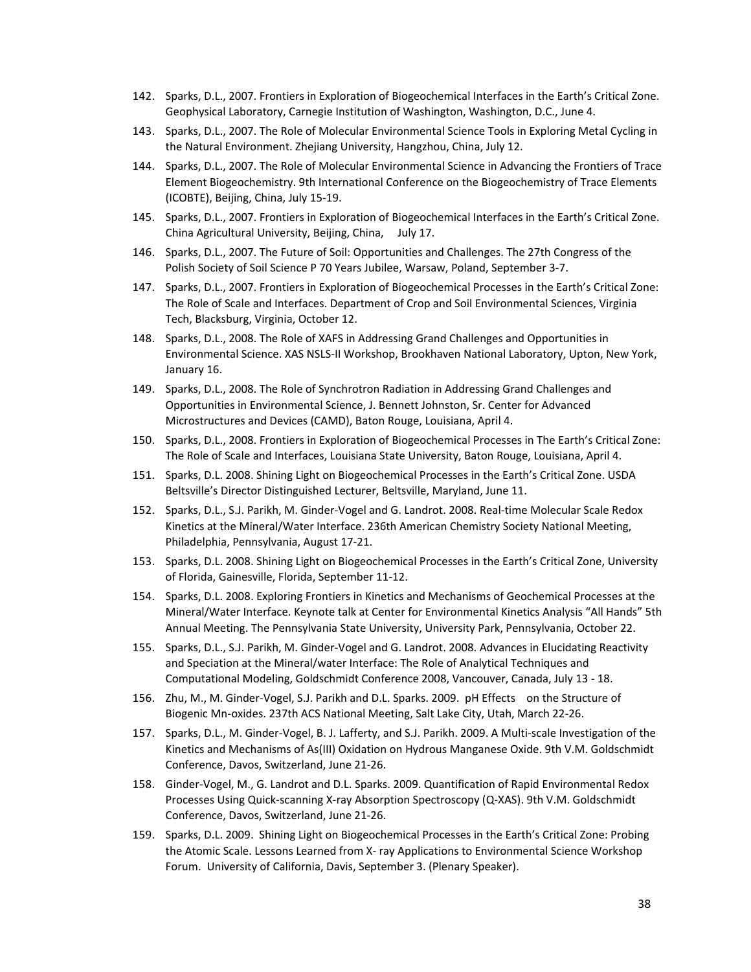- 142. Sparks, D.L., 2007. Frontiers in Exploration of Biogeochemical Interfaces in the Earth's Critical Zone. Geophysical Laboratory, Carnegie Institution of Washington, Washington, D.C., June 4.
- 143. Sparks, D.L., 2007. The Role of Molecular Environmental Science Tools in Exploring Metal Cycling in the Natural Environment. Zhejiang University, Hangzhou, China, July 12.
- 144. Sparks, D.L., 2007. The Role of Molecular Environmental Science in Advancing the Frontiers of Trace Element Biogeochemistry. 9th International Conference on the Biogeochemistry of Trace Elements (ICOBTE), Beijing, China, July 15‐19.
- 145. Sparks, D.L., 2007. Frontiers in Exploration of Biogeochemical Interfaces in the Earth's Critical Zone. China Agricultural University, Beijing, China, July 17.
- 146. Sparks, D.L., 2007. The Future of Soil: Opportunities and Challenges. The 27th Congress of the Polish Society of Soil Science P 70 Years Jubilee, Warsaw, Poland, September 3‐7.
- 147. Sparks, D.L., 2007. Frontiers in Exploration of Biogeochemical Processes in the Earth's Critical Zone: The Role of Scale and Interfaces. Department of Crop and Soil Environmental Sciences, Virginia Tech, Blacksburg, Virginia, October 12.
- 148. Sparks, D.L., 2008. The Role of XAFS in Addressing Grand Challenges and Opportunities in Environmental Science. XAS NSLS‐II Workshop, Brookhaven National Laboratory, Upton, New York, January 16.
- 149. Sparks, D.L., 2008. The Role of Synchrotron Radiation in Addressing Grand Challenges and Opportunities in Environmental Science, J. Bennett Johnston, Sr. Center for Advanced Microstructures and Devices (CAMD), Baton Rouge, Louisiana, April 4.
- 150. Sparks, D.L., 2008. Frontiers in Exploration of Biogeochemical Processes in The Earth's Critical Zone: The Role of Scale and Interfaces, Louisiana State University, Baton Rouge, Louisiana, April 4.
- 151. Sparks, D.L. 2008. Shining Light on Biogeochemical Processes in the Earth's Critical Zone. USDA Beltsville's Director Distinguished Lecturer, Beltsville, Maryland, June 11.
- 152. Sparks, D.L., S.J. Parikh, M. Ginder‐Vogel and G. Landrot. 2008. Real‐time Molecular Scale Redox Kinetics at the Mineral/Water Interface. 236th American Chemistry Society National Meeting, Philadelphia, Pennsylvania, August 17‐21.
- 153. Sparks, D.L. 2008. Shining Light on Biogeochemical Processes in the Earth's Critical Zone, University of Florida, Gainesville, Florida, September 11‐12.
- 154. Sparks, D.L. 2008. Exploring Frontiers in Kinetics and Mechanisms of Geochemical Processes at the Mineral/Water Interface. Keynote talk at Center for Environmental Kinetics Analysis "All Hands" 5th Annual Meeting. The Pennsylvania State University, University Park, Pennsylvania, October 22.
- 155. Sparks, D.L., S.J. Parikh, M. Ginder‐Vogel and G. Landrot. 2008. Advances in Elucidating Reactivity and Speciation at the Mineral/water Interface: The Role of Analytical Techniques and Computational Modeling, Goldschmidt Conference 2008, Vancouver, Canada, July 13 ‐ 18.
- 156. Zhu, M., M. Ginder‐Vogel, S.J. Parikh and D.L. Sparks. 2009. pH Effects on the Structure of Biogenic Mn‐oxides. 237th ACS National Meeting, Salt Lake City, Utah, March 22‐26.
- 157. Sparks, D.L., M. Ginder‐Vogel, B. J. Lafferty, and S.J. Parikh. 2009. A Multi‐scale Investigation of the Kinetics and Mechanisms of As(III) Oxidation on Hydrous Manganese Oxide. 9th V.M. Goldschmidt Conference, Davos, Switzerland, June 21‐26.
- 158. Ginder‐Vogel, M., G. Landrot and D.L. Sparks. 2009. Quantification of Rapid Environmental Redox Processes Using Quick‐scanning X‐ray Absorption Spectroscopy (Q‐XAS). 9th V.M. Goldschmidt Conference, Davos, Switzerland, June 21‐26.
- 159. Sparks, D.L. 2009. Shining Light on Biogeochemical Processes in the Earth's Critical Zone: Probing the Atomic Scale. Lessons Learned from X‐ ray Applications to Environmental Science Workshop Forum. University of California, Davis, September 3. (Plenary Speaker).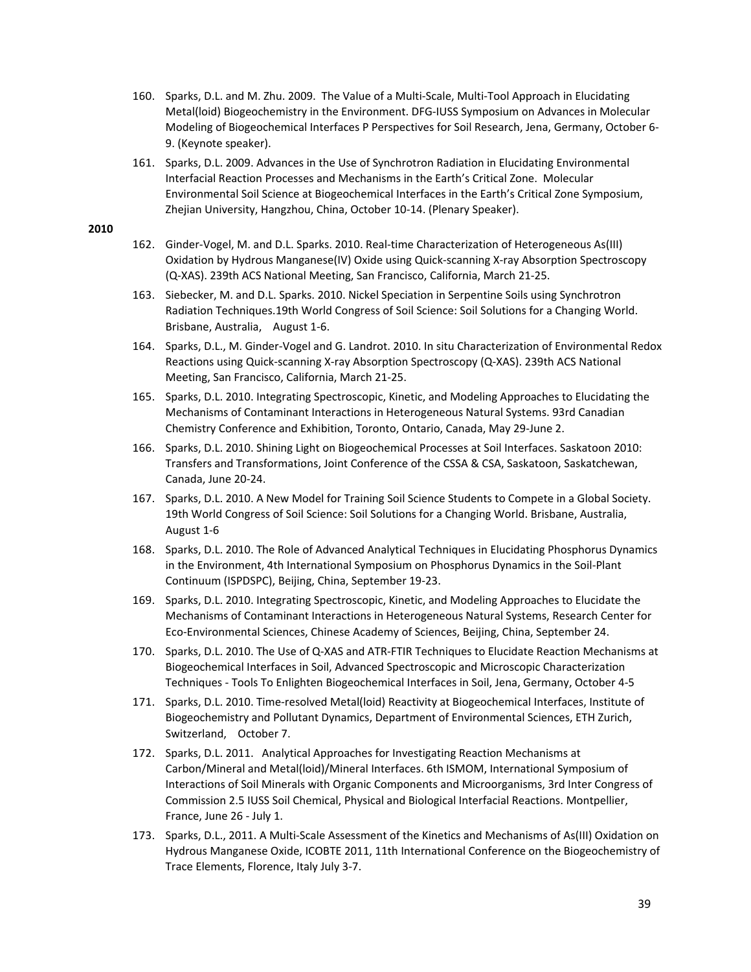- 160. Sparks, D.L. and M. Zhu. 2009. The Value of a Multi‐Scale, Multi‐Tool Approach in Elucidating Metal(loid) Biogeochemistry in the Environment. DFG‐IUSS Symposium on Advances in Molecular Modeling of Biogeochemical Interfaces P Perspectives for Soil Research, Jena, Germany, October 6‐ 9. (Keynote speaker).
- 161. Sparks, D.L. 2009. Advances in the Use of Synchrotron Radiation in Elucidating Environmental Interfacial Reaction Processes and Mechanisms in the Earth's Critical Zone. Molecular Environmental Soil Science at Biogeochemical Interfaces in the Earth's Critical Zone Symposium, Zhejian University, Hangzhou, China, October 10‐14. (Plenary Speaker).

- 162. Ginder-Vogel, M. and D.L. Sparks. 2010. Real-time Characterization of Heterogeneous As(III) Oxidation by Hydrous Manganese(IV) Oxide using Quick‐scanning X‐ray Absorption Spectroscopy (Q‐XAS). 239th ACS National Meeting, San Francisco, California, March 21‐25.
- 163. Siebecker, M. and D.L. Sparks. 2010. Nickel Speciation in Serpentine Soils using Synchrotron Radiation Techniques.19th World Congress of Soil Science: Soil Solutions for a Changing World. Brisbane, Australia, August 1-6.
- 164. Sparks, D.L., M. Ginder‐Vogel and G. Landrot. 2010. In situ Characterization of Environmental Redox Reactions using Quick‐scanning X‐ray Absorption Spectroscopy (Q‐XAS). 239th ACS National Meeting, San Francisco, California, March 21‐25.
- 165. Sparks, D.L. 2010. Integrating Spectroscopic, Kinetic, and Modeling Approaches to Elucidating the Mechanisms of Contaminant Interactions in Heterogeneous Natural Systems. 93rd Canadian Chemistry Conference and Exhibition, Toronto, Ontario, Canada, May 29‐June 2.
- 166. Sparks, D.L. 2010. Shining Light on Biogeochemical Processes at Soil Interfaces. Saskatoon 2010: Transfers and Transformations, Joint Conference of the CSSA & CSA, Saskatoon, Saskatchewan, Canada, June 20‐24.
- 167. Sparks, D.L. 2010. A New Model for Training Soil Science Students to Compete in a Global Society. 19th World Congress of Soil Science: Soil Solutions for a Changing World. Brisbane, Australia, August 1‐6
- 168. Sparks, D.L. 2010. The Role of Advanced Analytical Techniques in Elucidating Phosphorus Dynamics in the Environment, 4th International Symposium on Phosphorus Dynamics in the Soil‐Plant Continuum (ISPDSPC), Beijing, China, September 19‐23.
- 169. Sparks, D.L. 2010. Integrating Spectroscopic, Kinetic, and Modeling Approaches to Elucidate the Mechanisms of Contaminant Interactions in Heterogeneous Natural Systems, Research Center for Eco‐Environmental Sciences, Chinese Academy of Sciences, Beijing, China, September 24.
- 170. Sparks, D.L. 2010. The Use of Q‐XAS and ATR‐FTIR Techniques to Elucidate Reaction Mechanisms at Biogeochemical Interfaces in Soil, Advanced Spectroscopic and Microscopic Characterization Techniques ‐ Tools To Enlighten Biogeochemical Interfaces in Soil, Jena, Germany, October 4‐5
- 171. Sparks, D.L. 2010. Time-resolved Metal(loid) Reactivity at Biogeochemical Interfaces, Institute of Biogeochemistry and Pollutant Dynamics, Department of Environmental Sciences, ETH Zurich, Switzerland, October 7.
- 172. Sparks, D.L. 2011. Analytical Approaches for Investigating Reaction Mechanisms at Carbon/Mineral and Metal(loid)/Mineral Interfaces. 6th ISMOM, International Symposium of Interactions of Soil Minerals with Organic Components and Microorganisms, 3rd Inter Congress of Commission 2.5 IUSS Soil Chemical, Physical and Biological Interfacial Reactions. Montpellier, France, June 26 ‐ July 1.
- 173. Sparks, D.L., 2011. A Multi‐Scale Assessment of the Kinetics and Mechanisms of As(III) Oxidation on Hydrous Manganese Oxide, ICOBTE 2011, 11th International Conference on the Biogeochemistry of Trace Elements, Florence, Italy July 3‐7.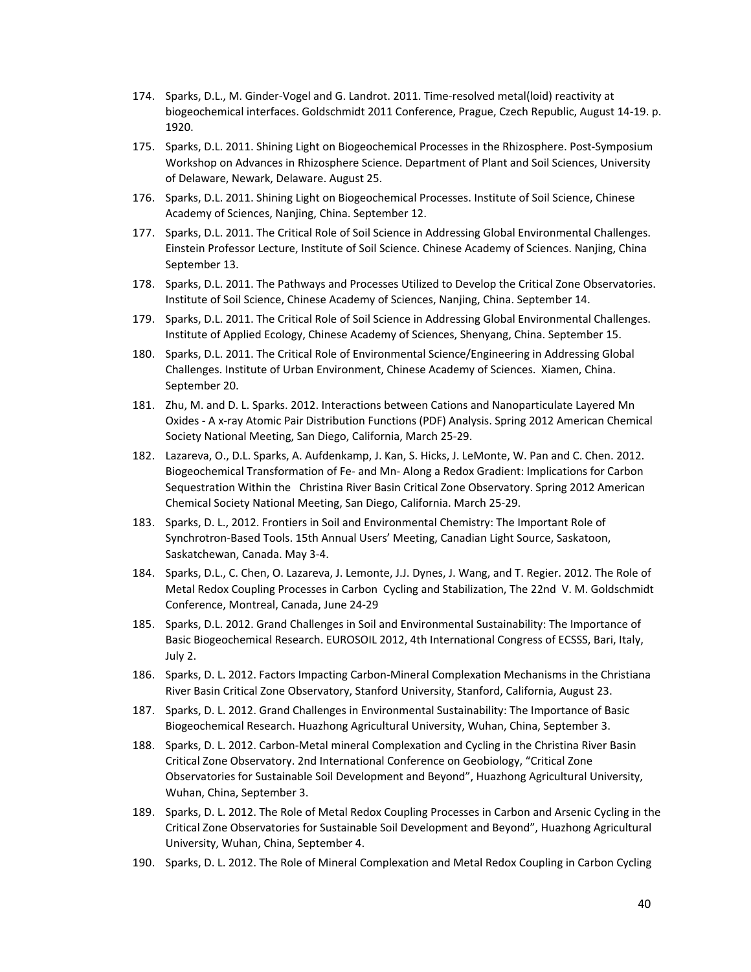- 174. Sparks, D.L., M. Ginder‐Vogel and G. Landrot. 2011. Time‐resolved metal(loid) reactivity at biogeochemical interfaces. Goldschmidt 2011 Conference, Prague, Czech Republic, August 14‐19. p. 1920.
- 175. Sparks, D.L. 2011. Shining Light on Biogeochemical Processes in the Rhizosphere. Post‐Symposium Workshop on Advances in Rhizosphere Science. Department of Plant and Soil Sciences, University of Delaware, Newark, Delaware. August 25.
- 176. Sparks, D.L. 2011. Shining Light on Biogeochemical Processes. Institute of Soil Science, Chinese Academy of Sciences, Nanjing, China. September 12.
- 177. Sparks, D.L. 2011. The Critical Role of Soil Science in Addressing Global Environmental Challenges. Einstein Professor Lecture, Institute of Soil Science. Chinese Academy of Sciences. Nanjing, China September 13.
- 178. Sparks, D.L. 2011. The Pathways and Processes Utilized to Develop the Critical Zone Observatories. Institute of Soil Science, Chinese Academy of Sciences, Nanjing, China. September 14.
- 179. Sparks, D.L. 2011. The Critical Role of Soil Science in Addressing Global Environmental Challenges. Institute of Applied Ecology, Chinese Academy of Sciences, Shenyang, China. September 15.
- 180. Sparks, D.L. 2011. The Critical Role of Environmental Science/Engineering in Addressing Global Challenges. Institute of Urban Environment, Chinese Academy of Sciences. Xiamen, China. September 20.
- 181. Zhu, M. and D. L. Sparks. 2012. Interactions between Cations and Nanoparticulate Layered Mn Oxides ‐ A x‐ray Atomic Pair Distribution Functions (PDF) Analysis. Spring 2012 American Chemical Society National Meeting, San Diego, California, March 25‐29.
- 182. Lazareva, O., D.L. Sparks, A. Aufdenkamp, J. Kan, S. Hicks, J. LeMonte, W. Pan and C. Chen. 2012. Biogeochemical Transformation of Fe‐ and Mn‐ Along a Redox Gradient: Implications for Carbon Sequestration Within the Christina River Basin Critical Zone Observatory. Spring 2012 American Chemical Society National Meeting, San Diego, California. March 25‐29.
- 183. Sparks, D. L., 2012. Frontiers in Soil and Environmental Chemistry: The Important Role of Synchrotron‐Based Tools. 15th Annual Users' Meeting, Canadian Light Source, Saskatoon, Saskatchewan, Canada. May 3‐4.
- 184. Sparks, D.L., C. Chen, O. Lazareva, J. Lemonte, J.J. Dynes, J. Wang, and T. Regier. 2012. The Role of Metal Redox Coupling Processes in Carbon Cycling and Stabilization, The 22nd V. M. Goldschmidt Conference, Montreal, Canada, June 24‐29
- 185. Sparks, D.L. 2012. Grand Challenges in Soil and Environmental Sustainability: The Importance of Basic Biogeochemical Research. EUROSOIL 2012, 4th International Congress of ECSSS, Bari, Italy, July 2.
- 186. Sparks, D. L. 2012. Factors Impacting Carbon-Mineral Complexation Mechanisms in the Christiana River Basin Critical Zone Observatory, Stanford University, Stanford, California, August 23.
- 187. Sparks, D. L. 2012. Grand Challenges in Environmental Sustainability: The Importance of Basic Biogeochemical Research. Huazhong Agricultural University, Wuhan, China, September 3.
- 188. Sparks, D. L. 2012. Carbon-Metal mineral Complexation and Cycling in the Christina River Basin Critical Zone Observatory. 2nd International Conference on Geobiology, "Critical Zone Observatories for Sustainable Soil Development and Beyond", Huazhong Agricultural University, Wuhan, China, September 3.
- 189. Sparks, D. L. 2012. The Role of Metal Redox Coupling Processes in Carbon and Arsenic Cycling in the Critical Zone Observatories for Sustainable Soil Development and Beyond", Huazhong Agricultural University, Wuhan, China, September 4.
- 190. Sparks, D. L. 2012. The Role of Mineral Complexation and Metal Redox Coupling in Carbon Cycling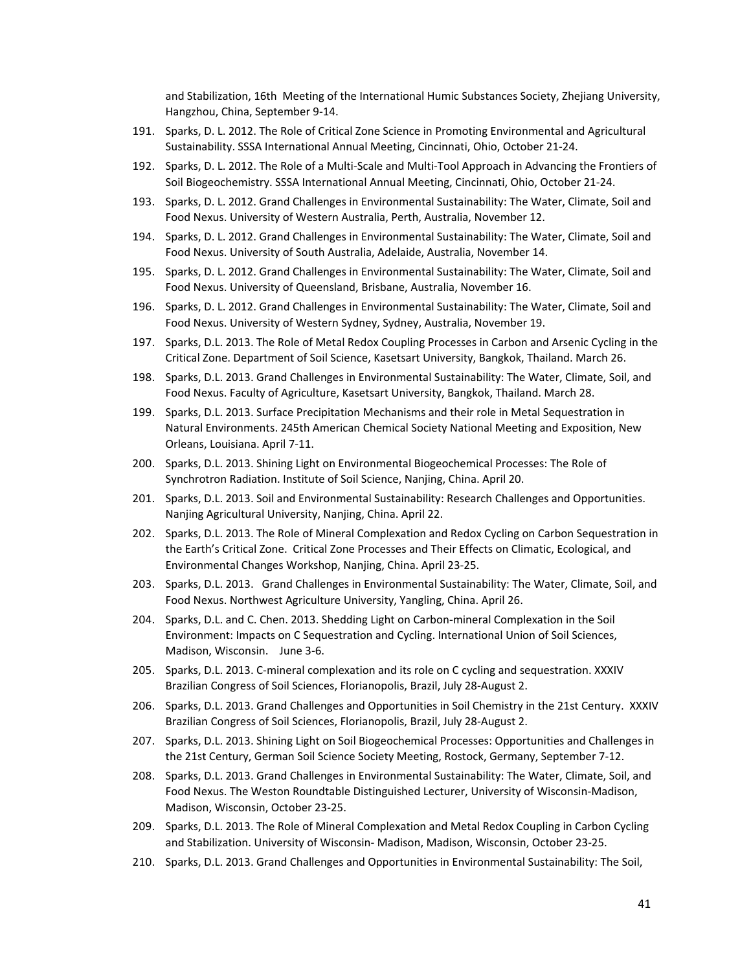and Stabilization, 16th Meeting of the International Humic Substances Society, Zhejiang University, Hangzhou, China, September 9‐14.

- 191. Sparks, D. L. 2012. The Role of Critical Zone Science in Promoting Environmental and Agricultural Sustainability. SSSA International Annual Meeting, Cincinnati, Ohio, October 21‐24.
- 192. Sparks, D. L. 2012. The Role of a Multi‐Scale and Multi‐Tool Approach in Advancing the Frontiers of Soil Biogeochemistry. SSSA International Annual Meeting, Cincinnati, Ohio, October 21‐24.
- 193. Sparks, D. L. 2012. Grand Challenges in Environmental Sustainability: The Water, Climate, Soil and Food Nexus. University of Western Australia, Perth, Australia, November 12.
- 194. Sparks, D. L. 2012. Grand Challenges in Environmental Sustainability: The Water, Climate, Soil and Food Nexus. University of South Australia, Adelaide, Australia, November 14.
- 195. Sparks, D. L. 2012. Grand Challenges in Environmental Sustainability: The Water, Climate, Soil and Food Nexus. University of Queensland, Brisbane, Australia, November 16.
- 196. Sparks, D. L. 2012. Grand Challenges in Environmental Sustainability: The Water, Climate, Soil and Food Nexus. University of Western Sydney, Sydney, Australia, November 19.
- 197. Sparks, D.L. 2013. The Role of Metal Redox Coupling Processes in Carbon and Arsenic Cycling in the Critical Zone. Department of Soil Science, Kasetsart University, Bangkok, Thailand. March 26.
- 198. Sparks, D.L. 2013. Grand Challenges in Environmental Sustainability: The Water, Climate, Soil, and Food Nexus. Faculty of Agriculture, Kasetsart University, Bangkok, Thailand. March 28.
- 199. Sparks, D.L. 2013. Surface Precipitation Mechanisms and their role in Metal Sequestration in Natural Environments. 245th American Chemical Society National Meeting and Exposition, New Orleans, Louisiana. April 7‐11.
- 200. Sparks, D.L. 2013. Shining Light on Environmental Biogeochemical Processes: The Role of Synchrotron Radiation. Institute of Soil Science, Nanjing, China. April 20.
- 201. Sparks, D.L. 2013. Soil and Environmental Sustainability: Research Challenges and Opportunities. Nanjing Agricultural University, Nanjing, China. April 22.
- 202. Sparks, D.L. 2013. The Role of Mineral Complexation and Redox Cycling on Carbon Sequestration in the Earth's Critical Zone. Critical Zone Processes and Their Effects on Climatic, Ecological, and Environmental Changes Workshop, Nanjing, China. April 23‐25.
- 203. Sparks, D.L. 2013. Grand Challenges in Environmental Sustainability: The Water, Climate, Soil, and Food Nexus. Northwest Agriculture University, Yangling, China. April 26.
- 204. Sparks, D.L. and C. Chen. 2013. Shedding Light on Carbon-mineral Complexation in the Soil Environment: Impacts on C Sequestration and Cycling. International Union of Soil Sciences, Madison, Wisconsin. June 3-6.
- 205. Sparks, D.L. 2013. C-mineral complexation and its role on C cycling and sequestration. XXXIV Brazilian Congress of Soil Sciences, Florianopolis, Brazil, July 28‐August 2.
- 206. Sparks, D.L. 2013. Grand Challenges and Opportunities in Soil Chemistry in the 21st Century. XXXIV Brazilian Congress of Soil Sciences, Florianopolis, Brazil, July 28‐August 2.
- 207. Sparks, D.L. 2013. Shining Light on Soil Biogeochemical Processes: Opportunities and Challenges in the 21st Century, German Soil Science Society Meeting, Rostock, Germany, September 7‐12.
- 208. Sparks, D.L. 2013. Grand Challenges in Environmental Sustainability: The Water, Climate, Soil, and Food Nexus. The Weston Roundtable Distinguished Lecturer, University of Wisconsin‐Madison, Madison, Wisconsin, October 23‐25.
- 209. Sparks, D.L. 2013. The Role of Mineral Complexation and Metal Redox Coupling in Carbon Cycling and Stabilization. University of Wisconsin‐ Madison, Madison, Wisconsin, October 23‐25.
- 210. Sparks, D.L. 2013. Grand Challenges and Opportunities in Environmental Sustainability: The Soil,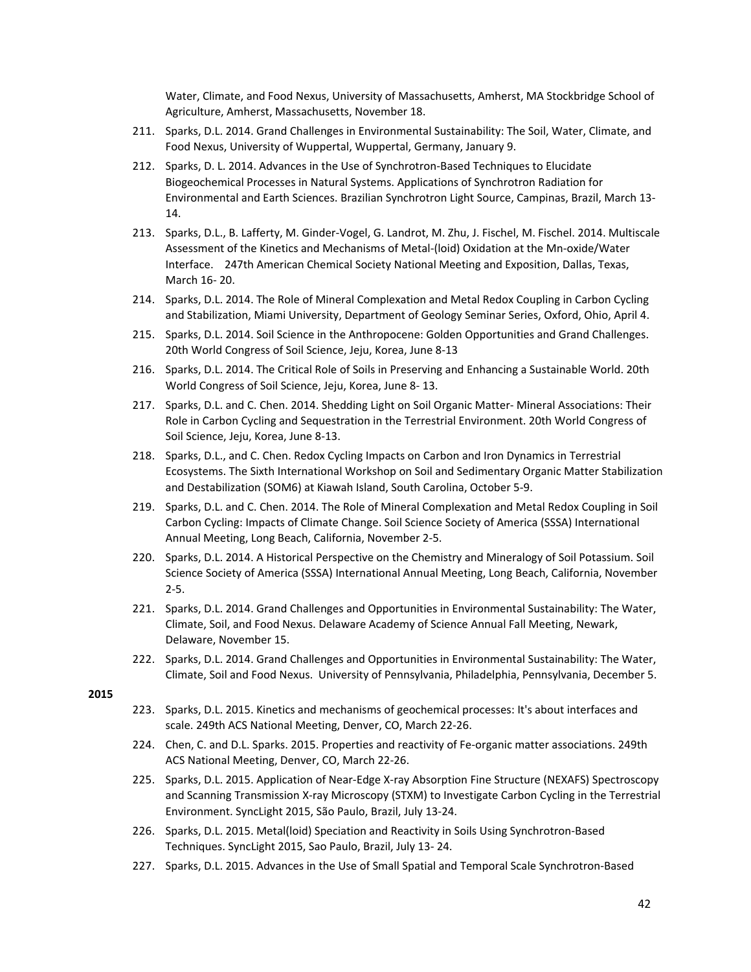Water, Climate, and Food Nexus, University of Massachusetts, Amherst, MA Stockbridge School of Agriculture, Amherst, Massachusetts, November 18.

- 211. Sparks, D.L. 2014. Grand Challenges in Environmental Sustainability: The Soil, Water, Climate, and Food Nexus, University of Wuppertal, Wuppertal, Germany, January 9.
- 212. Sparks, D. L. 2014. Advances in the Use of Synchrotron-Based Techniques to Elucidate Biogeochemical Processes in Natural Systems. Applications of Synchrotron Radiation for Environmental and Earth Sciences. Brazilian Synchrotron Light Source, Campinas, Brazil, March 13‐ 14.
- 213. Sparks, D.L., B. Lafferty, M. Ginder‐Vogel, G. Landrot, M. Zhu, J. Fischel, M. Fischel. 2014. Multiscale Assessment of the Kinetics and Mechanisms of Metal‐(loid) Oxidation at the Mn‐oxide/Water Interface. 247th American Chemical Society National Meeting and Exposition, Dallas, Texas, March 16‐ 20.
- 214. Sparks, D.L. 2014. The Role of Mineral Complexation and Metal Redox Coupling in Carbon Cycling and Stabilization, Miami University, Department of Geology Seminar Series, Oxford, Ohio, April 4.
- 215. Sparks, D.L. 2014. Soil Science in the Anthropocene: Golden Opportunities and Grand Challenges. 20th World Congress of Soil Science, Jeju, Korea, June 8‐13
- 216. Sparks, D.L. 2014. The Critical Role of Soils in Preserving and Enhancing a Sustainable World. 20th World Congress of Soil Science, Jeju, Korea, June 8‐ 13.
- 217. Sparks, D.L. and C. Chen. 2014. Shedding Light on Soil Organic Matter-Mineral Associations: Their Role in Carbon Cycling and Sequestration in the Terrestrial Environment. 20th World Congress of Soil Science, Jeju, Korea, June 8‐13.
- 218. Sparks, D.L., and C. Chen. Redox Cycling Impacts on Carbon and Iron Dynamics in Terrestrial Ecosystems. The Sixth International Workshop on Soil and Sedimentary Organic Matter Stabilization and Destabilization (SOM6) at Kiawah Island, South Carolina, October 5‐9.
- 219. Sparks, D.L. and C. Chen. 2014. The Role of Mineral Complexation and Metal Redox Coupling in Soil Carbon Cycling: Impacts of Climate Change. Soil Science Society of America (SSSA) International Annual Meeting, Long Beach, California, November 2‐5.
- 220. Sparks, D.L. 2014. A Historical Perspective on the Chemistry and Mineralogy of Soil Potassium. Soil Science Society of America (SSSA) International Annual Meeting, Long Beach, California, November 2‐5.
- 221. Sparks, D.L. 2014. Grand Challenges and Opportunities in Environmental Sustainability: The Water, Climate, Soil, and Food Nexus. Delaware Academy of Science Annual Fall Meeting, Newark, Delaware, November 15.
- 222. Sparks, D.L. 2014. Grand Challenges and Opportunities in Environmental Sustainability: The Water, Climate, Soil and Food Nexus. University of Pennsylvania, Philadelphia, Pennsylvania, December 5.

- 223. Sparks, D.L. 2015. Kinetics and mechanisms of geochemical processes: It's about interfaces and scale. 249th ACS National Meeting, Denver, CO, March 22‐26.
- 224. Chen, C. and D.L. Sparks. 2015. Properties and reactivity of Fe‐organic matter associations. 249th ACS National Meeting, Denver, CO, March 22‐26.
- 225. Sparks, D.L. 2015. Application of Near‐Edge X‐ray Absorption Fine Structure (NEXAFS) Spectroscopy and Scanning Transmission X-ray Microscopy (STXM) to Investigate Carbon Cycling in the Terrestrial Environment. SyncLight 2015, São Paulo, Brazil, July 13‐24.
- 226. Sparks, D.L. 2015. Metal(loid) Speciation and Reactivity in Soils Using Synchrotron‐Based Techniques. SyncLight 2015, Sao Paulo, Brazil, July 13‐ 24.
- 227. Sparks, D.L. 2015. Advances in the Use of Small Spatial and Temporal Scale Synchrotron‐Based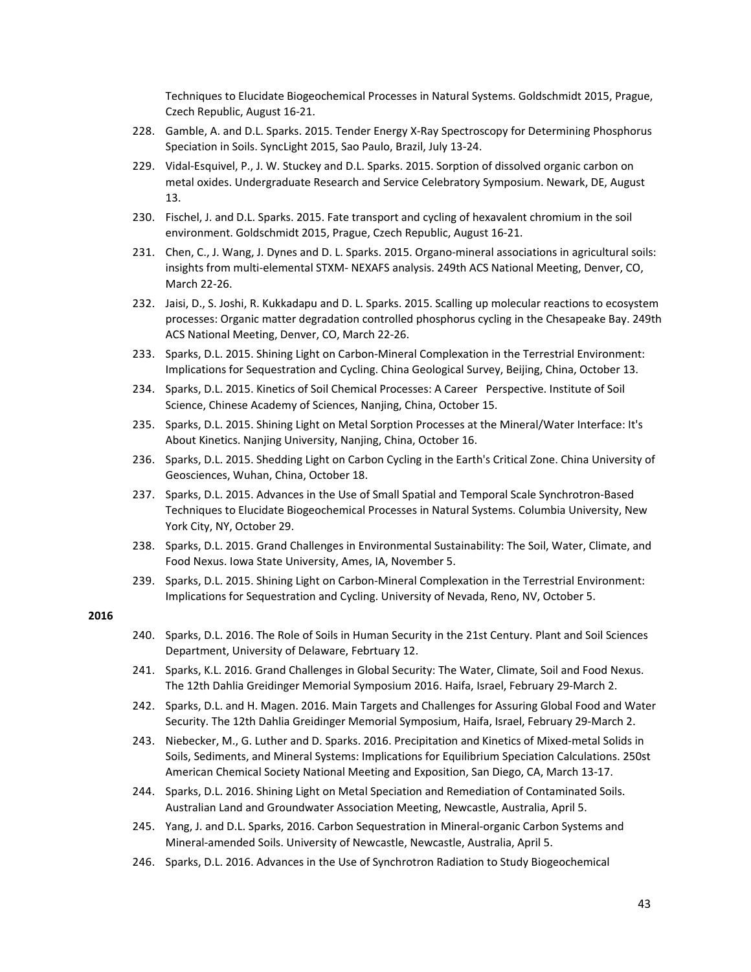Techniques to Elucidate Biogeochemical Processes in Natural Systems. Goldschmidt 2015, Prague, Czech Republic, August 16‐21.

- 228. Gamble, A. and D.L. Sparks. 2015. Tender Energy X‐Ray Spectroscopy for Determining Phosphorus Speciation in Soils. SyncLight 2015, Sao Paulo, Brazil, July 13‐24.
- 229. Vidal‐Esquivel, P., J. W. Stuckey and D.L. Sparks. 2015. Sorption of dissolved organic carbon on metal oxides. Undergraduate Research and Service Celebratory Symposium. Newark, DE, August 13.
- 230. Fischel, J. and D.L. Sparks. 2015. Fate transport and cycling of hexavalent chromium in the soil environment. Goldschmidt 2015, Prague, Czech Republic, August 16‐21.
- 231. Chen, C., J. Wang, J. Dynes and D. L. Sparks. 2015. Organo‐mineral associations in agricultural soils: insights from multi‐elemental STXM‐ NEXAFS analysis. 249th ACS National Meeting, Denver, CO, March 22‐26.
- 232. Jaisi, D., S. Joshi, R. Kukkadapu and D. L. Sparks. 2015. Scalling up molecular reactions to ecosystem processes: Organic matter degradation controlled phosphorus cycling in the Chesapeake Bay. 249th ACS National Meeting, Denver, CO, March 22‐26.
- 233. Sparks, D.L. 2015. Shining Light on Carbon-Mineral Complexation in the Terrestrial Environment: Implications for Sequestration and Cycling. China Geological Survey, Beijing, China, October 13.
- 234. Sparks, D.L. 2015. Kinetics of Soil Chemical Processes: A Career Perspective. Institute of Soil Science, Chinese Academy of Sciences, Nanjing, China, October 15.
- 235. Sparks, D.L. 2015. Shining Light on Metal Sorption Processes at the Mineral/Water Interface: It's About Kinetics. Nanjing University, Nanjing, China, October 16.
- 236. Sparks, D.L. 2015. Shedding Light on Carbon Cycling in the Earth's Critical Zone. China University of Geosciences, Wuhan, China, October 18.
- 237. Sparks, D.L. 2015. Advances in the Use of Small Spatial and Temporal Scale Synchrotron‐Based Techniques to Elucidate Biogeochemical Processes in Natural Systems. Columbia University, New York City, NY, October 29.
- 238. Sparks, D.L. 2015. Grand Challenges in Environmental Sustainability: The Soil, Water, Climate, and Food Nexus. Iowa State University, Ames, IA, November 5.
- 239. Sparks, D.L. 2015. Shining Light on Carbon-Mineral Complexation in the Terrestrial Environment: Implications for Sequestration and Cycling. University of Nevada, Reno, NV, October 5.

- 240. Sparks, D.L. 2016. The Role of Soils in Human Security in the 21st Century. Plant and Soil Sciences Department, University of Delaware, Febrtuary 12.
- 241. Sparks, K.L. 2016. Grand Challenges in Global Security: The Water, Climate, Soil and Food Nexus. The 12th Dahlia Greidinger Memorial Symposium 2016. Haifa, Israel, February 29‐March 2.
- 242. Sparks, D.L. and H. Magen. 2016. Main Targets and Challenges for Assuring Global Food and Water Security. The 12th Dahlia Greidinger Memorial Symposium, Haifa, Israel, February 29‐March 2.
- 243. Niebecker, M., G. Luther and D. Sparks. 2016. Precipitation and Kinetics of Mixed‐metal Solids in Soils, Sediments, and Mineral Systems: Implications for Equilibrium Speciation Calculations. 250st American Chemical Society National Meeting and Exposition, San Diego, CA, March 13‐17.
- 244. Sparks, D.L. 2016. Shining Light on Metal Speciation and Remediation of Contaminated Soils. Australian Land and Groundwater Association Meeting, Newcastle, Australia, April 5.
- 245. Yang, J. and D.L. Sparks, 2016. Carbon Sequestration in Mineral‐organic Carbon Systems and Mineral‐amended Soils. University of Newcastle, Newcastle, Australia, April 5.
- 246. Sparks, D.L. 2016. Advances in the Use of Synchrotron Radiation to Study Biogeochemical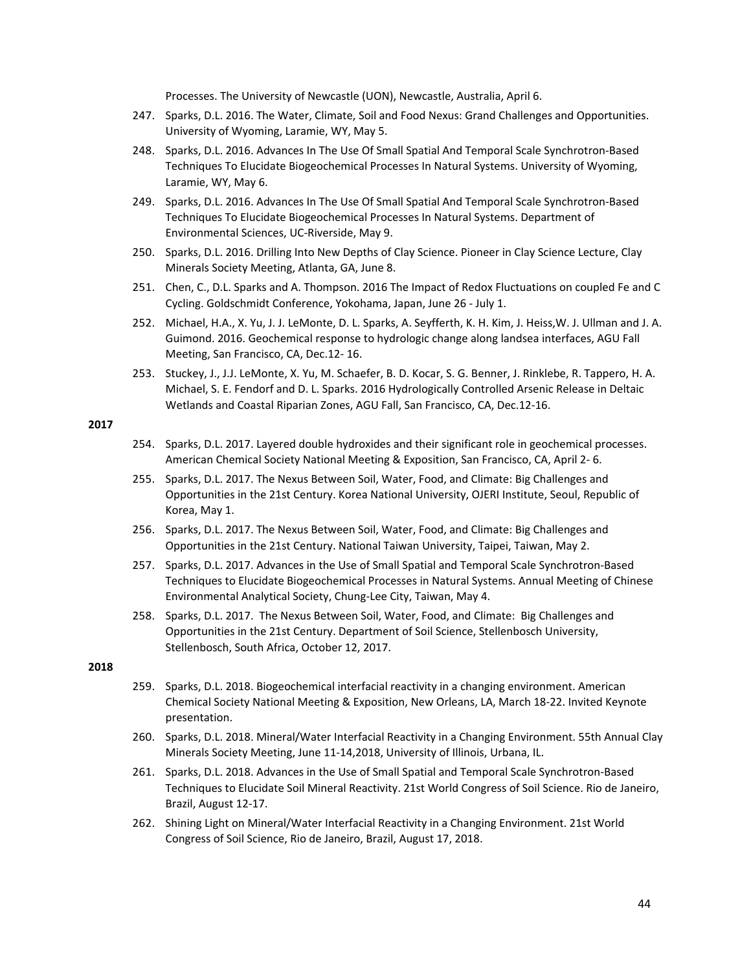Processes. The University of Newcastle (UON), Newcastle, Australia, April 6.

- 247. Sparks, D.L. 2016. The Water, Climate, Soil and Food Nexus: Grand Challenges and Opportunities. University of Wyoming, Laramie, WY, May 5.
- 248. Sparks, D.L. 2016. Advances In The Use Of Small Spatial And Temporal Scale Synchrotron‐Based Techniques To Elucidate Biogeochemical Processes In Natural Systems. University of Wyoming, Laramie, WY, May 6.
- 249. Sparks, D.L. 2016. Advances In The Use Of Small Spatial And Temporal Scale Synchrotron‐Based Techniques To Elucidate Biogeochemical Processes In Natural Systems. Department of Environmental Sciences, UC‐Riverside, May 9.
- 250. Sparks, D.L. 2016. Drilling Into New Depths of Clay Science. Pioneer in Clay Science Lecture, Clay Minerals Society Meeting, Atlanta, GA, June 8.
- 251. Chen, C., D.L. Sparks and A. Thompson. 2016 The Impact of Redox Fluctuations on coupled Fe and C Cycling. Goldschmidt Conference, Yokohama, Japan, June 26 ‐ July 1.
- 252. Michael, H.A., X. Yu, J. J. LeMonte, D. L. Sparks, A. Seyfferth, K. H. Kim, J. Heiss,W. J. Ullman and J. A. Guimond. 2016. Geochemical response to hydrologic change along landsea interfaces, AGU Fall Meeting, San Francisco, CA, Dec.12‐ 16.
- 253. Stuckey, J., J.J. LeMonte, X. Yu, M. Schaefer, B. D. Kocar, S. G. Benner, J. Rinklebe, R. Tappero, H. A. Michael, S. E. Fendorf and D. L. Sparks. 2016 Hydrologically Controlled Arsenic Release in Deltaic Wetlands and Coastal Riparian Zones, AGU Fall, San Francisco, CA, Dec.12‐16.

#### **2017**

- 254. Sparks, D.L. 2017. Layered double hydroxides and their significant role in geochemical processes. American Chemical Society National Meeting & Exposition, San Francisco, CA, April 2‐ 6.
- 255. Sparks, D.L. 2017. The Nexus Between Soil, Water, Food, and Climate: Big Challenges and Opportunities in the 21st Century. Korea National University, OJERI Institute, Seoul, Republic of Korea, May 1.
- 256. Sparks, D.L. 2017. The Nexus Between Soil, Water, Food, and Climate: Big Challenges and Opportunities in the 21st Century. National Taiwan University, Taipei, Taiwan, May 2.
- 257. Sparks, D.L. 2017. Advances in the Use of Small Spatial and Temporal Scale Synchrotron‐Based Techniques to Elucidate Biogeochemical Processes in Natural Systems. Annual Meeting of Chinese Environmental Analytical Society, Chung‐Lee City, Taiwan, May 4.
- 258. Sparks, D.L. 2017. The Nexus Between Soil, Water, Food, and Climate: Big Challenges and Opportunities in the 21st Century. Department of Soil Science, Stellenbosch University, Stellenbosch, South Africa, October 12, 2017.

- 259. Sparks, D.L. 2018. Biogeochemical interfacial reactivity in a changing environment. American Chemical Society National Meeting & Exposition, New Orleans, LA, March 18‐22. Invited Keynote presentation.
- 260. Sparks, D.L. 2018. Mineral/Water Interfacial Reactivity in a Changing Environment. 55th Annual Clay Minerals Society Meeting, June 11‐14,2018, University of Illinois, Urbana, IL.
- 261. Sparks, D.L. 2018. Advances in the Use of Small Spatial and Temporal Scale Synchrotron‐Based Techniques to Elucidate Soil Mineral Reactivity. 21st World Congress of Soil Science. Rio de Janeiro, Brazil, August 12‐17.
- 262. Shining Light on Mineral/Water Interfacial Reactivity in a Changing Environment. 21st World Congress of Soil Science, Rio de Janeiro, Brazil, August 17, 2018.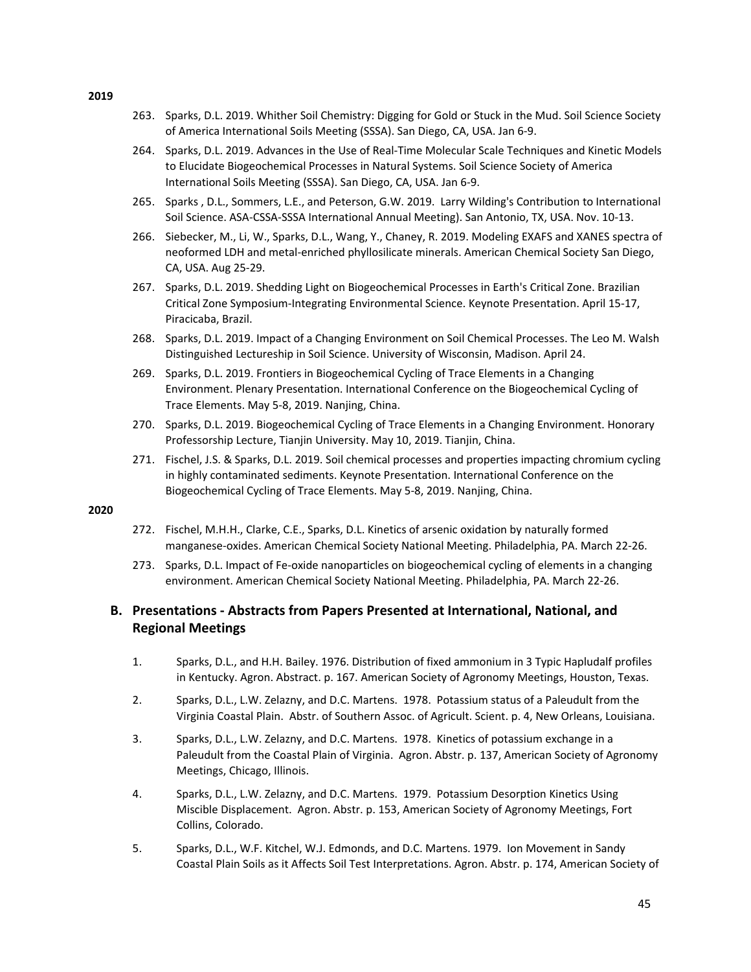- 263. Sparks, D.L. 2019. Whither Soil Chemistry: Digging for Gold or Stuck in the Mud. Soil Science Society of America International Soils Meeting (SSSA). San Diego, CA, USA. Jan 6‐9.
- 264. Sparks, D.L. 2019. Advances in the Use of Real‐Time Molecular Scale Techniques and Kinetic Models to Elucidate Biogeochemical Processes in Natural Systems. Soil Science Society of America International Soils Meeting (SSSA). San Diego, CA, USA. Jan 6‐9.
- 265. Sparks , D.L., Sommers, L.E., and Peterson, G.W. 2019. Larry Wilding's Contribution to International Soil Science. ASA‐CSSA‐SSSA International Annual Meeting). San Antonio, TX, USA. Nov. 10‐13.
- 266. Siebecker, M., Li, W., Sparks, D.L., Wang, Y., Chaney, R. 2019. Modeling EXAFS and XANES spectra of neoformed LDH and metal‐enriched phyllosilicate minerals. American Chemical Society San Diego, CA, USA. Aug 25‐29.
- 267. Sparks, D.L. 2019. Shedding Light on Biogeochemical Processes in Earth's Critical Zone. Brazilian Critical Zone Symposium‐Integrating Environmental Science. Keynote Presentation. April 15‐17, Piracicaba, Brazil.
- 268. Sparks, D.L. 2019. Impact of a Changing Environment on Soil Chemical Processes. The Leo M. Walsh Distinguished Lectureship in Soil Science. University of Wisconsin, Madison. April 24.
- 269. Sparks, D.L. 2019. Frontiers in Biogeochemical Cycling of Trace Elements in a Changing Environment. Plenary Presentation. International Conference on the Biogeochemical Cycling of Trace Elements. May 5‐8, 2019. Nanjing, China.
- 270. Sparks, D.L. 2019. Biogeochemical Cycling of Trace Elements in a Changing Environment. Honorary Professorship Lecture, Tianjin University. May 10, 2019. Tianjin, China.
- 271. Fischel, J.S. & Sparks, D.L. 2019. Soil chemical processes and properties impacting chromium cycling in highly contaminated sediments. Keynote Presentation. International Conference on the Biogeochemical Cycling of Trace Elements. May 5‐8, 2019. Nanjing, China.

- 272. Fischel, M.H.H., Clarke, C.E., Sparks, D.L. Kinetics of arsenic oxidation by naturally formed manganese‐oxides. American Chemical Society National Meeting. Philadelphia, PA. March 22‐26.
- 273. Sparks, D.L. Impact of Fe-oxide nanoparticles on biogeochemical cycling of elements in a changing environment. American Chemical Society National Meeting. Philadelphia, PA. March 22‐26.

# **B. Presentations ‐ Abstracts from Papers Presented at International, National, and Regional Meetings**

- 1. Sparks, D.L., and H.H. Bailey. 1976. Distribution of fixed ammonium in 3 Typic Hapludalf profiles in Kentucky. Agron. Abstract. p. 167. American Society of Agronomy Meetings, Houston, Texas.
- 2. Sparks, D.L., L.W. Zelazny, and D.C. Martens. 1978. Potassium status of a Paleudult from the Virginia Coastal Plain. Abstr. of Southern Assoc. of Agricult. Scient. p. 4, New Orleans, Louisiana.
- 3. Sparks, D.L., L.W. Zelazny, and D.C. Martens. 1978. Kinetics of potassium exchange in a Paleudult from the Coastal Plain of Virginia. Agron. Abstr. p. 137, American Society of Agronomy Meetings, Chicago, Illinois.
- 4. Sparks, D.L., L.W. Zelazny, and D.C. Martens. 1979. Potassium Desorption Kinetics Using Miscible Displacement. Agron. Abstr. p. 153, American Society of Agronomy Meetings, Fort Collins, Colorado.
- 5. Sparks, D.L., W.F. Kitchel, W.J. Edmonds, and D.C. Martens. 1979. Ion Movement in Sandy Coastal Plain Soils as it Affects Soil Test Interpretations. Agron. Abstr. p. 174, American Society of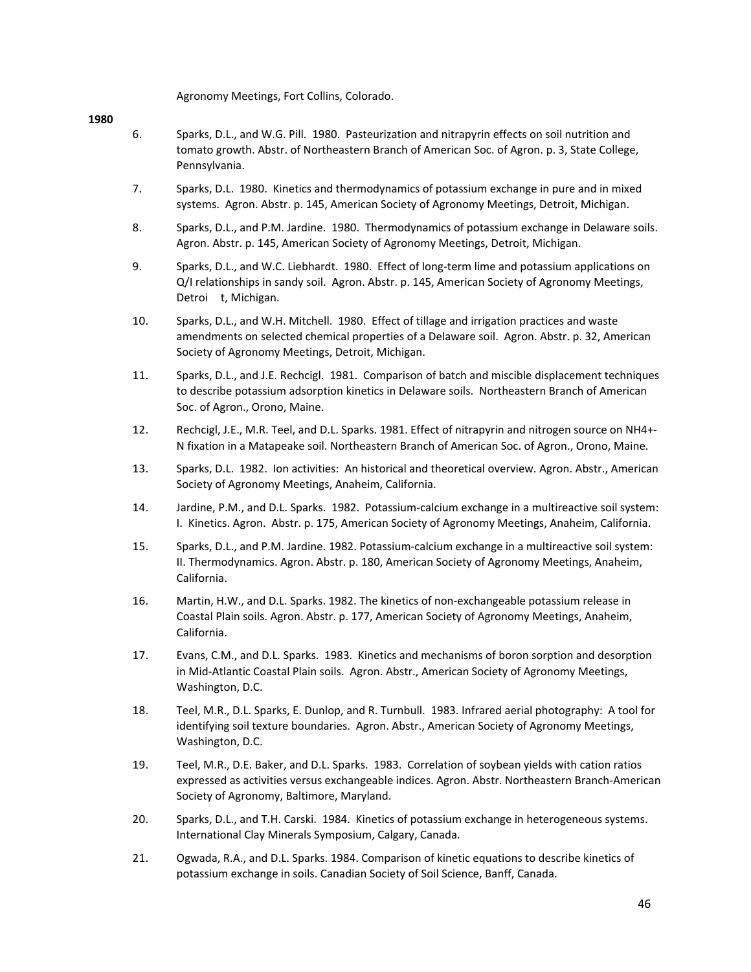Agronomy Meetings, Fort Collins, Colorado.

- 6. Sparks, D.L., and W.G. Pill. 1980. Pasteurization and nitrapyrin effects on soil nutrition and tomato growth. Abstr. of Northeastern Branch of American Soc. of Agron. p. 3, State College, Pennsylvania.
- 7. Sparks, D.L. 1980. Kinetics and thermodynamics of potassium exchange in pure and in mixed systems. Agron. Abstr. p. 145, American Society of Agronomy Meetings, Detroit, Michigan.
- 8. Sparks, D.L., and P.M. Jardine. 1980. Thermodynamics of potassium exchange in Delaware soils. Agron. Abstr. p. 145, American Society of Agronomy Meetings, Detroit, Michigan.
- 9. Sparks, D.L., and W.C. Liebhardt. 1980. Effect of long-term lime and potassium applications on Q/I relationships in sandy soil. Agron. Abstr. p. 145, American Society of Agronomy Meetings, Detroi t, Michigan.
- 10. Sparks, D.L., and W.H. Mitchell. 1980. Effect of tillage and irrigation practices and waste amendments on selected chemical properties of a Delaware soil. Agron. Abstr. p. 32, American Society of Agronomy Meetings, Detroit, Michigan.
- 11. Sparks, D.L., and J.E. Rechcigl. 1981. Comparison of batch and miscible displacement techniques to describe potassium adsorption kinetics in Delaware soils. Northeastern Branch of American Soc. of Agron., Orono, Maine.
- 12. Rechcigl, J.E., M.R. Teel, and D.L. Sparks. 1981. Effect of nitrapyrin and nitrogen source on NH4+‐ N fixation in a Matapeake soil. Northeastern Branch of American Soc. of Agron., Orono, Maine.
- 13. Sparks, D.L. 1982. Ion activities: An historical and theoretical overview. Agron. Abstr., American Society of Agronomy Meetings, Anaheim, California.
- 14. Jardine, P.M., and D.L. Sparks. 1982. Potassium‐calcium exchange in a multireactive soil system: I. Kinetics. Agron. Abstr. p. 175, American Society of Agronomy Meetings, Anaheim, California.
- 15. Sparks, D.L., and P.M. Jardine. 1982. Potassium‐calcium exchange in a multireactive soil system: II. Thermodynamics. Agron. Abstr. p. 180, American Society of Agronomy Meetings, Anaheim, California.
- 16. Martin, H.W., and D.L. Sparks. 1982. The kinetics of non‐exchangeable potassium release in Coastal Plain soils. Agron. Abstr. p. 177, American Society of Agronomy Meetings, Anaheim, California.
- 17. Evans, C.M., and D.L. Sparks. 1983. Kinetics and mechanisms of boron sorption and desorption in Mid‐Atlantic Coastal Plain soils. Agron. Abstr., American Society of Agronomy Meetings, Washington, D.C.
- 18. Teel, M.R., D.L. Sparks, E. Dunlop, and R. Turnbull. 1983. Infrared aerial photography: A tool for identifying soil texture boundaries. Agron. Abstr., American Society of Agronomy Meetings, Washington, D.C.
- 19. Teel, M.R., D.E. Baker, and D.L. Sparks. 1983. Correlation of soybean yields with cation ratios expressed as activities versus exchangeable indices. Agron. Abstr. Northeastern Branch‐American Society of Agronomy, Baltimore, Maryland.
- 20. Sparks, D.L., and T.H. Carski. 1984. Kinetics of potassium exchange in heterogeneous systems. International Clay Minerals Symposium, Calgary, Canada.
- 21. Ogwada, R.A., and D.L. Sparks. 1984. Comparison of kinetic equations to describe kinetics of potassium exchange in soils. Canadian Society of Soil Science, Banff, Canada.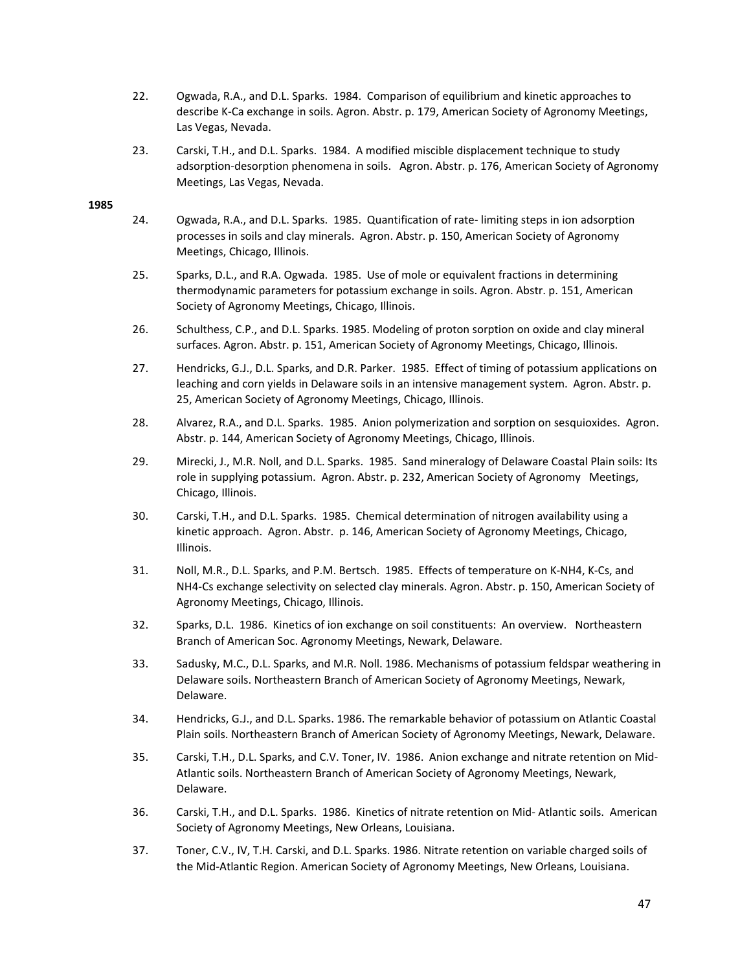- 22. Ogwada, R.A., and D.L. Sparks. 1984. Comparison of equilibrium and kinetic approaches to describe K‐Ca exchange in soils. Agron. Abstr. p. 179, American Society of Agronomy Meetings, Las Vegas, Nevada.
- 23. Carski, T.H., and D.L. Sparks. 1984. A modified miscible displacement technique to study adsorption-desorption phenomena in soils. Agron. Abstr. p. 176, American Society of Agronomy Meetings, Las Vegas, Nevada.

- 24. Ogwada, R.A., and D.L. Sparks. 1985. Quantification of rate‐ limiting steps in ion adsorption processes in soils and clay minerals. Agron. Abstr. p. 150, American Society of Agronomy Meetings, Chicago, Illinois.
- 25. Sparks, D.L., and R.A. Ogwada. 1985. Use of mole or equivalent fractions in determining thermodynamic parameters for potassium exchange in soils. Agron. Abstr. p. 151, American Society of Agronomy Meetings, Chicago, Illinois.
- 26. Schulthess, C.P., and D.L. Sparks. 1985. Modeling of proton sorption on oxide and clay mineral surfaces. Agron. Abstr. p. 151, American Society of Agronomy Meetings, Chicago, Illinois.
- 27. Hendricks, G.J., D.L. Sparks, and D.R. Parker. 1985. Effect of timing of potassium applications on leaching and corn yields in Delaware soils in an intensive management system. Agron. Abstr. p. 25, American Society of Agronomy Meetings, Chicago, Illinois.
- 28. Alvarez, R.A., and D.L. Sparks. 1985. Anion polymerization and sorption on sesquioxides. Agron. Abstr. p. 144, American Society of Agronomy Meetings, Chicago, Illinois.
- 29. Mirecki, J., M.R. Noll, and D.L. Sparks. 1985. Sand mineralogy of Delaware Coastal Plain soils: Its role in supplying potassium. Agron. Abstr. p. 232, American Society of Agronomy Meetings, Chicago, Illinois.
- 30. Carski, T.H., and D.L. Sparks. 1985. Chemical determination of nitrogen availability using a kinetic approach. Agron. Abstr. p. 146, American Society of Agronomy Meetings, Chicago, Illinois.
- 31. Noll, M.R., D.L. Sparks, and P.M. Bertsch. 1985. Effects of temperature on K‐NH4, K‐Cs, and NH4‐Cs exchange selectivity on selected clay minerals. Agron. Abstr. p. 150, American Society of Agronomy Meetings, Chicago, Illinois.
- 32. Sparks, D.L. 1986. Kinetics of ion exchange on soil constituents: An overview. Northeastern Branch of American Soc. Agronomy Meetings, Newark, Delaware.
- 33. Sadusky, M.C., D.L. Sparks, and M.R. Noll. 1986. Mechanisms of potassium feldspar weathering in Delaware soils. Northeastern Branch of American Society of Agronomy Meetings, Newark, Delaware.
- 34. Hendricks, G.J., and D.L. Sparks. 1986. The remarkable behavior of potassium on Atlantic Coastal Plain soils. Northeastern Branch of American Society of Agronomy Meetings, Newark, Delaware.
- 35. Carski, T.H., D.L. Sparks, and C.V. Toner, IV. 1986. Anion exchange and nitrate retention on Mid‐ Atlantic soils. Northeastern Branch of American Society of Agronomy Meetings, Newark, Delaware.
- 36. Carski, T.H., and D.L. Sparks. 1986. Kinetics of nitrate retention on Mid‐ Atlantic soils. American Society of Agronomy Meetings, New Orleans, Louisiana.
- 37. Toner, C.V., IV, T.H. Carski, and D.L. Sparks. 1986. Nitrate retention on variable charged soils of the Mid‐Atlantic Region. American Society of Agronomy Meetings, New Orleans, Louisiana.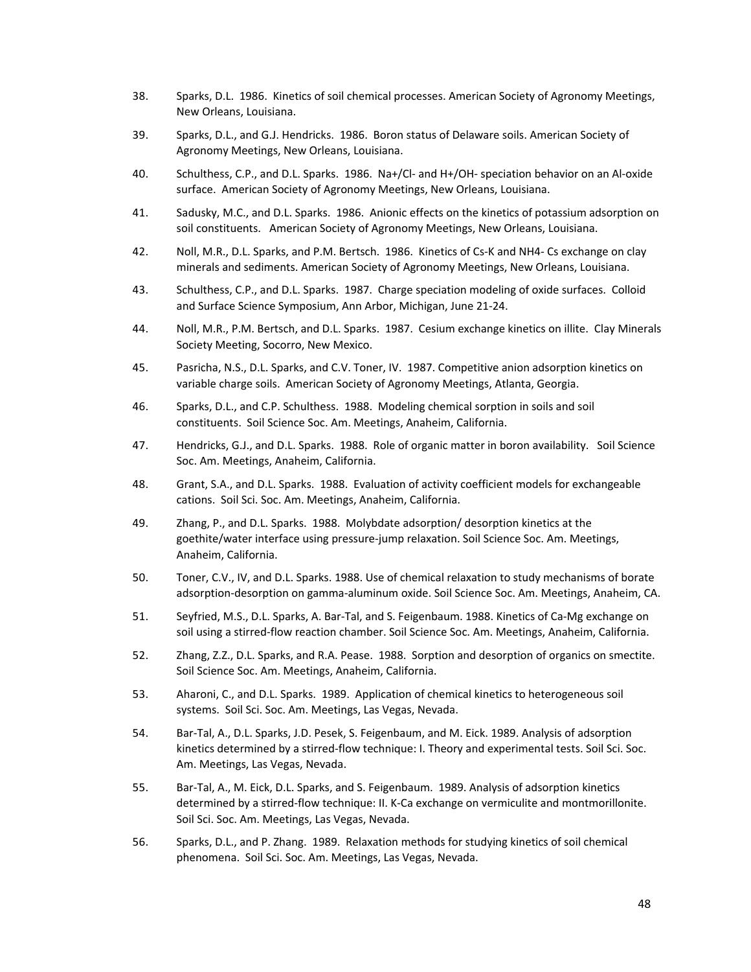- 38. Sparks, D.L. 1986. Kinetics of soil chemical processes. American Society of Agronomy Meetings, New Orleans, Louisiana.
- 39. Sparks, D.L., and G.J. Hendricks. 1986. Boron status of Delaware soils. American Society of Agronomy Meetings, New Orleans, Louisiana.
- 40. Schulthess, C.P., and D.L. Sparks. 1986. Na+/Cl- and H+/OH- speciation behavior on an Al-oxide surface. American Society of Agronomy Meetings, New Orleans, Louisiana.
- 41. Sadusky, M.C., and D.L. Sparks. 1986. Anionic effects on the kinetics of potassium adsorption on soil constituents. American Society of Agronomy Meetings, New Orleans, Louisiana.
- 42. Noll, M.R., D.L. Sparks, and P.M. Bertsch. 1986. Kinetics of Cs-K and NH4-Cs exchange on clay minerals and sediments. American Society of Agronomy Meetings, New Orleans, Louisiana.
- 43. Schulthess, C.P., and D.L. Sparks. 1987. Charge speciation modeling of oxide surfaces. Colloid and Surface Science Symposium, Ann Arbor, Michigan, June 21‐24.
- 44. Noll, M.R., P.M. Bertsch, and D.L. Sparks. 1987. Cesium exchange kinetics on illite. Clay Minerals Society Meeting, Socorro, New Mexico.
- 45. Pasricha, N.S., D.L. Sparks, and C.V. Toner, IV. 1987. Competitive anion adsorption kinetics on variable charge soils. American Society of Agronomy Meetings, Atlanta, Georgia.
- 46. Sparks, D.L., and C.P. Schulthess. 1988. Modeling chemical sorption in soils and soil constituents. Soil Science Soc. Am. Meetings, Anaheim, California.
- 47. Hendricks, G.J., and D.L. Sparks. 1988. Role of organic matter in boron availability. Soil Science Soc. Am. Meetings, Anaheim, California.
- 48. Grant, S.A., and D.L. Sparks. 1988. Evaluation of activity coefficient models for exchangeable cations. Soil Sci. Soc. Am. Meetings, Anaheim, California.
- 49. Zhang, P., and D.L. Sparks. 1988. Molybdate adsorption/ desorption kinetics at the goethite/water interface using pressure‐jump relaxation. Soil Science Soc. Am. Meetings, Anaheim, California.
- 50. Toner, C.V., IV, and D.L. Sparks. 1988. Use of chemical relaxation to study mechanisms of borate adsorption‐desorption on gamma‐aluminum oxide. Soil Science Soc. Am. Meetings, Anaheim, CA.
- 51. Seyfried, M.S., D.L. Sparks, A. Bar-Tal, and S. Feigenbaum. 1988. Kinetics of Ca-Mg exchange on soil using a stirred-flow reaction chamber. Soil Science Soc. Am. Meetings, Anaheim, California.
- 52. Zhang, Z.Z., D.L. Sparks, and R.A. Pease. 1988. Sorption and desorption of organics on smectite. Soil Science Soc. Am. Meetings, Anaheim, California.
- 53. Aharoni, C., and D.L. Sparks. 1989. Application of chemical kinetics to heterogeneous soil systems. Soil Sci. Soc. Am. Meetings, Las Vegas, Nevada.
- 54. Bar‐Tal, A., D.L. Sparks, J.D. Pesek, S. Feigenbaum, and M. Eick. 1989. Analysis of adsorption kinetics determined by a stirred-flow technique: I. Theory and experimental tests. Soil Sci. Soc. Am. Meetings, Las Vegas, Nevada.
- 55. Bar-Tal, A., M. Eick, D.L. Sparks, and S. Feigenbaum. 1989. Analysis of adsorption kinetics determined by a stirred‐flow technique: II. K‐Ca exchange on vermiculite and montmorillonite. Soil Sci. Soc. Am. Meetings, Las Vegas, Nevada.
- 56. Sparks, D.L., and P. Zhang. 1989. Relaxation methods for studying kinetics of soil chemical phenomena. Soil Sci. Soc. Am. Meetings, Las Vegas, Nevada.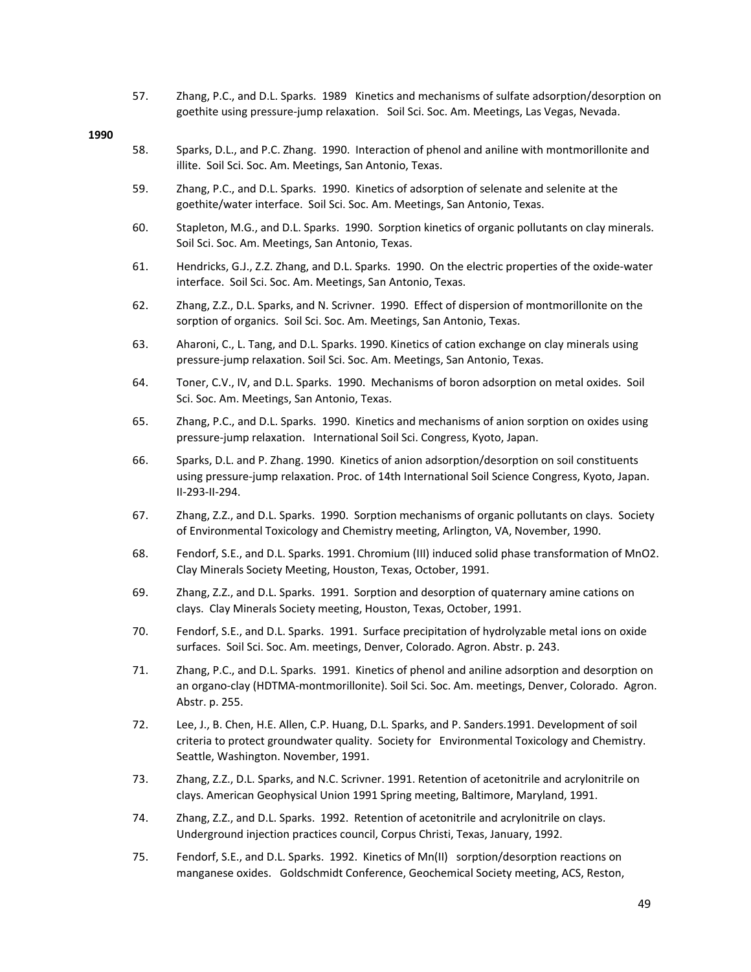57. Zhang, P.C., and D.L. Sparks. 1989 Kinetics and mechanisms of sulfate adsorption/desorption on goethite using pressure‐jump relaxation. Soil Sci. Soc. Am. Meetings, Las Vegas, Nevada.

- 58. Sparks, D.L., and P.C. Zhang. 1990. Interaction of phenol and aniline with montmorillonite and illite. Soil Sci. Soc. Am. Meetings, San Antonio, Texas.
- 59. Zhang, P.C., and D.L. Sparks. 1990. Kinetics of adsorption of selenate and selenite at the goethite/water interface. Soil Sci. Soc. Am. Meetings, San Antonio, Texas.
- 60. Stapleton, M.G., and D.L. Sparks. 1990. Sorption kinetics of organic pollutants on clay minerals. Soil Sci. Soc. Am. Meetings, San Antonio, Texas.
- 61. Hendricks, G.J., Z.Z. Zhang, and D.L. Sparks. 1990. On the electric properties of the oxide‐water interface. Soil Sci. Soc. Am. Meetings, San Antonio, Texas.
- 62. Zhang, Z.Z., D.L. Sparks, and N. Scrivner. 1990. Effect of dispersion of montmorillonite on the sorption of organics. Soil Sci. Soc. Am. Meetings, San Antonio, Texas.
- 63. Aharoni, C., L. Tang, and D.L. Sparks. 1990. Kinetics of cation exchange on clay minerals using pressure‐jump relaxation. Soil Sci. Soc. Am. Meetings, San Antonio, Texas.
- 64. Toner, C.V., IV, and D.L. Sparks. 1990. Mechanisms of boron adsorption on metal oxides. Soil Sci. Soc. Am. Meetings, San Antonio, Texas.
- 65. Zhang, P.C., and D.L. Sparks. 1990. Kinetics and mechanisms of anion sorption on oxides using pressure‐jump relaxation. International Soil Sci. Congress, Kyoto, Japan.
- 66. Sparks, D.L. and P. Zhang. 1990. Kinetics of anion adsorption/desorption on soil constituents using pressure‐jump relaxation. Proc. of 14th International Soil Science Congress, Kyoto, Japan. II‐293‐II‐294.
- 67. Zhang, Z.Z., and D.L. Sparks. 1990. Sorption mechanisms of organic pollutants on clays. Society of Environmental Toxicology and Chemistry meeting, Arlington, VA, November, 1990.
- 68. Fendorf, S.E., and D.L. Sparks. 1991. Chromium (III) induced solid phase transformation of MnO2. Clay Minerals Society Meeting, Houston, Texas, October, 1991.
- 69. Zhang, Z.Z., and D.L. Sparks. 1991. Sorption and desorption of quaternary amine cations on clays. Clay Minerals Society meeting, Houston, Texas, October, 1991.
- 70. Fendorf, S.E., and D.L. Sparks. 1991. Surface precipitation of hydrolyzable metal ions on oxide surfaces. Soil Sci. Soc. Am. meetings, Denver, Colorado. Agron. Abstr. p. 243.
- 71. Zhang, P.C., and D.L. Sparks. 1991. Kinetics of phenol and aniline adsorption and desorption on an organo‐clay (HDTMA‐montmorillonite). Soil Sci. Soc. Am. meetings, Denver, Colorado. Agron. Abstr. p. 255.
- 72. Lee, J., B. Chen, H.E. Allen, C.P. Huang, D.L. Sparks, and P. Sanders.1991. Development of soil criteria to protect groundwater quality. Society for Environmental Toxicology and Chemistry. Seattle, Washington. November, 1991.
- 73. Zhang, Z.Z., D.L. Sparks, and N.C. Scrivner. 1991. Retention of acetonitrile and acrylonitrile on clays. American Geophysical Union 1991 Spring meeting, Baltimore, Maryland, 1991.
- 74. Zhang, Z.Z., and D.L. Sparks. 1992. Retention of acetonitrile and acrylonitrile on clays. Underground injection practices council, Corpus Christi, Texas, January, 1992.
- 75. Fendorf, S.E., and D.L. Sparks. 1992. Kinetics of Mn(II) sorption/desorption reactions on manganese oxides. Goldschmidt Conference, Geochemical Society meeting, ACS, Reston,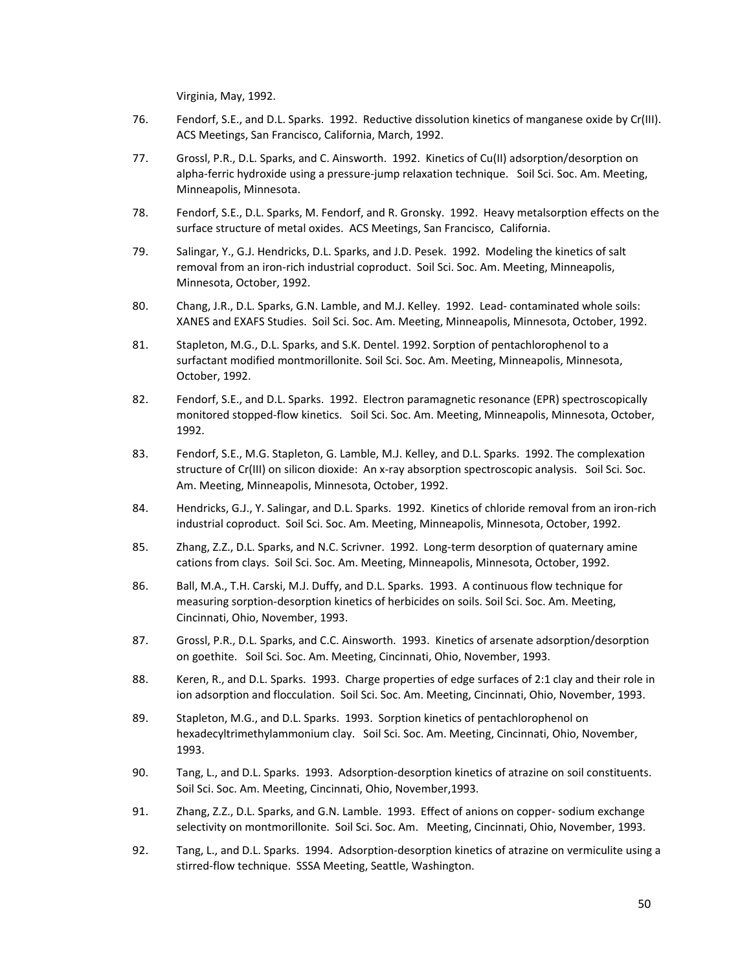Virginia, May, 1992.

- 76. Fendorf, S.E., and D.L. Sparks. 1992. Reductive dissolution kinetics of manganese oxide by Cr(III). ACS Meetings, San Francisco, California, March, 1992.
- 77. Grossl, P.R., D.L. Sparks, and C. Ainsworth. 1992. Kinetics of Cu(II) adsorption/desorption on alpha-ferric hydroxide using a pressure-jump relaxation technique. Soil Sci. Soc. Am. Meeting, Minneapolis, Minnesota.
- 78. Fendorf, S.E., D.L. Sparks, M. Fendorf, and R. Gronsky. 1992. Heavy metalsorption effects on the surface structure of metal oxides. ACS Meetings, San Francisco, California.
- 79. Salingar, Y., G.J. Hendricks, D.L. Sparks, and J.D. Pesek. 1992. Modeling the kinetics of salt removal from an iron-rich industrial coproduct. Soil Sci. Soc. Am. Meeting, Minneapolis, Minnesota, October, 1992.
- 80. Chang, J.R., D.L. Sparks, G.N. Lamble, and M.J. Kelley. 1992. Lead- contaminated whole soils: XANES and EXAFS Studies. Soil Sci. Soc. Am. Meeting, Minneapolis, Minnesota, October, 1992.
- 81. Stapleton, M.G., D.L. Sparks, and S.K. Dentel. 1992. Sorption of pentachlorophenol to a surfactant modified montmorillonite. Soil Sci. Soc. Am. Meeting, Minneapolis, Minnesota, October, 1992.
- 82. Fendorf, S.E., and D.L. Sparks. 1992. Electron paramagnetic resonance (EPR) spectroscopically monitored stopped‐flow kinetics. Soil Sci. Soc. Am. Meeting, Minneapolis, Minnesota, October, 1992.
- 83. Fendorf, S.E., M.G. Stapleton, G. Lamble, M.J. Kelley, and D.L. Sparks. 1992. The complexation structure of Cr(III) on silicon dioxide: An x‐ray absorption spectroscopic analysis. Soil Sci. Soc. Am. Meeting, Minneapolis, Minnesota, October, 1992.
- 84. Hendricks, G.J., Y. Salingar, and D.L. Sparks. 1992. Kinetics of chloride removal from an iron-rich industrial coproduct. Soil Sci. Soc. Am. Meeting, Minneapolis, Minnesota, October, 1992.
- 85. Zhang, Z.Z., D.L. Sparks, and N.C. Scrivner. 1992. Long-term desorption of quaternary amine cations from clays. Soil Sci. Soc. Am. Meeting, Minneapolis, Minnesota, October, 1992.
- 86. Ball, M.A., T.H. Carski, M.J. Duffy, and D.L. Sparks. 1993. A continuous flow technique for measuring sorption‐desorption kinetics of herbicides on soils. Soil Sci. Soc. Am. Meeting, Cincinnati, Ohio, November, 1993.
- 87. Grossl, P.R., D.L. Sparks, and C.C. Ainsworth. 1993. Kinetics of arsenate adsorption/desorption on goethite. Soil Sci. Soc. Am. Meeting, Cincinnati, Ohio, November, 1993.
- 88. Keren, R., and D.L. Sparks. 1993. Charge properties of edge surfaces of 2:1 clay and their role in ion adsorption and flocculation. Soil Sci. Soc. Am. Meeting, Cincinnati, Ohio, November, 1993.
- 89. Stapleton, M.G., and D.L. Sparks. 1993. Sorption kinetics of pentachlorophenol on hexadecyltrimethylammonium clay. Soil Sci. Soc. Am. Meeting, Cincinnati, Ohio, November, 1993.
- 90. Tang, L., and D.L. Sparks. 1993. Adsorption-desorption kinetics of atrazine on soil constituents. Soil Sci. Soc. Am. Meeting, Cincinnati, Ohio, November,1993.
- 91. Zhang, Z.Z., D.L. Sparks, and G.N. Lamble. 1993. Effect of anions on copper-sodium exchange selectivity on montmorillonite. Soil Sci. Soc. Am. Meeting, Cincinnati, Ohio, November, 1993.
- 92. Tang, L., and D.L. Sparks. 1994. Adsorption-desorption kinetics of atrazine on vermiculite using a stirred-flow technique. SSSA Meeting, Seattle, Washington.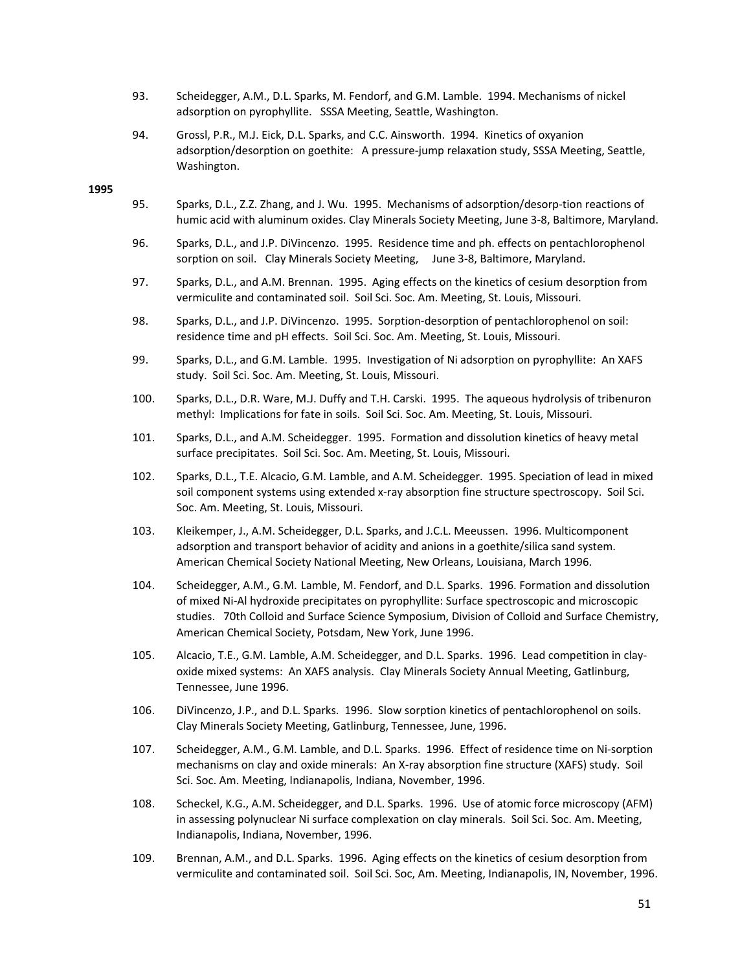- 93. Scheidegger, A.M., D.L. Sparks, M. Fendorf, and G.M. Lamble. 1994. Mechanisms of nickel adsorption on pyrophyllite. SSSA Meeting, Seattle, Washington.
- 94. Grossl, P.R., M.J. Eick, D.L. Sparks, and C.C. Ainsworth. 1994. Kinetics of oxyanion adsorption/desorption on goethite: A pressure‐jump relaxation study, SSSA Meeting, Seattle, Washington.

- 95. Sparks, D.L., Z.Z. Zhang, and J. Wu. 1995. Mechanisms of adsorption/desorp‐tion reactions of humic acid with aluminum oxides. Clay Minerals Society Meeting, June 3‐8, Baltimore, Maryland.
- 96. Sparks, D.L., and J.P. DiVincenzo. 1995. Residence time and ph. effects on pentachlorophenol sorption on soil. Clay Minerals Society Meeting, June 3-8, Baltimore, Maryland.
- 97. Sparks, D.L., and A.M. Brennan. 1995. Aging effects on the kinetics of cesium desorption from vermiculite and contaminated soil. Soil Sci. Soc. Am. Meeting, St. Louis, Missouri.
- 98. Sparks, D.L., and J.P. DiVincenzo. 1995. Sorption‐desorption of pentachlorophenol on soil: residence time and pH effects. Soil Sci. Soc. Am. Meeting, St. Louis, Missouri.
- 99. Sparks, D.L., and G.M. Lamble. 1995. Investigation of Ni adsorption on pyrophyllite: An XAFS study. Soil Sci. Soc. Am. Meeting, St. Louis, Missouri.
- 100. Sparks, D.L., D.R. Ware, M.J. Duffy and T.H. Carski. 1995. The aqueous hydrolysis of tribenuron methyl: Implications for fate in soils. Soil Sci. Soc. Am. Meeting, St. Louis, Missouri.
- 101. Sparks, D.L., and A.M. Scheidegger. 1995. Formation and dissolution kinetics of heavy metal surface precipitates. Soil Sci. Soc. Am. Meeting, St. Louis, Missouri.
- 102. Sparks, D.L., T.E. Alcacio, G.M. Lamble, and A.M. Scheidegger. 1995. Speciation of lead in mixed soil component systems using extended x-ray absorption fine structure spectroscopy. Soil Sci. Soc. Am. Meeting, St. Louis, Missouri.
- 103. Kleikemper, J., A.M. Scheidegger, D.L. Sparks, and J.C.L. Meeussen. 1996. Multicomponent adsorption and transport behavior of acidity and anions in a goethite/silica sand system. American Chemical Society National Meeting, New Orleans, Louisiana, March 1996.
- 104. Scheidegger, A.M., G.M. Lamble, M. Fendorf, and D.L. Sparks. 1996. Formation and dissolution of mixed Ni‐Al hydroxide precipitates on pyrophyllite: Surface spectroscopic and microscopic studies. 70th Colloid and Surface Science Symposium, Division of Colloid and Surface Chemistry, American Chemical Society, Potsdam, New York, June 1996.
- 105. Alcacio, T.E., G.M. Lamble, A.M. Scheidegger, and D.L. Sparks. 1996. Lead competition in clay‐ oxide mixed systems: An XAFS analysis. Clay Minerals Society Annual Meeting, Gatlinburg, Tennessee, June 1996.
- 106. DiVincenzo, J.P., and D.L. Sparks. 1996. Slow sorption kinetics of pentachlorophenol on soils. Clay Minerals Society Meeting, Gatlinburg, Tennessee, June, 1996.
- 107. Scheidegger, A.M., G.M. Lamble, and D.L. Sparks. 1996. Effect of residence time on Ni-sorption mechanisms on clay and oxide minerals: An X‐ray absorption fine structure (XAFS) study. Soil Sci. Soc. Am. Meeting, Indianapolis, Indiana, November, 1996.
- 108. Scheckel, K.G., A.M. Scheidegger, and D.L. Sparks. 1996. Use of atomic force microscopy (AFM) in assessing polynuclear Ni surface complexation on clay minerals. Soil Sci. Soc. Am. Meeting, Indianapolis, Indiana, November, 1996.
- 109. Brennan, A.M., and D.L. Sparks. 1996. Aging effects on the kinetics of cesium desorption from vermiculite and contaminated soil. Soil Sci. Soc, Am. Meeting, Indianapolis, IN, November, 1996.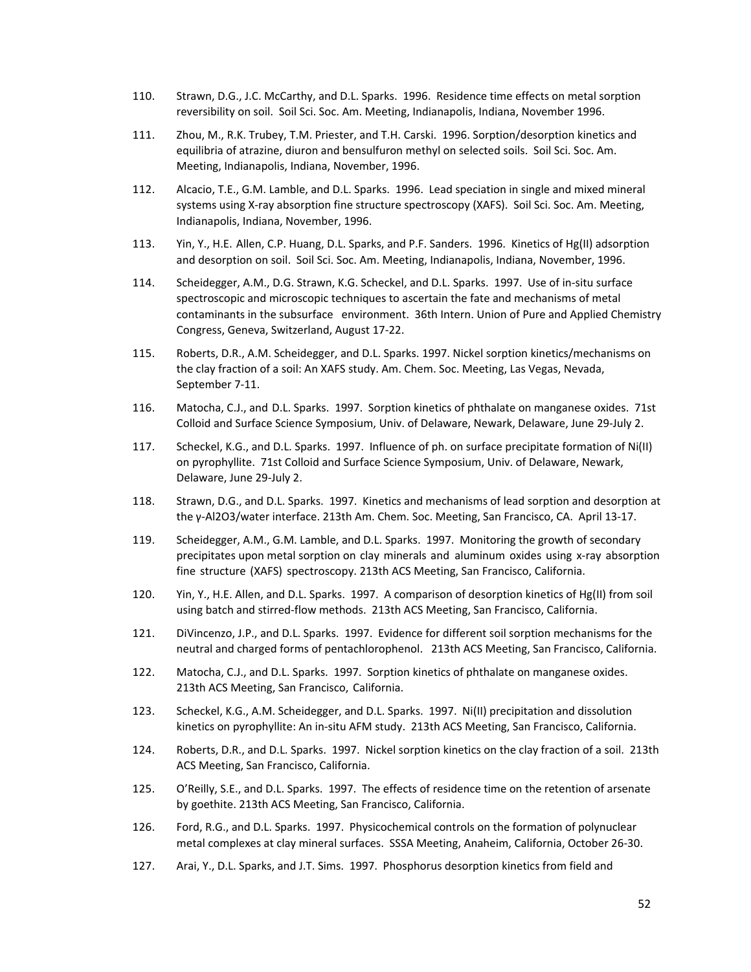- 110. Strawn, D.G., J.C. McCarthy, and D.L. Sparks. 1996. Residence time effects on metal sorption reversibility on soil. Soil Sci. Soc. Am. Meeting, Indianapolis, Indiana, November 1996.
- 111. Zhou, M., R.K. Trubey, T.M. Priester, and T.H. Carski. 1996. Sorption/desorption kinetics and equilibria of atrazine, diuron and bensulfuron methyl on selected soils. Soil Sci. Soc. Am. Meeting, Indianapolis, Indiana, November, 1996.
- 112. Alcacio, T.E., G.M. Lamble, and D.L. Sparks. 1996. Lead speciation in single and mixed mineral systems using X-ray absorption fine structure spectroscopy (XAFS). Soil Sci. Soc. Am. Meeting, Indianapolis, Indiana, November, 1996.
- 113. Yin, Y., H.E. Allen, C.P. Huang, D.L. Sparks, and P.F. Sanders. 1996. Kinetics of Hg(II) adsorption and desorption on soil. Soil Sci. Soc. Am. Meeting, Indianapolis, Indiana, November, 1996.
- 114. Scheidegger, A.M., D.G. Strawn, K.G. Scheckel, and D.L. Sparks. 1997. Use of in‐situ surface spectroscopic and microscopic techniques to ascertain the fate and mechanisms of metal contaminants in the subsurface environment. 36th Intern. Union of Pure and Applied Chemistry Congress, Geneva, Switzerland, August 17‐22.
- 115. Roberts, D.R., A.M. Scheidegger, and D.L. Sparks. 1997. Nickel sorption kinetics/mechanisms on the clay fraction of a soil: An XAFS study. Am. Chem. Soc. Meeting, Las Vegas, Nevada, September 7‐11.
- 116. Matocha, C.J., and D.L. Sparks. 1997. Sorption kinetics of phthalate on manganese oxides. 71st Colloid and Surface Science Symposium, Univ. of Delaware, Newark, Delaware, June 29‐July 2.
- 117. Scheckel, K.G., and D.L. Sparks. 1997. Influence of ph. on surface precipitate formation of Ni(II) on pyrophyllite. 71st Colloid and Surface Science Symposium, Univ. of Delaware, Newark, Delaware, June 29‐July 2.
- 118. Strawn, D.G., and D.L. Sparks. 1997. Kinetics and mechanisms of lead sorption and desorption at the γ-Al2O3/water interface. 213th Am. Chem. Soc. Meeting, San Francisco, CA. April 13-17.
- 119. Scheidegger, A.M., G.M. Lamble, and D.L. Sparks. 1997. Monitoring the growth of secondary precipitates upon metal sorption on clay minerals and aluminum oxides using x-ray absorption fine structure (XAFS) spectroscopy. 213th ACS Meeting, San Francisco, California.
- 120. Yin, Y., H.E. Allen, and D.L. Sparks. 1997. A comparison of desorption kinetics of Hg(II) from soil using batch and stirred‐flow methods. 213th ACS Meeting, San Francisco, California.
- 121. DiVincenzo, J.P., and D.L. Sparks. 1997. Evidence for different soil sorption mechanisms for the neutral and charged forms of pentachlorophenol. 213th ACS Meeting, San Francisco, California.
- 122. Matocha, C.J., and D.L. Sparks. 1997. Sorption kinetics of phthalate on manganese oxides. 213th ACS Meeting, San Francisco, California.
- 123. Scheckel, K.G., A.M. Scheidegger, and D.L. Sparks. 1997. Ni(II) precipitation and dissolution kinetics on pyrophyllite: An in‐situ AFM study. 213th ACS Meeting, San Francisco, California.
- 124. Roberts, D.R., and D.L. Sparks. 1997. Nickel sorption kinetics on the clay fraction of a soil. 213th ACS Meeting, San Francisco, California.
- 125. O'Reilly, S.E., and D.L. Sparks. 1997. The effects of residence time on the retention of arsenate by goethite. 213th ACS Meeting, San Francisco, California.
- 126. Ford, R.G., and D.L. Sparks. 1997. Physicochemical controls on the formation of polynuclear metal complexes at clay mineral surfaces. SSSA Meeting, Anaheim, California, October 26‐30.
- 127. Arai, Y., D.L. Sparks, and J.T. Sims. 1997. Phosphorus desorption kinetics from field and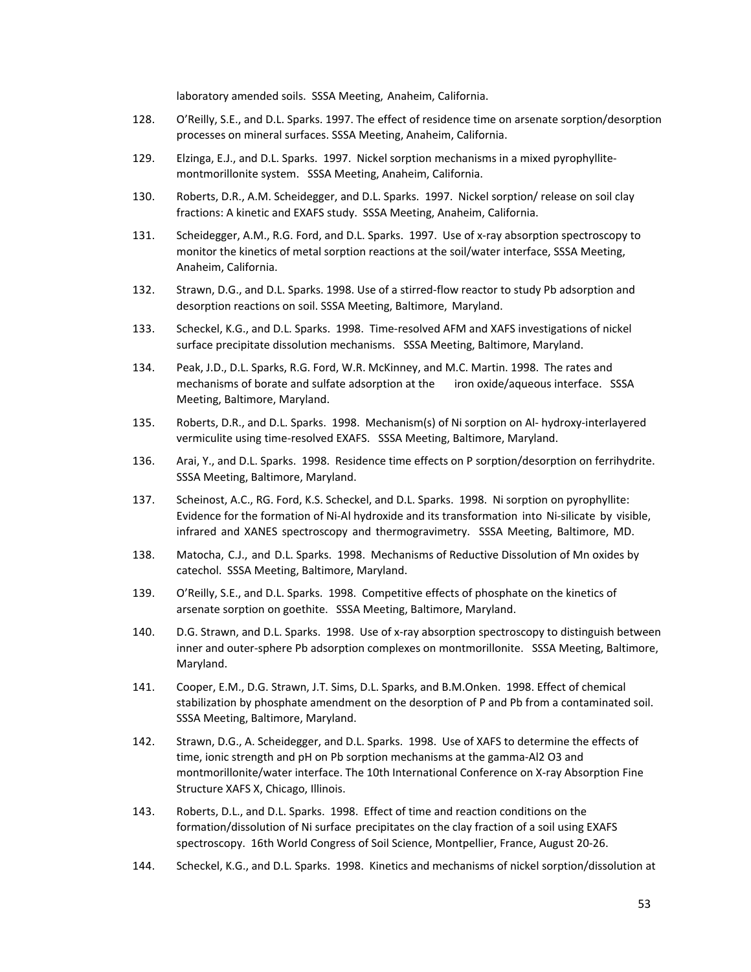laboratory amended soils. SSSA Meeting, Anaheim, California.

- 128. O'Reilly, S.E., and D.L. Sparks. 1997. The effect of residence time on arsenate sorption/desorption processes on mineral surfaces. SSSA Meeting, Anaheim, California.
- 129. Elzinga, E.J., and D.L. Sparks. 1997. Nickel sorption mechanisms in a mixed pyrophyllite‐ montmorillonite system. SSSA Meeting, Anaheim, California.
- 130. Roberts, D.R., A.M. Scheidegger, and D.L. Sparks. 1997. Nickel sorption/ release on soil clay fractions: A kinetic and EXAFS study. SSSA Meeting, Anaheim, California.
- 131. Scheidegger, A.M., R.G. Ford, and D.L. Sparks. 1997. Use of x-ray absorption spectroscopy to monitor the kinetics of metal sorption reactions at the soil/water interface, SSSA Meeting, Anaheim, California.
- 132. Strawn, D.G., and D.L. Sparks. 1998. Use of a stirred‐flow reactor to study Pb adsorption and desorption reactions on soil. SSSA Meeting, Baltimore, Maryland.
- 133. Scheckel, K.G., and D.L. Sparks. 1998. Time‐resolved AFM and XAFS investigations of nickel surface precipitate dissolution mechanisms. SSSA Meeting, Baltimore, Maryland.
- 134. Peak, J.D., D.L. Sparks, R.G. Ford, W.R. McKinney, and M.C. Martin. 1998. The rates and mechanisms of borate and sulfate adsorption at the iron oxide/aqueous interface. SSSA Meeting, Baltimore, Maryland.
- 135. Roberts, D.R., and D.L. Sparks. 1998. Mechanism(s) of Ni sorption on Al‐ hydroxy‐interlayered vermiculite using time‐resolved EXAFS. SSSA Meeting, Baltimore, Maryland.
- 136. Arai, Y., and D.L. Sparks. 1998. Residence time effects on P sorption/desorption on ferrihydrite. SSSA Meeting, Baltimore, Maryland.
- 137. Scheinost, A.C., RG. Ford, K.S. Scheckel, and D.L. Sparks. 1998. Ni sorption on pyrophyllite: Evidence for the formation of Ni‐Al hydroxide and its transformation into Ni‐silicate by visible, infrared and XANES spectroscopy and thermogravimetry. SSSA Meeting, Baltimore, MD.
- 138. Matocha, C.J., and D.L. Sparks. 1998. Mechanisms of Reductive Dissolution of Mn oxides by catechol. SSSA Meeting, Baltimore, Maryland.
- 139. O'Reilly, S.E., and D.L. Sparks. 1998. Competitive effects of phosphate on the kinetics of arsenate sorption on goethite. SSSA Meeting, Baltimore, Maryland.
- 140. D.G. Strawn, and D.L. Sparks. 1998. Use of x-ray absorption spectroscopy to distinguish between inner and outer-sphere Pb adsorption complexes on montmorillonite. SSSA Meeting, Baltimore, Maryland.
- 141. Cooper, E.M., D.G. Strawn, J.T. Sims, D.L. Sparks, and B.M.Onken. 1998. Effect of chemical stabilization by phosphate amendment on the desorption of P and Pb from a contaminated soil. SSSA Meeting, Baltimore, Maryland.
- 142. Strawn, D.G., A. Scheidegger, and D.L. Sparks. 1998. Use of XAFS to determine the effects of time, ionic strength and pH on Pb sorption mechanisms at the gamma‐Al2 O3 and montmorillonite/water interface. The 10th International Conference on X‐ray Absorption Fine Structure XAFS X, Chicago, Illinois.
- 143. Roberts, D.L., and D.L. Sparks. 1998. Effect of time and reaction conditions on the formation/dissolution of Ni surface precipitates on the clay fraction of a soil using EXAFS spectroscopy. 16th World Congress of Soil Science, Montpellier, France, August 20‐26.
- 144. Scheckel, K.G., and D.L. Sparks. 1998. Kinetics and mechanisms of nickel sorption/dissolution at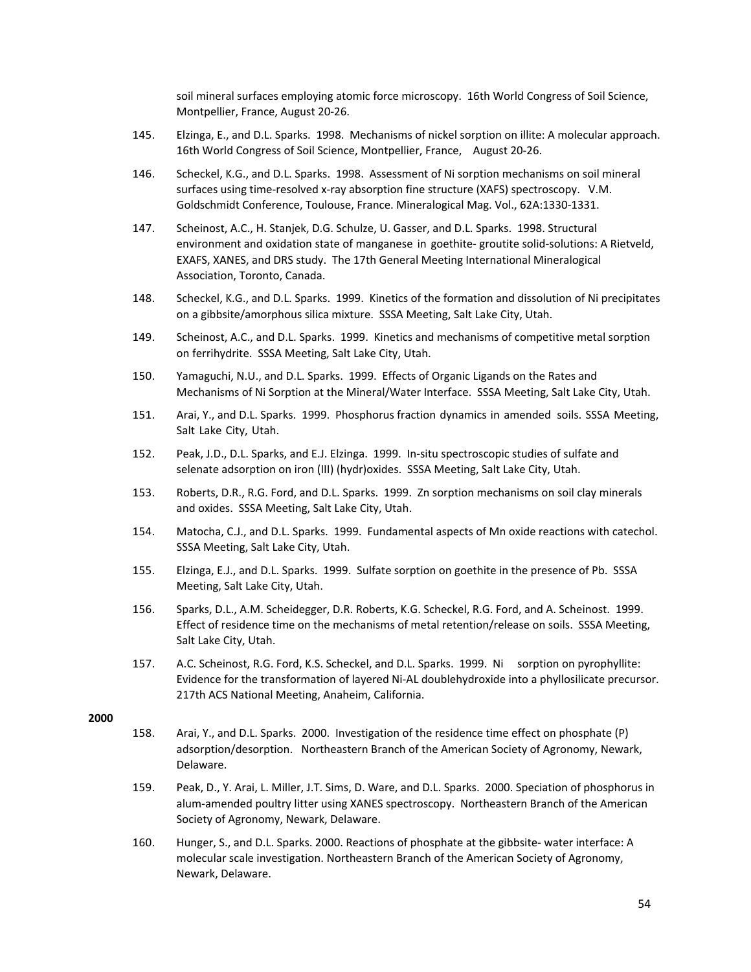soil mineral surfaces employing atomic force microscopy. 16th World Congress of Soil Science, Montpellier, France, August 20‐26.

- 145. Elzinga, E., and D.L. Sparks. 1998. Mechanisms of nickel sorption on illite: A molecular approach. 16th World Congress of Soil Science, Montpellier, France, August 20-26.
- 146. Scheckel, K.G., and D.L. Sparks. 1998. Assessment of Ni sorption mechanisms on soil mineral surfaces using time-resolved x-ray absorption fine structure (XAFS) spectroscopy. V.M. Goldschmidt Conference, Toulouse, France. Mineralogical Mag. Vol., 62A:1330‐1331.
- 147. Scheinost, A.C., H. Stanjek, D.G. Schulze, U. Gasser, and D.L. Sparks. 1998. Structural environment and oxidation state of manganese in goethite- groutite solid-solutions: A Rietveld, EXAFS, XANES, and DRS study. The 17th General Meeting International Mineralogical Association, Toronto, Canada.
- 148. Scheckel, K.G., and D.L. Sparks. 1999. Kinetics of the formation and dissolution of Ni precipitates on a gibbsite/amorphous silica mixture. SSSA Meeting, Salt Lake City, Utah.
- 149. Scheinost, A.C., and D.L. Sparks. 1999. Kinetics and mechanisms of competitive metal sorption on ferrihydrite. SSSA Meeting, Salt Lake City, Utah.
- 150. Yamaguchi, N.U., and D.L. Sparks. 1999. Effects of Organic Ligands on the Rates and Mechanisms of Ni Sorption at the Mineral/Water Interface. SSSA Meeting, Salt Lake City, Utah.
- 151. Arai, Y., and D.L. Sparks. 1999. Phosphorus fraction dynamics in amended soils. SSSA Meeting, Salt Lake City, Utah.
- 152. Peak, J.D., D.L. Sparks, and E.J. Elzinga. 1999. In‐situ spectroscopic studies of sulfate and selenate adsorption on iron (III) (hydr)oxides. SSSA Meeting, Salt Lake City, Utah.
- 153. Roberts, D.R., R.G. Ford, and D.L. Sparks. 1999. Zn sorption mechanisms on soil clay minerals and oxides. SSSA Meeting, Salt Lake City, Utah.
- 154. Matocha, C.J., and D.L. Sparks. 1999. Fundamental aspects of Mn oxide reactions with catechol. SSSA Meeting, Salt Lake City, Utah.
- 155. Elzinga, E.J., and D.L. Sparks. 1999. Sulfate sorption on goethite in the presence of Pb. SSSA Meeting, Salt Lake City, Utah.
- 156. Sparks, D.L., A.M. Scheidegger, D.R. Roberts, K.G. Scheckel, R.G. Ford, and A. Scheinost. 1999. Effect of residence time on the mechanisms of metal retention/release on soils. SSSA Meeting, Salt Lake City, Utah.
- 157. A.C. Scheinost, R.G. Ford, K.S. Scheckel, and D.L. Sparks. 1999. Ni sorption on pyrophyllite: Evidence for the transformation of layered Ni‐AL doublehydroxide into a phyllosilicate precursor. 217th ACS National Meeting, Anaheim, California.

- 158. Arai, Y., and D.L. Sparks. 2000. Investigation of the residence time effect on phosphate (P) adsorption/desorption. Northeastern Branch of the American Society of Agronomy, Newark, Delaware.
- 159. Peak, D., Y. Arai, L. Miller, J.T. Sims, D. Ware, and D.L. Sparks. 2000. Speciation of phosphorus in alum-amended poultry litter using XANES spectroscopy. Northeastern Branch of the American Society of Agronomy, Newark, Delaware.
- 160. Hunger, S., and D.L. Sparks. 2000. Reactions of phosphate at the gibbsite- water interface: A molecular scale investigation. Northeastern Branch of the American Society of Agronomy, Newark, Delaware.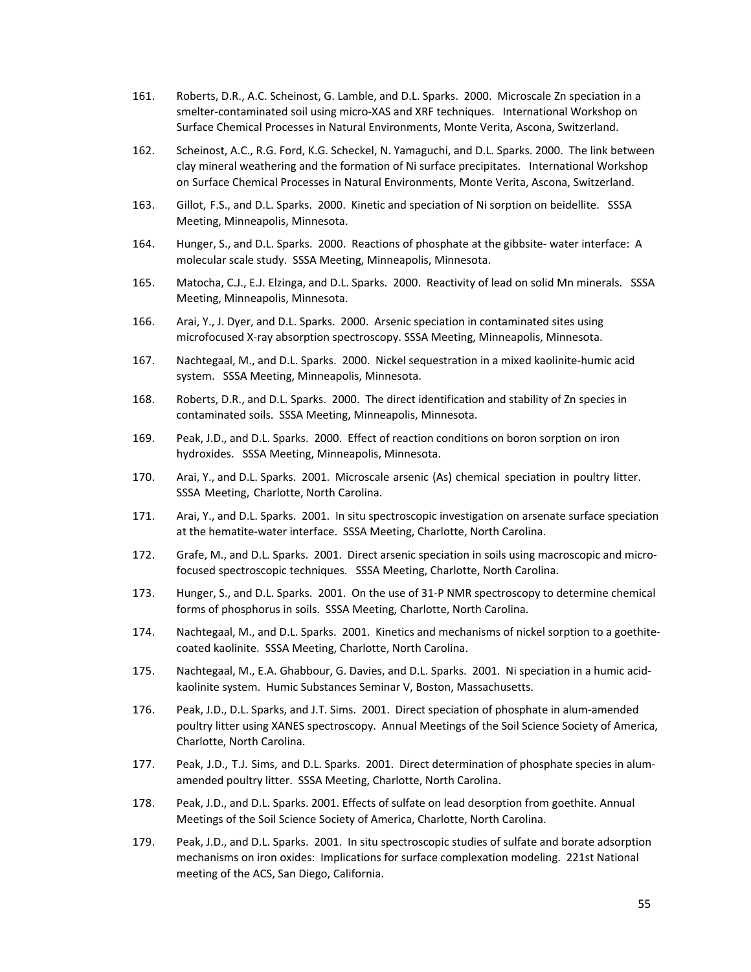- 161. Roberts, D.R., A.C. Scheinost, G. Lamble, and D.L. Sparks. 2000. Microscale Zn speciation in a smelter-contaminated soil using micro-XAS and XRF techniques. International Workshop on Surface Chemical Processes in Natural Environments, Monte Verita, Ascona, Switzerland.
- 162. Scheinost, A.C., R.G. Ford, K.G. Scheckel, N. Yamaguchi, and D.L. Sparks. 2000. The link between clay mineral weathering and the formation of Ni surface precipitates. International Workshop on Surface Chemical Processes in Natural Environments, Monte Verita, Ascona, Switzerland.
- 163. Gillot, F.S., and D.L. Sparks. 2000. Kinetic and speciation of Ni sorption on beidellite. SSSA Meeting, Minneapolis, Minnesota.
- 164. Hunger, S., and D.L. Sparks. 2000. Reactions of phosphate at the gibbsite-water interface: A molecular scale study. SSSA Meeting, Minneapolis, Minnesota.
- 165. Matocha, C.J., E.J. Elzinga, and D.L. Sparks. 2000. Reactivity of lead on solid Mn minerals. SSSA Meeting, Minneapolis, Minnesota.
- 166. Arai, Y., J. Dyer, and D.L. Sparks. 2000. Arsenic speciation in contaminated sites using microfocused X‐ray absorption spectroscopy. SSSA Meeting, Minneapolis, Minnesota.
- 167. Nachtegaal, M., and D.L. Sparks. 2000. Nickel sequestration in a mixed kaolinite‐humic acid system. SSSA Meeting, Minneapolis, Minnesota.
- 168. Roberts, D.R., and D.L. Sparks. 2000. The direct identification and stability of Zn species in contaminated soils. SSSA Meeting, Minneapolis, Minnesota.
- 169. Peak, J.D., and D.L. Sparks. 2000. Effect of reaction conditions on boron sorption on iron hydroxides. SSSA Meeting, Minneapolis, Minnesota.
- 170. Arai, Y., and D.L. Sparks. 2001. Microscale arsenic (As) chemical speciation in poultry litter. SSSA Meeting, Charlotte, North Carolina.
- 171. Arai, Y., and D.L. Sparks. 2001. In situ spectroscopic investigation on arsenate surface speciation at the hematite‐water interface. SSSA Meeting, Charlotte, North Carolina.
- 172. Grafe, M., and D.L. Sparks. 2001. Direct arsenic speciation in soils using macroscopic and microfocused spectroscopic techniques. SSSA Meeting, Charlotte, North Carolina.
- 173. Hunger, S., and D.L. Sparks. 2001. On the use of 31‐P NMR spectroscopy to determine chemical forms of phosphorus in soils. SSSA Meeting, Charlotte, North Carolina.
- 174. Nachtegaal, M., and D.L. Sparks. 2001. Kinetics and mechanisms of nickel sorption to a goethitecoated kaolinite. SSSA Meeting, Charlotte, North Carolina.
- 175. Nachtegaal, M., E.A. Ghabbour, G. Davies, and D.L. Sparks. 2001. Ni speciation in a humic acid‐ kaolinite system. Humic Substances Seminar V, Boston, Massachusetts.
- 176. Peak, J.D., D.L. Sparks, and J.T. Sims. 2001. Direct speciation of phosphate in alum‐amended poultry litter using XANES spectroscopy. Annual Meetings of the Soil Science Society of America, Charlotte, North Carolina.
- 177. Peak, J.D., T.J. Sims, and D.L. Sparks. 2001. Direct determination of phosphate species in alum‐ amended poultry litter. SSSA Meeting, Charlotte, North Carolina.
- 178. Peak, J.D., and D.L. Sparks. 2001. Effects of sulfate on lead desorption from goethite. Annual Meetings of the Soil Science Society of America, Charlotte, North Carolina.
- 179. Peak, J.D., and D.L. Sparks. 2001. In situ spectroscopic studies of sulfate and borate adsorption mechanisms on iron oxides: Implications for surface complexation modeling. 221st National meeting of the ACS, San Diego, California.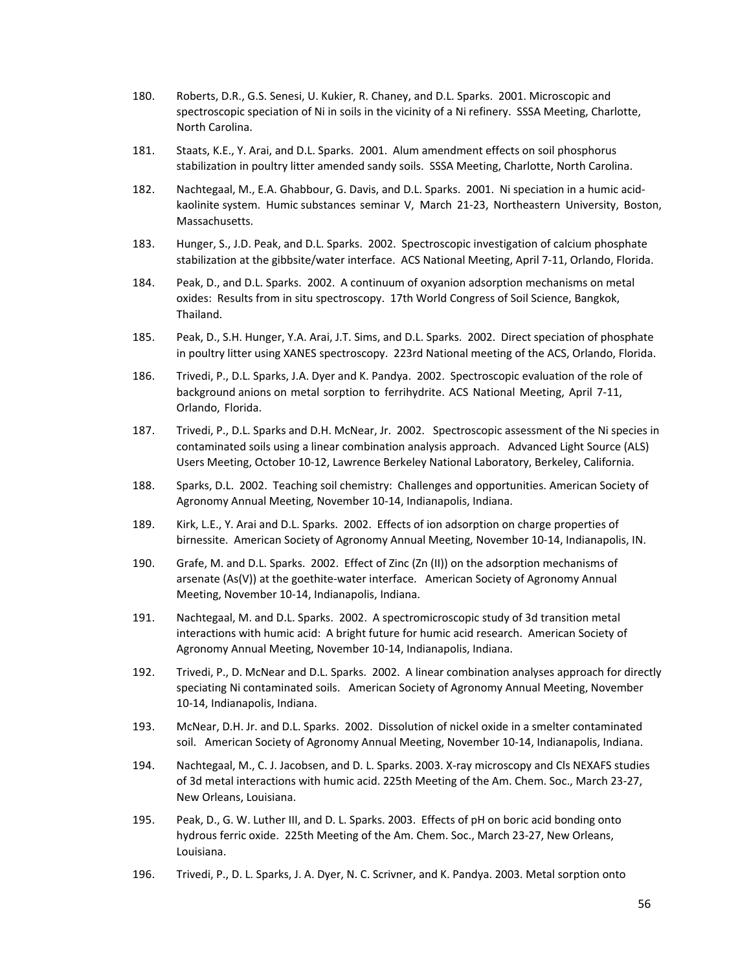- 180. Roberts, D.R., G.S. Senesi, U. Kukier, R. Chaney, and D.L. Sparks. 2001. Microscopic and spectroscopic speciation of Ni in soils in the vicinity of a Ni refinery. SSSA Meeting, Charlotte, North Carolina.
- 181. Staats, K.E., Y. Arai, and D.L. Sparks. 2001. Alum amendment effects on soil phosphorus stabilization in poultry litter amended sandy soils. SSSA Meeting, Charlotte, North Carolina.
- 182. Nachtegaal, M., E.A. Ghabbour, G. Davis, and D.L. Sparks. 2001. Ni speciation in a humic acidkaolinite system. Humic substances seminar V, March 21-23, Northeastern University, Boston, Massachusetts.
- 183. Hunger, S., J.D. Peak, and D.L. Sparks. 2002. Spectroscopic investigation of calcium phosphate stabilization at the gibbsite/water interface. ACS National Meeting, April 7‐11, Orlando, Florida.
- 184. Peak, D., and D.L. Sparks. 2002. A continuum of oxyanion adsorption mechanisms on metal oxides: Results from in situ spectroscopy. 17th World Congress of Soil Science, Bangkok, Thailand.
- 185. Peak, D., S.H. Hunger, Y.A. Arai, J.T. Sims, and D.L. Sparks. 2002. Direct speciation of phosphate in poultry litter using XANES spectroscopy. 223rd National meeting of the ACS, Orlando, Florida.
- 186. Trivedi, P., D.L. Sparks, J.A. Dyer and K. Pandya. 2002. Spectroscopic evaluation of the role of background anions on metal sorption to ferrihydrite. ACS National Meeting, April 7‐11, Orlando, Florida.
- 187. Trivedi, P., D.L. Sparks and D.H. McNear, Jr. 2002. Spectroscopic assessment of the Ni species in contaminated soils using a linear combination analysis approach. Advanced Light Source (ALS) Users Meeting, October 10‐12, Lawrence Berkeley National Laboratory, Berkeley, California.
- 188. Sparks, D.L. 2002. Teaching soil chemistry: Challenges and opportunities. American Society of Agronomy Annual Meeting, November 10‐14, Indianapolis, Indiana.
- 189. Kirk, L.E., Y. Arai and D.L. Sparks. 2002. Effects of ion adsorption on charge properties of birnessite. American Society of Agronomy Annual Meeting, November 10‐14, Indianapolis, IN.
- 190. Grafe, M. and D.L. Sparks. 2002. Effect of Zinc (Zn (II)) on the adsorption mechanisms of arsenate (As(V)) at the goethite-water interface. American Society of Agronomy Annual Meeting, November 10‐14, Indianapolis, Indiana.
- 191. Nachtegaal, M. and D.L. Sparks. 2002. A spectromicroscopic study of 3d transition metal interactions with humic acid: A bright future for humic acid research. American Society of Agronomy Annual Meeting, November 10‐14, Indianapolis, Indiana.
- 192. Trivedi, P., D. McNear and D.L. Sparks. 2002. A linear combination analyses approach for directly speciating Ni contaminated soils. American Society of Agronomy Annual Meeting, November 10‐14, Indianapolis, Indiana.
- 193. McNear, D.H. Jr. and D.L. Sparks. 2002. Dissolution of nickel oxide in a smelter contaminated soil. American Society of Agronomy Annual Meeting, November 10-14, Indianapolis, Indiana.
- 194. Nachtegaal, M., C. J. Jacobsen, and D. L. Sparks. 2003. X‐ray microscopy and Cls NEXAFS studies of 3d metal interactions with humic acid. 225th Meeting of the Am. Chem. Soc., March 23‐27, New Orleans, Louisiana.
- 195. Peak, D., G. W. Luther III, and D. L. Sparks. 2003. Effects of pH on boric acid bonding onto hydrous ferric oxide. 225th Meeting of the Am. Chem. Soc., March 23‐27, New Orleans, Louisiana.
- 196. Trivedi, P., D. L. Sparks, J. A. Dyer, N. C. Scrivner, and K. Pandya. 2003. Metal sorption onto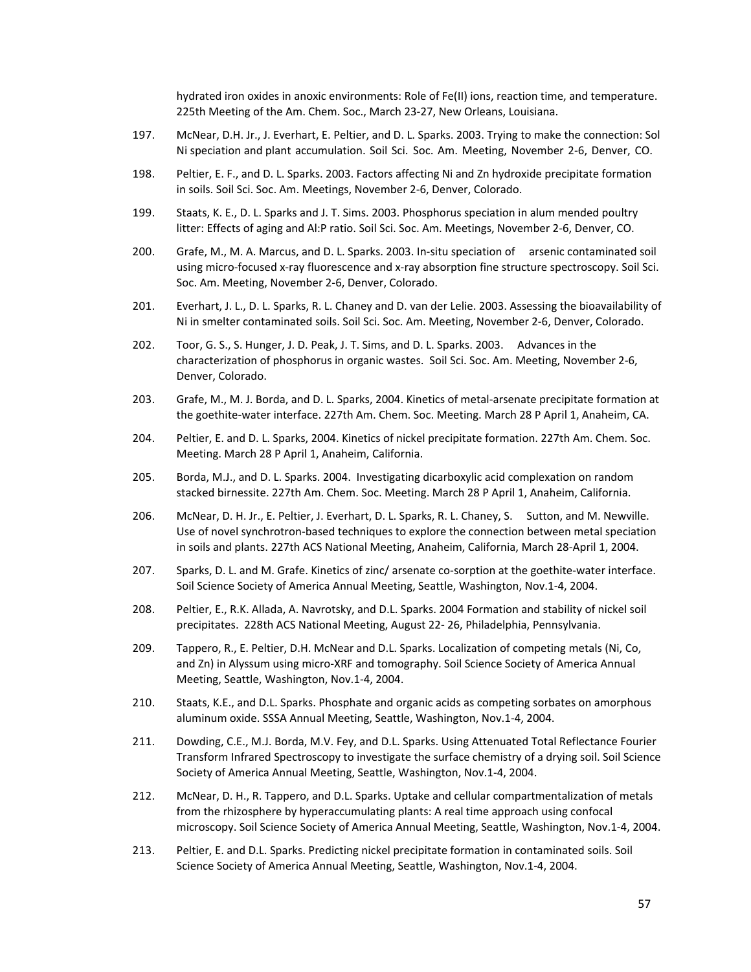hydrated iron oxides in anoxic environments: Role of Fe(II) ions, reaction time, and temperature. 225th Meeting of the Am. Chem. Soc., March 23‐27, New Orleans, Louisiana.

- 197. McNear, D.H. Jr., J. Everhart, E. Peltier, and D. L. Sparks. 2003. Trying to make the connection: Sol Ni speciation and plant accumulation. Soil Sci. Soc. Am. Meeting, November 2‐6, Denver, CO.
- 198. Peltier, E. F., and D. L. Sparks. 2003. Factors affecting Ni and Zn hydroxide precipitate formation in soils. Soil Sci. Soc. Am. Meetings, November 2‐6, Denver, Colorado.
- 199. Staats, K. E., D. L. Sparks and J. T. Sims. 2003. Phosphorus speciation in alum mended poultry litter: Effects of aging and Al:P ratio. Soil Sci. Soc. Am. Meetings, November 2‐6, Denver, CO.
- 200. Grafe, M., M. A. Marcus, and D. L. Sparks. 2003. In-situ speciation of arsenic contaminated soil using micro-focused x-ray fluorescence and x-ray absorption fine structure spectroscopy. Soil Sci. Soc. Am. Meeting, November 2‐6, Denver, Colorado.
- 201. Everhart, J. L., D. L. Sparks, R. L. Chaney and D. van der Lelie. 2003. Assessing the bioavailability of Ni in smelter contaminated soils. Soil Sci. Soc. Am. Meeting, November 2‐6, Denver, Colorado.
- 202. Toor, G. S., S. Hunger, J. D. Peak, J. T. Sims, and D. L. Sparks. 2003. Advances in the characterization of phosphorus in organic wastes. Soil Sci. Soc. Am. Meeting, November 2‐6, Denver, Colorado.
- 203. Grafe, M., M. J. Borda, and D. L. Sparks, 2004. Kinetics of metal-arsenate precipitate formation at the goethite‐water interface. 227th Am. Chem. Soc. Meeting. March 28 P April 1, Anaheim, CA.
- 204. Peltier, E. and D. L. Sparks, 2004. Kinetics of nickel precipitate formation. 227th Am. Chem. Soc. Meeting. March 28 P April 1, Anaheim, California.
- 205. Borda, M.J., and D. L. Sparks. 2004. Investigating dicarboxylic acid complexation on random stacked birnessite. 227th Am. Chem. Soc. Meeting. March 28 P April 1, Anaheim, California.
- 206. McNear, D. H. Jr., E. Peltier, J. Everhart, D. L. Sparks, R. L. Chaney, S. Sutton, and M. Newville. Use of novel synchrotron‐based techniques to explore the connection between metal speciation in soils and plants. 227th ACS National Meeting, Anaheim, California, March 28‐April 1, 2004.
- 207. Sparks, D. L. and M. Grafe. Kinetics of zinc/ arsenate co-sorption at the goethite-water interface. Soil Science Society of America Annual Meeting, Seattle, Washington, Nov.1‐4, 2004.
- 208. Peltier, E., R.K. Allada, A. Navrotsky, and D.L. Sparks. 2004 Formation and stability of nickel soil precipitates. 228th ACS National Meeting, August 22‐ 26, Philadelphia, Pennsylvania.
- 209. Tappero, R., E. Peltier, D.H. McNear and D.L. Sparks. Localization of competing metals (Ni, Co, and Zn) in Alyssum using micro-XRF and tomography. Soil Science Society of America Annual Meeting, Seattle, Washington, Nov.1‐4, 2004.
- 210. Staats, K.E., and D.L. Sparks. Phosphate and organic acids as competing sorbates on amorphous aluminum oxide. SSSA Annual Meeting, Seattle, Washington, Nov.1‐4, 2004.
- 211. Dowding, C.E., M.J. Borda, M.V. Fey, and D.L. Sparks. Using Attenuated Total Reflectance Fourier Transform Infrared Spectroscopy to investigate the surface chemistry of a drying soil. Soil Science Society of America Annual Meeting, Seattle, Washington, Nov.1‐4, 2004.
- 212. McNear, D. H., R. Tappero, and D.L. Sparks. Uptake and cellular compartmentalization of metals from the rhizosphere by hyperaccumulating plants: A real time approach using confocal microscopy. Soil Science Society of America Annual Meeting, Seattle, Washington, Nov.1‐4, 2004.
- 213. Peltier, E. and D.L. Sparks. Predicting nickel precipitate formation in contaminated soils. Soil Science Society of America Annual Meeting, Seattle, Washington, Nov.1‐4, 2004.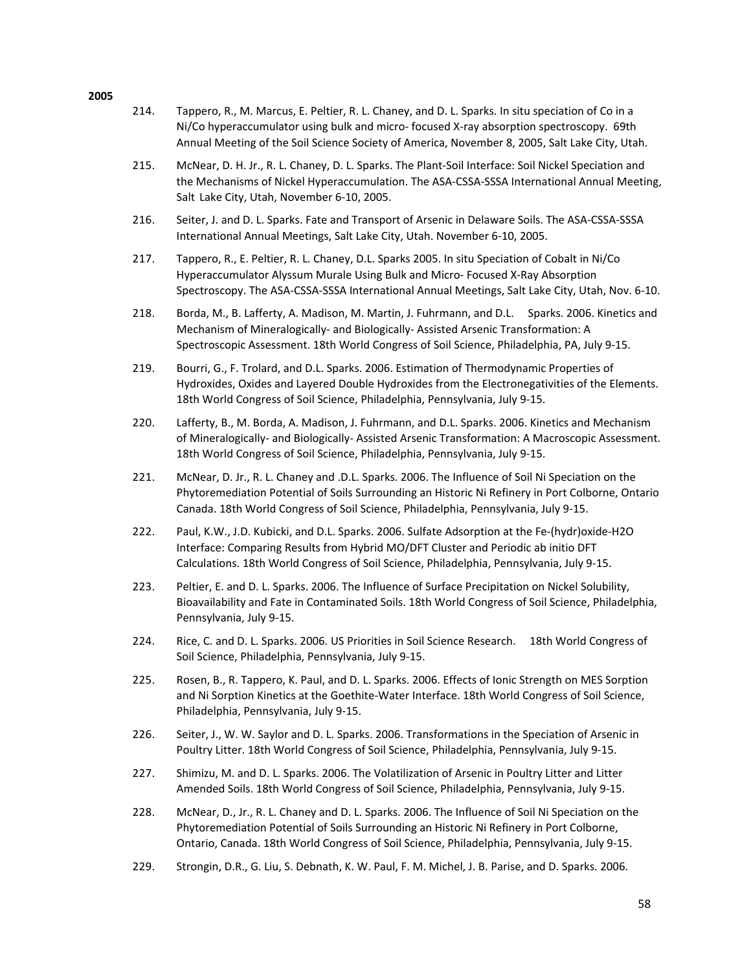- 214. Tappero, R., M. Marcus, E. Peltier, R. L. Chaney, and D. L. Sparks. In situ speciation of Co in a Ni/Co hyperaccumulator using bulk and micro-focused X-ray absorption spectroscopy. 69th Annual Meeting of the Soil Science Society of America, November 8, 2005, Salt Lake City, Utah.
- 215. McNear, D. H. Jr., R. L. Chaney, D. L. Sparks. The Plant‐Soil Interface: Soil Nickel Speciation and the Mechanisms of Nickel Hyperaccumulation. The ASA‐CSSA‐SSSA International Annual Meeting, Salt Lake City, Utah, November 6‐10, 2005.
- 216. Seiter, J. and D. L. Sparks. Fate and Transport of Arsenic in Delaware Soils. The ASA‐CSSA‐SSSA International Annual Meetings, Salt Lake City, Utah. November 6‐10, 2005.
- 217. Tappero, R., E. Peltier, R. L. Chaney, D.L. Sparks 2005. In situ Speciation of Cobalt in Ni/Co Hyperaccumulator Alyssum Murale Using Bulk and Micro‐ Focused X‐Ray Absorption Spectroscopy. The ASA‐CSSA‐SSSA International Annual Meetings, Salt Lake City, Utah, Nov. 6‐10.
- 218. Borda, M., B. Lafferty, A. Madison, M. Martin, J. Fuhrmann, and D.L. Sparks. 2006. Kinetics and Mechanism of Mineralogically‐ and Biologically‐ Assisted Arsenic Transformation: A Spectroscopic Assessment. 18th World Congress of Soil Science, Philadelphia, PA, July 9‐15.
- 219. Bourri, G., F. Trolard, and D.L. Sparks. 2006. Estimation of Thermodynamic Properties of Hydroxides, Oxides and Layered Double Hydroxides from the Electronegativities of the Elements. 18th World Congress of Soil Science, Philadelphia, Pennsylvania, July 9‐15.
- 220. Lafferty, B., M. Borda, A. Madison, J. Fuhrmann, and D.L. Sparks. 2006. Kinetics and Mechanism of Mineralogically‐ and Biologically‐ Assisted Arsenic Transformation: A Macroscopic Assessment. 18th World Congress of Soil Science, Philadelphia, Pennsylvania, July 9‐15.
- 221. McNear, D. Jr., R. L. Chaney and .D.L. Sparks. 2006. The Influence of Soil Ni Speciation on the Phytoremediation Potential of Soils Surrounding an Historic Ni Refinery in Port Colborne, Ontario Canada. 18th World Congress of Soil Science, Philadelphia, Pennsylvania, July 9‐15.
- 222. Paul, K.W., J.D. Kubicki, and D.L. Sparks. 2006. Sulfate Adsorption at the Fe‐(hydr)oxide‐H2O Interface: Comparing Results from Hybrid MO/DFT Cluster and Periodic ab initio DFT Calculations. 18th World Congress of Soil Science, Philadelphia, Pennsylvania, July 9‐15.
- 223. Peltier, E. and D. L. Sparks. 2006. The Influence of Surface Precipitation on Nickel Solubility, Bioavailability and Fate in Contaminated Soils. 18th World Congress of Soil Science, Philadelphia, Pennsylvania, July 9‐15.
- 224. Rice, C. and D. L. Sparks. 2006. US Priorities in Soil Science Research. 18th World Congress of Soil Science, Philadelphia, Pennsylvania, July 9‐15.
- 225. Rosen, B., R. Tappero, K. Paul, and D. L. Sparks. 2006. Effects of Ionic Strength on MES Sorption and Ni Sorption Kinetics at the Goethite-Water Interface. 18th World Congress of Soil Science, Philadelphia, Pennsylvania, July 9‐15.
- 226. Seiter, J., W. W. Saylor and D. L. Sparks. 2006. Transformations in the Speciation of Arsenic in Poultry Litter. 18th World Congress of Soil Science, Philadelphia, Pennsylvania, July 9‐15.
- 227. Shimizu, M. and D. L. Sparks. 2006. The Volatilization of Arsenic in Poultry Litter and Litter Amended Soils. 18th World Congress of Soil Science, Philadelphia, Pennsylvania, July 9‐15.
- 228. McNear, D., Jr., R. L. Chaney and D. L. Sparks. 2006. The Influence of Soil Ni Speciation on the Phytoremediation Potential of Soils Surrounding an Historic Ni Refinery in Port Colborne, Ontario, Canada. 18th World Congress of Soil Science, Philadelphia, Pennsylvania, July 9‐15.
- 229. Strongin, D.R., G. Liu, S. Debnath, K. W. Paul, F. M. Michel, J. B. Parise, and D. Sparks. 2006.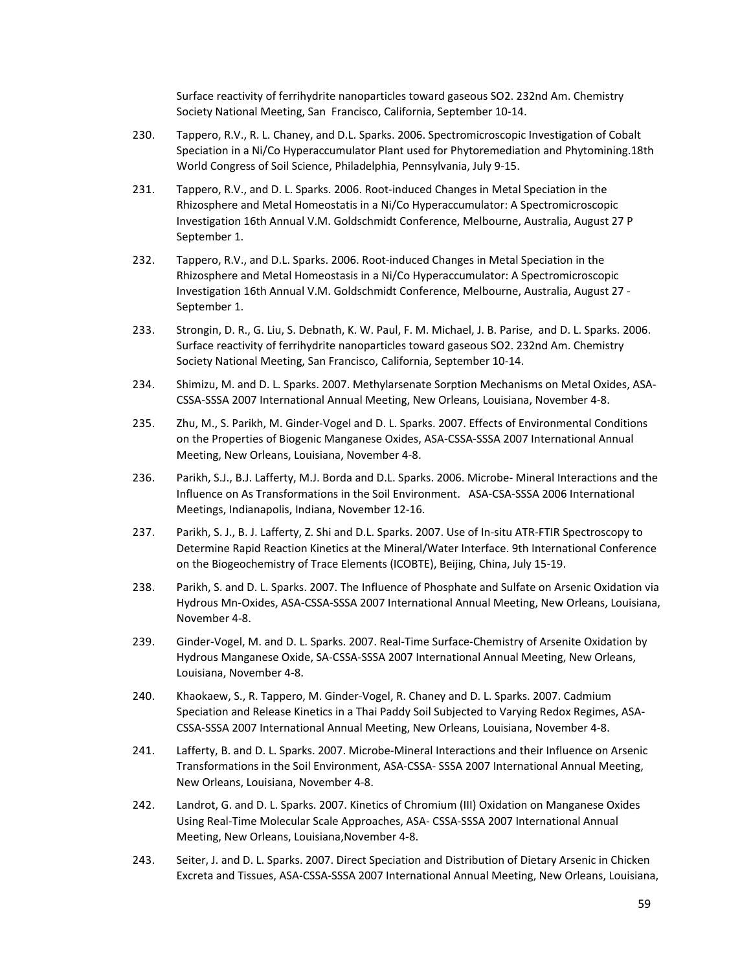Surface reactivity of ferrihydrite nanoparticles toward gaseous SO2. 232nd Am. Chemistry Society National Meeting, San Francisco, California, September 10‐14.

- 230. Tappero, R.V., R. L. Chaney, and D.L. Sparks. 2006. Spectromicroscopic Investigation of Cobalt Speciation in a Ni/Co Hyperaccumulator Plant used for Phytoremediation and Phytomining.18th World Congress of Soil Science, Philadelphia, Pennsylvania, July 9‐15.
- 231. Tappero, R.V., and D. L. Sparks. 2006. Root-induced Changes in Metal Speciation in the Rhizosphere and Metal Homeostatis in a Ni/Co Hyperaccumulator: A Spectromicroscopic Investigation 16th Annual V.M. Goldschmidt Conference, Melbourne, Australia, August 27 P September 1.
- 232. Tappero, R.V., and D.L. Sparks. 2006. Root‐induced Changes in Metal Speciation in the Rhizosphere and Metal Homeostasis in a Ni/Co Hyperaccumulator: A Spectromicroscopic Investigation 16th Annual V.M. Goldschmidt Conference, Melbourne, Australia, August 27 ‐ September 1.
- 233. Strongin, D. R., G. Liu, S. Debnath, K. W. Paul, F. M. Michael, J. B. Parise, and D. L. Sparks. 2006. Surface reactivity of ferrihydrite nanoparticles toward gaseous SO2. 232nd Am. Chemistry Society National Meeting, San Francisco, California, September 10‐14.
- 234. Shimizu, M. and D. L. Sparks. 2007. Methylarsenate Sorption Mechanisms on Metal Oxides, ASA‐ CSSA‐SSSA 2007 International Annual Meeting, New Orleans, Louisiana, November 4‐8.
- 235. Zhu, M., S. Parikh, M. Ginder-Vogel and D. L. Sparks. 2007. Effects of Environmental Conditions on the Properties of Biogenic Manganese Oxides, ASA‐CSSA‐SSSA 2007 International Annual Meeting, New Orleans, Louisiana, November 4‐8.
- 236. Parikh, S.J., B.J. Lafferty, M.J. Borda and D.L. Sparks. 2006. Microbe- Mineral Interactions and the Influence on As Transformations in the Soil Environment. ASA‐CSA‐SSSA 2006 International Meetings, Indianapolis, Indiana, November 12‐16.
- 237. Parikh, S. J., B. J. Lafferty, Z. Shi and D.L. Sparks. 2007. Use of In-situ ATR-FTIR Spectroscopy to Determine Rapid Reaction Kinetics at the Mineral/Water Interface. 9th International Conference on the Biogeochemistry of Trace Elements (ICOBTE), Beijing, China, July 15‐19.
- 238. Parikh, S. and D. L. Sparks. 2007. The Influence of Phosphate and Sulfate on Arsenic Oxidation via Hydrous Mn‐Oxides, ASA‐CSSA‐SSSA 2007 International Annual Meeting, New Orleans, Louisiana, November 4‐8.
- 239. Ginder-Vogel, M. and D. L. Sparks. 2007. Real-Time Surface-Chemistry of Arsenite Oxidation by Hydrous Manganese Oxide, SA‐CSSA‐SSSA 2007 International Annual Meeting, New Orleans, Louisiana, November 4‐8.
- 240. Khaokaew, S., R. Tappero, M. Ginder‐Vogel, R. Chaney and D. L. Sparks. 2007. Cadmium Speciation and Release Kinetics in a Thai Paddy Soil Subjected to Varying Redox Regimes, ASA‐ CSSA‐SSSA 2007 International Annual Meeting, New Orleans, Louisiana, November 4‐8.
- 241. Lafferty, B. and D. L. Sparks. 2007. Microbe-Mineral Interactions and their Influence on Arsenic Transformations in the Soil Environment, ASA‐CSSA‐ SSSA 2007 International Annual Meeting, New Orleans, Louisiana, November 4‐8.
- 242. Landrot, G. and D. L. Sparks. 2007. Kinetics of Chromium (III) Oxidation on Manganese Oxides Using Real‐Time Molecular Scale Approaches, ASA‐ CSSA‐SSSA 2007 International Annual Meeting, New Orleans, Louisiana,November 4‐8.
- 243. Seiter, J. and D. L. Sparks. 2007. Direct Speciation and Distribution of Dietary Arsenic in Chicken Excreta and Tissues, ASA‐CSSA‐SSSA 2007 International Annual Meeting, New Orleans, Louisiana,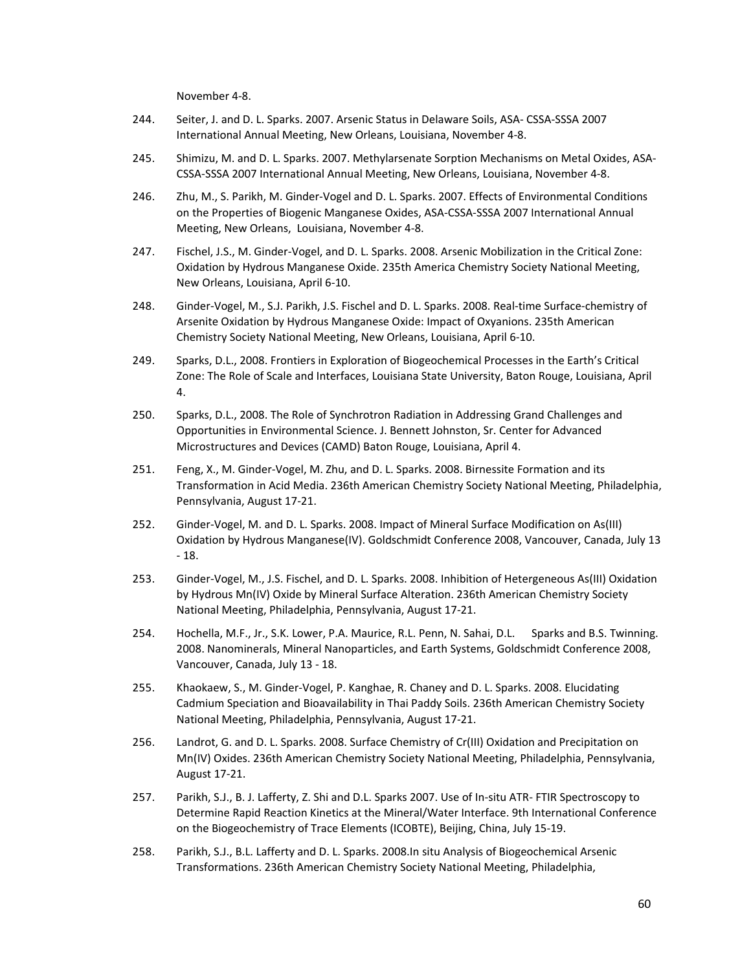November 4‐8.

- 244. Seiter, J. and D. L. Sparks. 2007. Arsenic Status in Delaware Soils, ASA‐ CSSA‐SSSA 2007 International Annual Meeting, New Orleans, Louisiana, November 4‐8.
- 245. Shimizu, M. and D. L. Sparks. 2007. Methylarsenate Sorption Mechanisms on Metal Oxides, ASA‐ CSSA‐SSSA 2007 International Annual Meeting, New Orleans, Louisiana, November 4‐8.
- 246. Zhu, M., S. Parikh, M. Ginder-Vogel and D. L. Sparks. 2007. Effects of Environmental Conditions on the Properties of Biogenic Manganese Oxides, ASA‐CSSA‐SSSA 2007 International Annual Meeting, New Orleans, Louisiana, November 4‐8.
- 247. Fischel, J.S., M. Ginder‐Vogel, and D. L. Sparks. 2008. Arsenic Mobilization in the Critical Zone: Oxidation by Hydrous Manganese Oxide. 235th America Chemistry Society National Meeting, New Orleans, Louisiana, April 6‐10.
- 248. Ginder-Vogel, M., S.J. Parikh, J.S. Fischel and D. L. Sparks. 2008. Real-time Surface-chemistry of Arsenite Oxidation by Hydrous Manganese Oxide: Impact of Oxyanions. 235th American Chemistry Society National Meeting, New Orleans, Louisiana, April 6‐10.
- 249. Sparks, D.L., 2008. Frontiers in Exploration of Biogeochemical Processes in the Earth's Critical Zone: The Role of Scale and Interfaces, Louisiana State University, Baton Rouge, Louisiana, April 4.
- 250. Sparks, D.L., 2008. The Role of Synchrotron Radiation in Addressing Grand Challenges and Opportunities in Environmental Science. J. Bennett Johnston, Sr. Center for Advanced Microstructures and Devices (CAMD) Baton Rouge, Louisiana, April 4.
- 251. Feng, X., M. Ginder‐Vogel, M. Zhu, and D. L. Sparks. 2008. Birnessite Formation and its Transformation in Acid Media. 236th American Chemistry Society National Meeting, Philadelphia, Pennsylvania, August 17‐21.
- 252. Ginder‐Vogel, M. and D. L. Sparks. 2008. Impact of Mineral Surface Modification on As(III) Oxidation by Hydrous Manganese(IV). Goldschmidt Conference 2008, Vancouver, Canada, July 13 ‐ 18.
- 253. Ginder‐Vogel, M., J.S. Fischel, and D. L. Sparks. 2008. Inhibition of Hetergeneous As(III) Oxidation by Hydrous Mn(IV) Oxide by Mineral Surface Alteration. 236th American Chemistry Society National Meeting, Philadelphia, Pennsylvania, August 17‐21.
- 254. Hochella, M.F., Jr., S.K. Lower, P.A. Maurice, R.L. Penn, N. Sahai, D.L. Sparks and B.S. Twinning. 2008. Nanominerals, Mineral Nanoparticles, and Earth Systems, Goldschmidt Conference 2008, Vancouver, Canada, July 13 ‐ 18.
- 255. Khaokaew, S., M. Ginder‐Vogel, P. Kanghae, R. Chaney and D. L. Sparks. 2008. Elucidating Cadmium Speciation and Bioavailability in Thai Paddy Soils. 236th American Chemistry Society National Meeting, Philadelphia, Pennsylvania, August 17‐21.
- 256. Landrot, G. and D. L. Sparks. 2008. Surface Chemistry of Cr(III) Oxidation and Precipitation on Mn(IV) Oxides. 236th American Chemistry Society National Meeting, Philadelphia, Pennsylvania, August 17‐21.
- 257. Parikh, S.J., B. J. Lafferty, Z. Shi and D.L. Sparks 2007. Use of In‐situ ATR‐ FTIR Spectroscopy to Determine Rapid Reaction Kinetics at the Mineral/Water Interface. 9th International Conference on the Biogeochemistry of Trace Elements (ICOBTE), Beijing, China, July 15‐19.
- 258. Parikh, S.J., B.L. Lafferty and D. L. Sparks. 2008.In situ Analysis of Biogeochemical Arsenic Transformations. 236th American Chemistry Society National Meeting, Philadelphia,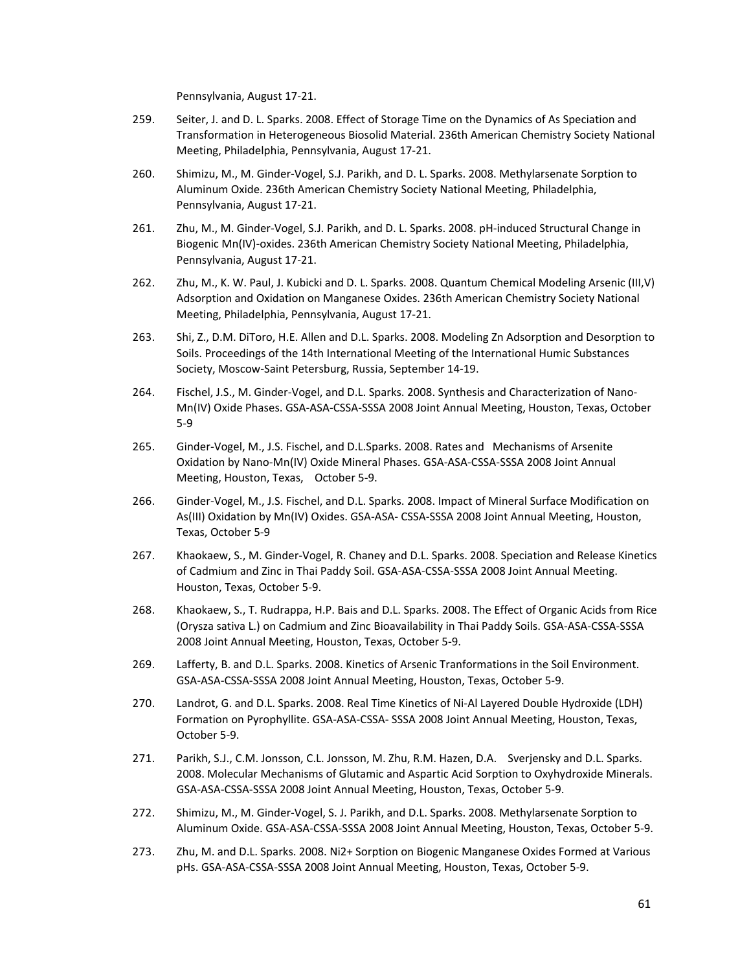Pennsylvania, August 17‐21.

- 259. Seiter, J. and D. L. Sparks. 2008. Effect of Storage Time on the Dynamics of As Speciation and Transformation in Heterogeneous Biosolid Material. 236th American Chemistry Society National Meeting, Philadelphia, Pennsylvania, August 17‐21.
- 260. Shimizu, M., M. Ginder‐Vogel, S.J. Parikh, and D. L. Sparks. 2008. Methylarsenate Sorption to Aluminum Oxide. 236th American Chemistry Society National Meeting, Philadelphia, Pennsylvania, August 17‐21.
- 261. Zhu, M., M. Ginder-Vogel, S.J. Parikh, and D. L. Sparks. 2008. pH-induced Structural Change in Biogenic Mn(IV)‐oxides. 236th American Chemistry Society National Meeting, Philadelphia, Pennsylvania, August 17‐21.
- 262. Zhu, M., K. W. Paul, J. Kubicki and D. L. Sparks. 2008. Quantum Chemical Modeling Arsenic (III,V) Adsorption and Oxidation on Manganese Oxides. 236th American Chemistry Society National Meeting, Philadelphia, Pennsylvania, August 17‐21.
- 263. Shi, Z., D.M. DiToro, H.E. Allen and D.L. Sparks. 2008. Modeling Zn Adsorption and Desorption to Soils. Proceedings of the 14th International Meeting of the International Humic Substances Society, Moscow‐Saint Petersburg, Russia, September 14‐19.
- 264. Fischel, J.S., M. Ginder‐Vogel, and D.L. Sparks. 2008. Synthesis and Characterization of Nano‐ Mn(IV) Oxide Phases. GSA‐ASA‐CSSA‐SSSA 2008 Joint Annual Meeting, Houston, Texas, October 5‐9
- 265. Ginder‐Vogel, M., J.S. Fischel, and D.L.Sparks. 2008. Rates and Mechanisms of Arsenite Oxidation by Nano‐Mn(IV) Oxide Mineral Phases. GSA‐ASA‐CSSA‐SSSA 2008 Joint Annual Meeting, Houston, Texas, October 5-9.
- 266. Ginder‐Vogel, M., J.S. Fischel, and D.L. Sparks. 2008. Impact of Mineral Surface Modification on As(III) Oxidation by Mn(IV) Oxides. GSA‐ASA‐ CSSA‐SSSA 2008 Joint Annual Meeting, Houston, Texas, October 5‐9
- 267. Khaokaew, S., M. Ginder‐Vogel, R. Chaney and D.L. Sparks. 2008. Speciation and Release Kinetics of Cadmium and Zinc in Thai Paddy Soil. GSA‐ASA‐CSSA‐SSSA 2008 Joint Annual Meeting. Houston, Texas, October 5‐9.
- 268. Khaokaew, S., T. Rudrappa, H.P. Bais and D.L. Sparks. 2008. The Effect of Organic Acids from Rice (Orysza sativa L.) on Cadmium and Zinc Bioavailability in Thai Paddy Soils. GSA‐ASA‐CSSA‐SSSA 2008 Joint Annual Meeting, Houston, Texas, October 5‐9.
- 269. Lafferty, B. and D.L. Sparks. 2008. Kinetics of Arsenic Tranformations in the Soil Environment. GSA‐ASA‐CSSA‐SSSA 2008 Joint Annual Meeting, Houston, Texas, October 5‐9.
- 270. Landrot, G. and D.L. Sparks. 2008. Real Time Kinetics of Ni‐Al Layered Double Hydroxide (LDH) Formation on Pyrophyllite. GSA‐ASA‐CSSA‐ SSSA 2008 Joint Annual Meeting, Houston, Texas, October 5‐9.
- 271. Parikh, S.J., C.M. Jonsson, C.L. Jonsson, M. Zhu, R.M. Hazen, D.A. Sverjensky and D.L. Sparks. 2008. Molecular Mechanisms of Glutamic and Aspartic Acid Sorption to Oxyhydroxide Minerals. GSA‐ASA‐CSSA‐SSSA 2008 Joint Annual Meeting, Houston, Texas, October 5‐9.
- 272. Shimizu, M., M. Ginder‐Vogel, S. J. Parikh, and D.L. Sparks. 2008. Methylarsenate Sorption to Aluminum Oxide. GSA‐ASA‐CSSA‐SSSA 2008 Joint Annual Meeting, Houston, Texas, October 5‐9.
- 273. Zhu, M. and D.L. Sparks. 2008. Ni2+ Sorption on Biogenic Manganese Oxides Formed at Various pHs. GSA‐ASA‐CSSA‐SSSA 2008 Joint Annual Meeting, Houston, Texas, October 5‐9.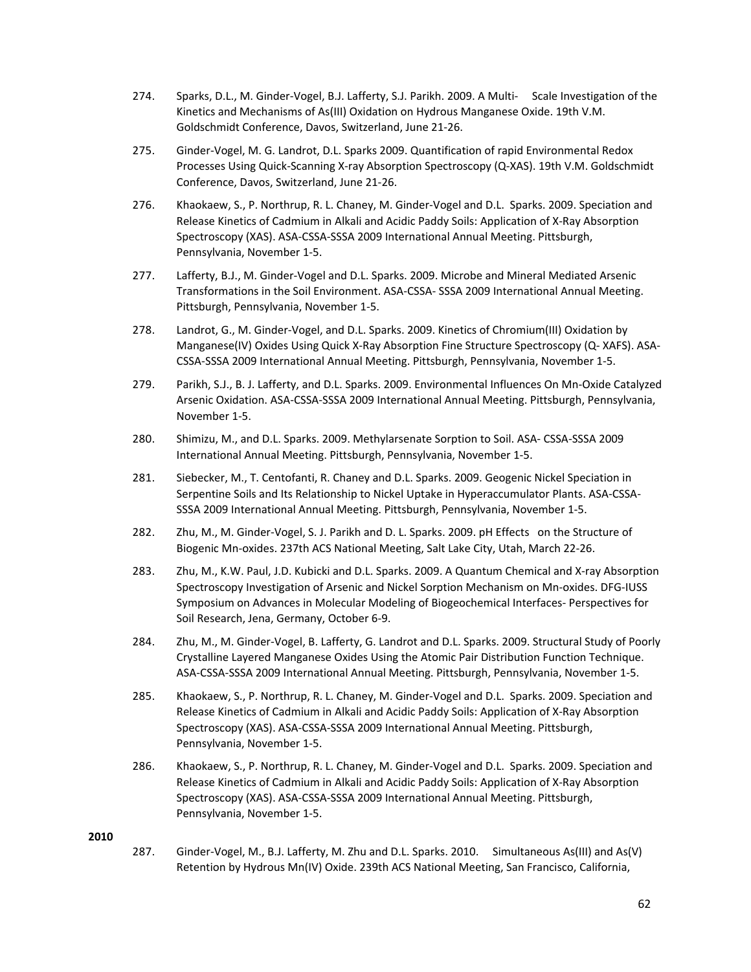- 274. Sparks, D.L., M. Ginder-Vogel, B.J. Lafferty, S.J. Parikh. 2009. A Multi- Scale Investigation of the Kinetics and Mechanisms of As(III) Oxidation on Hydrous Manganese Oxide. 19th V.M. Goldschmidt Conference, Davos, Switzerland, June 21‐26.
- 275. Ginder‐Vogel, M. G. Landrot, D.L. Sparks 2009. Quantification of rapid Environmental Redox Processes Using Quick‐Scanning X‐ray Absorption Spectroscopy (Q‐XAS). 19th V.M. Goldschmidt Conference, Davos, Switzerland, June 21‐26.
- 276. Khaokaew, S., P. Northrup, R. L. Chaney, M. Ginder‐Vogel and D.L. Sparks. 2009. Speciation and Release Kinetics of Cadmium in Alkali and Acidic Paddy Soils: Application of X‐Ray Absorption Spectroscopy (XAS). ASA‐CSSA‐SSSA 2009 International Annual Meeting. Pittsburgh, Pennsylvania, November 1‐5.
- 277. Lafferty, B.J., M. Ginder‐Vogel and D.L. Sparks. 2009. Microbe and Mineral Mediated Arsenic Transformations in the Soil Environment. ASA‐CSSA‐ SSSA 2009 International Annual Meeting. Pittsburgh, Pennsylvania, November 1‐5.
- 278. Landrot, G., M. Ginder-Vogel, and D.L. Sparks. 2009. Kinetics of Chromium(III) Oxidation by Manganese(IV) Oxides Using Quick X‐Ray Absorption Fine Structure Spectroscopy (Q‐ XAFS). ASA‐ CSSA‐SSSA 2009 International Annual Meeting. Pittsburgh, Pennsylvania, November 1‐5.
- 279. Parikh, S.J., B. J. Lafferty, and D.L. Sparks. 2009. Environmental Influences On Mn‐Oxide Catalyzed Arsenic Oxidation. ASA‐CSSA‐SSSA 2009 International Annual Meeting. Pittsburgh, Pennsylvania, November 1‐5.
- 280. Shimizu, M., and D.L. Sparks. 2009. Methylarsenate Sorption to Soil. ASA- CSSA-SSSA 2009 International Annual Meeting. Pittsburgh, Pennsylvania, November 1‐5.
- 281. Siebecker, M., T. Centofanti, R. Chaney and D.L. Sparks. 2009. Geogenic Nickel Speciation in Serpentine Soils and Its Relationship to Nickel Uptake in Hyperaccumulator Plants. ASA‐CSSA‐ SSSA 2009 International Annual Meeting. Pittsburgh, Pennsylvania, November 1‐5.
- 282. Zhu, M., M. Ginder-Vogel, S. J. Parikh and D. L. Sparks. 2009. pH Effects on the Structure of Biogenic Mn‐oxides. 237th ACS National Meeting, Salt Lake City, Utah, March 22‐26.
- 283. Zhu, M., K.W. Paul, J.D. Kubicki and D.L. Sparks. 2009. A Quantum Chemical and X‐ray Absorption Spectroscopy Investigation of Arsenic and Nickel Sorption Mechanism on Mn‐oxides. DFG‐IUSS Symposium on Advances in Molecular Modeling of Biogeochemical Interfaces‐ Perspectives for Soil Research, Jena, Germany, October 6‐9.
- 284. Zhu, M., M. Ginder‐Vogel, B. Lafferty, G. Landrot and D.L. Sparks. 2009. Structural Study of Poorly Crystalline Layered Manganese Oxides Using the Atomic Pair Distribution Function Technique. ASA‐CSSA‐SSSA 2009 International Annual Meeting. Pittsburgh, Pennsylvania, November 1‐5.
- 285. Khaokaew, S., P. Northrup, R. L. Chaney, M. Ginder‐Vogel and D.L. Sparks. 2009. Speciation and Release Kinetics of Cadmium in Alkali and Acidic Paddy Soils: Application of X‐Ray Absorption Spectroscopy (XAS). ASA‐CSSA‐SSSA 2009 International Annual Meeting. Pittsburgh, Pennsylvania, November 1‐5.
- 286. Khaokaew, S., P. Northrup, R. L. Chaney, M. Ginder‐Vogel and D.L. Sparks. 2009. Speciation and Release Kinetics of Cadmium in Alkali and Acidic Paddy Soils: Application of X‐Ray Absorption Spectroscopy (XAS). ASA‐CSSA‐SSSA 2009 International Annual Meeting. Pittsburgh, Pennsylvania, November 1‐5.

287. Ginder‐Vogel, M., B.J. Lafferty, M. Zhu and D.L. Sparks. 2010. Simultaneous As(III) and As(V) Retention by Hydrous Mn(IV) Oxide. 239th ACS National Meeting, San Francisco, California,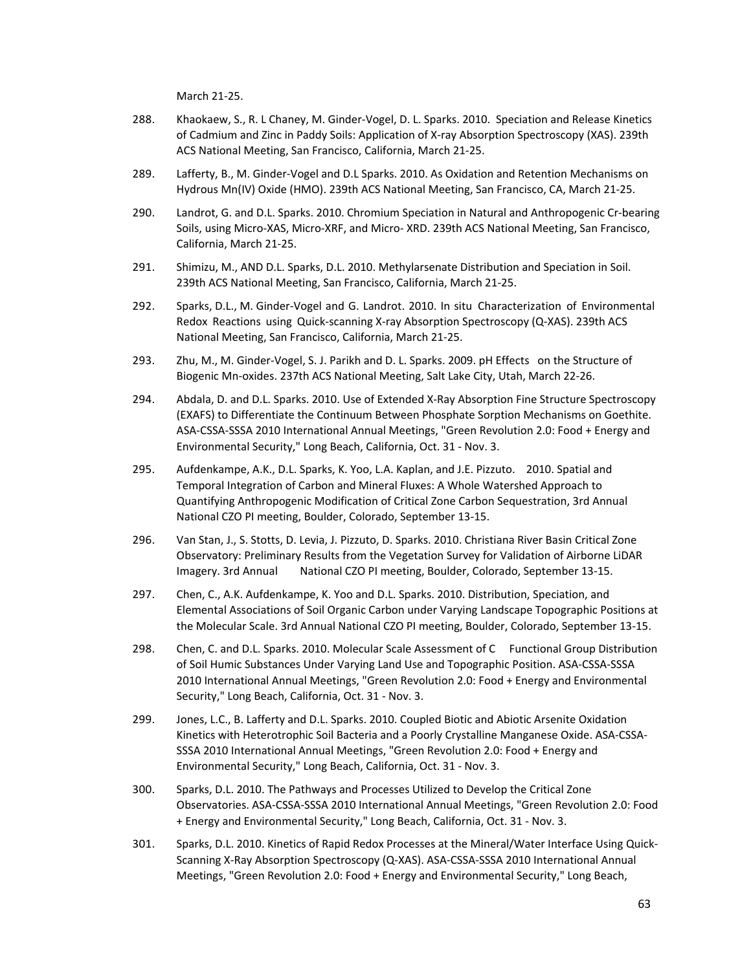March 21‐25.

- 288. Khaokaew, S., R. L Chaney, M. Ginder‐Vogel, D. L. Sparks. 2010. Speciation and Release Kinetics of Cadmium and Zinc in Paddy Soils: Application of X‐ray Absorption Spectroscopy (XAS). 239th ACS National Meeting, San Francisco, California, March 21‐25.
- 289. Lafferty, B., M. Ginder‐Vogel and D.L Sparks. 2010. As Oxidation and Retention Mechanisms on Hydrous Mn(IV) Oxide (HMO). 239th ACS National Meeting, San Francisco, CA, March 21‐25.
- 290. Landrot, G. and D.L. Sparks. 2010. Chromium Speciation in Natural and Anthropogenic Cr-bearing Soils, using Micro‐XAS, Micro‐XRF, and Micro‐ XRD. 239th ACS National Meeting, San Francisco, California, March 21‐25.
- 291. Shimizu, M., AND D.L. Sparks, D.L. 2010. Methylarsenate Distribution and Speciation in Soil. 239th ACS National Meeting, San Francisco, California, March 21‐25.
- 292. Sparks, D.L., M. Ginder‐Vogel and G. Landrot. 2010. In situ Characterization of Environmental Redox Reactions using Quick‐scanning X‐ray Absorption Spectroscopy (Q‐XAS). 239th ACS National Meeting, San Francisco, California, March 21‐25.
- 293. Zhu, M., M. Ginder-Vogel, S. J. Parikh and D. L. Sparks. 2009. pH Effects on the Structure of Biogenic Mn‐oxides. 237th ACS National Meeting, Salt Lake City, Utah, March 22‐26.
- 294. Abdala, D. and D.L. Sparks. 2010. Use of Extended X-Ray Absorption Fine Structure Spectroscopy (EXAFS) to Differentiate the Continuum Between Phosphate Sorption Mechanisms on Goethite. ASA‐CSSA‐SSSA 2010 International Annual Meetings, "Green Revolution 2.0: Food + Energy and Environmental Security," Long Beach, California, Oct. 31 ‐ Nov. 3.
- 295. Aufdenkampe, A.K., D.L. Sparks, K. Yoo, L.A. Kaplan, and J.E. Pizzuto. 2010. Spatial and Temporal Integration of Carbon and Mineral Fluxes: A Whole Watershed Approach to Quantifying Anthropogenic Modification of Critical Zone Carbon Sequestration, 3rd Annual National CZO PI meeting, Boulder, Colorado, September 13‐15.
- 296. Van Stan, J., S. Stotts, D. Levia, J. Pizzuto, D. Sparks. 2010. Christiana River Basin Critical Zone Observatory: Preliminary Results from the Vegetation Survey for Validation of Airborne LiDAR Imagery. 3rd Annual National CZO PI meeting, Boulder, Colorado, September 13‐15.
- 297. Chen, C., A.K. Aufdenkampe, K. Yoo and D.L. Sparks. 2010. Distribution, Speciation, and Elemental Associations of Soil Organic Carbon under Varying Landscape Topographic Positions at the Molecular Scale. 3rd Annual National CZO PI meeting, Boulder, Colorado, September 13‐15.
- 298. Chen, C. and D.L. Sparks. 2010. Molecular Scale Assessment of C Functional Group Distribution of Soil Humic Substances Under Varying Land Use and Topographic Position. ASA‐CSSA‐SSSA 2010 International Annual Meetings, "Green Revolution 2.0: Food + Energy and Environmental Security," Long Beach, California, Oct. 31 ‐ Nov. 3.
- 299. Jones, L.C., B. Lafferty and D.L. Sparks. 2010. Coupled Biotic and Abiotic Arsenite Oxidation Kinetics with Heterotrophic Soil Bacteria and a Poorly Crystalline Manganese Oxide. ASA‐CSSA‐ SSSA 2010 International Annual Meetings, "Green Revolution 2.0: Food + Energy and Environmental Security," Long Beach, California, Oct. 31 ‐ Nov. 3.
- 300. Sparks, D.L. 2010. The Pathways and Processes Utilized to Develop the Critical Zone Observatories. ASA‐CSSA‐SSSA 2010 International Annual Meetings, "Green Revolution 2.0: Food + Energy and Environmental Security," Long Beach, California, Oct. 31 ‐ Nov. 3.
- 301. Sparks, D.L. 2010. Kinetics of Rapid Redox Processes at the Mineral/Water Interface Using Quick‐ Scanning X‐Ray Absorption Spectroscopy (Q‐XAS). ASA‐CSSA‐SSSA 2010 International Annual Meetings, "Green Revolution 2.0: Food + Energy and Environmental Security," Long Beach,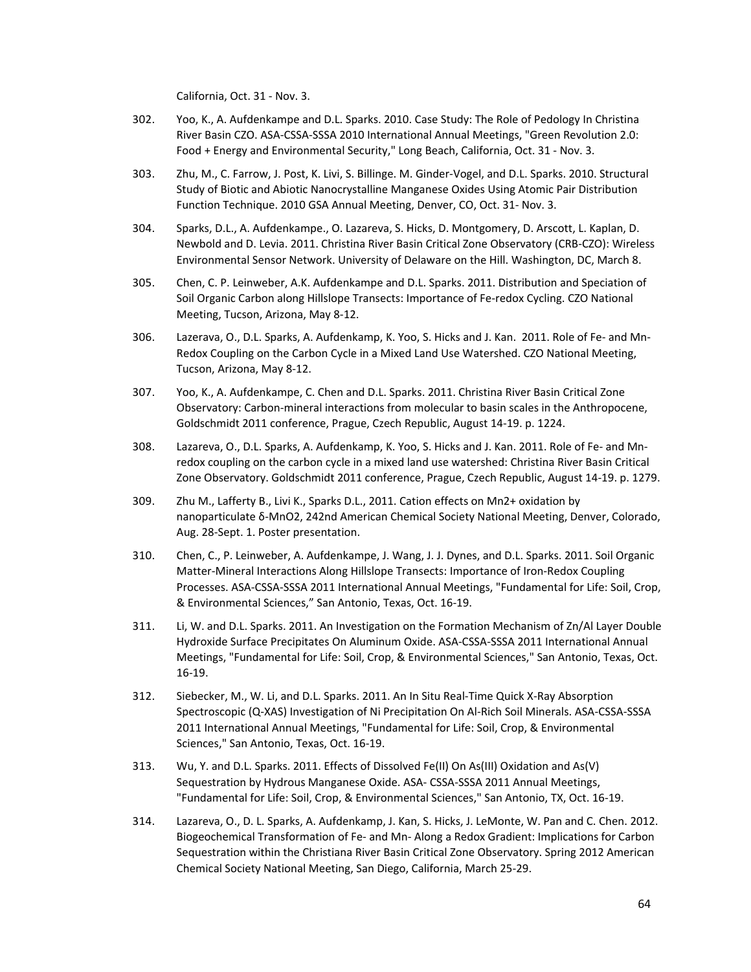California, Oct. 31 ‐ Nov. 3.

- 302. Yoo, K., A. Aufdenkampe and D.L. Sparks. 2010. Case Study: The Role of Pedology In Christina River Basin CZO. ASA‐CSSA‐SSSA 2010 International Annual Meetings, "Green Revolution 2.0: Food + Energy and Environmental Security," Long Beach, California, Oct. 31 ‐ Nov. 3.
- 303. Zhu, M., C. Farrow, J. Post, K. Livi, S. Billinge. M. Ginder‐Vogel, and D.L. Sparks. 2010. Structural Study of Biotic and Abiotic Nanocrystalline Manganese Oxides Using Atomic Pair Distribution Function Technique. 2010 GSA Annual Meeting, Denver, CO, Oct. 31‐ Nov. 3.
- 304. Sparks, D.L., A. Aufdenkampe., O. Lazareva, S. Hicks, D. Montgomery, D. Arscott, L. Kaplan, D. Newbold and D. Levia. 2011. Christina River Basin Critical Zone Observatory (CRB‐CZO): Wireless Environmental Sensor Network. University of Delaware on the Hill. Washington, DC, March 8.
- 305. Chen, C. P. Leinweber, A.K. Aufdenkampe and D.L. Sparks. 2011. Distribution and Speciation of Soil Organic Carbon along Hillslope Transects: Importance of Fe‐redox Cycling. CZO National Meeting, Tucson, Arizona, May 8‐12.
- 306. Lazerava, O., D.L. Sparks, A. Aufdenkamp, K. Yoo, S. Hicks and J. Kan. 2011. Role of Fe- and Mn-Redox Coupling on the Carbon Cycle in a Mixed Land Use Watershed. CZO National Meeting, Tucson, Arizona, May 8‐12.
- 307. Yoo, K., A. Aufdenkampe, C. Chen and D.L. Sparks. 2011. Christina River Basin Critical Zone Observatory: Carbon‐mineral interactions from molecular to basin scales in the Anthropocene, Goldschmidt 2011 conference, Prague, Czech Republic, August 14‐19. p. 1224.
- 308. Lazareva, O., D.L. Sparks, A. Aufdenkamp, K. Yoo, S. Hicks and J. Kan. 2011. Role of Fe- and Mnredox coupling on the carbon cycle in a mixed land use watershed: Christina River Basin Critical Zone Observatory. Goldschmidt 2011 conference, Prague, Czech Republic, August 14‐19. p. 1279.
- 309. Zhu M., Lafferty B., Livi K., Sparks D.L., 2011. Cation effects on Mn2+ oxidation by nanoparticulate δ‐MnO2, 242nd American Chemical Society National Meeting, Denver, Colorado, Aug. 28‐Sept. 1. Poster presentation.
- 310. Chen, C., P. Leinweber, A. Aufdenkampe, J. Wang, J. J. Dynes, and D.L. Sparks. 2011. Soil Organic Matter‐Mineral Interactions Along Hillslope Transects: Importance of Iron‐Redox Coupling Processes. ASA‐CSSA‐SSSA 2011 International Annual Meetings, "Fundamental for Life: Soil, Crop, & Environmental Sciences," San Antonio, Texas, Oct. 16‐19.
- 311. Li, W. and D.L. Sparks. 2011. An Investigation on the Formation Mechanism of Zn/Al Layer Double Hydroxide Surface Precipitates On Aluminum Oxide. ASA‐CSSA‐SSSA 2011 International Annual Meetings, "Fundamental for Life: Soil, Crop, & Environmental Sciences," San Antonio, Texas, Oct. 16‐19.
- 312. Siebecker, M., W. Li, and D.L. Sparks. 2011. An In Situ Real‐Time Quick X‐Ray Absorption Spectroscopic (Q‐XAS) Investigation of Ni Precipitation On Al‐Rich Soil Minerals. ASA‐CSSA‐SSSA 2011 International Annual Meetings, "Fundamental for Life: Soil, Crop, & Environmental Sciences," San Antonio, Texas, Oct. 16‐19.
- 313. Wu, Y. and D.L. Sparks. 2011. Effects of Dissolved Fe(II) On As(III) Oxidation and As(V) Sequestration by Hydrous Manganese Oxide. ASA‐ CSSA‐SSSA 2011 Annual Meetings, "Fundamental for Life: Soil, Crop, & Environmental Sciences," San Antonio, TX, Oct. 16‐19.
- 314. Lazareva, O., D. L. Sparks, A. Aufdenkamp, J. Kan, S. Hicks, J. LeMonte, W. Pan and C. Chen. 2012. Biogeochemical Transformation of Fe‐ and Mn‐ Along a Redox Gradient: Implications for Carbon Sequestration within the Christiana River Basin Critical Zone Observatory. Spring 2012 American Chemical Society National Meeting, San Diego, California, March 25‐29.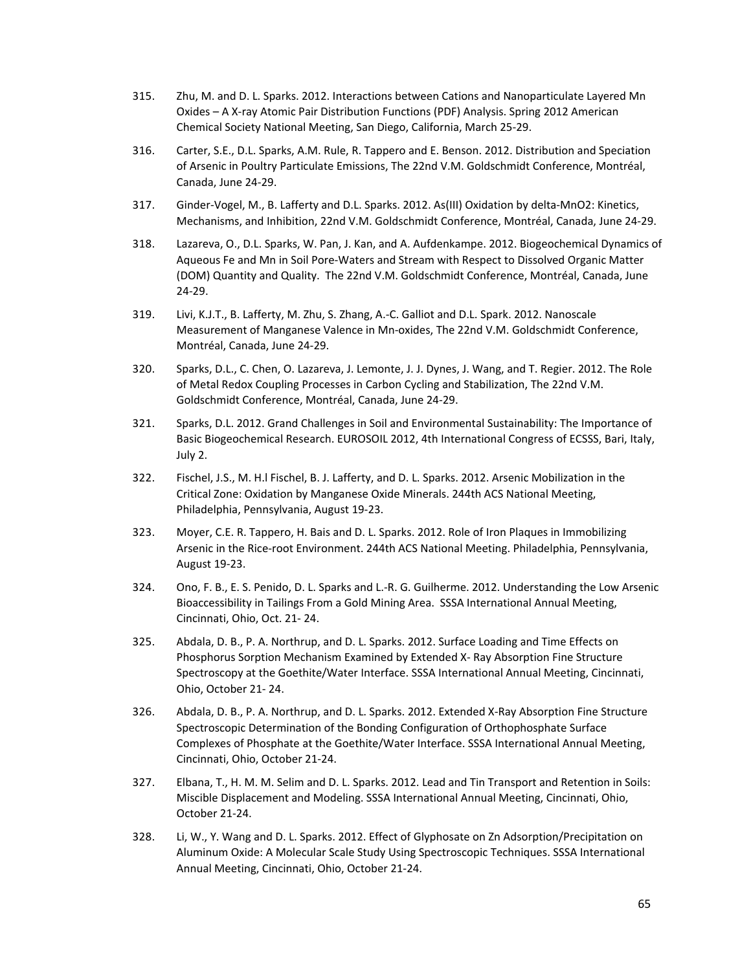- 315. Zhu, M. and D. L. Sparks. 2012. Interactions between Cations and Nanoparticulate Layered Mn Oxides – A X‐ray Atomic Pair Distribution Functions (PDF) Analysis. Spring 2012 American Chemical Society National Meeting, San Diego, California, March 25‐29.
- 316. Carter, S.E., D.L. Sparks, A.M. Rule, R. Tappero and E. Benson. 2012. Distribution and Speciation of Arsenic in Poultry Particulate Emissions, The 22nd V.M. Goldschmidt Conference, Montréal, Canada, June 24‐29.
- 317. Ginder-Vogel, M., B. Lafferty and D.L. Sparks. 2012. As(III) Oxidation by delta-MnO2: Kinetics, Mechanisms, and Inhibition, 22nd V.M. Goldschmidt Conference, Montréal, Canada, June 24‐29.
- 318. Lazareva, O., D.L. Sparks, W. Pan, J. Kan, and A. Aufdenkampe. 2012. Biogeochemical Dynamics of Aqueous Fe and Mn in Soil Pore‐Waters and Stream with Respect to Dissolved Organic Matter (DOM) Quantity and Quality. The 22nd V.M. Goldschmidt Conference, Montréal, Canada, June 24‐29.
- 319. Livi, K.J.T., B. Lafferty, M. Zhu, S. Zhang, A.‐C. Galliot and D.L. Spark. 2012. Nanoscale Measurement of Manganese Valence in Mn‐oxides, The 22nd V.M. Goldschmidt Conference, Montréal, Canada, June 24‐29.
- 320. Sparks, D.L., C. Chen, O. Lazareva, J. Lemonte, J. J. Dynes, J. Wang, and T. Regier. 2012. The Role of Metal Redox Coupling Processes in Carbon Cycling and Stabilization, The 22nd V.M. Goldschmidt Conference, Montréal, Canada, June 24‐29.
- 321. Sparks, D.L. 2012. Grand Challenges in Soil and Environmental Sustainability: The Importance of Basic Biogeochemical Research. EUROSOIL 2012, 4th International Congress of ECSSS, Bari, Italy, July 2.
- 322. Fischel, J.S., M. H.l Fischel, B. J. Lafferty, and D. L. Sparks. 2012. Arsenic Mobilization in the Critical Zone: Oxidation by Manganese Oxide Minerals. 244th ACS National Meeting, Philadelphia, Pennsylvania, August 19‐23.
- 323. Moyer, C.E. R. Tappero, H. Bais and D. L. Sparks. 2012. Role of Iron Plaques in Immobilizing Arsenic in the Rice‐root Environment. 244th ACS National Meeting. Philadelphia, Pennsylvania, August 19‐23.
- 324. Ono, F. B., E. S. Penido, D. L. Sparks and L.‐R. G. Guilherme. 2012. Understanding the Low Arsenic Bioaccessibility in Tailings From a Gold Mining Area. SSSA International Annual Meeting, Cincinnati, Ohio, Oct. 21‐ 24.
- 325. Abdala, D. B., P. A. Northrup, and D. L. Sparks. 2012. Surface Loading and Time Effects on Phosphorus Sorption Mechanism Examined by Extended X‐ Ray Absorption Fine Structure Spectroscopy at the Goethite/Water Interface. SSSA International Annual Meeting, Cincinnati, Ohio, October 21‐ 24.
- 326. Abdala, D. B., P. A. Northrup, and D. L. Sparks. 2012. Extended X‐Ray Absorption Fine Structure Spectroscopic Determination of the Bonding Configuration of Orthophosphate Surface Complexes of Phosphate at the Goethite/Water Interface. SSSA International Annual Meeting, Cincinnati, Ohio, October 21‐24.
- 327. Elbana, T., H. M. M. Selim and D. L. Sparks. 2012. Lead and Tin Transport and Retention in Soils: Miscible Displacement and Modeling. SSSA International Annual Meeting, Cincinnati, Ohio, October 21‐24.
- 328. Li, W., Y. Wang and D. L. Sparks. 2012. Effect of Glyphosate on Zn Adsorption/Precipitation on Aluminum Oxide: A Molecular Scale Study Using Spectroscopic Techniques. SSSA International Annual Meeting, Cincinnati, Ohio, October 21‐24.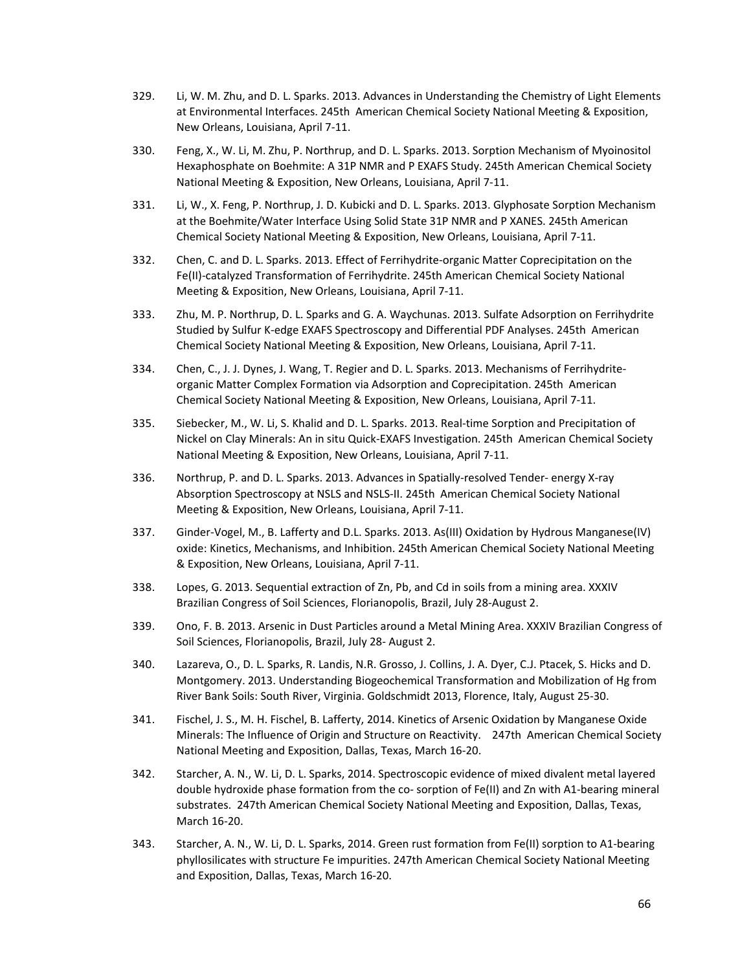- 329. Li, W. M. Zhu, and D. L. Sparks. 2013. Advances in Understanding the Chemistry of Light Elements at Environmental Interfaces. 245th American Chemical Society National Meeting & Exposition, New Orleans, Louisiana, April 7‐11.
- 330. Feng, X., W. Li, M. Zhu, P. Northrup, and D. L. Sparks. 2013. Sorption Mechanism of Myoinositol Hexaphosphate on Boehmite: A 31P NMR and P EXAFS Study. 245th American Chemical Society National Meeting & Exposition, New Orleans, Louisiana, April 7‐11.
- 331. Li, W., X. Feng, P. Northrup, J. D. Kubicki and D. L. Sparks. 2013. Glyphosate Sorption Mechanism at the Boehmite/Water Interface Using Solid State 31P NMR and P XANES. 245th American Chemical Society National Meeting & Exposition, New Orleans, Louisiana, April 7‐11.
- 332. Chen, C. and D. L. Sparks. 2013. Effect of Ferrihydrite-organic Matter Coprecipitation on the Fe(II)‐catalyzed Transformation of Ferrihydrite. 245th American Chemical Society National Meeting & Exposition, New Orleans, Louisiana, April 7‐11.
- 333. Zhu, M. P. Northrup, D. L. Sparks and G. A. Waychunas. 2013. Sulfate Adsorption on Ferrihydrite Studied by Sulfur K‐edge EXAFS Spectroscopy and Differential PDF Analyses. 245th American Chemical Society National Meeting & Exposition, New Orleans, Louisiana, April 7‐11.
- 334. Chen, C., J. J. Dynes, J. Wang, T. Regier and D. L. Sparks. 2013. Mechanisms of Ferrihydriteorganic Matter Complex Formation via Adsorption and Coprecipitation. 245th American Chemical Society National Meeting & Exposition, New Orleans, Louisiana, April 7‐11.
- 335. Siebecker, M., W. Li, S. Khalid and D. L. Sparks. 2013. Real‐time Sorption and Precipitation of Nickel on Clay Minerals: An in situ Quick‐EXAFS Investigation. 245th American Chemical Society National Meeting & Exposition, New Orleans, Louisiana, April 7‐11.
- 336. Northrup, P. and D. L. Sparks. 2013. Advances in Spatially‐resolved Tender‐ energy X‐ray Absorption Spectroscopy at NSLS and NSLS‐II. 245th American Chemical Society National Meeting & Exposition, New Orleans, Louisiana, April 7‐11.
- 337. Ginder-Vogel, M., B. Lafferty and D.L. Sparks. 2013. As(III) Oxidation by Hydrous Manganese(IV) oxide: Kinetics, Mechanisms, and Inhibition. 245th American Chemical Society National Meeting & Exposition, New Orleans, Louisiana, April 7‐11.
- 338. Lopes, G. 2013. Sequential extraction of Zn, Pb, and Cd in soils from a mining area. XXXIV Brazilian Congress of Soil Sciences, Florianopolis, Brazil, July 28‐August 2.
- 339. Ono, F. B. 2013. Arsenic in Dust Particles around a Metal Mining Area. XXXIV Brazilian Congress of Soil Sciences, Florianopolis, Brazil, July 28‐ August 2.
- 340. Lazareva, O., D. L. Sparks, R. Landis, N.R. Grosso, J. Collins, J. A. Dyer, C.J. Ptacek, S. Hicks and D. Montgomery. 2013. Understanding Biogeochemical Transformation and Mobilization of Hg from River Bank Soils: South River, Virginia. Goldschmidt 2013, Florence, Italy, August 25‐30.
- 341. Fischel, J. S., M. H. Fischel, B. Lafferty, 2014. Kinetics of Arsenic Oxidation by Manganese Oxide Minerals: The Influence of Origin and Structure on Reactivity. 247th American Chemical Society National Meeting and Exposition, Dallas, Texas, March 16‐20.
- 342. Starcher, A. N., W. Li, D. L. Sparks, 2014. Spectroscopic evidence of mixed divalent metal layered double hydroxide phase formation from the co‐ sorption of Fe(II) and Zn with A1‐bearing mineral substrates. 247th American Chemical Society National Meeting and Exposition, Dallas, Texas, March 16‐20.
- 343. Starcher, A. N., W. Li, D. L. Sparks, 2014. Green rust formation from Fe(II) sorption to A1‐bearing phyllosilicates with structure Fe impurities. 247th American Chemical Society National Meeting and Exposition, Dallas, Texas, March 16‐20.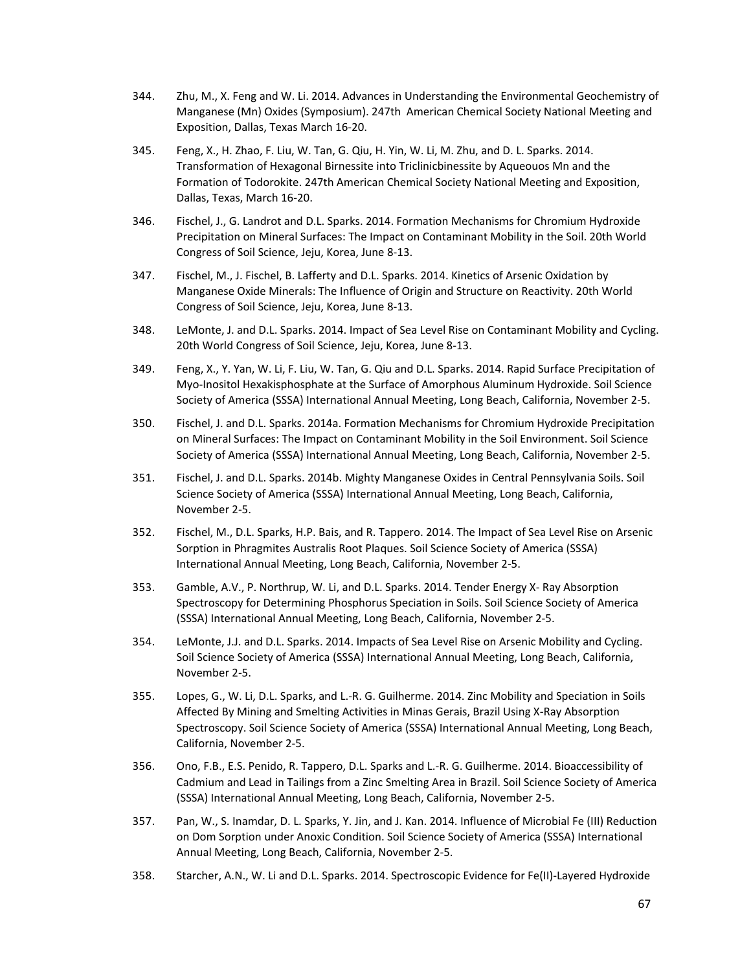- 344. Zhu, M., X. Feng and W. Li. 2014. Advances in Understanding the Environmental Geochemistry of Manganese (Mn) Oxides (Symposium). 247th American Chemical Society National Meeting and Exposition, Dallas, Texas March 16‐20.
- 345. Feng, X., H. Zhao, F. Liu, W. Tan, G. Qiu, H. Yin, W. Li, M. Zhu, and D. L. Sparks. 2014. Transformation of Hexagonal Birnessite into Triclinicbinessite by Aqueouos Mn and the Formation of Todorokite. 247th American Chemical Society National Meeting and Exposition, Dallas, Texas, March 16‐20.
- 346. Fischel, J., G. Landrot and D.L. Sparks. 2014. Formation Mechanisms for Chromium Hydroxide Precipitation on Mineral Surfaces: The Impact on Contaminant Mobility in the Soil. 20th World Congress of Soil Science, Jeju, Korea, June 8‐13.
- 347. Fischel, M., J. Fischel, B. Lafferty and D.L. Sparks. 2014. Kinetics of Arsenic Oxidation by Manganese Oxide Minerals: The Influence of Origin and Structure on Reactivity. 20th World Congress of Soil Science, Jeju, Korea, June 8‐13.
- 348. LeMonte, J. and D.L. Sparks. 2014. Impact of Sea Level Rise on Contaminant Mobility and Cycling. 20th World Congress of Soil Science, Jeju, Korea, June 8‐13.
- 349. Feng, X., Y. Yan, W. Li, F. Liu, W. Tan, G. Qiu and D.L. Sparks. 2014. Rapid Surface Precipitation of Myo‐Inositol Hexakisphosphate at the Surface of Amorphous Aluminum Hydroxide. Soil Science Society of America (SSSA) International Annual Meeting, Long Beach, California, November 2‐5.
- 350. Fischel, J. and D.L. Sparks. 2014a. Formation Mechanisms for Chromium Hydroxide Precipitation on Mineral Surfaces: The Impact on Contaminant Mobility in the Soil Environment. Soil Science Society of America (SSSA) International Annual Meeting, Long Beach, California, November 2‐5.
- 351. Fischel, J. and D.L. Sparks. 2014b. Mighty Manganese Oxides in Central Pennsylvania Soils. Soil Science Society of America (SSSA) International Annual Meeting, Long Beach, California, November 2‐5.
- 352. Fischel, M., D.L. Sparks, H.P. Bais, and R. Tappero. 2014. The Impact of Sea Level Rise on Arsenic Sorption in Phragmites Australis Root Plaques. Soil Science Society of America (SSSA) International Annual Meeting, Long Beach, California, November 2‐5.
- 353. Gamble, A.V., P. Northrup, W. Li, and D.L. Sparks. 2014. Tender Energy X‐ Ray Absorption Spectroscopy for Determining Phosphorus Speciation in Soils. Soil Science Society of America (SSSA) International Annual Meeting, Long Beach, California, November 2‐5.
- 354. LeMonte, J.J. and D.L. Sparks. 2014. Impacts of Sea Level Rise on Arsenic Mobility and Cycling. Soil Science Society of America (SSSA) International Annual Meeting, Long Beach, California, November 2‐5.
- 355. Lopes, G., W. Li, D.L. Sparks, and L.‐R. G. Guilherme. 2014. Zinc Mobility and Speciation in Soils Affected By Mining and Smelting Activities in Minas Gerais, Brazil Using X‐Ray Absorption Spectroscopy. Soil Science Society of America (SSSA) International Annual Meeting, Long Beach, California, November 2‐5.
- 356. Ono, F.B., E.S. Penido, R. Tappero, D.L. Sparks and L.‐R. G. Guilherme. 2014. Bioaccessibility of Cadmium and Lead in Tailings from a Zinc Smelting Area in Brazil. Soil Science Society of America (SSSA) International Annual Meeting, Long Beach, California, November 2‐5.
- 357. Pan, W., S. Inamdar, D. L. Sparks, Y. Jin, and J. Kan. 2014. Influence of Microbial Fe (III) Reduction on Dom Sorption under Anoxic Condition. Soil Science Society of America (SSSA) International Annual Meeting, Long Beach, California, November 2‐5.
- 358. Starcher, A.N., W. Li and D.L. Sparks. 2014. Spectroscopic Evidence for Fe(II)‐Layered Hydroxide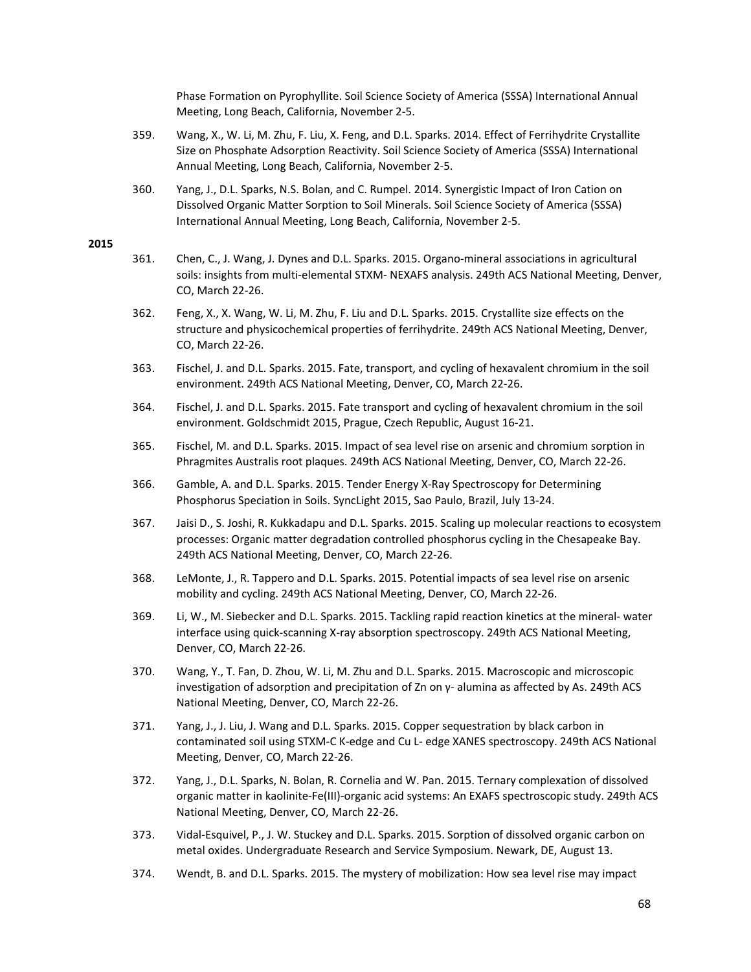Phase Formation on Pyrophyllite. Soil Science Society of America (SSSA) International Annual Meeting, Long Beach, California, November 2‐5.

- 359. Wang, X., W. Li, M. Zhu, F. Liu, X. Feng, and D.L. Sparks. 2014. Effect of Ferrihydrite Crystallite Size on Phosphate Adsorption Reactivity. Soil Science Society of America (SSSA) International Annual Meeting, Long Beach, California, November 2‐5.
- 360. Yang, J., D.L. Sparks, N.S. Bolan, and C. Rumpel. 2014. Synergistic Impact of Iron Cation on Dissolved Organic Matter Sorption to Soil Minerals. Soil Science Society of America (SSSA) International Annual Meeting, Long Beach, California, November 2‐5.

- 361. Chen, C., J. Wang, J. Dynes and D.L. Sparks. 2015. Organo‐mineral associations in agricultural soils: insights from multi-elemental STXM- NEXAFS analysis. 249th ACS National Meeting, Denver, CO, March 22‐26.
- 362. Feng, X., X. Wang, W. Li, M. Zhu, F. Liu and D.L. Sparks. 2015. Crystallite size effects on the structure and physicochemical properties of ferrihydrite. 249th ACS National Meeting, Denver, CO, March 22‐26.
- 363. Fischel, J. and D.L. Sparks. 2015. Fate, transport, and cycling of hexavalent chromium in the soil environment. 249th ACS National Meeting, Denver, CO, March 22‐26.
- 364. Fischel, J. and D.L. Sparks. 2015. Fate transport and cycling of hexavalent chromium in the soil environment. Goldschmidt 2015, Prague, Czech Republic, August 16‐21.
- 365. Fischel, M. and D.L. Sparks. 2015. Impact of sea level rise on arsenic and chromium sorption in Phragmites Australis root plaques. 249th ACS National Meeting, Denver, CO, March 22‐26.
- 366. Gamble, A. and D.L. Sparks. 2015. Tender Energy X‐Ray Spectroscopy for Determining Phosphorus Speciation in Soils. SyncLight 2015, Sao Paulo, Brazil, July 13‐24.
- 367. Jaisi D., S. Joshi, R. Kukkadapu and D.L. Sparks. 2015. Scaling up molecular reactions to ecosystem processes: Organic matter degradation controlled phosphorus cycling in the Chesapeake Bay. 249th ACS National Meeting, Denver, CO, March 22‐26.
- 368. LeMonte, J., R. Tappero and D.L. Sparks. 2015. Potential impacts of sea level rise on arsenic mobility and cycling. 249th ACS National Meeting, Denver, CO, March 22‐26.
- 369. Li, W., M. Siebecker and D.L. Sparks. 2015. Tackling rapid reaction kinetics at the mineral‐ water interface using quick‐scanning X‐ray absorption spectroscopy. 249th ACS National Meeting, Denver, CO, March 22‐26.
- 370. Wang, Y., T. Fan, D. Zhou, W. Li, M. Zhu and D.L. Sparks. 2015. Macroscopic and microscopic investigation of adsorption and precipitation of Zn on γ‐ alumina as affected by As. 249th ACS National Meeting, Denver, CO, March 22‐26.
- 371. Yang, J., J. Liu, J. Wang and D.L. Sparks. 2015. Copper sequestration by black carbon in contaminated soil using STXM‐C K‐edge and Cu L‐ edge XANES spectroscopy. 249th ACS National Meeting, Denver, CO, March 22‐26.
- 372. Yang, J., D.L. Sparks, N. Bolan, R. Cornelia and W. Pan. 2015. Ternary complexation of dissolved organic matter in kaolinite‐Fe(III)‐organic acid systems: An EXAFS spectroscopic study. 249th ACS National Meeting, Denver, CO, March 22‐26.
- 373. Vidal‐Esquivel, P., J. W. Stuckey and D.L. Sparks. 2015. Sorption of dissolved organic carbon on metal oxides. Undergraduate Research and Service Symposium. Newark, DE, August 13.
- 374. Wendt, B. and D.L. Sparks. 2015. The mystery of mobilization: How sea level rise may impact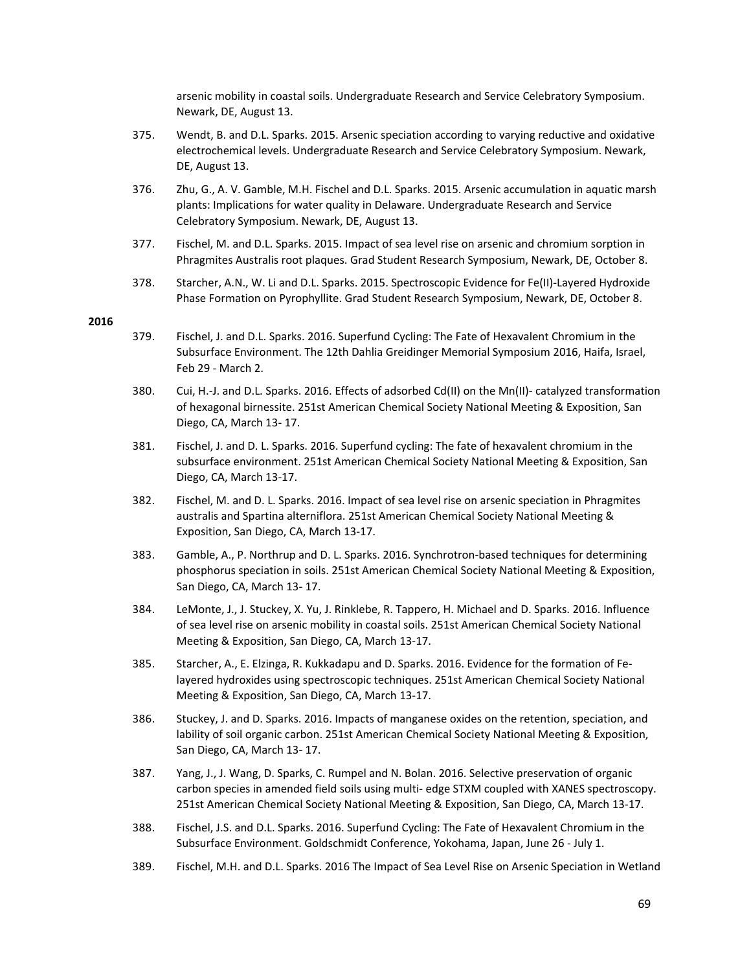arsenic mobility in coastal soils. Undergraduate Research and Service Celebratory Symposium. Newark, DE, August 13.

- 375. Wendt, B. and D.L. Sparks. 2015. Arsenic speciation according to varying reductive and oxidative electrochemical levels. Undergraduate Research and Service Celebratory Symposium. Newark, DE, August 13.
- 376. Zhu, G., A. V. Gamble, M.H. Fischel and D.L. Sparks. 2015. Arsenic accumulation in aquatic marsh plants: Implications for water quality in Delaware. Undergraduate Research and Service Celebratory Symposium. Newark, DE, August 13.
- 377. Fischel, M. and D.L. Sparks. 2015. Impact of sea level rise on arsenic and chromium sorption in Phragmites Australis root plaques. Grad Student Research Symposium, Newark, DE, October 8.
- 378. Starcher, A.N., W. Li and D.L. Sparks. 2015. Spectroscopic Evidence for Fe(II)-Layered Hydroxide Phase Formation on Pyrophyllite. Grad Student Research Symposium, Newark, DE, October 8.

- 379. Fischel, J. and D.L. Sparks. 2016. Superfund Cycling: The Fate of Hexavalent Chromium in the Subsurface Environment. The 12th Dahlia Greidinger Memorial Symposium 2016, Haifa, Israel, Feb 29 ‐ March 2.
- 380. Cui, H.‐J. and D.L. Sparks. 2016. Effects of adsorbed Cd(II) on the Mn(II)‐ catalyzed transformation of hexagonal birnessite. 251st American Chemical Society National Meeting & Exposition, San Diego, CA, March 13‐ 17.
- 381. Fischel, J. and D. L. Sparks. 2016. Superfund cycling: The fate of hexavalent chromium in the subsurface environment. 251st American Chemical Society National Meeting & Exposition, San Diego, CA, March 13‐17.
- 382. Fischel, M. and D. L. Sparks. 2016. Impact of sea level rise on arsenic speciation in Phragmites australis and Spartina alterniflora. 251st American Chemical Society National Meeting & Exposition, San Diego, CA, March 13‐17.
- 383. Gamble, A., P. Northrup and D. L. Sparks. 2016. Synchrotron-based techniques for determining phosphorus speciation in soils. 251st American Chemical Society National Meeting & Exposition, San Diego, CA, March 13‐ 17.
- 384. LeMonte, J., J. Stuckey, X. Yu, J. Rinklebe, R. Tappero, H. Michael and D. Sparks. 2016. Influence of sea level rise on arsenic mobility in coastal soils. 251st American Chemical Society National Meeting & Exposition, San Diego, CA, March 13‐17.
- 385. Starcher, A., E. Elzinga, R. Kukkadapu and D. Sparks. 2016. Evidence for the formation of Fe‐ layered hydroxides using spectroscopic techniques. 251st American Chemical Society National Meeting & Exposition, San Diego, CA, March 13‐17.
- 386. Stuckey, J. and D. Sparks. 2016. Impacts of manganese oxides on the retention, speciation, and lability of soil organic carbon. 251st American Chemical Society National Meeting & Exposition, San Diego, CA, March 13‐ 17.
- 387. Yang, J., J. Wang, D. Sparks, C. Rumpel and N. Bolan. 2016. Selective preservation of organic carbon species in amended field soils using multi- edge STXM coupled with XANES spectroscopy. 251st American Chemical Society National Meeting & Exposition, San Diego, CA, March 13‐17.
- 388. Fischel, J.S. and D.L. Sparks. 2016. Superfund Cycling: The Fate of Hexavalent Chromium in the Subsurface Environment. Goldschmidt Conference, Yokohama, Japan, June 26 ‐ July 1.
- 389. Fischel, M.H. and D.L. Sparks. 2016 The Impact of Sea Level Rise on Arsenic Speciation in Wetland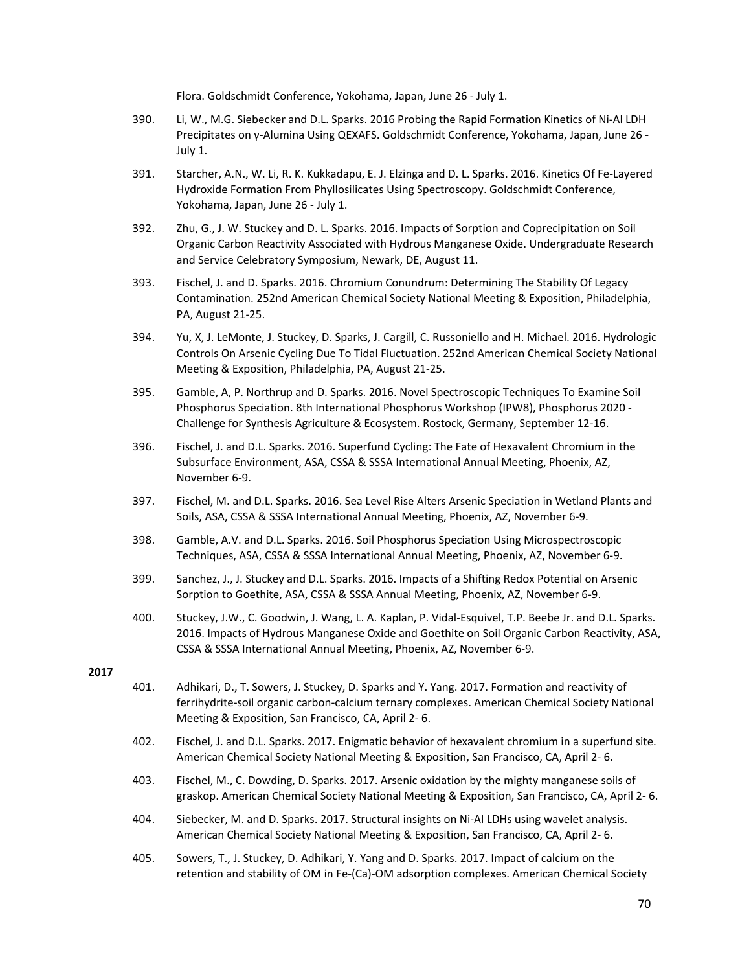Flora. Goldschmidt Conference, Yokohama, Japan, June 26 ‐ July 1.

- 390. Li, W., M.G. Siebecker and D.L. Sparks. 2016 Probing the Rapid Formation Kinetics of Ni‐Al LDH Precipitates on γ‐Alumina Using QEXAFS. Goldschmidt Conference, Yokohama, Japan, June 26 ‐ July 1.
- 391. Starcher, A.N., W. Li, R. K. Kukkadapu, E. J. Elzinga and D. L. Sparks. 2016. Kinetics Of Fe‐Layered Hydroxide Formation From Phyllosilicates Using Spectroscopy. Goldschmidt Conference, Yokohama, Japan, June 26 ‐ July 1.
- 392. Zhu, G., J. W. Stuckey and D. L. Sparks. 2016. Impacts of Sorption and Coprecipitation on Soil Organic Carbon Reactivity Associated with Hydrous Manganese Oxide. Undergraduate Research and Service Celebratory Symposium, Newark, DE, August 11.
- 393. Fischel, J. and D. Sparks. 2016. Chromium Conundrum: Determining The Stability Of Legacy Contamination. 252nd American Chemical Society National Meeting & Exposition, Philadelphia, PA, August 21‐25.
- 394. Yu, X, J. LeMonte, J. Stuckey, D. Sparks, J. Cargill, C. Russoniello and H. Michael. 2016. Hydrologic Controls On Arsenic Cycling Due To Tidal Fluctuation. 252nd American Chemical Society National Meeting & Exposition, Philadelphia, PA, August 21‐25.
- 395. Gamble, A, P. Northrup and D. Sparks. 2016. Novel Spectroscopic Techniques To Examine Soil Phosphorus Speciation. 8th International Phosphorus Workshop (IPW8), Phosphorus 2020 ‐ Challenge for Synthesis Agriculture & Ecosystem. Rostock, Germany, September 12‐16.
- 396. Fischel, J. and D.L. Sparks. 2016. Superfund Cycling: The Fate of Hexavalent Chromium in the Subsurface Environment, ASA, CSSA & SSSA International Annual Meeting, Phoenix, AZ, November 6‐9.
- 397. Fischel, M. and D.L. Sparks. 2016. Sea Level Rise Alters Arsenic Speciation in Wetland Plants and Soils, ASA, CSSA & SSSA International Annual Meeting, Phoenix, AZ, November 6‐9.
- 398. Gamble, A.V. and D.L. Sparks. 2016. Soil Phosphorus Speciation Using Microspectroscopic Techniques, ASA, CSSA & SSSA International Annual Meeting, Phoenix, AZ, November 6‐9.
- 399. Sanchez, J., J. Stuckey and D.L. Sparks. 2016. Impacts of a Shifting Redox Potential on Arsenic Sorption to Goethite, ASA, CSSA & SSSA Annual Meeting, Phoenix, AZ, November 6‐9.
- 400. Stuckey, J.W., C. Goodwin, J. Wang, L. A. Kaplan, P. Vidal‐Esquivel, T.P. Beebe Jr. and D.L. Sparks. 2016. Impacts of Hydrous Manganese Oxide and Goethite on Soil Organic Carbon Reactivity, ASA, CSSA & SSSA International Annual Meeting, Phoenix, AZ, November 6‐9.

- 401. Adhikari, D., T. Sowers, J. Stuckey, D. Sparks and Y. Yang. 2017. Formation and reactivity of ferrihydrite‐soil organic carbon‐calcium ternary complexes. American Chemical Society National Meeting & Exposition, San Francisco, CA, April 2‐ 6.
- 402. Fischel, J. and D.L. Sparks. 2017. Enigmatic behavior of hexavalent chromium in a superfund site. American Chemical Society National Meeting & Exposition, San Francisco, CA, April 2‐ 6.
- 403. Fischel, M., C. Dowding, D. Sparks. 2017. Arsenic oxidation by the mighty manganese soils of graskop. American Chemical Society National Meeting & Exposition, San Francisco, CA, April 2‐ 6.
- 404. Siebecker, M. and D. Sparks. 2017. Structural insights on Ni‐Al LDHs using wavelet analysis. American Chemical Society National Meeting & Exposition, San Francisco, CA, April 2‐ 6.
- 405. Sowers, T., J. Stuckey, D. Adhikari, Y. Yang and D. Sparks. 2017. Impact of calcium on the retention and stability of OM in Fe‐(Ca)‐OM adsorption complexes. American Chemical Society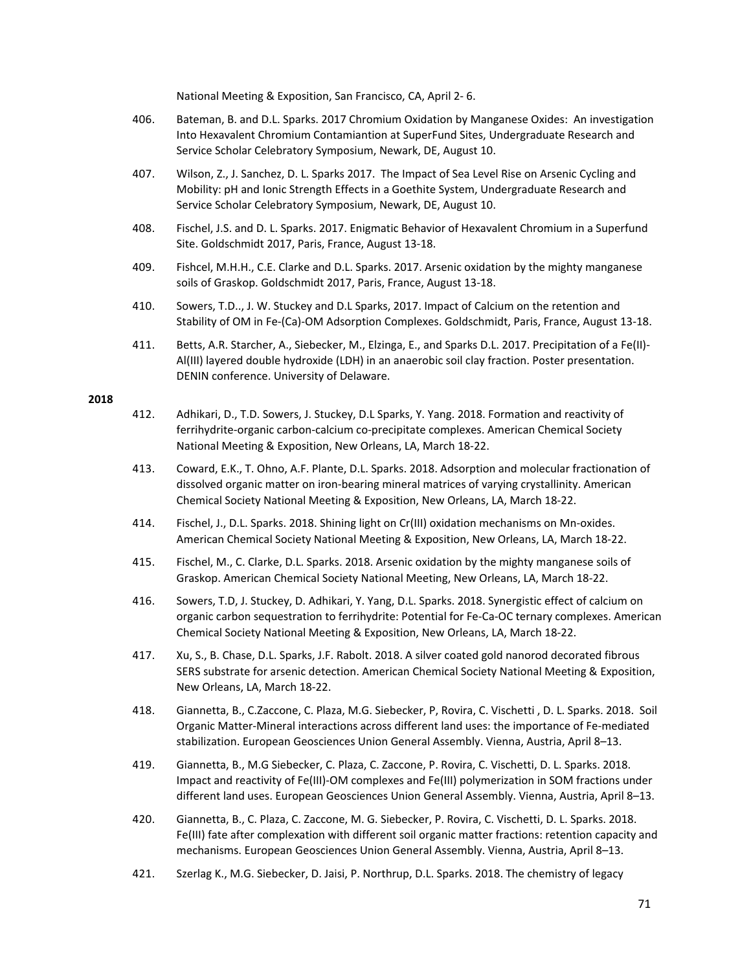National Meeting & Exposition, San Francisco, CA, April 2‐ 6.

- 406. Bateman, B. and D.L. Sparks. 2017 Chromium Oxidation by Manganese Oxides: An investigation Into Hexavalent Chromium Contamiantion at SuperFund Sites, Undergraduate Research and Service Scholar Celebratory Symposium, Newark, DE, August 10.
- 407. Wilson, Z., J. Sanchez, D. L. Sparks 2017. The Impact of Sea Level Rise on Arsenic Cycling and Mobility: pH and Ionic Strength Effects in a Goethite System, Undergraduate Research and Service Scholar Celebratory Symposium, Newark, DE, August 10.
- 408. Fischel, J.S. and D. L. Sparks. 2017. Enigmatic Behavior of Hexavalent Chromium in a Superfund Site. Goldschmidt 2017, Paris, France, August 13‐18.
- 409. Fishcel, M.H.H., C.E. Clarke and D.L. Sparks. 2017. Arsenic oxidation by the mighty manganese soils of Graskop. Goldschmidt 2017, Paris, France, August 13‐18.
- 410. Sowers, T.D.., J. W. Stuckey and D.L Sparks, 2017. Impact of Calcium on the retention and Stability of OM in Fe‐(Ca)‐OM Adsorption Complexes. Goldschmidt, Paris, France, August 13‐18.
- 411. Betts, A.R. Starcher, A., Siebecker, M., Elzinga, E., and Sparks D.L. 2017. Precipitation of a Fe(II)‐ Al(III) layered double hydroxide (LDH) in an anaerobic soil clay fraction. Poster presentation. DENIN conference. University of Delaware.

- 412. Adhikari, D., T.D. Sowers, J. Stuckey, D.L Sparks, Y. Yang. 2018. Formation and reactivity of ferrihydrite-organic carbon-calcium co-precipitate complexes. American Chemical Society National Meeting & Exposition, New Orleans, LA, March 18‐22.
- 413. Coward, E.K., T. Ohno, A.F. Plante, D.L. Sparks. 2018. Adsorption and molecular fractionation of dissolved organic matter on iron‐bearing mineral matrices of varying crystallinity. American Chemical Society National Meeting & Exposition, New Orleans, LA, March 18‐22.
- 414. Fischel, J., D.L. Sparks. 2018. Shining light on Cr(III) oxidation mechanisms on Mn‐oxides. American Chemical Society National Meeting & Exposition, New Orleans, LA, March 18‐22.
- 415. Fischel, M., C. Clarke, D.L. Sparks. 2018. Arsenic oxidation by the mighty manganese soils of Graskop. American Chemical Society National Meeting, New Orleans, LA, March 18‐22.
- 416. Sowers, T.D, J. Stuckey, D. Adhikari, Y. Yang, D.L. Sparks. 2018. Synergistic effect of calcium on organic carbon sequestration to ferrihydrite: Potential for Fe‐Ca‐OC ternary complexes. American Chemical Society National Meeting & Exposition, New Orleans, LA, March 18‐22.
- 417. Xu, S., B. Chase, D.L. Sparks, J.F. Rabolt. 2018. A silver coated gold nanorod decorated fibrous SERS substrate for arsenic detection. American Chemical Society National Meeting & Exposition, New Orleans, LA, March 18‐22.
- 418. Giannetta, B., C.Zaccone, C. Plaza, M.G. Siebecker, P, Rovira, C. Vischetti , D. L. Sparks. 2018. Soil Organic Matter‐Mineral interactions across different land uses: the importance of Fe‐mediated stabilization. European Geosciences Union General Assembly. Vienna, Austria, April 8–13.
- 419. Giannetta, B., M.G Siebecker, C. Plaza, C. Zaccone, P. Rovira, C. Vischetti, D. L. Sparks. 2018. Impact and reactivity of Fe(III)‐OM complexes and Fe(III) polymerization in SOM fractions under different land uses. European Geosciences Union General Assembly. Vienna, Austria, April 8–13.
- 420. Giannetta, B., C. Plaza, C. Zaccone, M. G. Siebecker, P. Rovira, C. Vischetti, D. L. Sparks. 2018. Fe(III) fate after complexation with different soil organic matter fractions: retention capacity and mechanisms. European Geosciences Union General Assembly. Vienna, Austria, April 8–13.
- 421. Szerlag K., M.G. Siebecker, D. Jaisi, P. Northrup, D.L. Sparks. 2018. The chemistry of legacy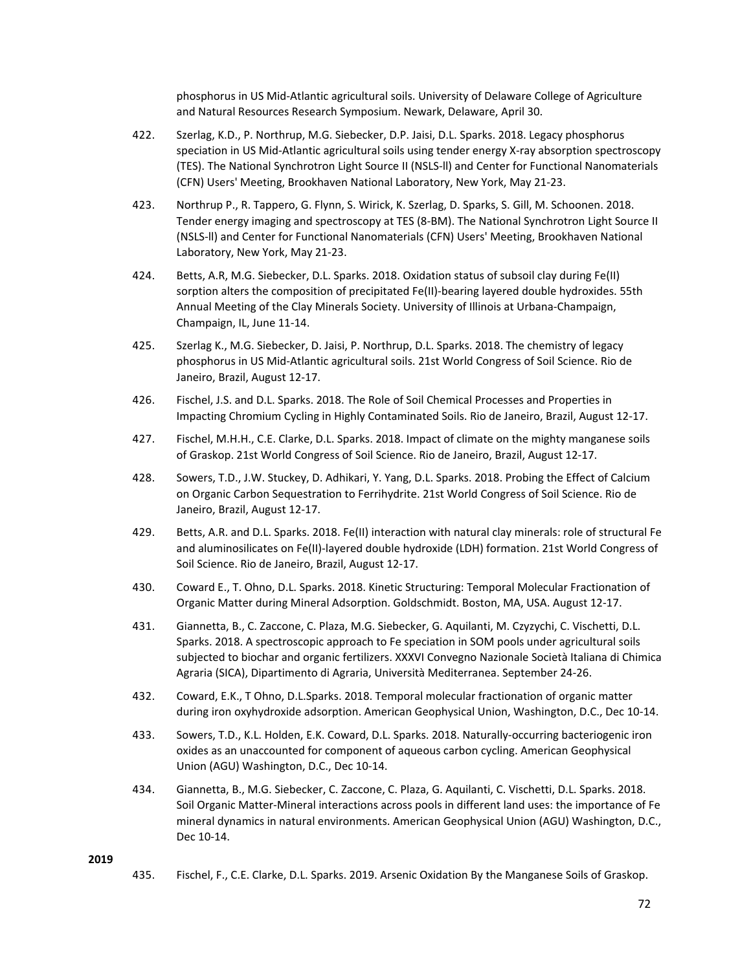phosphorus in US Mid‐Atlantic agricultural soils. University of Delaware College of Agriculture and Natural Resources Research Symposium. Newark, Delaware, April 30.

- 422. Szerlag, K.D., P. Northrup, M.G. Siebecker, D.P. Jaisi, D.L. Sparks. 2018. Legacy phosphorus speciation in US Mid-Atlantic agricultural soils using tender energy X-ray absorption spectroscopy (TES). The National Synchrotron Light Source II (NSLS‐ll) and Center for Functional Nanomaterials (CFN) Users' Meeting, Brookhaven National Laboratory, New York, May 21‐23.
- 423. Northrup P., R. Tappero, G. Flynn, S. Wirick, K. Szerlag, D. Sparks, S. Gill, M. Schoonen. 2018. Tender energy imaging and spectroscopy at TES (8‐BM). The National Synchrotron Light Source II (NSLS‐ll) and Center for Functional Nanomaterials (CFN) Users' Meeting, Brookhaven National Laboratory, New York, May 21‐23.
- 424. Betts, A.R, M.G. Siebecker, D.L. Sparks. 2018. Oxidation status of subsoil clay during Fe(II) sorption alters the composition of precipitated Fe(II)-bearing layered double hydroxides. 55th Annual Meeting of the Clay Minerals Society. University of Illinois at Urbana‐Champaign, Champaign, IL, June 11‐14.
- 425. Szerlag K., M.G. Siebecker, D. Jaisi, P. Northrup, D.L. Sparks. 2018. The chemistry of legacy phosphorus in US Mid‐Atlantic agricultural soils. 21st World Congress of Soil Science. Rio de Janeiro, Brazil, August 12‐17.
- 426. Fischel, J.S. and D.L. Sparks. 2018. The Role of Soil Chemical Processes and Properties in Impacting Chromium Cycling in Highly Contaminated Soils. Rio de Janeiro, Brazil, August 12‐17.
- 427. Fischel, M.H.H., C.E. Clarke, D.L. Sparks. 2018. Impact of climate on the mighty manganese soils of Graskop. 21st World Congress of Soil Science. Rio de Janeiro, Brazil, August 12‐17.
- 428. Sowers, T.D., J.W. Stuckey, D. Adhikari, Y. Yang, D.L. Sparks. 2018. Probing the Effect of Calcium on Organic Carbon Sequestration to Ferrihydrite. 21st World Congress of Soil Science. Rio de Janeiro, Brazil, August 12‐17.
- 429. Betts, A.R. and D.L. Sparks. 2018. Fe(II) interaction with natural clay minerals: role of structural Fe and aluminosilicates on Fe(II)-layered double hydroxide (LDH) formation. 21st World Congress of Soil Science. Rio de Janeiro, Brazil, August 12‐17.
- 430. Coward E., T. Ohno, D.L. Sparks. 2018. Kinetic Structuring: Temporal Molecular Fractionation of Organic Matter during Mineral Adsorption. Goldschmidt. Boston, MA, USA. August 12‐17.
- 431. Giannetta, B., C. Zaccone, C. Plaza, M.G. Siebecker, G. Aquilanti, M. Czyzychi, C. Vischetti, D.L. Sparks. 2018. A spectroscopic approach to Fe speciation in SOM pools under agricultural soils subjected to biochar and organic fertilizers. XXXVI Convegno Nazionale Società Italiana di Chimica Agraria (SICA), Dipartimento di Agraria, Università Mediterranea. September 24‐26.
- 432. Coward, E.K., T Ohno, D.L.Sparks. 2018. Temporal molecular fractionation of organic matter during iron oxyhydroxide adsorption. American Geophysical Union, Washington, D.C., Dec 10‐14.
- 433. Sowers, T.D., K.L. Holden, E.K. Coward, D.L. Sparks. 2018. Naturally‐occurring bacteriogenic iron oxides as an unaccounted for component of aqueous carbon cycling. American Geophysical Union (AGU) Washington, D.C., Dec 10‐14.
- 434. Giannetta, B., M.G. Siebecker, C. Zaccone, C. Plaza, G. Aquilanti, C. Vischetti, D.L. Sparks. 2018. Soil Organic Matter‐Mineral interactions across pools in different land uses: the importance of Fe mineral dynamics in natural environments. American Geophysical Union (AGU) Washington, D.C., Dec 10‐14.

#### **2019**

435. Fischel, F., C.E. Clarke, D.L. Sparks. 2019. Arsenic Oxidation By the Manganese Soils of Graskop.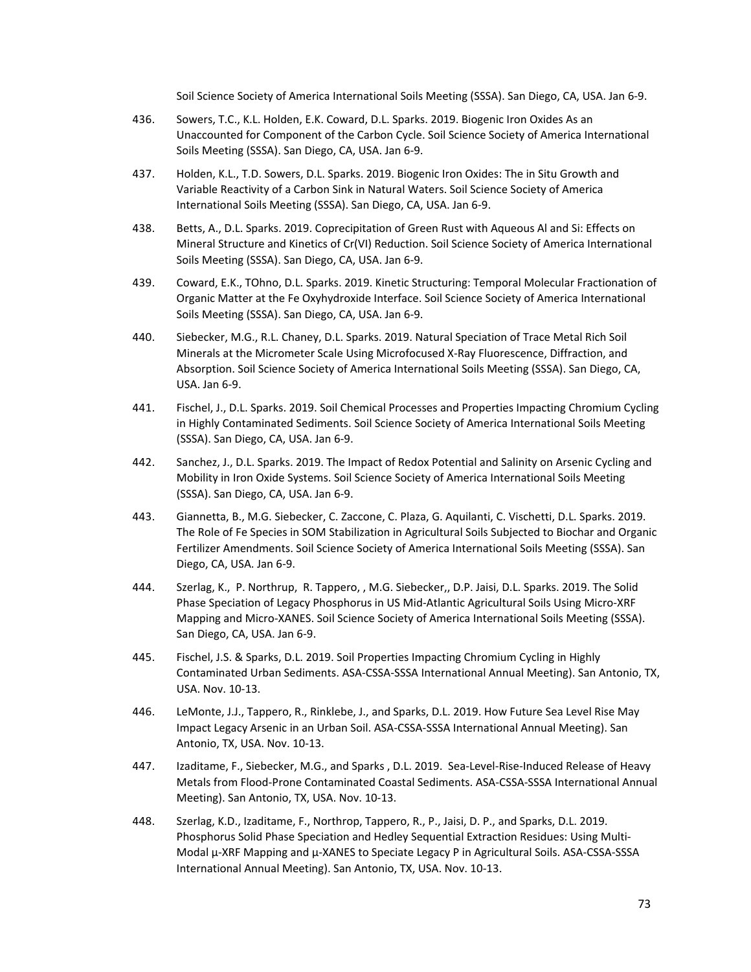Soil Science Society of America International Soils Meeting (SSSA). San Diego, CA, USA. Jan 6‐9.

- 436. Sowers, T.C., K.L. Holden, E.K. Coward, D.L. Sparks. 2019. Biogenic Iron Oxides As an Unaccounted for Component of the Carbon Cycle. Soil Science Society of America International Soils Meeting (SSSA). San Diego, CA, USA. Jan 6‐9.
- 437. Holden, K.L., T.D. Sowers, D.L. Sparks. 2019. Biogenic Iron Oxides: The in Situ Growth and Variable Reactivity of a Carbon Sink in Natural Waters. Soil Science Society of America International Soils Meeting (SSSA). San Diego, CA, USA. Jan 6‐9.
- 438. Betts, A., D.L. Sparks. 2019. Coprecipitation of Green Rust with Aqueous Al and Si: Effects on Mineral Structure and Kinetics of Cr(VI) Reduction. Soil Science Society of America International Soils Meeting (SSSA). San Diego, CA, USA. Jan 6‐9.
- 439. Coward, E.K., TOhno, D.L. Sparks. 2019. Kinetic Structuring: Temporal Molecular Fractionation of Organic Matter at the Fe Oxyhydroxide Interface. Soil Science Society of America International Soils Meeting (SSSA). San Diego, CA, USA. Jan 6‐9.
- 440. Siebecker, M.G., R.L. Chaney, D.L. Sparks. 2019. Natural Speciation of Trace Metal Rich Soil Minerals at the Micrometer Scale Using Microfocused X‐Ray Fluorescence, Diffraction, and Absorption. Soil Science Society of America International Soils Meeting (SSSA). San Diego, CA, USA. Jan 6‐9.
- 441. Fischel, J., D.L. Sparks. 2019. Soil Chemical Processes and Properties Impacting Chromium Cycling in Highly Contaminated Sediments. Soil Science Society of America International Soils Meeting (SSSA). San Diego, CA, USA. Jan 6‐9.
- 442. Sanchez, J., D.L. Sparks. 2019. The Impact of Redox Potential and Salinity on Arsenic Cycling and Mobility in Iron Oxide Systems. Soil Science Society of America International Soils Meeting (SSSA). San Diego, CA, USA. Jan 6‐9.
- 443. Giannetta, B., M.G. Siebecker, C. Zaccone, C. Plaza, G. Aquilanti, C. Vischetti, D.L. Sparks. 2019. The Role of Fe Species in SOM Stabilization in Agricultural Soils Subjected to Biochar and Organic Fertilizer Amendments. Soil Science Society of America International Soils Meeting (SSSA). San Diego, CA, USA. Jan 6‐9.
- 444. Szerlag, K., P. Northrup, R. Tappero, , M.G. Siebecker,, D.P. Jaisi, D.L. Sparks. 2019. The Solid Phase Speciation of Legacy Phosphorus in US Mid‐Atlantic Agricultural Soils Using Micro‐XRF Mapping and Micro‐XANES. Soil Science Society of America International Soils Meeting (SSSA). San Diego, CA, USA. Jan 6‐9.
- 445. Fischel, J.S. & Sparks, D.L. 2019. Soil Properties Impacting Chromium Cycling in Highly Contaminated Urban Sediments. ASA‐CSSA‐SSSA International Annual Meeting). San Antonio, TX, USA. Nov. 10‐13.
- 446. LeMonte, J.J., Tappero, R., Rinklebe, J., and Sparks, D.L. 2019. How Future Sea Level Rise May Impact Legacy Arsenic in an Urban Soil. ASA‐CSSA‐SSSA International Annual Meeting). San Antonio, TX, USA. Nov. 10‐13.
- 447. Izaditame, F., Siebecker, M.G., and Sparks, D.L. 2019. Sea-Level-Rise-Induced Release of Heavy Metals from Flood‐Prone Contaminated Coastal Sediments. ASA‐CSSA‐SSSA International Annual Meeting). San Antonio, TX, USA. Nov. 10‐13.
- 448. Szerlag, K.D., Izaditame, F., Northrop, Tappero, R., P., Jaisi, D. P., and Sparks, D.L. 2019. Phosphorus Solid Phase Speciation and Hedley Sequential Extraction Residues: Using Multi‐ Modal µ-XRF Mapping and µ-XANES to Speciate Legacy P in Agricultural Soils. ASA-CSSA-SSSA International Annual Meeting). San Antonio, TX, USA. Nov. 10‐13.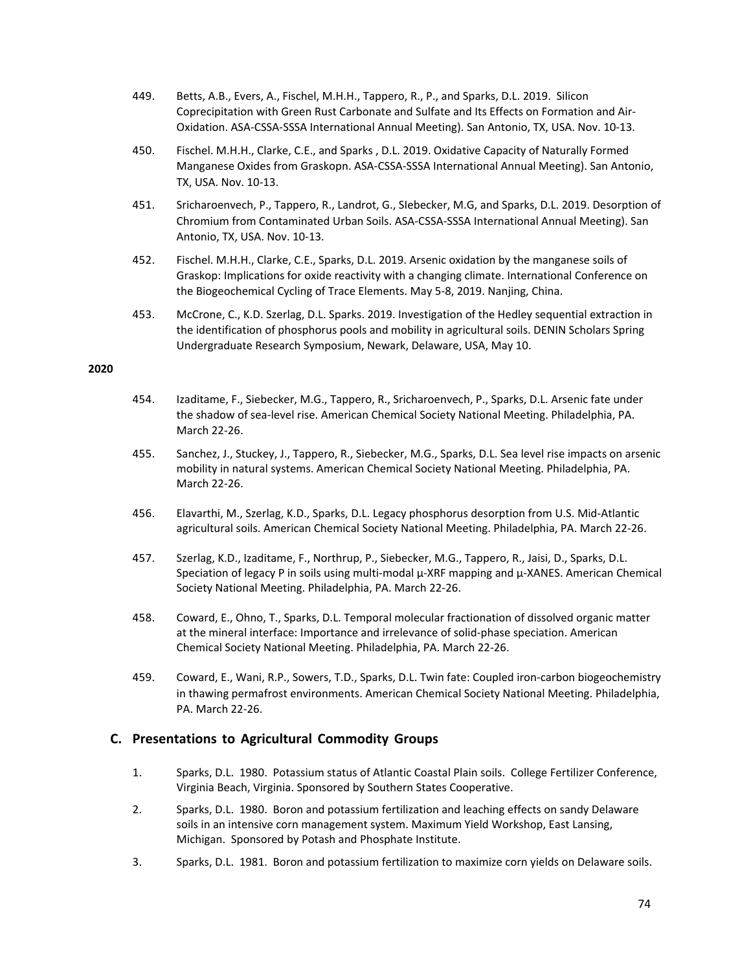- 449. Betts, A.B., Evers, A., Fischel, M.H.H., Tappero, R., P., and Sparks, D.L. 2019. Silicon Coprecipitation with Green Rust Carbonate and Sulfate and Its Effects on Formation and Air‐ Oxidation. ASA‐CSSA‐SSSA International Annual Meeting). San Antonio, TX, USA. Nov. 10‐13.
- 450. Fischel. M.H.H., Clarke, C.E., and Sparks , D.L. 2019. Oxidative Capacity of Naturally Formed Manganese Oxides from Graskopn. ASA‐CSSA‐SSSA International Annual Meeting). San Antonio, TX, USA. Nov. 10‐13.
- 451. Sricharoenvech, P., Tappero, R., Landrot, G., SIebecker, M.G, and Sparks, D.L. 2019. Desorption of Chromium from Contaminated Urban Soils. ASA‐CSSA‐SSSA International Annual Meeting). San Antonio, TX, USA. Nov. 10‐13.
- 452. Fischel. M.H.H., Clarke, C.E., Sparks, D.L. 2019. Arsenic oxidation by the manganese soils of Graskop: Implications for oxide reactivity with a changing climate. International Conference on the Biogeochemical Cycling of Trace Elements. May 5‐8, 2019. Nanjing, China.
- 453. McCrone, C., K.D. Szerlag, D.L. Sparks. 2019. Investigation of the Hedley sequential extraction in the identification of phosphorus pools and mobility in agricultural soils. DENIN Scholars Spring Undergraduate Research Symposium, Newark, Delaware, USA, May 10.

#### **2020**

- 454. Izaditame, F., Siebecker, M.G., Tappero, R., Sricharoenvech, P., Sparks, D.L. Arsenic fate under the shadow of sea‐level rise. American Chemical Society National Meeting. Philadelphia, PA. March 22‐26.
- 455. Sanchez, J., Stuckey, J., Tappero, R., Siebecker, M.G., Sparks, D.L. Sea level rise impacts on arsenic mobility in natural systems. American Chemical Society National Meeting. Philadelphia, PA. March 22‐26.
- 456. Elavarthi, M., Szerlag, K.D., Sparks, D.L. Legacy phosphorus desorption from U.S. Mid‐Atlantic agricultural soils. American Chemical Society National Meeting. Philadelphia, PA. March 22‐26.
- 457. Szerlag, K.D., Izaditame, F., Northrup, P., Siebecker, M.G., Tappero, R., Jaisi, D., Sparks, D.L. Speciation of legacy P in soils using multi‐modal μ‐XRF mapping and μ‐XANES. American Chemical Society National Meeting. Philadelphia, PA. March 22‐26.
- 458. Coward, E., Ohno, T., Sparks, D.L. Temporal molecular fractionation of dissolved organic matter at the mineral interface: Importance and irrelevance of solid-phase speciation. American Chemical Society National Meeting. Philadelphia, PA. March 22‐26.
- 459. Coward, E., Wani, R.P., Sowers, T.D., Sparks, D.L. Twin fate: Coupled iron-carbon biogeochemistry in thawing permafrost environments. American Chemical Society National Meeting. Philadelphia, PA. March 22‐26.

#### **C. Presentations to Agricultural Commodity Groups**

- 1. Sparks, D.L. 1980. Potassium status of Atlantic Coastal Plain soils. College Fertilizer Conference, Virginia Beach, Virginia. Sponsored by Southern States Cooperative.
- 2. Sparks, D.L. 1980. Boron and potassium fertilization and leaching effects on sandy Delaware soils in an intensive corn management system. Maximum Yield Workshop, East Lansing, Michigan. Sponsored by Potash and Phosphate Institute.
- 3. Sparks, D.L. 1981. Boron and potassium fertilization to maximize corn yields on Delaware soils.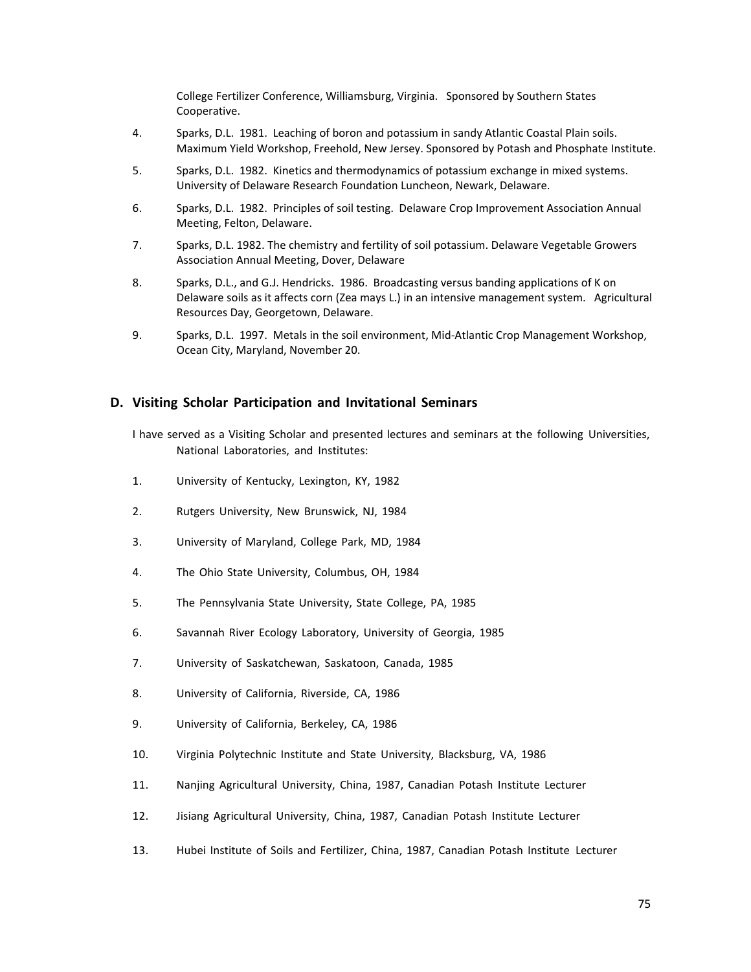College Fertilizer Conference, Williamsburg, Virginia. Sponsored by Southern States Cooperative.

- 4. Sparks, D.L. 1981. Leaching of boron and potassium in sandy Atlantic Coastal Plain soils. Maximum Yield Workshop, Freehold, New Jersey. Sponsored by Potash and Phosphate Institute.
- 5. Sparks, D.L. 1982. Kinetics and thermodynamics of potassium exchange in mixed systems. University of Delaware Research Foundation Luncheon, Newark, Delaware.
- 6. Sparks, D.L. 1982. Principles of soil testing. Delaware Crop Improvement Association Annual Meeting, Felton, Delaware.
- 7. Sparks, D.L. 1982. The chemistry and fertility of soil potassium. Delaware Vegetable Growers Association Annual Meeting, Dover, Delaware
- 8. Sparks, D.L., and G.J. Hendricks. 1986. Broadcasting versus banding applications of K on Delaware soils as it affects corn (Zea mays L.) in an intensive management system. Agricultural Resources Day, Georgetown, Delaware.
- 9. Sparks, D.L. 1997. Metals in the soil environment, Mid-Atlantic Crop Management Workshop, Ocean City, Maryland, November 20.

#### **D. Visiting Scholar Participation and Invitational Seminars**

- I have served as a Visiting Scholar and presented lectures and seminars at the following Universities, National Laboratories, and Institutes:
- 1. University of Kentucky, Lexington, KY, 1982
- 2. Rutgers University, New Brunswick, NJ, 1984
- 3. University of Maryland, College Park, MD, 1984
- 4. The Ohio State University, Columbus, OH, 1984
- 5. The Pennsylvania State University, State College, PA, 1985
- 6. Savannah River Ecology Laboratory, University of Georgia, 1985
- 7. University of Saskatchewan, Saskatoon, Canada, 1985
- 8. University of California, Riverside, CA, 1986
- 9. University of California, Berkeley, CA, 1986
- 10. Virginia Polytechnic Institute and State University, Blacksburg, VA, 1986
- 11. Nanjing Agricultural University, China, 1987, Canadian Potash Institute Lecturer
- 12. Jisiang Agricultural University, China, 1987, Canadian Potash Institute Lecturer
- 13. Hubei Institute of Soils and Fertilizer, China, 1987, Canadian Potash Institute Lecturer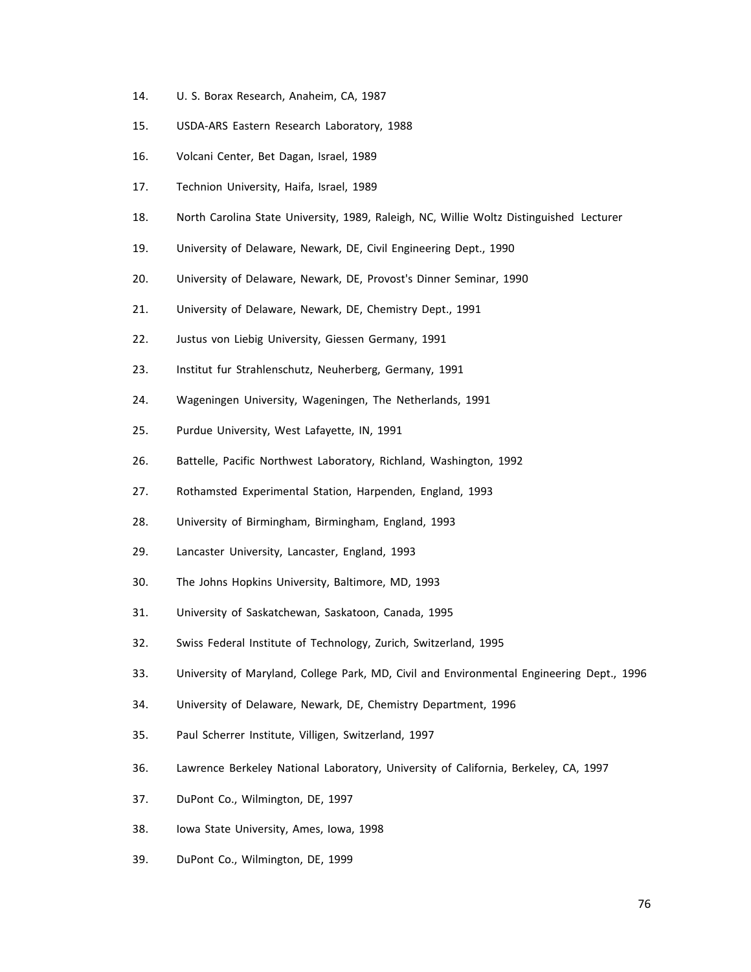- 14. U. S. Borax Research, Anaheim, CA, 1987
- 15. USDA‐ARS Eastern Research Laboratory, 1988
- 16. Volcani Center, Bet Dagan, Israel, 1989
- 17. Technion University, Haifa, Israel, 1989
- 18. North Carolina State University, 1989, Raleigh, NC, Willie Woltz Distinguished Lecturer
- 19. University of Delaware, Newark, DE, Civil Engineering Dept., 1990
- 20. University of Delaware, Newark, DE, Provost's Dinner Seminar, 1990
- 21. University of Delaware, Newark, DE, Chemistry Dept., 1991
- 22. Justus von Liebig University, Giessen Germany, 1991
- 23. Institut fur Strahlenschutz, Neuherberg, Germany, 1991
- 24. Wageningen University, Wageningen, The Netherlands, 1991
- 25. Purdue University, West Lafayette, IN, 1991
- 26. Battelle, Pacific Northwest Laboratory, Richland, Washington, 1992
- 27. Rothamsted Experimental Station, Harpenden, England, 1993
- 28. University of Birmingham, Birmingham, England, 1993
- 29. Lancaster University, Lancaster, England, 1993
- 30. The Johns Hopkins University, Baltimore, MD, 1993
- 31. University of Saskatchewan, Saskatoon, Canada, 1995
- 32. Swiss Federal Institute of Technology, Zurich, Switzerland, 1995
- 33. University of Maryland, College Park, MD, Civil and Environmental Engineering Dept., 1996
- 34. University of Delaware, Newark, DE, Chemistry Department, 1996
- 35. Paul Scherrer Institute, Villigen, Switzerland, 1997
- 36. Lawrence Berkeley National Laboratory, University of California, Berkeley, CA, 1997
- 37. DuPont Co., Wilmington, DE, 1997
- 38. Iowa State University, Ames, Iowa, 1998
- 39. DuPont Co., Wilmington, DE, 1999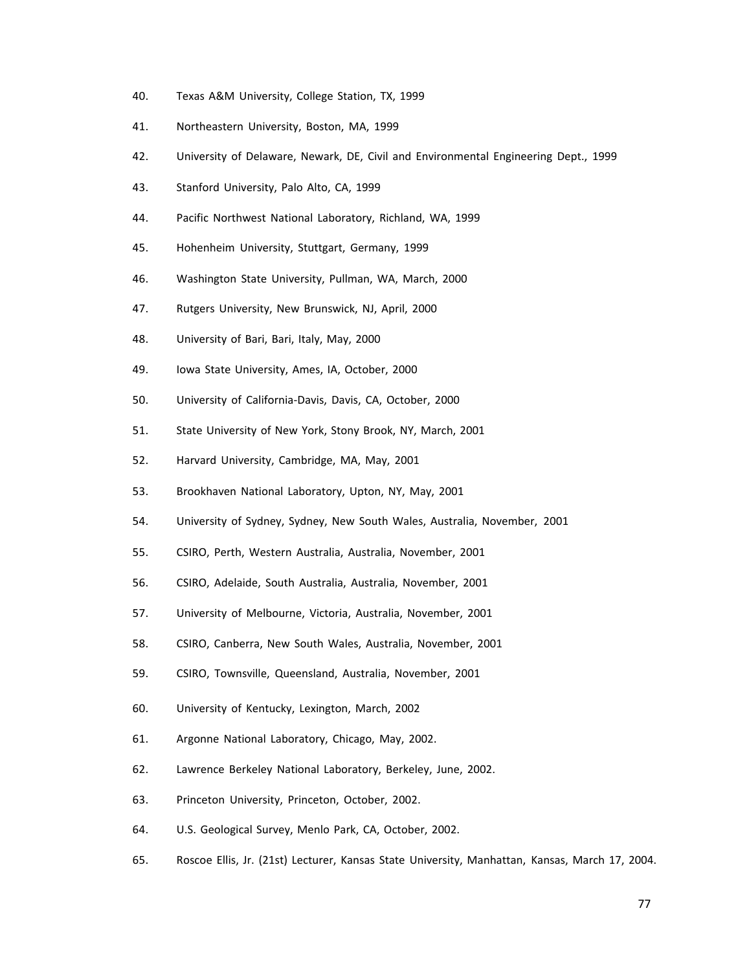- 40. Texas A&M University, College Station, TX, 1999
- 41. Northeastern University, Boston, MA, 1999
- 42. University of Delaware, Newark, DE, Civil and Environmental Engineering Dept., 1999
- 43. Stanford University, Palo Alto, CA, 1999
- 44. Pacific Northwest National Laboratory, Richland, WA, 1999
- 45. Hohenheim University, Stuttgart, Germany, 1999
- 46. Washington State University, Pullman, WA, March, 2000
- 47. Rutgers University, New Brunswick, NJ, April, 2000
- 48. University of Bari, Bari, Italy, May, 2000
- 49. Iowa State University, Ames, IA, October, 2000
- 50. University of California‐Davis, Davis, CA, October, 2000
- 51. State University of New York, Stony Brook, NY, March, 2001
- 52. Harvard University, Cambridge, MA, May, 2001
- 53. Brookhaven National Laboratory, Upton, NY, May, 2001
- 54. University of Sydney, Sydney, New South Wales, Australia, November, 2001
- 55. CSIRO, Perth, Western Australia, Australia, November, 2001
- 56. CSIRO, Adelaide, South Australia, Australia, November, 2001
- 57. University of Melbourne, Victoria, Australia, November, 2001
- 58. CSIRO, Canberra, New South Wales, Australia, November, 2001
- 59. CSIRO, Townsville, Queensland, Australia, November, 2001
- 60. University of Kentucky, Lexington, March, 2002
- 61. Argonne National Laboratory, Chicago, May, 2002.
- 62. Lawrence Berkeley National Laboratory, Berkeley, June, 2002.
- 63. Princeton University, Princeton, October, 2002.
- 64. U.S. Geological Survey, Menlo Park, CA, October, 2002.
- 65. Roscoe Ellis, Jr. (21st) Lecturer, Kansas State University, Manhattan, Kansas, March 17, 2004.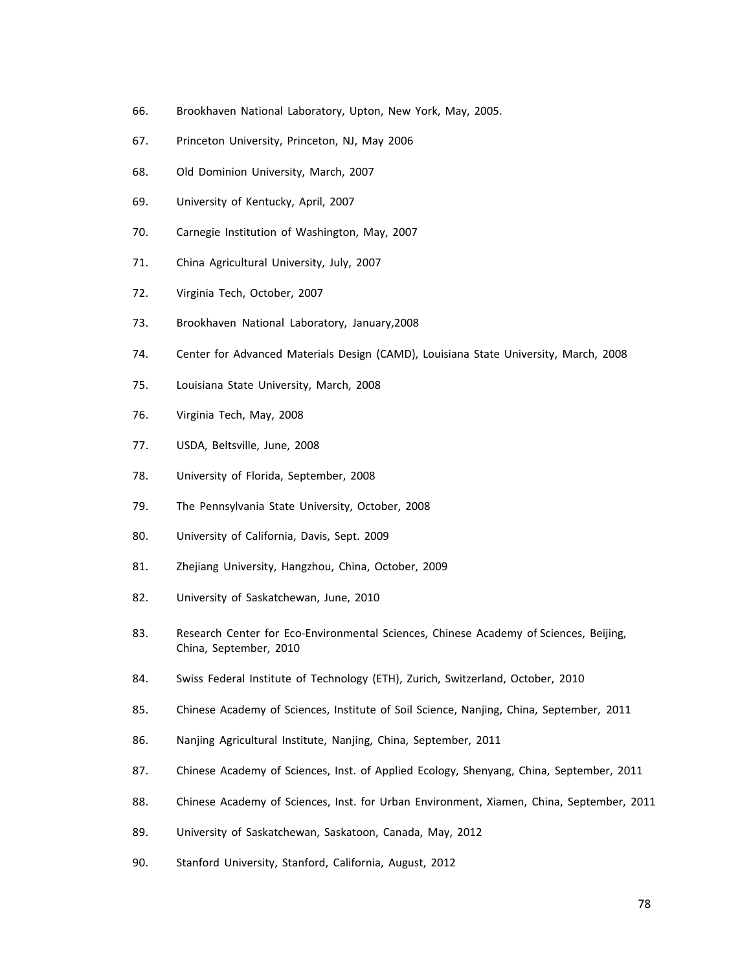- 66. Brookhaven National Laboratory, Upton, New York, May, 2005.
- 67. Princeton University, Princeton, NJ, May 2006
- 68. Old Dominion University, March, 2007
- 69. University of Kentucky, April, 2007
- 70. Carnegie Institution of Washington, May, 2007
- 71. China Agricultural University, July, 2007
- 72. Virginia Tech, October, 2007
- 73. Brookhaven National Laboratory, January,2008
- 74. Center for Advanced Materials Design (CAMD), Louisiana State University, March, 2008
- 75. Louisiana State University, March, 2008
- 76. Virginia Tech, May, 2008
- 77. USDA, Beltsville, June, 2008
- 78. University of Florida, September, 2008
- 79. The Pennsylvania State University, October, 2008
- 80. University of California, Davis, Sept. 2009
- 81. Zhejiang University, Hangzhou, China, October, 2009
- 82. University of Saskatchewan, June, 2010
- 83. Research Center for Eco-Environmental Sciences, Chinese Academy of Sciences, Beijing, China, September, 2010
- 84. Swiss Federal Institute of Technology (ETH), Zurich, Switzerland, October, 2010
- 85. Chinese Academy of Sciences, Institute of Soil Science, Nanjing, China, September, 2011
- 86. Nanjing Agricultural Institute, Nanjing, China, September, 2011
- 87. Chinese Academy of Sciences, Inst. of Applied Ecology, Shenyang, China, September, 2011
- 88. Chinese Academy of Sciences, Inst. for Urban Environment, Xiamen, China, September, 2011
- 89. University of Saskatchewan, Saskatoon, Canada, May, 2012
- 90. Stanford University, Stanford, California, August, 2012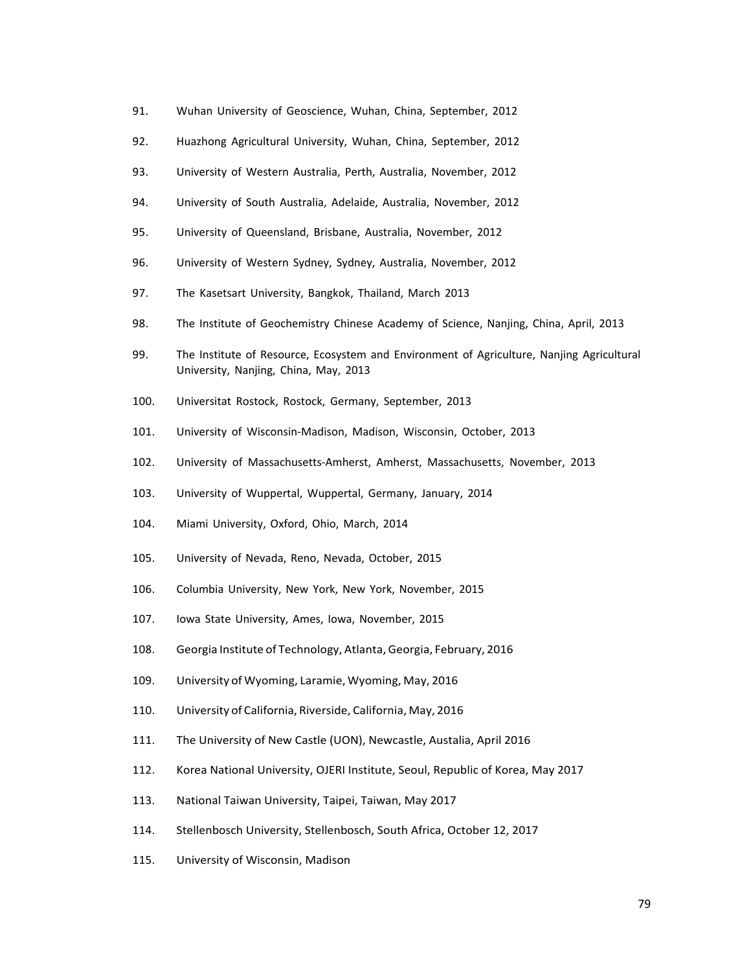- 91. Wuhan University of Geoscience, Wuhan, China, September, 2012
- 92. Huazhong Agricultural University, Wuhan, China, September, 2012
- 93. University of Western Australia, Perth, Australia, November, 2012
- 94. University of South Australia, Adelaide, Australia, November, 2012
- 95. University of Queensland, Brisbane, Australia, November, 2012
- 96. University of Western Sydney, Sydney, Australia, November, 2012
- 97. The Kasetsart University, Bangkok, Thailand, March 2013
- 98. The Institute of Geochemistry Chinese Academy of Science, Nanjing, China, April, 2013
- 99. The Institute of Resource, Ecosystem and Environment of Agriculture, Nanjing Agricultural University, Nanjing, China, May, 2013
- 100. Universitat Rostock, Rostock, Germany, September, 2013
- 101. University of Wisconsin‐Madison, Madison, Wisconsin, October, 2013
- 102. University of Massachusetts‐Amherst, Amherst, Massachusetts, November, 2013
- 103. University of Wuppertal, Wuppertal, Germany, January, 2014
- 104. Miami University, Oxford, Ohio, March, 2014
- 105. University of Nevada, Reno, Nevada, October, 2015
- 106. Columbia University, New York, New York, November, 2015
- 107. Iowa State University, Ames, Iowa, November, 2015
- 108. Georgia Institute of Technology, Atlanta, Georgia, February, 2016
- 109. University of Wyoming, Laramie, Wyoming, May, 2016
- 110. University of California, Riverside, California, May, 2016
- 111. The University of New Castle (UON), Newcastle, Austalia, April 2016
- 112. Korea National University, OJERI Institute, Seoul, Republic of Korea, May 2017
- 113. National Taiwan University, Taipei, Taiwan, May 2017
- 114. Stellenbosch University, Stellenbosch, South Africa, October 12, 2017
- 115. University of Wisconsin, Madison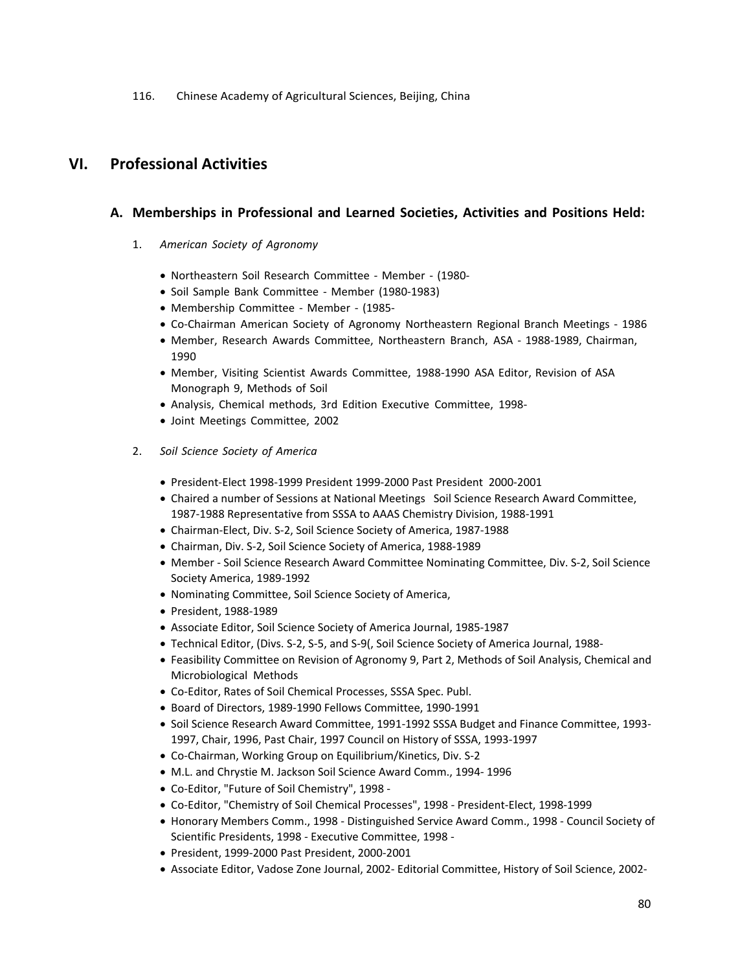116. Chinese Academy of Agricultural Sciences, Beijing, China

# **VI. Professional Activities**

## **A. Memberships in Professional and Learned Societies, Activities and Positions Held:**

- 1. *American Society of Agronomy*
	- Northeastern Soil Research Committee ‐ Member ‐ (1980‐
	- Soil Sample Bank Committee Member (1980-1983)
	- Membership Committee ‐ Member ‐ (1985‐
	- Co‐Chairman American Society of Agronomy Northeastern Regional Branch Meetings ‐ 1986
	- Member, Research Awards Committee, Northeastern Branch, ASA ‐ 1988‐1989, Chairman, 1990
	- Member, Visiting Scientist Awards Committee, 1988‐1990 ASA Editor, Revision of ASA Monograph 9, Methods of Soil
	- Analysis, Chemical methods, 3rd Edition Executive Committee, 1998‐
	- Joint Meetings Committee, 2002
- 2. *Soil Science Society of America*
	- President‐Elect 1998‐1999 President 1999‐2000 Past President 2000‐2001
	- Chaired a number of Sessions at National Meetings Soil Science Research Award Committee, 1987‐1988 Representative from SSSA to AAAS Chemistry Division, 1988‐1991
	- Chairman‐Elect, Div. S‐2, Soil Science Society of America, 1987‐1988
	- Chairman, Div. S‐2, Soil Science Society of America, 1988‐1989
	- Member Soil Science Research Award Committee Nominating Committee, Div. S-2, Soil Science Society America, 1989‐1992
	- Nominating Committee, Soil Science Society of America,
	- President, 1988-1989
	- Associate Editor, Soil Science Society of America Journal, 1985‐1987
	- Technical Editor, (Divs. S‐2, S‐5, and S‐9(, Soil Science Society of America Journal, 1988‐
	- Feasibility Committee on Revision of Agronomy 9, Part 2, Methods of Soil Analysis, Chemical and Microbiological Methods
	- Co-Editor, Rates of Soil Chemical Processes, SSSA Spec. Publ.
	- Board of Directors, 1989‐1990 Fellows Committee, 1990‐1991
	- Soil Science Research Award Committee, 1991-1992 SSSA Budget and Finance Committee, 1993-1997, Chair, 1996, Past Chair, 1997 Council on History of SSSA, 1993‐1997
	- Co‐Chairman, Working Group on Equilibrium/Kinetics, Div. S‐2
	- M.L. and Chrystie M. Jackson Soil Science Award Comm., 1994‐ 1996
	- Co‐Editor, "Future of Soil Chemistry", 1998 ‐
	- Co‐Editor, "Chemistry of Soil Chemical Processes", 1998 ‐ President‐Elect, 1998‐1999
	- Honorary Members Comm., 1998 ‐ Distinguished Service Award Comm., 1998 ‐ Council Society of Scientific Presidents, 1998 ‐ Executive Committee, 1998 ‐
	- President, 1999‐2000 Past President, 2000‐2001
	- Associate Editor, Vadose Zone Journal, 2002‐ Editorial Committee, History of Soil Science, 2002‐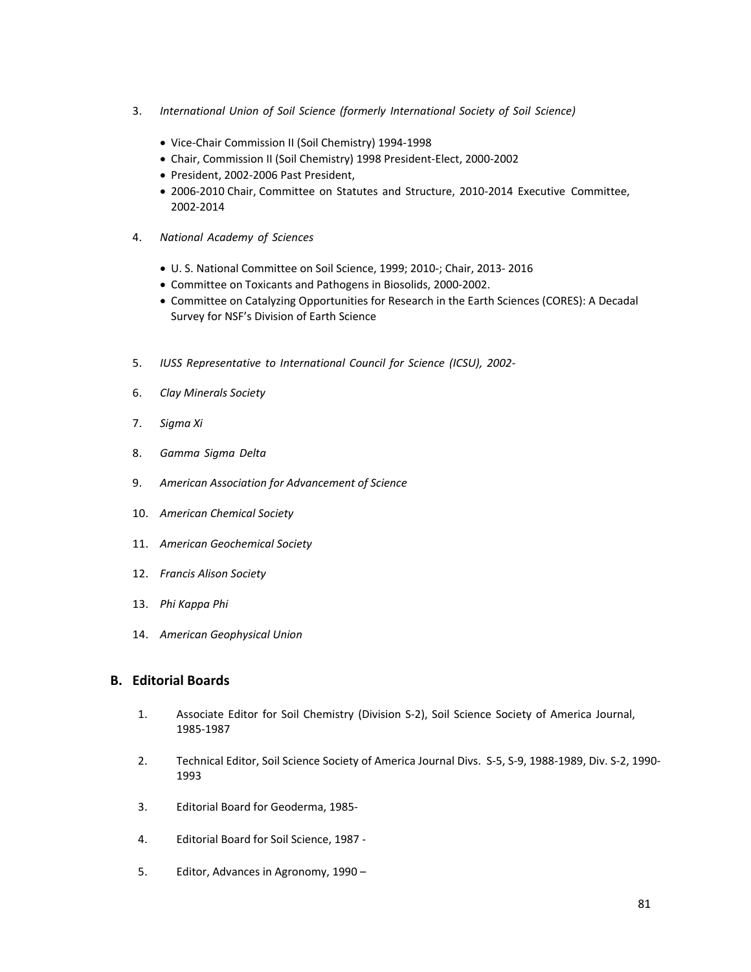- 3. *International Union of Soil Science (formerly International Society of Soil Science)*
	- Vice‐Chair Commission II (Soil Chemistry) 1994‐1998
	- Chair, Commission II (Soil Chemistry) 1998 President‐Elect, 2000‐2002
	- President, 2002-2006 Past President,
	- 2006-2010 Chair, Committee on Statutes and Structure, 2010-2014 Executive Committee, 2002‐2014
- 4. *National Academy of Sciences*
	- U. S. National Committee on Soil Science, 1999; 2010‐; Chair, 2013‐ 2016
	- Committee on Toxicants and Pathogens in Biosolids, 2000‐2002.
	- Committee on Catalyzing Opportunities for Research in the Earth Sciences (CORES): A Decadal Survey for NSF's Division of Earth Science
- 5. *IUSS Representative to International Council for Science (ICSU), 2002‐*
- 6. *Clay Minerals Society*
- 7. *Sigma Xi*
- 8. *Gamma Sigma Delta*
- 9. *American Association for Advancement of Science*
- 10. *American Chemical Society*
- 11. *American Geochemical Society*
- 12. *Francis Alison Society*
- 13. *Phi Kappa Phi*
- 14. *American Geophysical Union*

#### **B. Editorial Boards**

- 1. Associate Editor for Soil Chemistry (Division S‐2), Soil Science Society of America Journal, 1985‐1987
- 2. Technical Editor, Soil Science Society of America Journal Divs. S‐5, S‐9, 1988‐1989, Div. S‐2, 1990‐ 1993
- 3. Editorial Board for Geoderma, 1985‐
- 4. Editorial Board for Soil Science, 1987 ‐
- 5. Editor, Advances in Agronomy, 1990 –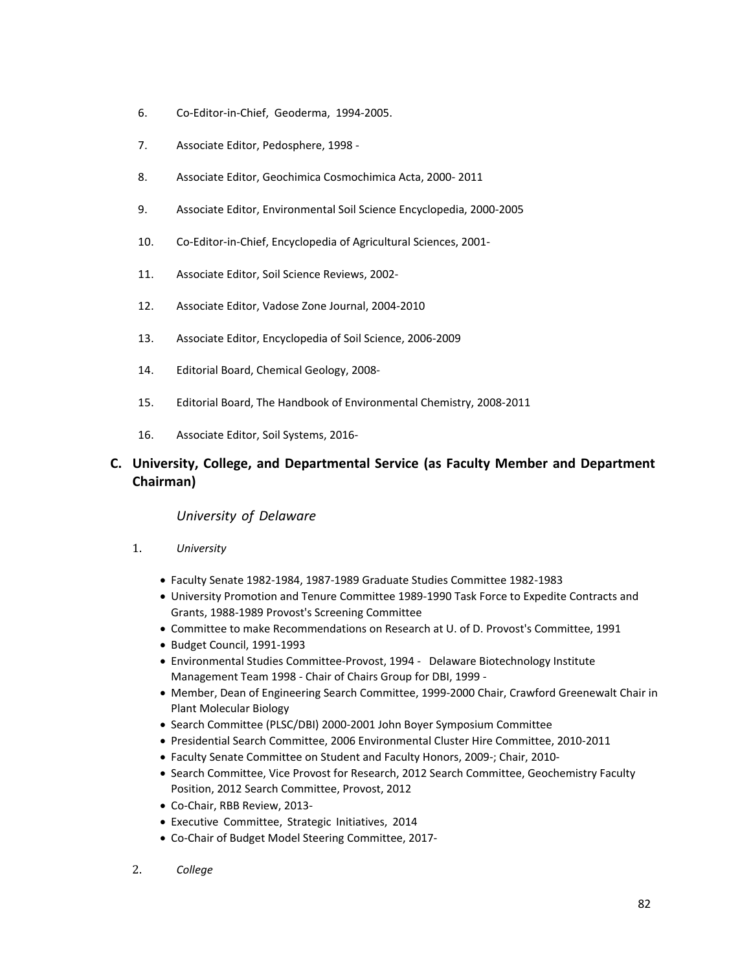- 6. Co‐Editor‐in‐Chief, Geoderma, 1994‐2005.
- 7. Associate Editor, Pedosphere, 1998 ‐
- 8. Associate Editor, Geochimica Cosmochimica Acta, 2000‐ 2011
- 9. Associate Editor, Environmental Soil Science Encyclopedia, 2000‐2005
- 10. Co-Editor-in-Chief, Encyclopedia of Agricultural Sciences, 2001-
- 11. Associate Editor, Soil Science Reviews, 2002‐
- 12. Associate Editor, Vadose Zone Journal, 2004‐2010
- 13. Associate Editor, Encyclopedia of Soil Science, 2006‐2009
- 14. Editorial Board, Chemical Geology, 2008‐
- 15. Editorial Board, The Handbook of Environmental Chemistry, 2008‐2011
- 16. Associate Editor, Soil Systems, 2016‐

## **C. University, College, and Departmental Service (as Faculty Member and Department Chairman)**

#### *University of Delaware*

- 1. *University*
	- Faculty Senate 1982‐1984, 1987‐1989 Graduate Studies Committee 1982‐1983
	- University Promotion and Tenure Committee 1989‐1990 Task Force to Expedite Contracts and Grants, 1988‐1989 Provost's Screening Committee
	- Committee to make Recommendations on Research at U. of D. Provost's Committee, 1991
	- Budget Council, 1991-1993
	- Environmental Studies Committee‐Provost, 1994 ‐ Delaware Biotechnology Institute Management Team 1998 ‐ Chair of Chairs Group for DBI, 1999 ‐
	- Member, Dean of Engineering Search Committee, 1999-2000 Chair, Crawford Greenewalt Chair in Plant Molecular Biology
	- Search Committee (PLSC/DBI) 2000-2001 John Boyer Symposium Committee
	- Presidential Search Committee, 2006 Environmental Cluster Hire Committee, 2010‐2011
	- Faculty Senate Committee on Student and Faculty Honors, 2009‐; Chair, 2010‐
	- Search Committee, Vice Provost for Research, 2012 Search Committee, Geochemistry Faculty Position, 2012 Search Committee, Provost, 2012
	- Co‐Chair, RBB Review, 2013‐
	- Executive Committee, Strategic Initiatives, 2014
	- Co‐Chair of Budget Model Steering Committee, 2017‐
- 2. *College*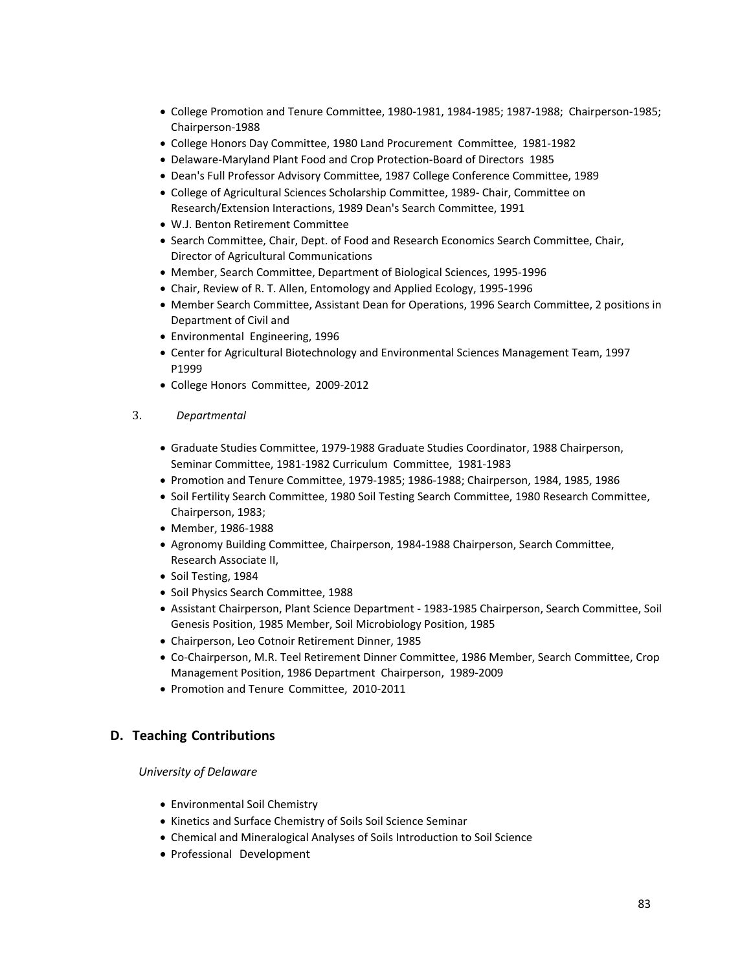- College Promotion and Tenure Committee, 1980‐1981, 1984‐1985; 1987‐1988; Chairperson‐1985; Chairperson‐1988
- College Honors Day Committee, 1980 Land Procurement Committee, 1981‐1982
- Delaware‐Maryland Plant Food and Crop Protection‐Board of Directors 1985
- Dean's Full Professor Advisory Committee, 1987 College Conference Committee, 1989
- College of Agricultural Sciences Scholarship Committee, 1989- Chair, Committee on Research/Extension Interactions, 1989 Dean's Search Committee, 1991
- W.J. Benton Retirement Committee
- Search Committee, Chair, Dept. of Food and Research Economics Search Committee, Chair, Director of Agricultural Communications
- Member, Search Committee, Department of Biological Sciences, 1995‐1996
- Chair, Review of R. T. Allen, Entomology and Applied Ecology, 1995‐1996
- Member Search Committee, Assistant Dean for Operations, 1996 Search Committee, 2 positions in Department of Civil and
- Environmental Engineering, 1996
- Center for Agricultural Biotechnology and Environmental Sciences Management Team, 1997 P1999
- College Honors Committee, 2009‐2012
- 3. *Departmental*
	- Graduate Studies Committee, 1979‐1988 Graduate Studies Coordinator, 1988 Chairperson, Seminar Committee, 1981‐1982 Curriculum Committee, 1981‐1983
	- Promotion and Tenure Committee, 1979‐1985; 1986‐1988; Chairperson, 1984, 1985, 1986
	- Soil Fertility Search Committee, 1980 Soil Testing Search Committee, 1980 Research Committee, Chairperson, 1983;
	- Member, 1986‐1988
	- Agronomy Building Committee, Chairperson, 1984‐1988 Chairperson, Search Committee, Research Associate II,
	- Soil Testing, 1984
	- Soil Physics Search Committee, 1988
	- Assistant Chairperson, Plant Science Department ‐ 1983‐1985 Chairperson, Search Committee, Soil Genesis Position, 1985 Member, Soil Microbiology Position, 1985
	- Chairperson, Leo Cotnoir Retirement Dinner, 1985
	- Co-Chairperson, M.R. Teel Retirement Dinner Committee, 1986 Member, Search Committee, Crop Management Position, 1986 Department Chairperson, 1989‐2009
	- Promotion and Tenure Committee, 2010-2011

## **D. Teaching Contributions**

*University of Delaware*

- Environmental Soil Chemistry
- Kinetics and Surface Chemistry of Soils Soil Science Seminar
- Chemical and Mineralogical Analyses of Soils Introduction to Soil Science
- Professional Development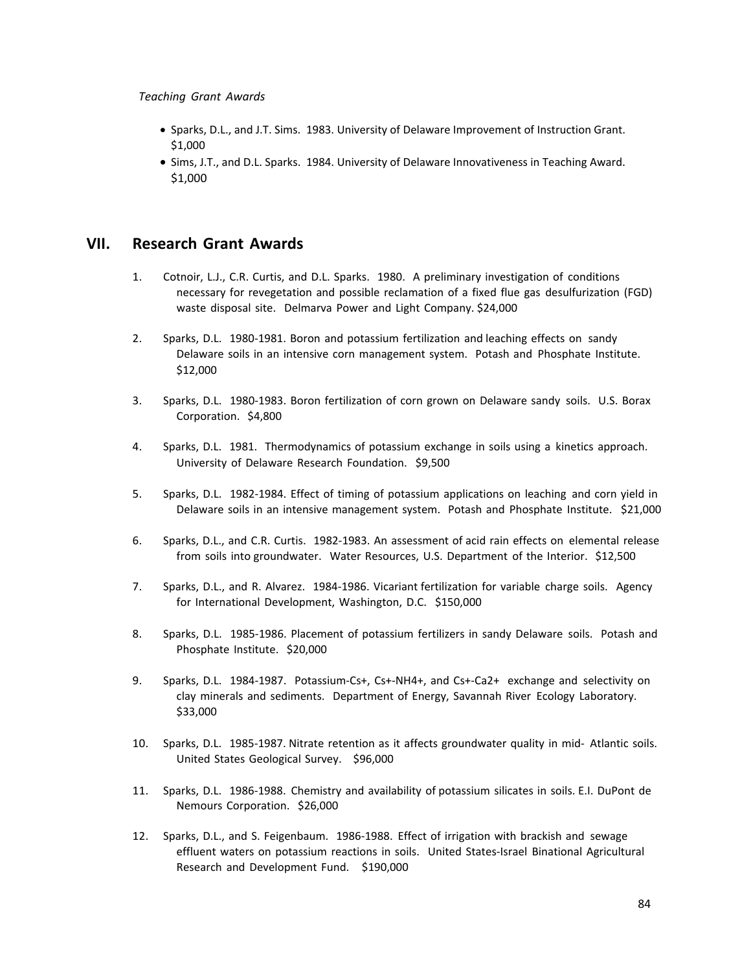- Sparks, D.L., and J.T. Sims. 1983. University of Delaware Improvement of Instruction Grant. \$1,000
- Sims, J.T., and D.L. Sparks. 1984. University of Delaware Innovativeness in Teaching Award. \$1,000

## **VII. Research Grant Awards**

- 1. Cotnoir, L.J., C.R. Curtis, and D.L. Sparks. 1980. A preliminary investigation of conditions necessary for revegetation and possible reclamation of a fixed flue gas desulfurization (FGD) waste disposal site. Delmarva Power and Light Company. \$24,000
- 2. Sparks, D.L. 1980‐1981. Boron and potassium fertilization and leaching effects on sandy Delaware soils in an intensive corn management system. Potash and Phosphate Institute. \$12,000
- 3. Sparks, D.L. 1980‐1983. Boron fertilization of corn grown on Delaware sandy soils. U.S. Borax Corporation. \$4,800
- 4. Sparks, D.L. 1981. Thermodynamics of potassium exchange in soils using a kinetics approach. University of Delaware Research Foundation. \$9,500
- 5. Sparks, D.L. 1982‐1984. Effect of timing of potassium applications on leaching and corn yield in Delaware soils in an intensive management system. Potash and Phosphate Institute. \$21,000
- 6. Sparks, D.L., and C.R. Curtis. 1982‐1983. An assessment of acid rain effects on elemental release from soils into groundwater. Water Resources, U.S. Department of the Interior. \$12,500
- 7. Sparks, D.L., and R. Alvarez. 1984‐1986. Vicariant fertilization for variable charge soils. Agency for International Development, Washington, D.C. \$150,000
- 8. Sparks, D.L. 1985-1986. Placement of potassium fertilizers in sandy Delaware soils. Potash and Phosphate Institute. \$20,000
- 9. Sparks, D.L. 1984-1987. Potassium-Cs+, Cs+-NH4+, and Cs+-Ca2+ exchange and selectivity on clay minerals and sediments. Department of Energy, Savannah River Ecology Laboratory. \$33,000
- 10. Sparks, D.L. 1985-1987. Nitrate retention as it affects groundwater quality in mid- Atlantic soils. United States Geological Survey. \$96,000
- 11. Sparks, D.L. 1986‐1988. Chemistry and availability of potassium silicates in soils. E.I. DuPont de Nemours Corporation. \$26,000
- 12. Sparks, D.L., and S. Feigenbaum. 1986‐1988. Effect of irrigation with brackish and sewage effluent waters on potassium reactions in soils. United States‐Israel Binational Agricultural Research and Development Fund. \$190,000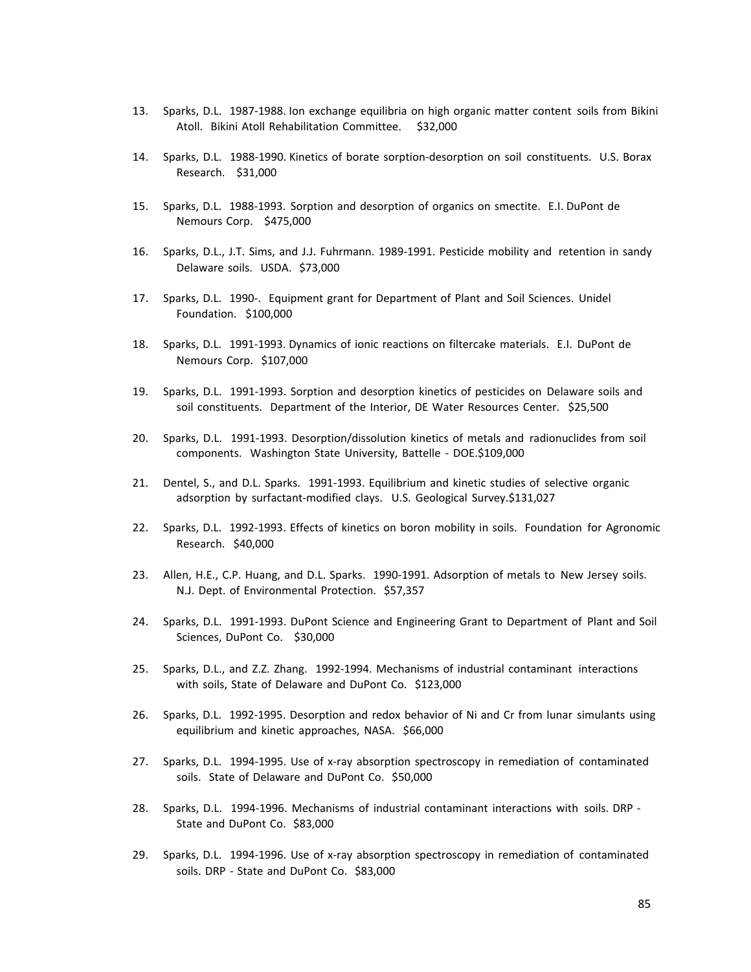- 13. Sparks, D.L. 1987‐1988. Ion exchange equilibria on high organic matter content soils from Bikini Atoll. Bikini Atoll Rehabilitation Committee. \$32,000
- 14. Sparks, D.L. 1988‐1990. Kinetics of borate sorption‐desorption on soil constituents. U.S. Borax Research. \$31,000
- 15. Sparks, D.L. 1988‐1993. Sorption and desorption of organics on smectite. E.I. DuPont de Nemours Corp. \$475,000
- 16. Sparks, D.L., J.T. Sims, and J.J. Fuhrmann. 1989‐1991. Pesticide mobility and retention in sandy Delaware soils. USDA. \$73,000
- 17. Sparks, D.L. 1990-. Equipment grant for Department of Plant and Soil Sciences. Unidel Foundation. \$100,000
- 18. Sparks, D.L. 1991‐1993. Dynamics of ionic reactions on filtercake materials. E.I. DuPont de Nemours Corp. \$107,000
- 19. Sparks, D.L. 1991‐1993. Sorption and desorption kinetics of pesticides on Delaware soils and soil constituents. Department of the Interior, DE Water Resources Center. \$25,500
- 20. Sparks, D.L. 1991‐1993. Desorption/dissolution kinetics of metals and radionuclides from soil components. Washington State University, Battelle ‐ DOE.\$109,000
- 21. Dentel, S., and D.L. Sparks. 1991‐1993. Equilibrium and kinetic studies of selective organic adsorption by surfactant‐modified clays. U.S. Geological Survey.\$131,027
- 22. Sparks, D.L. 1992‐1993. Effects of kinetics on boron mobility in soils. Foundation for Agronomic Research. \$40,000
- 23. Allen, H.E., C.P. Huang, and D.L. Sparks. 1990‐1991. Adsorption of metals to New Jersey soils. N.J. Dept. of Environmental Protection. \$57,357
- 24. Sparks, D.L. 1991-1993. DuPont Science and Engineering Grant to Department of Plant and Soil Sciences, DuPont Co. \$30,000
- 25. Sparks, D.L., and Z.Z. Zhang. 1992‐1994. Mechanisms of industrial contaminant interactions with soils, State of Delaware and DuPont Co. \$123,000
- 26. Sparks, D.L. 1992‐1995. Desorption and redox behavior of Ni and Cr from lunar simulants using equilibrium and kinetic approaches, NASA. \$66,000
- 27. Sparks, D.L. 1994-1995. Use of x-ray absorption spectroscopy in remediation of contaminated soils. State of Delaware and DuPont Co. \$50,000
- 28. Sparks, D.L. 1994‐1996. Mechanisms of industrial contaminant interactions with soils. DRP ‐ State and DuPont Co. \$83,000
- 29. Sparks, D.L. 1994‐1996. Use of x‐ray absorption spectroscopy in remediation of contaminated soils. DRP - State and DuPont Co. \$83,000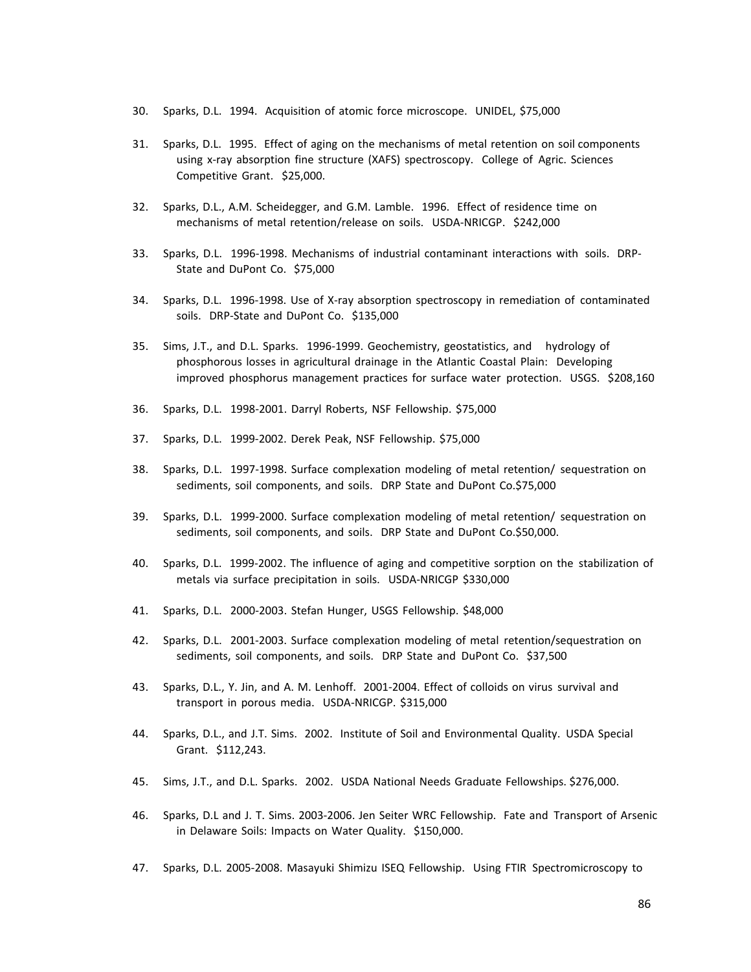- 30. Sparks, D.L. 1994. Acquisition of atomic force microscope. UNIDEL, \$75,000
- 31. Sparks, D.L. 1995. Effect of aging on the mechanisms of metal retention on soil components using x-ray absorption fine structure (XAFS) spectroscopy. College of Agric. Sciences Competitive Grant. \$25,000.
- 32. Sparks, D.L., A.M. Scheidegger, and G.M. Lamble. 1996. Effect of residence time on mechanisms of metal retention/release on soils. USDA-NRICGP. \$242,000
- 33. Sparks, D.L. 1996‐1998. Mechanisms of industrial contaminant interactions with soils. DRP‐ State and DuPont Co. \$75,000
- 34. Sparks, D.L. 1996‐1998. Use of X‐ray absorption spectroscopy in remediation of contaminated soils. DRP-State and DuPont Co. \$135,000
- 35. Sims, J.T., and D.L. Sparks. 1996‐1999. Geochemistry, geostatistics, and hydrology of phosphorous losses in agricultural drainage in the Atlantic Coastal Plain: Developing improved phosphorus management practices for surface water protection. USGS. \$208,160
- 36. Sparks, D.L. 1998‐2001. Darryl Roberts, NSF Fellowship. \$75,000
- 37. Sparks, D.L. 1999‐2002. Derek Peak, NSF Fellowship. \$75,000
- 38. Sparks, D.L. 1997‐1998. Surface complexation modeling of metal retention/ sequestration on sediments, soil components, and soils. DRP State and DuPont Co.\$75,000
- 39. Sparks, D.L. 1999‐2000. Surface complexation modeling of metal retention/ sequestration on sediments, soil components, and soils. DRP State and DuPont Co.\$50,000.
- 40. Sparks, D.L. 1999‐2002. The influence of aging and competitive sorption on the stabilization of metals via surface precipitation in soils. USDA‐NRICGP \$330,000
- 41. Sparks, D.L. 2000‐2003. Stefan Hunger, USGS Fellowship. \$48,000
- 42. Sparks, D.L. 2001-2003. Surface complexation modeling of metal retention/sequestration on sediments, soil components, and soils. DRP State and DuPont Co. \$37,500
- 43. Sparks, D.L., Y. Jin, and A. M. Lenhoff. 2001‐2004. Effect of colloids on virus survival and transport in porous media. USDA‐NRICGP. \$315,000
- 44. Sparks, D.L., and J.T. Sims. 2002. Institute of Soil and Environmental Quality. USDA Special Grant. \$112,243.
- 45. Sims, J.T., and D.L. Sparks. 2002. USDA National Needs Graduate Fellowships. \$276,000.
- 46. Sparks, D.L and J. T. Sims. 2003‐2006. Jen Seiter WRC Fellowship. Fate and Transport of Arsenic in Delaware Soils: Impacts on Water Quality. \$150,000.
- 47. Sparks, D.L. 2005‐2008. Masayuki Shimizu ISEQ Fellowship. Using FTIR Spectromicroscopy to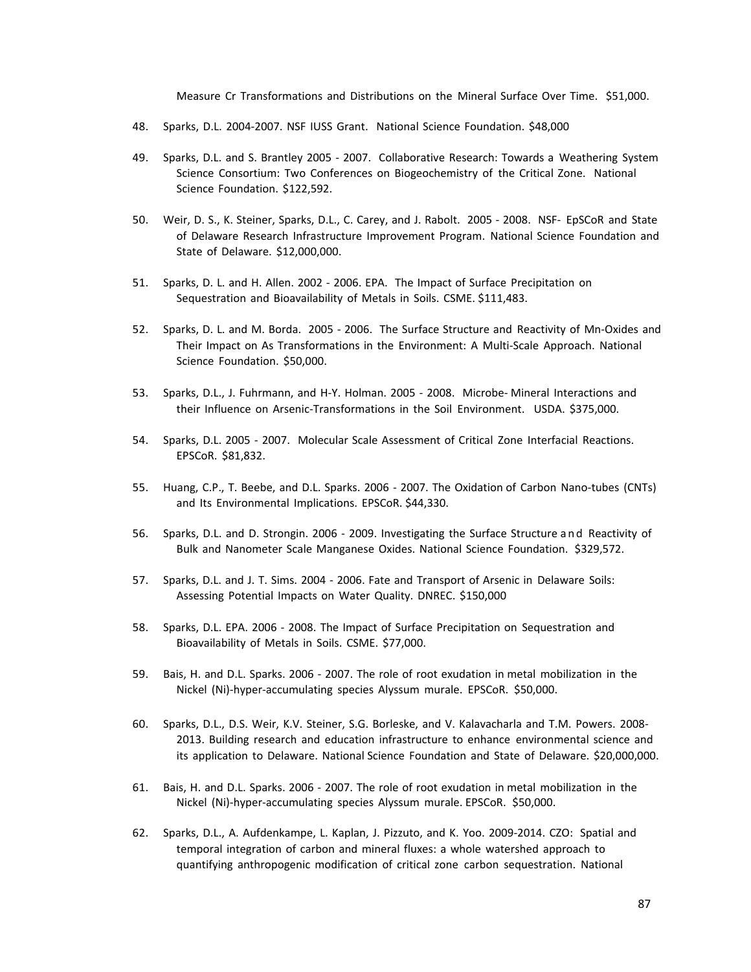Measure Cr Transformations and Distributions on the Mineral Surface Over Time. \$51,000.

- 48. Sparks, D.L. 2004‐2007. NSF IUSS Grant. National Science Foundation. \$48,000
- 49. Sparks, D.L. and S. Brantley 2005 2007. Collaborative Research: Towards a Weathering System Science Consortium: Two Conferences on Biogeochemistry of the Critical Zone. National Science Foundation. \$122,592.
- 50. Weir, D. S., K. Steiner, Sparks, D.L., C. Carey, and J. Rabolt. 2005 ‐ 2008. NSF‐ EpSCoR and State of Delaware Research Infrastructure Improvement Program. National Science Foundation and State of Delaware. \$12,000,000.
- 51. Sparks, D. L. and H. Allen. 2002 2006. EPA. The Impact of Surface Precipitation on Sequestration and Bioavailability of Metals in Soils. CSME. \$111,483.
- 52. Sparks, D. L. and M. Borda. 2005 2006. The Surface Structure and Reactivity of Mn-Oxides and Their Impact on As Transformations in the Environment: A Multi‐Scale Approach. National Science Foundation. \$50,000.
- 53. Sparks, D.L., J. Fuhrmann, and H-Y. Holman. 2005 2008. Microbe- Mineral Interactions and their Influence on Arsenic‐Transformations in the Soil Environment. USDA. \$375,000.
- 54. Sparks, D.L. 2005 2007. Molecular Scale Assessment of Critical Zone Interfacial Reactions. EPSCoR. \$81,832.
- 55. Huang, C.P., T. Beebe, and D.L. Sparks. 2006 ‐ 2007. The Oxidation of Carbon Nano‐tubes (CNTs) and Its Environmental Implications. EPSCoR. \$44,330.
- 56. Sparks, D.L. and D. Strongin. 2006 ‐ 2009. Investigating the Surface Structure and Reactivity of Bulk and Nanometer Scale Manganese Oxides. National Science Foundation. \$329,572.
- 57. Sparks, D.L. and J. T. Sims. 2004 2006. Fate and Transport of Arsenic in Delaware Soils: Assessing Potential Impacts on Water Quality. DNREC. \$150,000
- 58. Sparks, D.L. EPA. 2006 2008. The Impact of Surface Precipitation on Sequestration and Bioavailability of Metals in Soils. CSME. \$77,000.
- 59. Bais, H. and D.L. Sparks. 2006 2007. The role of root exudation in metal mobilization in the Nickel (Ni)‐hyper‐accumulating species Alyssum murale. EPSCoR. \$50,000.
- 60. Sparks, D.L., D.S. Weir, K.V. Steiner, S.G. Borleske, and V. Kalavacharla and T.M. Powers. 2008‐ 2013. Building research and education infrastructure to enhance environmental science and its application to Delaware. National Science Foundation and State of Delaware. \$20,000,000.
- 61. Bais, H. and D.L. Sparks. 2006 ‐ 2007. The role of root exudation in metal mobilization in the Nickel (Ni)‐hyper‐accumulating species Alyssum murale. EPSCoR. \$50,000.
- 62. Sparks, D.L., A. Aufdenkampe, L. Kaplan, J. Pizzuto, and K. Yoo. 2009‐2014. CZO: Spatial and temporal integration of carbon and mineral fluxes: a whole watershed approach to quantifying anthropogenic modification of critical zone carbon sequestration. National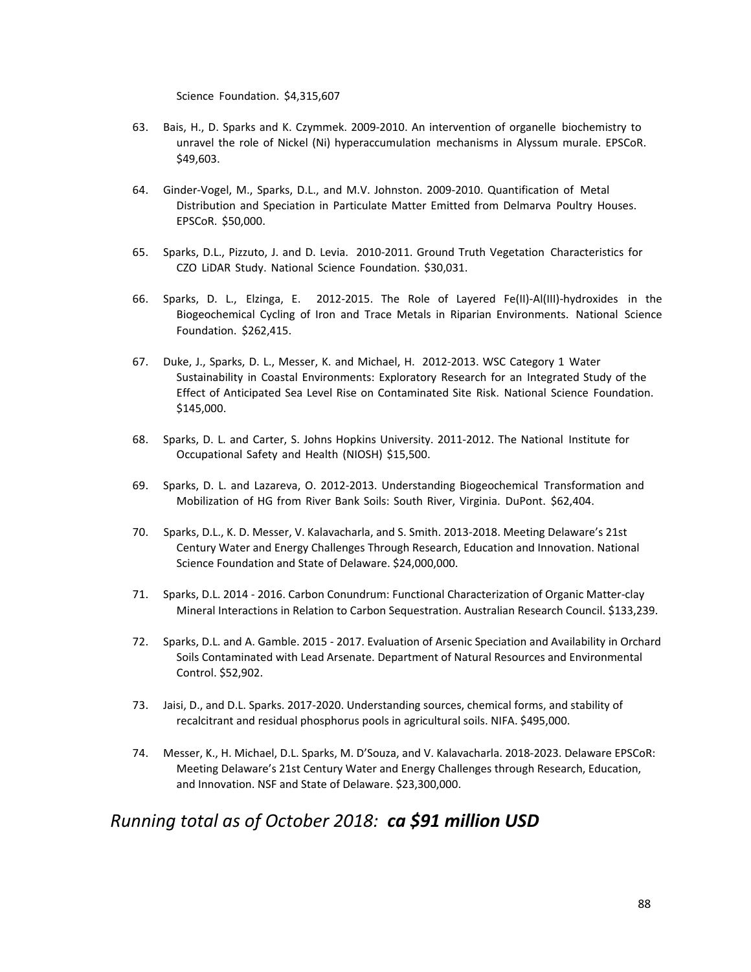Science Foundation. \$4,315,607

- 63. Bais, H., D. Sparks and K. Czymmek. 2009‐2010. An intervention of organelle biochemistry to unravel the role of Nickel (Ni) hyperaccumulation mechanisms in Alyssum murale. EPSCoR. \$49,603.
- 64. Ginder‐Vogel, M., Sparks, D.L., and M.V. Johnston. 2009‐2010. Quantification of Metal Distribution and Speciation in Particulate Matter Emitted from Delmarva Poultry Houses. EPSCoR. \$50,000.
- 65. Sparks, D.L., Pizzuto, J. and D. Levia. 2010‐2011. Ground Truth Vegetation Characteristics for CZO LiDAR Study. National Science Foundation. \$30,031.
- 66. Sparks, D. L., Elzinga, E. 2012‐2015. The Role of Layered Fe(II)‐Al(III)‐hydroxides in the Biogeochemical Cycling of Iron and Trace Metals in Riparian Environments. National Science Foundation. \$262,415.
- 67. Duke, J., Sparks, D. L., Messer, K. and Michael, H. 2012‐2013. WSC Category 1 Water Sustainability in Coastal Environments: Exploratory Research for an Integrated Study of the Effect of Anticipated Sea Level Rise on Contaminated Site Risk. National Science Foundation. \$145,000.
- 68. Sparks, D. L. and Carter, S. Johns Hopkins University. 2011‐2012. The National Institute for Occupational Safety and Health (NIOSH) \$15,500.
- 69. Sparks, D. L. and Lazareva, O. 2012‐2013. Understanding Biogeochemical Transformation and Mobilization of HG from River Bank Soils: South River, Virginia. DuPont. \$62,404.
- 70. Sparks, D.L., K. D. Messer, V. Kalavacharla, and S. Smith. 2013‐2018. Meeting Delaware's 21st Century Water and Energy Challenges Through Research, Education and Innovation. National Science Foundation and State of Delaware. \$24,000,000.
- 71. Sparks, D.L. 2014 ‐ 2016. Carbon Conundrum: Functional Characterization of Organic Matter‐clay Mineral Interactions in Relation to Carbon Sequestration. Australian Research Council. \$133,239.
- 72. Sparks, D.L. and A. Gamble. 2015 ‐ 2017. Evaluation of Arsenic Speciation and Availability in Orchard Soils Contaminated with Lead Arsenate. Department of Natural Resources and Environmental Control. \$52,902.
- 73. Jaisi, D., and D.L. Sparks. 2017‐2020. Understanding sources, chemical forms, and stability of recalcitrant and residual phosphorus pools in agricultural soils. NIFA. \$495,000.
- 74. Messer, K., H. Michael, D.L. Sparks, M. D'Souza, and V. Kalavacharla. 2018‐2023. Delaware EPSCoR: Meeting Delaware's 21st Century Water and Energy Challenges through Research, Education, and Innovation. NSF and State of Delaware. \$23,300,000.

*Running total as of October 2018: ca \$91 million USD*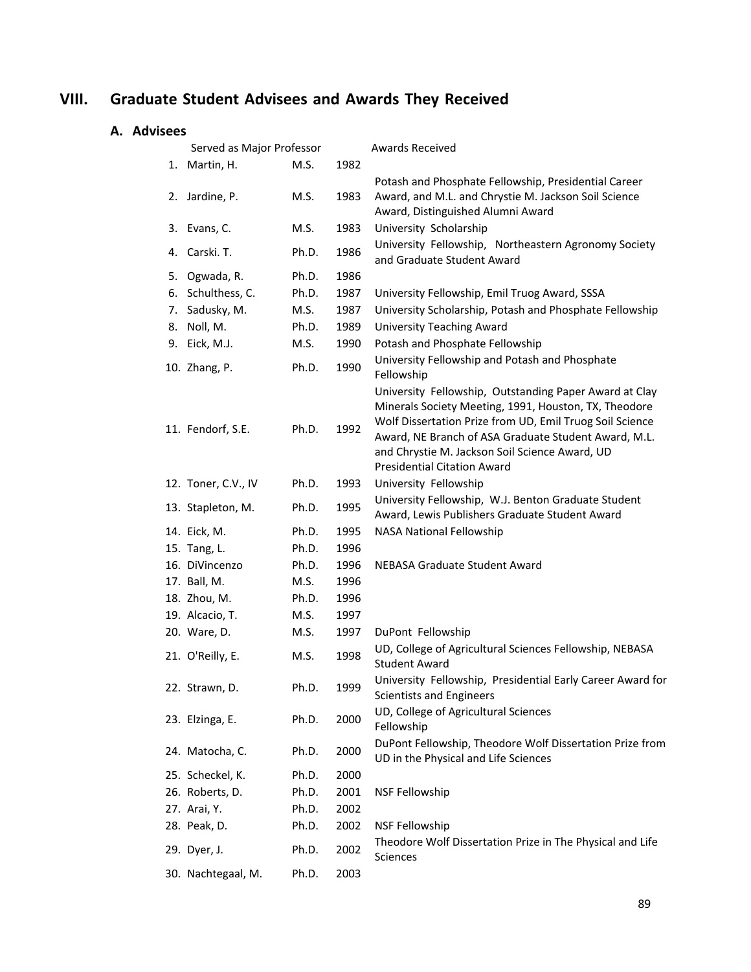# **VIII. Graduate Student Advisees and Awards They Received**

# **A. Advisees**

|    | Served as Major Professor |       |      | <b>Awards Received</b>                                                                                                                                                                                                                                                                                                      |
|----|---------------------------|-------|------|-----------------------------------------------------------------------------------------------------------------------------------------------------------------------------------------------------------------------------------------------------------------------------------------------------------------------------|
|    | 1. Martin, H.             | M.S.  | 1982 |                                                                                                                                                                                                                                                                                                                             |
|    | 2. Jardine, P.            | M.S.  | 1983 | Potash and Phosphate Fellowship, Presidential Career<br>Award, and M.L. and Chrystie M. Jackson Soil Science<br>Award, Distinguished Alumni Award                                                                                                                                                                           |
|    | 3. Evans, C.              | M.S.  | 1983 | University Scholarship                                                                                                                                                                                                                                                                                                      |
|    | 4. Carski. T.             | Ph.D. | 1986 | University Fellowship, Northeastern Agronomy Society<br>and Graduate Student Award                                                                                                                                                                                                                                          |
| 5. | Ogwada, R.                | Ph.D. | 1986 |                                                                                                                                                                                                                                                                                                                             |
| 6. | Schulthess, C.            | Ph.D. | 1987 | University Fellowship, Emil Truog Award, SSSA                                                                                                                                                                                                                                                                               |
| 7. | Sadusky, M.               | M.S.  | 1987 | University Scholarship, Potash and Phosphate Fellowship                                                                                                                                                                                                                                                                     |
| 8. | Noll, M.                  | Ph.D. | 1989 | <b>University Teaching Award</b>                                                                                                                                                                                                                                                                                            |
|    | 9. Eick, M.J.             | M.S.  | 1990 | Potash and Phosphate Fellowship                                                                                                                                                                                                                                                                                             |
|    | 10. Zhang, P.             | Ph.D. | 1990 | University Fellowship and Potash and Phosphate<br>Fellowship                                                                                                                                                                                                                                                                |
|    | 11. Fendorf, S.E.         | Ph.D. | 1992 | University Fellowship, Outstanding Paper Award at Clay<br>Minerals Society Meeting, 1991, Houston, TX, Theodore<br>Wolf Dissertation Prize from UD, Emil Truog Soil Science<br>Award, NE Branch of ASA Graduate Student Award, M.L.<br>and Chrystie M. Jackson Soil Science Award, UD<br><b>Presidential Citation Award</b> |
|    | 12. Toner, C.V., IV       | Ph.D. | 1993 | University Fellowship                                                                                                                                                                                                                                                                                                       |
|    | 13. Stapleton, M.         | Ph.D. | 1995 | University Fellowship, W.J. Benton Graduate Student<br>Award, Lewis Publishers Graduate Student Award                                                                                                                                                                                                                       |
|    | 14. Eick, M.              | Ph.D. | 1995 | <b>NASA National Fellowship</b>                                                                                                                                                                                                                                                                                             |
|    | 15. Tang, L.              | Ph.D. | 1996 |                                                                                                                                                                                                                                                                                                                             |
|    | 16. DiVincenzo            | Ph.D. | 1996 | NEBASA Graduate Student Award                                                                                                                                                                                                                                                                                               |
|    | 17. Ball, M.              | M.S.  | 1996 |                                                                                                                                                                                                                                                                                                                             |
|    | 18. Zhou, M.              | Ph.D. | 1996 |                                                                                                                                                                                                                                                                                                                             |
|    | 19. Alcacio, T.           | M.S.  | 1997 |                                                                                                                                                                                                                                                                                                                             |
|    | 20. Ware, D.              | M.S.  | 1997 | DuPont Fellowship                                                                                                                                                                                                                                                                                                           |
|    | 21. O'Reilly, E.          | M.S.  | 1998 | UD, College of Agricultural Sciences Fellowship, NEBASA<br><b>Student Award</b>                                                                                                                                                                                                                                             |
|    | 22. Strawn, D.            | Ph.D. | 1999 | University Fellowship, Presidential Early Career Award for<br><b>Scientists and Engineers</b>                                                                                                                                                                                                                               |
|    | 23. Elzinga, E.           | Ph.D. | 2000 | UD, College of Agricultural Sciences<br>Fellowship                                                                                                                                                                                                                                                                          |
|    | 24. Matocha, C.           | Ph.D. | 2000 | DuPont Fellowship, Theodore Wolf Dissertation Prize from<br>UD in the Physical and Life Sciences                                                                                                                                                                                                                            |
|    | 25. Scheckel, K.          | Ph.D. | 2000 |                                                                                                                                                                                                                                                                                                                             |
|    | 26. Roberts, D.           | Ph.D. | 2001 | <b>NSF Fellowship</b>                                                                                                                                                                                                                                                                                                       |
|    | 27. Arai, Y.              | Ph.D. | 2002 |                                                                                                                                                                                                                                                                                                                             |
|    | 28. Peak, D.              | Ph.D. | 2002 | <b>NSF Fellowship</b>                                                                                                                                                                                                                                                                                                       |
|    | 29. Dyer, J.              | Ph.D. | 2002 | Theodore Wolf Dissertation Prize in The Physical and Life<br>Sciences                                                                                                                                                                                                                                                       |
|    | 30. Nachtegaal, M.        | Ph.D. | 2003 |                                                                                                                                                                                                                                                                                                                             |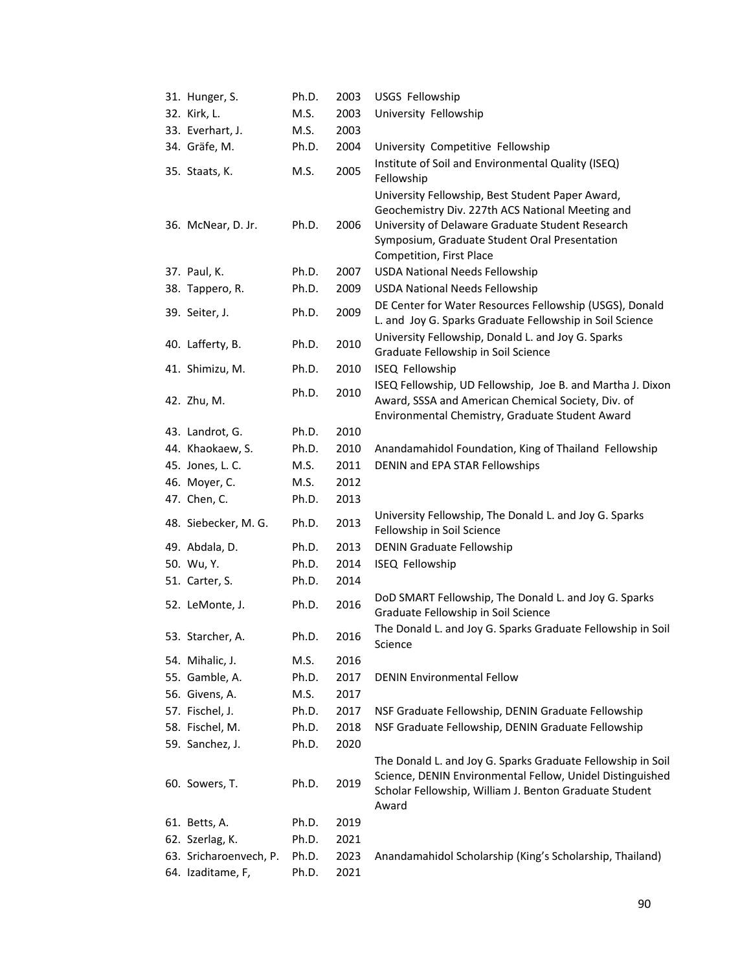| 31. Hunger, S.         | Ph.D. | 2003 | USGS Fellowship                                                                                                                                                                                                                       |  |
|------------------------|-------|------|---------------------------------------------------------------------------------------------------------------------------------------------------------------------------------------------------------------------------------------|--|
| 32. Kirk, L.           | M.S.  | 2003 | University Fellowship                                                                                                                                                                                                                 |  |
| 33. Everhart, J.       | M.S.  | 2003 |                                                                                                                                                                                                                                       |  |
| 34. Gräfe, M.          | Ph.D. | 2004 | University Competitive Fellowship                                                                                                                                                                                                     |  |
| 35. Staats, K.         | M.S.  | 2005 | Institute of Soil and Environmental Quality (ISEQ)<br>Fellowship                                                                                                                                                                      |  |
| 36. McNear, D. Jr.     | Ph.D. | 2006 | University Fellowship, Best Student Paper Award,<br>Geochemistry Div. 227th ACS National Meeting and<br>University of Delaware Graduate Student Research<br>Symposium, Graduate Student Oral Presentation<br>Competition, First Place |  |
| 37. Paul, K.           | Ph.D. | 2007 | <b>USDA National Needs Fellowship</b>                                                                                                                                                                                                 |  |
| 38. Tappero, R.        | Ph.D. | 2009 | <b>USDA National Needs Fellowship</b>                                                                                                                                                                                                 |  |
| 39. Seiter, J.         | Ph.D. | 2009 | DE Center for Water Resources Fellowship (USGS), Donald<br>L. and Joy G. Sparks Graduate Fellowship in Soil Science                                                                                                                   |  |
| 40. Lafferty, B.       | Ph.D. | 2010 | University Fellowship, Donald L. and Joy G. Sparks<br>Graduate Fellowship in Soil Science                                                                                                                                             |  |
| 41. Shimizu, M.        | Ph.D. | 2010 | ISEQ Fellowship                                                                                                                                                                                                                       |  |
| 42. Zhu, M.            | Ph.D. | 2010 | ISEQ Fellowship, UD Fellowship, Joe B. and Martha J. Dixon<br>Award, SSSA and American Chemical Society, Div. of<br>Environmental Chemistry, Graduate Student Award                                                                   |  |
| 43. Landrot, G.        | Ph.D. | 2010 |                                                                                                                                                                                                                                       |  |
| 44. Khaokaew, S.       | Ph.D. | 2010 | Anandamahidol Foundation, King of Thailand Fellowship                                                                                                                                                                                 |  |
| 45. Jones, L. C.       | M.S.  | 2011 | DENIN and EPA STAR Fellowships                                                                                                                                                                                                        |  |
| 46. Moyer, C.          | M.S.  | 2012 |                                                                                                                                                                                                                                       |  |
| 47. Chen, C.           | Ph.D. | 2013 |                                                                                                                                                                                                                                       |  |
| 48. Siebecker, M. G.   | Ph.D. | 2013 | University Fellowship, The Donald L. and Joy G. Sparks<br>Fellowship in Soil Science                                                                                                                                                  |  |
| 49. Abdala, D.         | Ph.D. | 2013 | <b>DENIN Graduate Fellowship</b>                                                                                                                                                                                                      |  |
| 50. Wu, Y.             | Ph.D. | 2014 | ISEQ Fellowship                                                                                                                                                                                                                       |  |
| 51. Carter, S.         | Ph.D. | 2014 |                                                                                                                                                                                                                                       |  |
| 52. LeMonte, J.        | Ph.D. | 2016 | DoD SMART Fellowship, The Donald L. and Joy G. Sparks<br>Graduate Fellowship in Soil Science                                                                                                                                          |  |
| 53. Starcher, A.       | Ph.D. | 2016 | The Donald L. and Joy G. Sparks Graduate Fellowship in Soil<br>Science                                                                                                                                                                |  |
| 54. Mihalic, J.        | M.S.  | 2016 |                                                                                                                                                                                                                                       |  |
| 55. Gamble, A.         | Ph.D. | 2017 | <b>DENIN Environmental Fellow</b>                                                                                                                                                                                                     |  |
| 56. Givens, A.         | M.S.  | 2017 |                                                                                                                                                                                                                                       |  |
| 57. Fischel, J.        | Ph.D. | 2017 | NSF Graduate Fellowship, DENIN Graduate Fellowship                                                                                                                                                                                    |  |
| 58. Fischel, M.        | Ph.D. | 2018 | NSF Graduate Fellowship, DENIN Graduate Fellowship                                                                                                                                                                                    |  |
| 59. Sanchez, J.        | Ph.D. | 2020 |                                                                                                                                                                                                                                       |  |
| 60. Sowers, T.         | Ph.D. | 2019 | The Donald L. and Joy G. Sparks Graduate Fellowship in Soil<br>Science, DENIN Environmental Fellow, Unidel Distinguished<br>Scholar Fellowship, William J. Benton Graduate Student<br>Award                                           |  |
| 61. Betts, A.          | Ph.D. | 2019 |                                                                                                                                                                                                                                       |  |
| 62. Szerlag, K.        | Ph.D. | 2021 |                                                                                                                                                                                                                                       |  |
| 63. Sricharoenvech, P. | Ph.D. | 2023 | Anandamahidol Scholarship (King's Scholarship, Thailand)                                                                                                                                                                              |  |
| 64. Izaditame, F,      | Ph.D. | 2021 |                                                                                                                                                                                                                                       |  |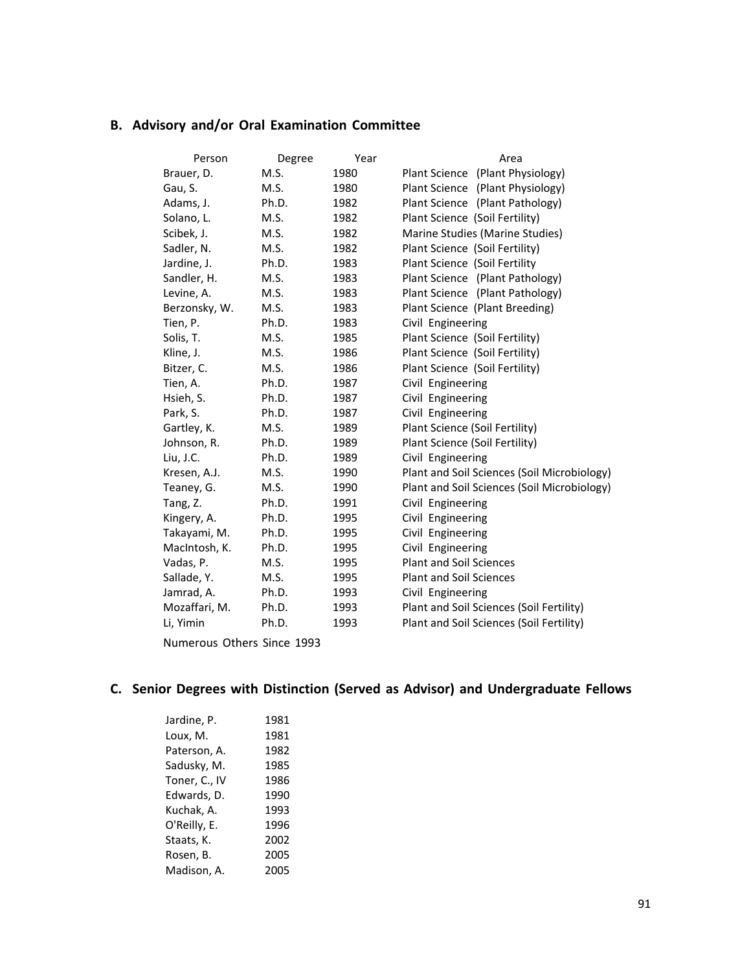# **B. Advisory and/or Oral Examination Committee**

| Person                     | Degree | Year | Area                                        |
|----------------------------|--------|------|---------------------------------------------|
| Brauer, D.                 | M.S.   | 1980 | Plant Science (Plant Physiology)            |
| Gau, S.                    | M.S.   | 1980 | Plant Science (Plant Physiology)            |
| Adams, J.                  | Ph.D.  | 1982 | Plant Science (Plant Pathology)             |
| Solano, L.                 | M.S.   | 1982 | Plant Science (Soil Fertility)              |
| Scibek, J.                 | M.S.   | 1982 | Marine Studies (Marine Studies)             |
| Sadler, N.                 | M.S.   | 1982 | Plant Science (Soil Fertility)              |
| Jardine, J.                | Ph.D.  | 1983 | Plant Science (Soil Fertility               |
| Sandler, H.                | M.S.   | 1983 | Plant Science (Plant Pathology)             |
| Levine, A.                 | M.S.   | 1983 | Plant Science (Plant Pathology)             |
| Berzonsky, W.              | M.S.   | 1983 | Plant Science (Plant Breeding)              |
| Tien, P.                   | Ph.D.  | 1983 | Civil Engineering                           |
| Solis, T.                  | M.S.   | 1985 | Plant Science (Soil Fertility)              |
| Kline, J.                  | M.S.   | 1986 | Plant Science (Soil Fertility)              |
| Bitzer, C.                 | M.S.   | 1986 | Plant Science (Soil Fertility)              |
| Tien, A.                   | Ph.D.  | 1987 | Civil Engineering                           |
| Hsieh, S.                  | Ph.D.  | 1987 | Civil Engineering                           |
| Park, S.                   | Ph.D.  | 1987 | Civil Engineering                           |
| Gartley, K.                | M.S.   | 1989 | Plant Science (Soil Fertility)              |
| Johnson, R.                | Ph.D.  | 1989 | Plant Science (Soil Fertility)              |
| Liu, J.C.                  | Ph.D.  | 1989 | Civil Engineering                           |
| Kresen, A.J.               | M.S.   | 1990 | Plant and Soil Sciences (Soil Microbiology) |
| Teaney, G.                 | M.S.   | 1990 | Plant and Soil Sciences (Soil Microbiology) |
| Tang, Z.                   | Ph.D.  | 1991 | Civil Engineering                           |
| Kingery, A.                | Ph.D.  | 1995 | Civil Engineering                           |
| Takayami, M.               | Ph.D.  | 1995 | Civil Engineering                           |
| MacIntosh, K.              | Ph.D.  | 1995 | Civil Engineering                           |
| Vadas, P.                  | M.S.   | 1995 | <b>Plant and Soil Sciences</b>              |
| Sallade, Y.                | M.S.   | 1995 | <b>Plant and Soil Sciences</b>              |
| Jamrad, A.                 | Ph.D.  | 1993 | Civil Engineering                           |
| Mozaffari, M.              | Ph.D.  | 1993 | Plant and Soil Sciences (Soil Fertility)    |
| Li, Yimin                  | Ph.D.  | 1993 | Plant and Soil Sciences (Soil Fertility)    |
| Numerous Others Since 1993 |        |      |                                             |

**C. Senior Degrees with Distinction (Served as Advisor) and Undergraduate Fellows**

| 1981 |
|------|
| 1981 |
| 1982 |
| 1985 |
| 1986 |
| 1990 |
| 1993 |
| 1996 |
| 2002 |
| 2005 |
| 2005 |
|      |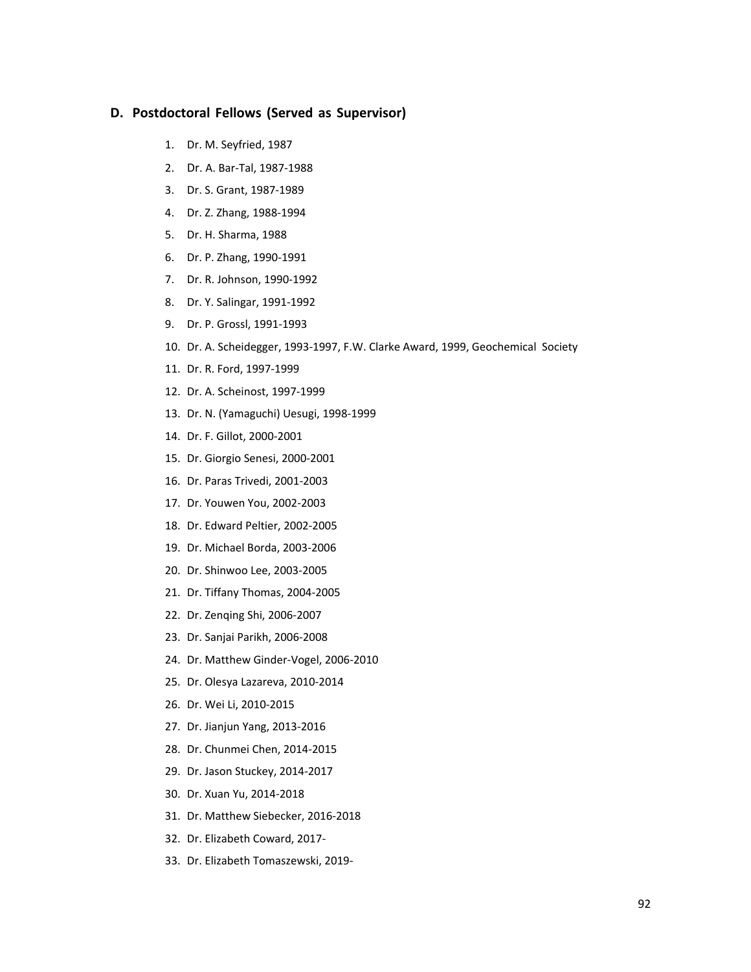#### **D. Postdoctoral Fellows (Served as Supervisor)**

- 1. Dr. M. Seyfried, 1987
- 2. Dr. A. Bar‐Tal, 1987‐1988
- 3. Dr. S. Grant, 1987‐1989
- 4. Dr. Z. Zhang, 1988‐1994
- 5. Dr. H. Sharma, 1988
- 6. Dr. P. Zhang, 1990‐1991
- 7. Dr. R. Johnson, 1990‐1992
- 8. Dr. Y. Salingar, 1991‐1992
- 9. Dr. P. Grossl, 1991‐1993
- 10. Dr. A. Scheidegger, 1993‐1997, F.W. Clarke Award, 1999, Geochemical Society
- 11. Dr. R. Ford, 1997‐1999
- 12. Dr. A. Scheinost, 1997‐1999
- 13. Dr. N. (Yamaguchi) Uesugi, 1998‐1999
- 14. Dr. F. Gillot, 2000‐2001
- 15. Dr. Giorgio Senesi, 2000‐2001
- 16. Dr. Paras Trivedi, 2001‐2003
- 17. Dr. Youwen You, 2002‐2003
- 18. Dr. Edward Peltier, 2002‐2005
- 19. Dr. Michael Borda, 2003‐2006
- 20. Dr. Shinwoo Lee, 2003‐2005
- 21. Dr. Tiffany Thomas, 2004‐2005
- 22. Dr. Zenqing Shi, 2006‐2007
- 23. Dr. Sanjai Parikh, 2006‐2008
- 24. Dr. Matthew Ginder‐Vogel, 2006‐2010
- 25. Dr. Olesya Lazareva, 2010‐2014
- 26. Dr. Wei Li, 2010‐2015
- 27. Dr. Jianjun Yang, 2013‐2016
- 28. Dr. Chunmei Chen, 2014‐2015
- 29. Dr. Jason Stuckey, 2014‐2017
- 30. Dr. Xuan Yu, 2014‐2018
- 31. Dr. Matthew Siebecker, 2016‐2018
- 32. Dr. Elizabeth Coward, 2017‐
- 33. Dr. Elizabeth Tomaszewski, 2019‐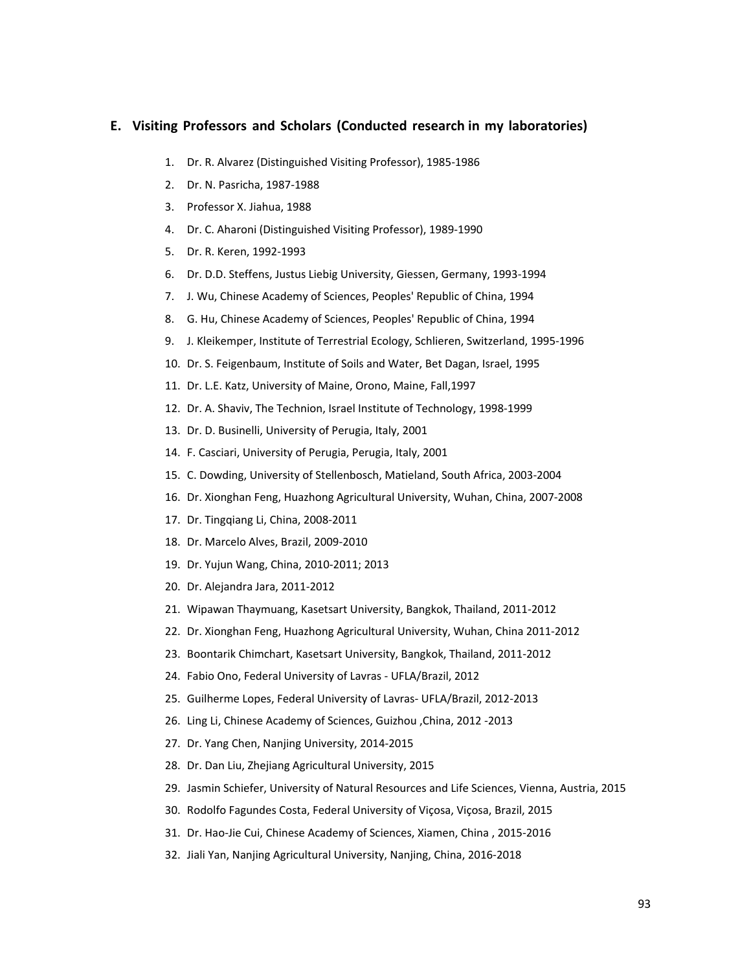#### **E. Visiting Professors and Scholars (Conducted research in my laboratories)**

- 1. Dr. R. Alvarez (Distinguished Visiting Professor), 1985‐1986
- 2. Dr. N. Pasricha, 1987‐1988
- 3. Professor X. Jiahua, 1988
- 4. Dr. C. Aharoni (Distinguished Visiting Professor), 1989‐1990
- 5. Dr. R. Keren, 1992‐1993
- 6. Dr. D.D. Steffens, Justus Liebig University, Giessen, Germany, 1993‐1994
- 7. J. Wu, Chinese Academy of Sciences, Peoples' Republic of China, 1994
- 8. G. Hu, Chinese Academy of Sciences, Peoples' Republic of China, 1994
- 9. J. Kleikemper, Institute of Terrestrial Ecology, Schlieren, Switzerland, 1995‐1996
- 10. Dr. S. Feigenbaum, Institute of Soils and Water, Bet Dagan, Israel, 1995
- 11. Dr. L.E. Katz, University of Maine, Orono, Maine, Fall,1997
- 12. Dr. A. Shaviv, The Technion, Israel Institute of Technology, 1998‐1999
- 13. Dr. D. Businelli, University of Perugia, Italy, 2001
- 14. F. Casciari, University of Perugia, Perugia, Italy, 2001
- 15. C. Dowding, University of Stellenbosch, Matieland, South Africa, 2003‐2004
- 16. Dr. Xionghan Feng, Huazhong Agricultural University, Wuhan, China, 2007‐2008
- 17. Dr. Tingqiang Li, China, 2008‐2011
- 18. Dr. Marcelo Alves, Brazil, 2009‐2010
- 19. Dr. Yujun Wang, China, 2010‐2011; 2013
- 20. Dr. Alejandra Jara, 2011‐2012
- 21. Wipawan Thaymuang, Kasetsart University, Bangkok, Thailand, 2011‐2012
- 22. Dr. Xionghan Feng, Huazhong Agricultural University, Wuhan, China 2011‐2012
- 23. Boontarik Chimchart, Kasetsart University, Bangkok, Thailand, 2011‐2012
- 24. Fabio Ono, Federal University of Lavras ‐ UFLA/Brazil, 2012
- 25. Guilherme Lopes, Federal University of Lavras‐ UFLA/Brazil, 2012‐2013
- 26. Ling Li, Chinese Academy of Sciences, Guizhou ,China, 2012 ‐2013
- 27. Dr. Yang Chen, Nanjing University, 2014‐2015
- 28. Dr. Dan Liu, Zhejiang Agricultural University, 2015
- 29. Jasmin Schiefer, University of Natural Resources and Life Sciences, Vienna, Austria, 2015
- 30. Rodolfo Fagundes Costa, Federal University of Viçosa, Viçosa, Brazil, 2015
- 31. Dr. Hao‐Jie Cui, Chinese Academy of Sciences, Xiamen, China , 2015‐2016
- 32. Jiali Yan, Nanjing Agricultural University, Nanjing, China, 2016‐2018